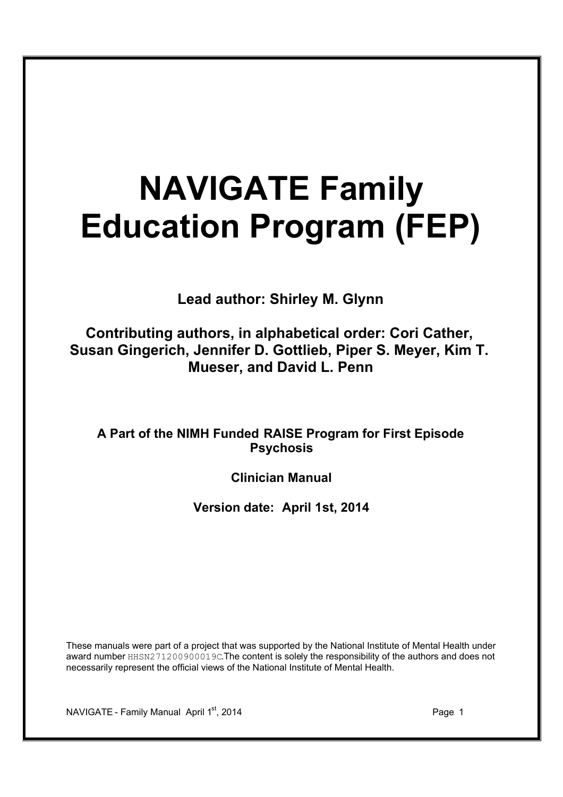# **NAVIGATE Family Education Program (FEP)**

**Lead author: Shirley M. Glynn**

**Contributing authors, in alphabetical order: Cori Cather, Susan Gingerich, Jennifer D. Gottlieb, Piper S. Meyer, Kim T. Mueser, and David L. Penn**

**A Part of the NIMH Funded RAISE Program for First Episode Psychosis**

**Clinician Manual**

**Version date: April 1st, 2014**

These manuals were part of a project that was supported by the National Institute of Mental Health under award number HHSN271200900019C.The content is solely the responsibility of the authors and does not necessarily represent the official views of the National Institute of Mental Health.

NAVIGATE - Family Manual April 1st, 2014 **Page 1** Page 1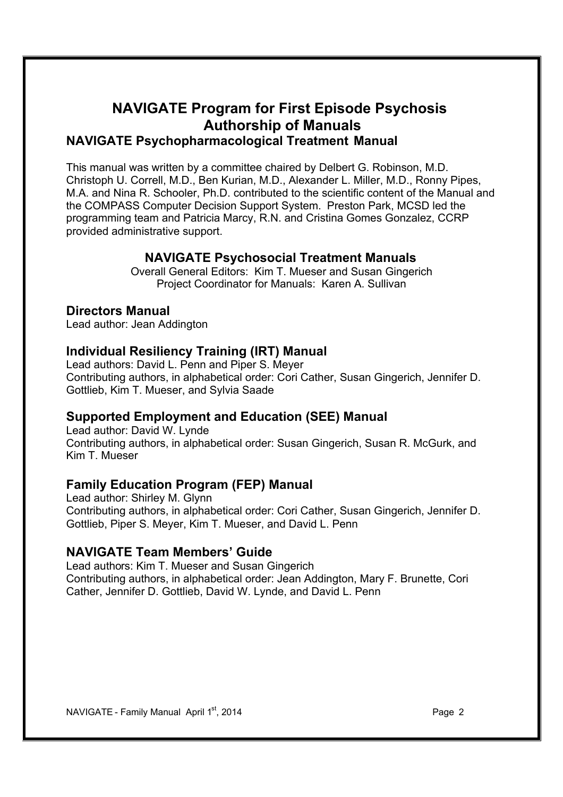### **NAVIGATE Program for First Episode Psychosis Authorship of Manuals NAVIGATE Psychopharmacological Treatment Manual**

This manual was written by a committee chaired by Delbert G. Robinson, M.D. Christoph U. Correll, M.D., Ben Kurian, M.D., Alexander L. Miller, M.D., Ronny Pipes, M.A. and Nina R. Schooler, Ph.D. contributed to the scientific content of the Manual and the COMPASS Computer Decision Support System. Preston Park, MCSD led the programming team and Patricia Marcy, R.N. and Cristina Gomes Gonzalez, CCRP provided administrative support.

### **NAVIGATE Psychosocial Treatment Manuals**

Overall General Editors: Kim T. Mueser and Susan Gingerich Project Coordinator for Manuals: Karen A. Sullivan

### **Directors Manual**

Lead author: Jean Addington

### **Individual Resiliency Training (IRT) Manual**

Lead authors: David L. Penn and Piper S. Meyer Contributing authors, in alphabetical order: Cori Cather, Susan Gingerich, Jennifer D. Gottlieb, Kim T. Mueser, and Sylvia Saade

### **Supported Employment and Education (SEE) Manual**

Lead author: David W. Lynde Contributing authors, in alphabetical order: Susan Gingerich, Susan R. McGurk, and Kim T. Mueser

### **Family Education Program (FEP) Manual**

Lead author: Shirley M. Glynn Contributing authors, in alphabetical order: Cori Cather, Susan Gingerich, Jennifer D. Gottlieb, Piper S. Meyer, Kim T. Mueser, and David L. Penn

### **NAVIGATE Team Members' Guide**

Lead authors: Kim T. Mueser and Susan Gingerich Contributing authors, in alphabetical order: Jean Addington, Mary F. Brunette, Cori Cather, Jennifer D. Gottlieb, David W. Lynde, and David L. Penn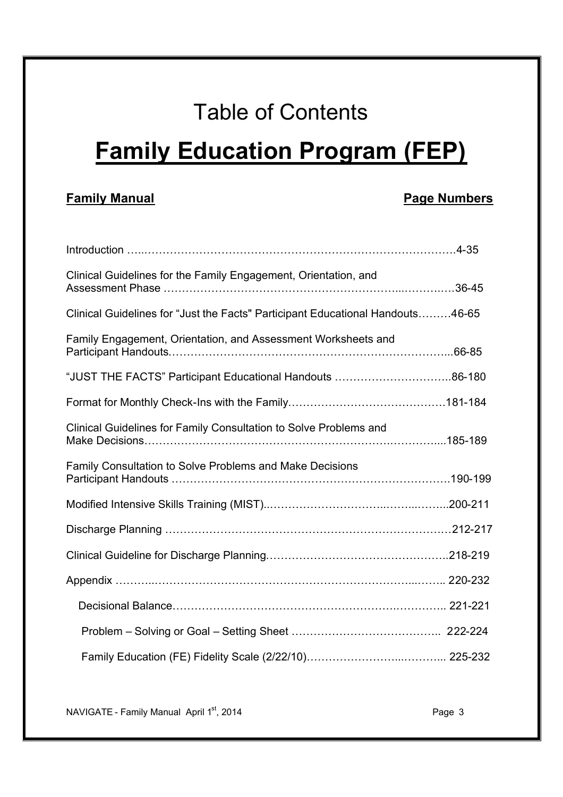## Table of Contents

## **Family Education Program (FEP)**

### **Family Manual Page Numbers**

| Clinical Guidelines for the Family Engagement, Orientation, and                |  |
|--------------------------------------------------------------------------------|--|
| Clinical Guidelines for "Just the Facts" Participant Educational Handouts46-65 |  |
| Family Engagement, Orientation, and Assessment Worksheets and                  |  |
|                                                                                |  |
|                                                                                |  |
| Clinical Guidelines for Family Consultation to Solve Problems and              |  |
| Family Consultation to Solve Problems and Make Decisions                       |  |
|                                                                                |  |
|                                                                                |  |
|                                                                                |  |
|                                                                                |  |
|                                                                                |  |
|                                                                                |  |
|                                                                                |  |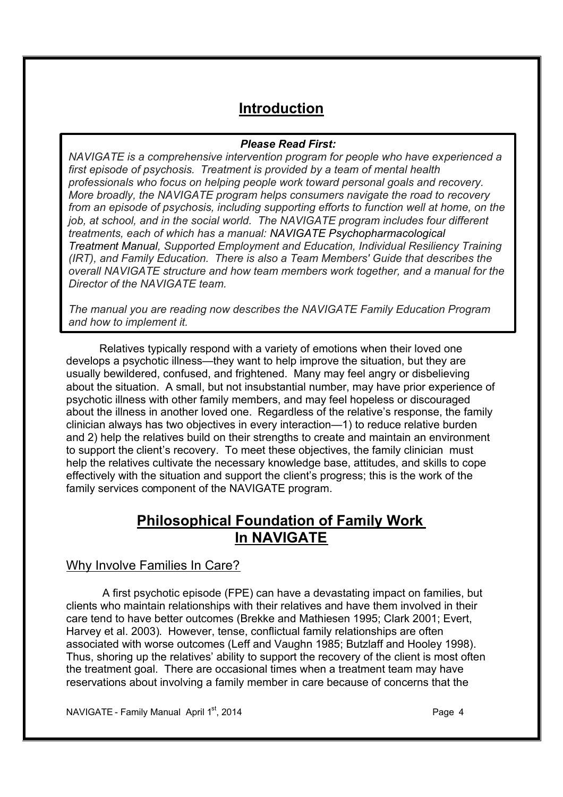### **Introduction**

### *Please Read First:*

*NAVIGATE is a comprehensive intervention program for people who have experienced a first episode of psychosis. Treatment is provided by a team of mental health professionals who focus on helping people work toward personal goals and recovery. More broadly, the NAVIGATE program helps consumers navigate the road to recovery from an episode of psychosis, including supporting efforts to function well at home, on the job, at school, and in the social world. The NAVIGATE program includes four different treatments, each of which has a manual: NAVIGATE Psychopharmacological Treatment Manual, Supported Employment and Education, Individual Resiliency Training (IRT), and Family Education. There is also a Team Members' Guide that describes the overall NAVIGATE structure and how team members work together, and a manual for the Director of the NAVIGATE team.*

*The manual you are reading now describes the NAVIGATE Family Education Program and how to implement it.*

Relatives typically respond with a variety of emotions when their loved one develops a psychotic illness—they want to help improve the situation, but they are usually bewildered, confused, and frightened. Many may feel angry or disbelieving about the situation. A small, but not insubstantial number, may have prior experience of psychotic illness with other family members, and may feel hopeless or discouraged about the illness in another loved one. Regardless of the relative's response, the family clinician always has two objectives in every interaction—1) to reduce relative burden and 2) help the relatives build on their strengths to create and maintain an environment to support the client's recovery. To meet these objectives, the family clinician must help the relatives cultivate the necessary knowledge base, attitudes, and skills to cope effectively with the situation and support the client's progress; this is the work of the family services component of the NAVIGATE program.

### **Philosophical Foundation of Family Work In NAVIGATE**

### Why Involve Families In Care?

 A first psychotic episode (FPE) can have a devastating impact on families, but clients who maintain relationships with their relatives and have them involved in their care tend to have better outcomes (Brekke and Mathiesen 1995; Clark 2001; Evert, Harvey et al. 2003). However, tense, conflictual family relationships are often associated with worse outcomes (Leff and Vaughn 1985; Butzlaff and Hooley 1998). Thus, shoring up the relatives' ability to support the recovery of the client is most often the treatment goal. There are occasional times when a treatment team may have reservations about involving a family member in care because of concerns that the

NAVIGATE - Family Manual April 1st, 2014 **Page 4** Page 4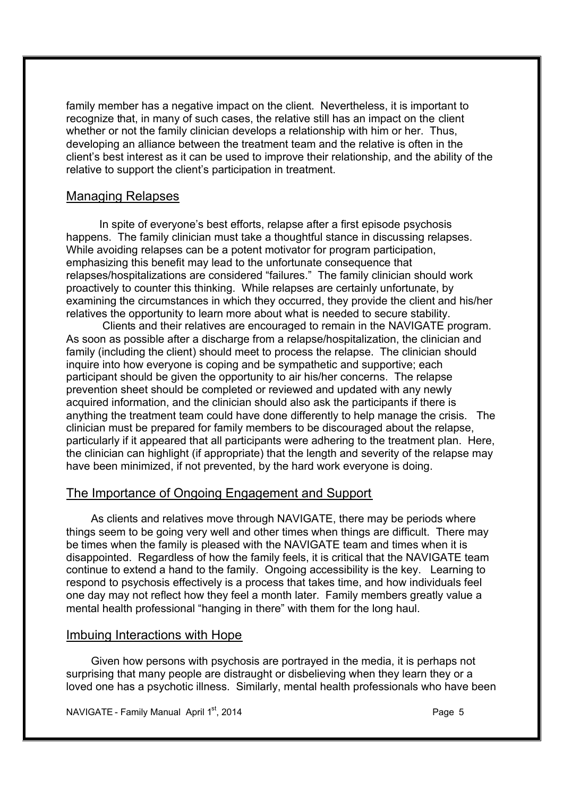family member has a negative impact on the client. Nevertheless, it is important to recognize that, in many of such cases, the relative still has an impact on the client whether or not the family clinician develops a relationship with him or her. Thus, developing an alliance between the treatment team and the relative is often in the client's best interest as it can be used to improve their relationship, and the ability of the relative to support the client's participation in treatment.

### Managing Relapses

In spite of everyone's best efforts, relapse after a first episode psychosis happens. The family clinician must take a thoughtful stance in discussing relapses. While avoiding relapses can be a potent motivator for program participation, emphasizing this benefit may lead to the unfortunate consequence that relapses/hospitalizations are considered "failures." The family clinician should work proactively to counter this thinking. While relapses are certainly unfortunate, by examining the circumstances in which they occurred, they provide the client and his/her relatives the opportunity to learn more about what is needed to secure stability.

Clients and their relatives are encouraged to remain in the NAVIGATE program. As soon as possible after a discharge from a relapse/hospitalization, the clinician and family (including the client) should meet to process the relapse. The clinician should inquire into how everyone is coping and be sympathetic and supportive; each participant should be given the opportunity to air his/her concerns. The relapse prevention sheet should be completed or reviewed and updated with any newly acquired information, and the clinician should also ask the participants if there is anything the treatment team could have done differently to help manage the crisis. The clinician must be prepared for family members to be discouraged about the relapse, particularly if it appeared that all participants were adhering to the treatment plan. Here, the clinician can highlight (if appropriate) that the length and severity of the relapse may have been minimized, if not prevented, by the hard work everyone is doing.

### The Importance of Ongoing Engagement and Support

As clients and relatives move through NAVIGATE, there may be periods where things seem to be going very well and other times when things are difficult. There may be times when the family is pleased with the NAVIGATE team and times when it is disappointed. Regardless of how the family feels, it is critical that the NAVIGATE team continue to extend a hand to the family. Ongoing accessibility is the key. Learning to respond to psychosis effectively is a process that takes time, and how individuals feel one day may not reflect how they feel a month later. Family members greatly value a mental health professional "hanging in there" with them for the long haul.

### Imbuing Interactions with Hope

Given how persons with psychosis are portrayed in the media, it is perhaps not surprising that many people are distraught or disbelieving when they learn they or a loved one has a psychotic illness. Similarly, mental health professionals who have been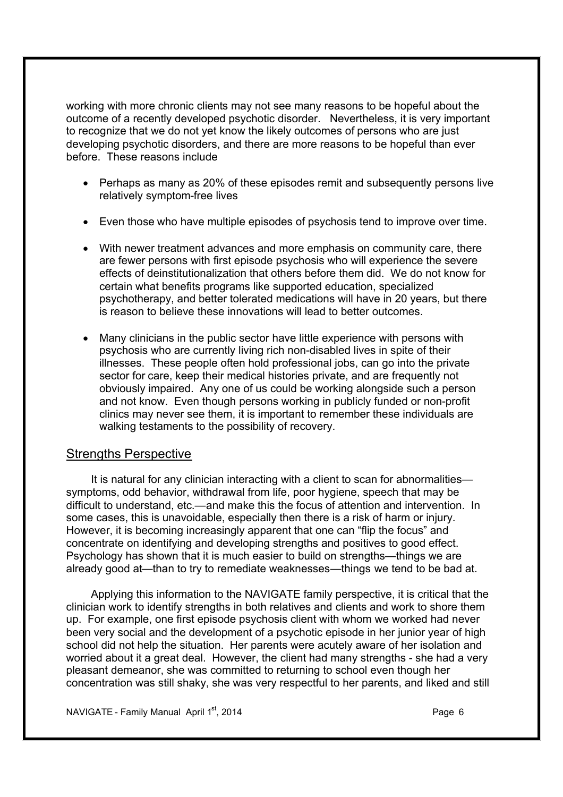working with more chronic clients may not see many reasons to be hopeful about the outcome of a recently developed psychotic disorder. Nevertheless, it is very important to recognize that we do not yet know the likely outcomes of persons who are just developing psychotic disorders, and there are more reasons to be hopeful than ever before. These reasons include

- · Perhaps as many as 20% of these episodes remit and subsequently persons live relatively symptom-free lives
- · Even those who have multiple episodes of psychosis tend to improve over time.
- · With newer treatment advances and more emphasis on community care, there are fewer persons with first episode psychosis who will experience the severe effects of deinstitutionalization that others before them did. We do not know for certain what benefits programs like supported education, specialized psychotherapy, and better tolerated medications will have in 20 years, but there is reason to believe these innovations will lead to better outcomes.
- · Many clinicians in the public sector have little experience with persons with psychosis who are currently living rich non-disabled lives in spite of their illnesses. These people often hold professional jobs, can go into the private sector for care, keep their medical histories private, and are frequently not obviously impaired. Any one of us could be working alongside such a person and not know. Even though persons working in publicly funded or non-profit clinics may never see them, it is important to remember these individuals are walking testaments to the possibility of recovery.

### Strengths Perspective

It is natural for any clinician interacting with a client to scan for abnormalities symptoms, odd behavior, withdrawal from life, poor hygiene, speech that may be difficult to understand, etc.—and make this the focus of attention and intervention. In some cases, this is unavoidable, especially then there is a risk of harm or injury. However, it is becoming increasingly apparent that one can "flip the focus" and concentrate on identifying and developing strengths and positives to good effect. Psychology has shown that it is much easier to build on strengths—things we are already good at—than to try to remediate weaknesses—things we tend to be bad at.

Applying this information to the NAVIGATE family perspective, it is critical that the clinician work to identify strengths in both relatives and clients and work to shore them up. For example, one first episode psychosis client with whom we worked had never been very social and the development of a psychotic episode in her junior year of high school did not help the situation. Her parents were acutely aware of her isolation and worried about it a great deal. However, the client had many strengths - she had a very pleasant demeanor, she was committed to returning to school even though her concentration was still shaky, she was very respectful to her parents, and liked and still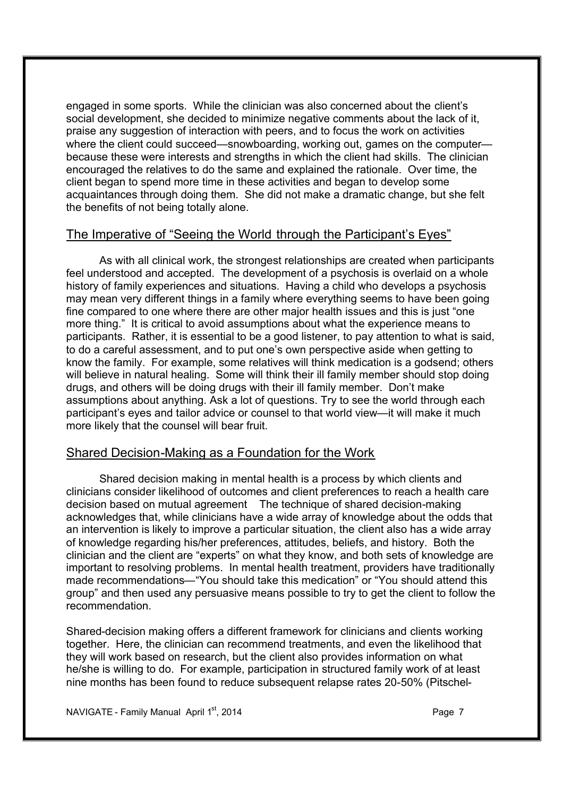engaged in some sports. While the clinician was also concerned about the client's social development, she decided to minimize negative comments about the lack of it, praise any suggestion of interaction with peers, and to focus the work on activities where the client could succeed—snowboarding, working out, games on the computer because these were interests and strengths in which the client had skills. The clinician encouraged the relatives to do the same and explained the rationale. Over time, the client began to spend more time in these activities and began to develop some acquaintances through doing them. She did not make a dramatic change, but she felt the benefits of not being totally alone.

### The Imperative of "Seeing the World through the Participant's Eyes"

As with all clinical work, the strongest relationships are created when participants feel understood and accepted. The development of a psychosis is overlaid on a whole history of family experiences and situations. Having a child who develops a psychosis may mean very different things in a family where everything seems to have been going fine compared to one where there are other major health issues and this is just "one more thing." It is critical to avoid assumptions about what the experience means to participants. Rather, it is essential to be a good listener, to pay attention to what is said, to do a careful assessment, and to put one's own perspective aside when getting to know the family. For example, some relatives will think medication is a godsend; others will believe in natural healing. Some will think their ill family member should stop doing drugs, and others will be doing drugs with their ill family member. Don't make assumptions about anything. Ask a lot of questions. Try to see the world through each participant's eyes and tailor advice or counsel to that world view—it will make it much more likely that the counsel will bear fruit.

### Shared Decision-Making as a Foundation for the Work

Shared decision making in mental health is a process by which clients and clinicians consider likelihood of outcomes and client preferences to reach a health care decision based on mutual agreement The technique of shared decision-making acknowledges that, while clinicians have a wide array of knowledge about the odds that an intervention is likely to improve a particular situation, the client also has a wide array of knowledge regarding his/her preferences, attitudes, beliefs, and history. Both the clinician and the client are "experts" on what they know, and both sets of knowledge are important to resolving problems. In mental health treatment, providers have traditionally made recommendations—"You should take this medication" or "You should attend this group" and then used any persuasive means possible to try to get the client to follow the recommendation.

Shared-decision making offers a different framework for clinicians and clients working together. Here, the clinician can recommend treatments, and even the likelihood that they will work based on research, but the client also provides information on what he/she is willing to do. For example, participation in structured family work of at least nine months has been found to reduce subsequent relapse rates 20-50% (Pitschel-

NAVIGATE - Family Manual April  $1<sup>st</sup>$ , 2014 **Page 7 Page 7**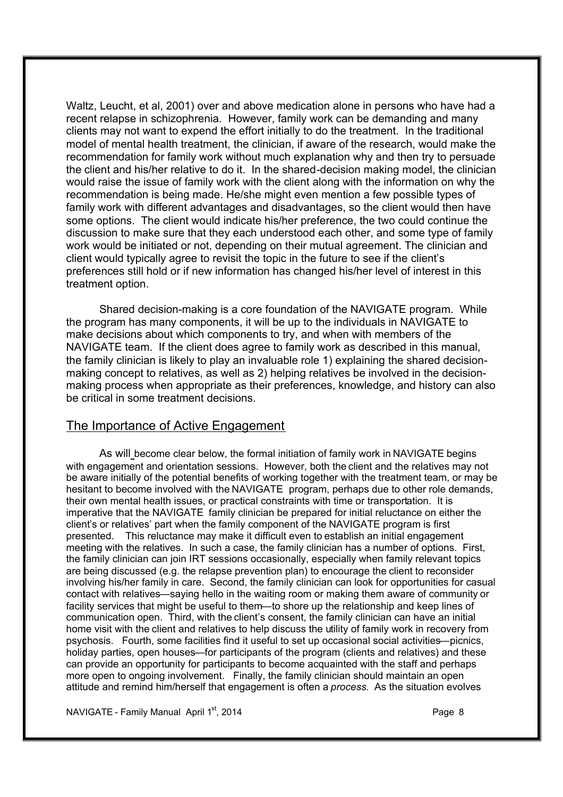Waltz, Leucht, et al, 2001) over and above medication alone in persons who have had a recent relapse in schizophrenia. However, family work can be demanding and many clients may not want to expend the effort initially to do the treatment. In the traditional model of mental health treatment, the clinician, if aware of the research, would make the recommendation for family work without much explanation why and then try to persuade the client and his/her relative to do it. In the shared-decision making model, the clinician would raise the issue of family work with the client along with the information on why the recommendation is being made. He/she might even mention a few possible types of family work with different advantages and disadvantages, so the client would then have some options. The client would indicate his/her preference, the two could continue the discussion to make sure that they each understood each other, and some type of family work would be initiated or not, depending on their mutual agreement. The clinician and client would typically agree to revisit the topic in the future to see if the client's preferences still hold or if new information has changed his/her level of interest in this treatment option.

Shared decision-making is a core foundation of the NAVIGATE program. While the program has many components, it will be up to the individuals in NAVIGATE to make decisions about which components to try, and when with members of the NAVIGATE team. If the client does agree to family work as described in this manual, the family clinician is likely to play an invaluable role 1) explaining the shared decisionmaking concept to relatives, as well as 2) helping relatives be involved in the decisionmaking process when appropriate as their preferences, knowledge, and history can also be critical in some treatment decisions.

#### The Importance of Active Engagement

As will become clear below, the formal initiation of family work in NAVIGATE begins with engagement and orientation sessions. However, both the client and the relatives may not be aware initially of the potential benefits of working together with the treatment team, or may be hesitant to become involved with the NAVIGATE program, perhaps due to other role demands, their own mental health issues, or practical constraints with time or transportation. It is imperative that the NAVIGATE family clinician be prepared for initial reluctance on either the client's or relatives' part when the family component of the NAVIGATE program is first presented. This reluctance may make it difficult even to establish an initial engagement meeting with the relatives. In such a case, the family clinician has a number of options. First, the family clinician can join IRT sessions occasionally, especially when family relevant topics are being discussed (e.g. the relapse prevention plan) to encourage the client to reconsider involving his/her family in care. Second, the family clinician can look for opportunities for casual contact with relatives—saying hello in the waiting room or making them aware of community or facility services that might be useful to them—to shore up the relationship and keep lines of communication open. Third, with the client's consent, the family clinician can have an initial home visit with the client and relatives to help discuss the utility of family work in recovery from psychosis. Fourth, some facilities find it useful to set up occasional social activities—picnics, holiday parties, open houses—for participants of the program (clients and relatives) and these can provide an opportunity for participants to become acquainted with the staff and perhaps more open to ongoing involvement. Finally, the family clinician should maintain an open attitude and remind him/herself that engagement is often a *process*. As the situation evolves

NAVIGATE - Family Manual April 1<sup>st</sup>, 2014 **Page 8**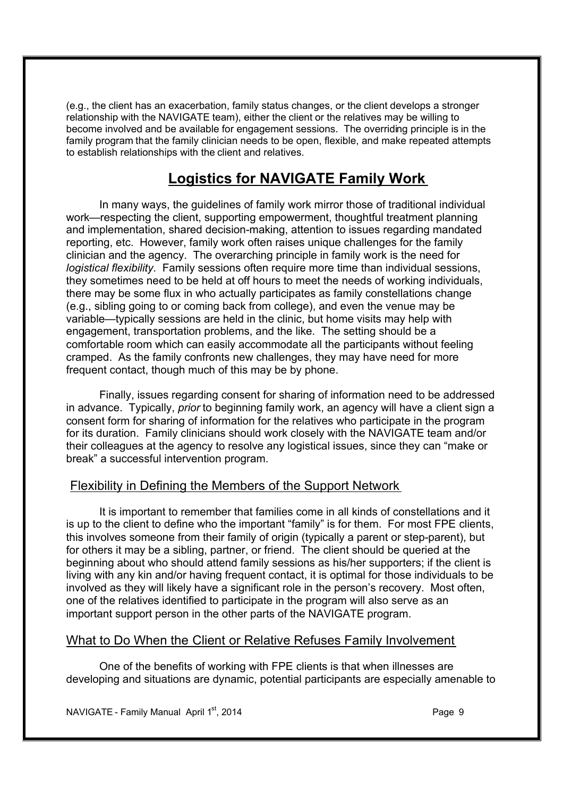(e.g., the client has an exacerbation, family status changes, or the client develops a stronger relationship with the NAVIGATE team), either the client or the relatives may be willing to become involved and be available for engagement sessions. The overriding principle is in the family program that the family clinician needs to be open, flexible, and make repeated attempts to establish relationships with the client and relatives.

### **Logistics for NAVIGATE Family Work**

In many ways, the guidelines of family work mirror those of traditional individual work—respecting the client, supporting empowerment, thoughtful treatment planning and implementation, shared decision-making, attention to issues regarding mandated reporting, etc. However, family work often raises unique challenges for the family clinician and the agency. The overarching principle in family work is the need for *logistical flexibility*. Family sessions often require more time than individual sessions, they sometimes need to be held at off hours to meet the needs of working individuals, there may be some flux in who actually participates as family constellations change (e.g., sibling going to or coming back from college), and even the venue may be variable—typically sessions are held in the clinic, but home visits may help with engagement, transportation problems, and the like. The setting should be a comfortable room which can easily accommodate all the participants without feeling cramped. As the family confronts new challenges, they may have need for more frequent contact, though much of this may be by phone.

Finally, issues regarding consent for sharing of information need to be addressed in advance. Typically, *prior* to beginning family work, an agency will have a client sign a consent form for sharing of information for the relatives who participate in the program for its duration. Family clinicians should work closely with the NAVIGATE team and/or their colleagues at the agency to resolve any logistical issues, since they can "make or break" a successful intervention program.

### Flexibility in Defining the Members of the Support Network

It is important to remember that families come in all kinds of constellations and it is up to the client to define who the important "family" is for them. For most FPE clients, this involves someone from their family of origin (typically a parent or step-parent), but for others it may be a sibling, partner, or friend. The client should be queried at the beginning about who should attend family sessions as his/her supporters; if the client is living with any kin and/or having frequent contact, it is optimal for those individuals to be involved as they will likely have a significant role in the person's recovery. Most often, one of the relatives identified to participate in the program will also serve as an important support person in the other parts of the NAVIGATE program.

### What to Do When the Client or Relative Refuses Family Involvement

One of the benefits of working with FPE clients is that when illnesses are developing and situations are dynamic, potential participants are especially amenable to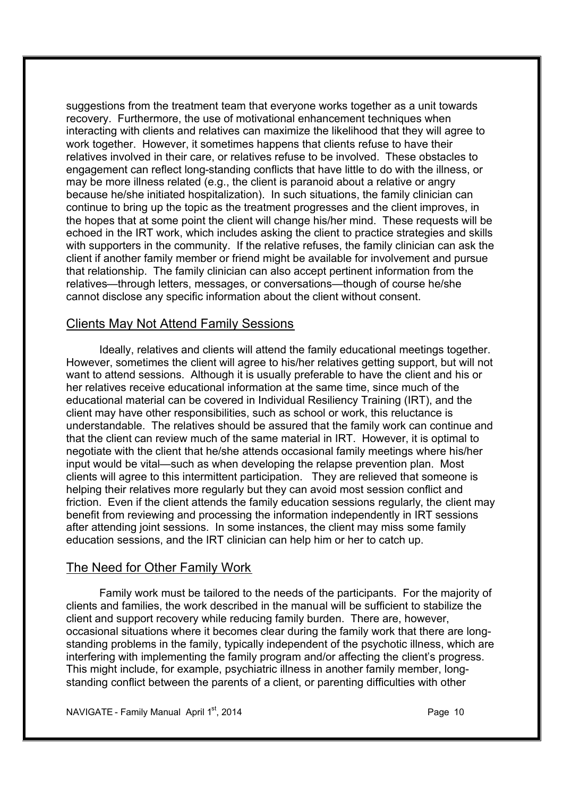suggestions from the treatment team that everyone works together as a unit towards recovery. Furthermore, the use of motivational enhancement techniques when interacting with clients and relatives can maximize the likelihood that they will agree to work together. However, it sometimes happens that clients refuse to have their relatives involved in their care, or relatives refuse to be involved. These obstacles to engagement can reflect long-standing conflicts that have little to do with the illness, or may be more illness related (e.g., the client is paranoid about a relative or angry because he/she initiated hospitalization). In such situations, the family clinician can continue to bring up the topic as the treatment progresses and the client improves, in the hopes that at some point the client will change his/her mind. These requests will be echoed in the IRT work, which includes asking the client to practice strategies and skills with supporters in the community. If the relative refuses, the family clinician can ask the client if another family member or friend might be available for involvement and pursue that relationship. The family clinician can also accept pertinent information from the relatives—through letters, messages, or conversations—though of course he/she cannot disclose any specific information about the client without consent.

### Clients May Not Attend Family Sessions

Ideally, relatives and clients will attend the family educational meetings together. However, sometimes the client will agree to his/her relatives getting support, but will not want to attend sessions. Although it is usually preferable to have the client and his or her relatives receive educational information at the same time, since much of the educational material can be covered in Individual Resiliency Training (IRT), and the client may have other responsibilities, such as school or work, this reluctance is understandable. The relatives should be assured that the family work can continue and that the client can review much of the same material in IRT. However, it is optimal to negotiate with the client that he/she attends occasional family meetings where his/her input would be vital—such as when developing the relapse prevention plan. Most clients will agree to this intermittent participation. They are relieved that someone is helping their relatives more regularly but they can avoid most session conflict and friction. Even if the client attends the family education sessions regularly, the client may benefit from reviewing and processing the information independently in IRT sessions after attending joint sessions. In some instances, the client may miss some family education sessions, and the IRT clinician can help him or her to catch up.

### The Need for Other Family Work

Family work must be tailored to the needs of the participants. For the majority of clients and families, the work described in the manual will be sufficient to stabilize the client and support recovery while reducing family burden. There are, however, occasional situations where it becomes clear during the family work that there are longstanding problems in the family, typically independent of the psychotic illness, which are interfering with implementing the family program and/or affecting the client's progress. This might include, for example, psychiatric illness in another family member, longstanding conflict between the parents of a client, or parenting difficulties with other

NAVIGATE - Family Manual April  $1<sup>st</sup>$ , 2014 **Page 10** Page 10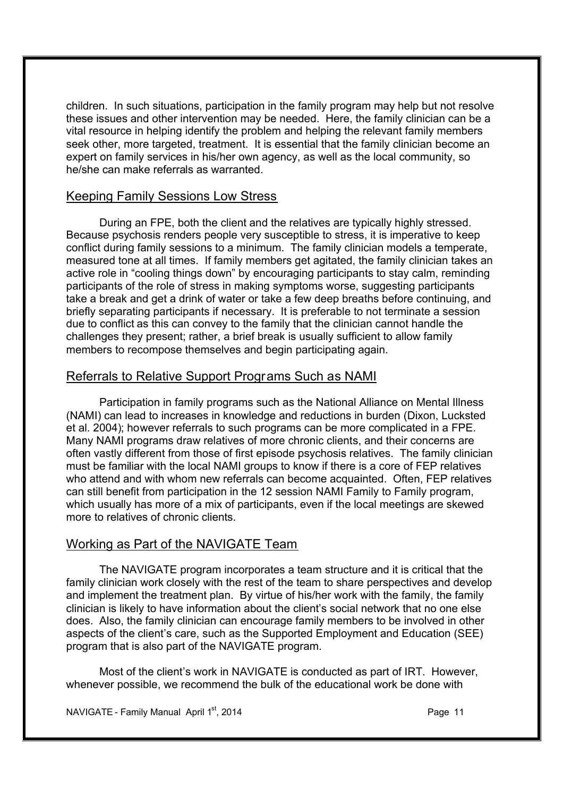children. In such situations, participation in the family program may help but not resolve these issues and other intervention may be needed. Here, the family clinician can be a vital resource in helping identify the problem and helping the relevant family members seek other, more targeted, treatment. It is essential that the family clinician become an expert on family services in his/her own agency, as well as the local community, so he/she can make referrals as warranted.

### Keeping Family Sessions Low Stress

During an FPE, both the client and the relatives are typically highly stressed. Because psychosis renders people very susceptible to stress, it is imperative to keep conflict during family sessions to a minimum. The family clinician models a temperate, measured tone at all times. If family members get agitated, the family clinician takes an active role in "cooling things down" by encouraging participants to stay calm, reminding participants of the role of stress in making symptoms worse, suggesting participants take a break and get a drink of water or take a few deep breaths before continuing, and briefly separating participants if necessary. It is preferable to not terminate a session due to conflict as this can convey to the family that the clinician cannot handle the challenges they present; rather, a brief break is usually sufficient to allow family members to recompose themselves and begin participating again.

### Referrals to Relative Support Programs Such as NAMI

Participation in family programs such as the National Alliance on Mental Illness (NAMI) can lead to increases in knowledge and reductions in burden (Dixon, Lucksted et al. 2004); however referrals to such programs can be more complicated in a FPE. Many NAMI programs draw relatives of more chronic clients, and their concerns are often vastly different from those of first episode psychosis relatives. The family clinician must be familiar with the local NAMI groups to know if there is a core of FEP relatives who attend and with whom new referrals can become acquainted. Often, FEP relatives can still benefit from participation in the 12 session NAMI Family to Family program, which usually has more of a mix of participants, even if the local meetings are skewed more to relatives of chronic clients.

### Working as Part of the NAVIGATE Team

The NAVIGATE program incorporates a team structure and it is critical that the family clinician work closely with the rest of the team to share perspectives and develop and implement the treatment plan. By virtue of his/her work with the family, the family clinician is likely to have information about the client's social network that no one else does. Also, the family clinician can encourage family members to be involved in other aspects of the client's care, such as the Supported Employment and Education (SEE) program that is also part of the NAVIGATE program.

Most of the client's work in NAVIGATE is conducted as part of IRT. However, whenever possible, we recommend the bulk of the educational work be done with

NAVIGATE - Family Manual April 1<sup>st</sup>, 2014 **Page 11** Page 11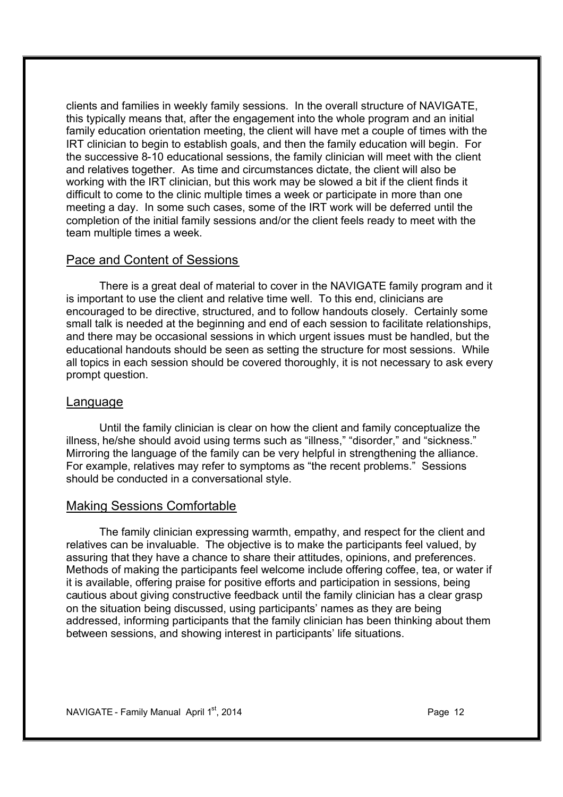clients and families in weekly family sessions. In the overall structure of NAVIGATE, this typically means that, after the engagement into the whole program and an initial family education orientation meeting, the client will have met a couple of times with the IRT clinician to begin to establish goals, and then the family education will begin. For the successive 8-10 educational sessions, the family clinician will meet with the client and relatives together. As time and circumstances dictate, the client will also be working with the IRT clinician, but this work may be slowed a bit if the client finds it difficult to come to the clinic multiple times a week or participate in more than one meeting a day. In some such cases, some of the IRT work will be deferred until the completion of the initial family sessions and/or the client feels ready to meet with the team multiple times a week.

### Pace and Content of Sessions

There is a great deal of material to cover in the NAVIGATE family program and it is important to use the client and relative time well. To this end, clinicians are encouraged to be directive, structured, and to follow handouts closely. Certainly some small talk is needed at the beginning and end of each session to facilitate relationships, and there may be occasional sessions in which urgent issues must be handled, but the educational handouts should be seen as setting the structure for most sessions. While all topics in each session should be covered thoroughly, it is not necessary to ask every prompt question.

### Language

Until the family clinician is clear on how the client and family conceptualize the illness, he/she should avoid using terms such as "illness," "disorder," and "sickness." Mirroring the language of the family can be very helpful in strengthening the alliance. For example, relatives may refer to symptoms as "the recent problems." Sessions should be conducted in a conversational style.

### Making Sessions Comfortable

The family clinician expressing warmth, empathy, and respect for the client and relatives can be invaluable. The objective is to make the participants feel valued, by assuring that they have a chance to share their attitudes, opinions, and preferences. Methods of making the participants feel welcome include offering coffee, tea, or water if it is available, offering praise for positive efforts and participation in sessions, being cautious about giving constructive feedback until the family clinician has a clear grasp on the situation being discussed, using participants' names as they are being addressed, informing participants that the family clinician has been thinking about them between sessions, and showing interest in participants' life situations.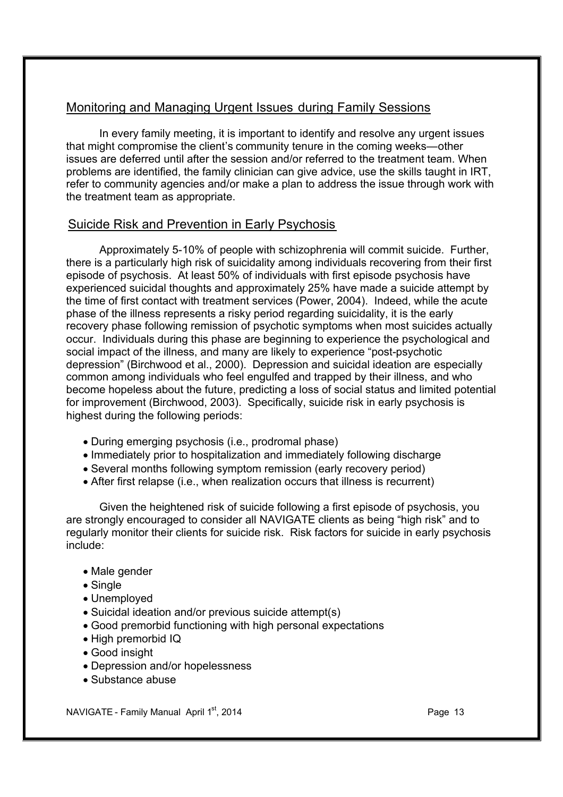### Monitoring and Managing Urgent Issues during Family Sessions

In every family meeting, it is important to identify and resolve any urgent issues that might compromise the client's community tenure in the coming weeks—other issues are deferred until after the session and/or referred to the treatment team. When problems are identified, the family clinician can give advice, use the skills taught in IRT, refer to community agencies and/or make a plan to address the issue through work with the treatment team as appropriate.

### Suicide Risk and Prevention in Early Psychosis

Approximately 5-10% of people with schizophrenia will commit suicide. Further, there is a particularly high risk of suicidality among individuals recovering from their first episode of psychosis. At least 50% of individuals with first episode psychosis have experienced suicidal thoughts and approximately 25% have made a suicide attempt by the time of first contact with treatment services (Power, 2004). Indeed, while the acute phase of the illness represents a risky period regarding suicidality, it is the early recovery phase following remission of psychotic symptoms when most suicides actually occur. Individuals during this phase are beginning to experience the psychological and social impact of the illness, and many are likely to experience "post-psychotic depression" (Birchwood et al., 2000). Depression and suicidal ideation are especially common among individuals who feel engulfed and trapped by their illness, and who become hopeless about the future, predicting a loss of social status and limited potential for improvement (Birchwood, 2003). Specifically, suicide risk in early psychosis is highest during the following periods:

- · During emerging psychosis (i.e., prodromal phase)
- · Immediately prior to hospitalization and immediately following discharge
- · Several months following symptom remission (early recovery period)
- · After first relapse (i.e., when realization occurs that illness is recurrent)

Given the heightened risk of suicide following a first episode of psychosis, you are strongly encouraged to consider all NAVIGATE clients as being "high risk" and to regularly monitor their clients for suicide risk. Risk factors for suicide in early psychosis include:

- · Male gender
- · Single
- · Unemployed
- · Suicidal ideation and/or previous suicide attempt(s)
- · Good premorbid functioning with high personal expectations
- · High premorbid IQ
- · Good insight
- · Depression and/or hopelessness
- · Substance abuse

NAVIGATE - Family Manual April  $1<sup>st</sup>$ , 2014 **Page 13** Page 13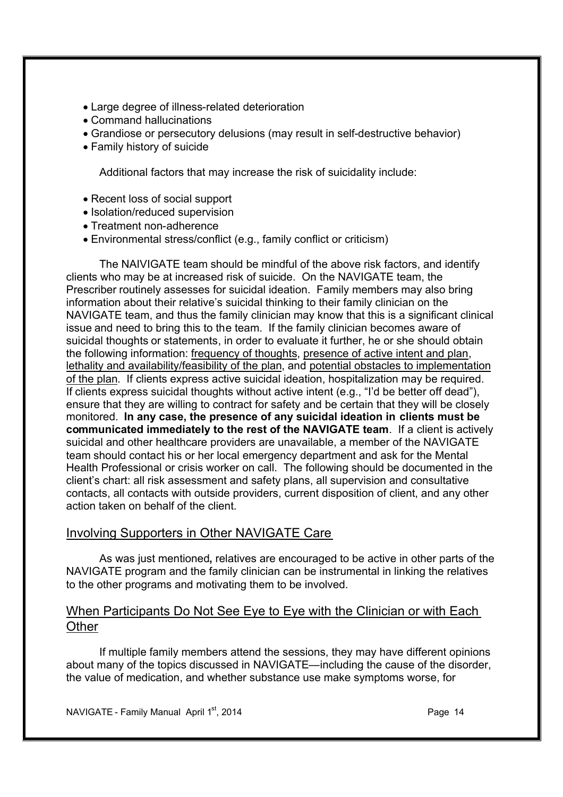- · Large degree of illness-related deterioration
- · Command hallucinations
- · Grandiose or persecutory delusions (may result in self-destructive behavior)
- · Family history of suicide

Additional factors that may increase the risk of suicidality include:

- · Recent loss of social support
- Isolation/reduced supervision
- · Treatment non-adherence
- · Environmental stress/conflict (e.g., family conflict or criticism)

The NAIVIGATE team should be mindful of the above risk factors, and identify clients who may be at increased risk of suicide. On the NAVIGATE team, the Prescriber routinely assesses for suicidal ideation. Family members may also bring information about their relative's suicidal thinking to their family clinician on the NAVIGATE team, and thus the family clinician may know that this is a significant clinical issue and need to bring this to the team. If the family clinician becomes aware of suicidal thoughts or statements, in order to evaluate it further, he or she should obtain the following information: frequency of thoughts, presence of active intent and plan, lethality and availability/feasibility of the plan, and potential obstacles to implementation of the plan. If clients express active suicidal ideation, hospitalization may be required. If clients express suicidal thoughts without active intent (e.g., "I'd be better off dead"), ensure that they are willing to contract for safety and be certain that they will be closely monitored. **In any case, the presence of any suicidal ideation in clients must be communicated immediately to the rest of the NAVIGATE team**. If a client is actively suicidal and other healthcare providers are unavailable, a member of the NAVIGATE team should contact his or her local emergency department and ask for the Mental Health Professional or crisis worker on call. The following should be documented in the client's chart: all risk assessment and safety plans, all supervision and consultative contacts, all contacts with outside providers, current disposition of client, and any other action taken on behalf of the client.

### Involving Supporters in Other NAVIGATE Care

As was just mentioned**,** relatives are encouraged to be active in other parts of the NAVIGATE program and the family clinician can be instrumental in linking the relatives to the other programs and motivating them to be involved.

### When Participants Do Not See Eye to Eye with the Clinician or with Each **Other**

If multiple family members attend the sessions, they may have different opinions about many of the topics discussed in NAVIGATE—including the cause of the disorder, the value of medication, and whether substance use make symptoms worse, for

NAVIGATE - Family Manual April 1<sup>st</sup>, 2014 **Page 14** Page 14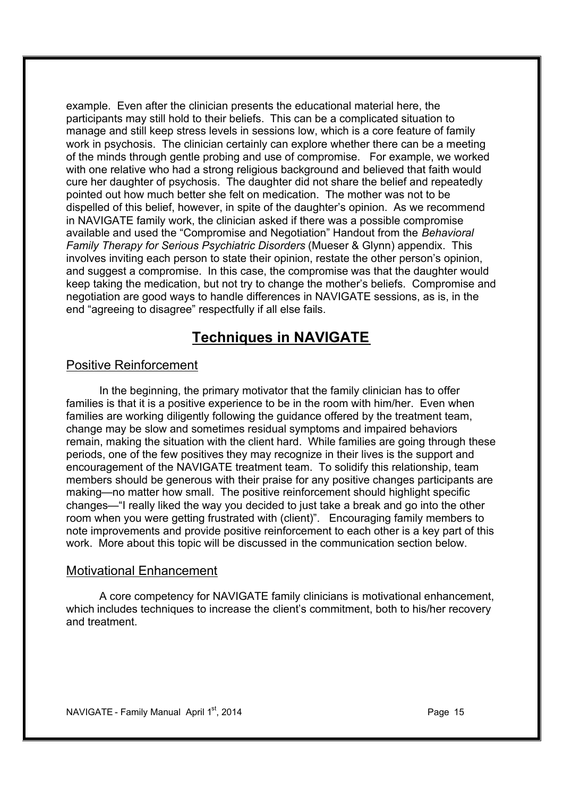example. Even after the clinician presents the educational material here, the participants may still hold to their beliefs. This can be a complicated situation to manage and still keep stress levels in sessions low, which is a core feature of family work in psychosis. The clinician certainly can explore whether there can be a meeting of the minds through gentle probing and use of compromise. For example, we worked with one relative who had a strong religious background and believed that faith would cure her daughter of psychosis. The daughter did not share the belief and repeatedly pointed out how much better she felt on medication. The mother was not to be dispelled of this belief, however, in spite of the daughter's opinion. As we recommend in NAVIGATE family work, the clinician asked if there was a possible compromise available and used the "Compromise and Negotiation" Handout from the *Behavioral Family Therapy for Serious Psychiatric Disorders* (Mueser & Glynn) appendix. This involves inviting each person to state their opinion, restate the other person's opinion, and suggest a compromise. In this case, the compromise was that the daughter would keep taking the medication, but not try to change the mother's beliefs. Compromise and negotiation are good ways to handle differences in NAVIGATE sessions, as is, in the end "agreeing to disagree" respectfully if all else fails.

### **Techniques in NAVIGATE**

### Positive Reinforcement

In the beginning, the primary motivator that the family clinician has to offer families is that it is a positive experience to be in the room with him/her. Even when families are working diligently following the guidance offered by the treatment team, change may be slow and sometimes residual symptoms and impaired behaviors remain, making the situation with the client hard. While families are going through these periods, one of the few positives they may recognize in their lives is the support and encouragement of the NAVIGATE treatment team. To solidify this relationship, team members should be generous with their praise for any positive changes participants are making—no matter how small. The positive reinforcement should highlight specific changes—"I really liked the way you decided to just take a break and go into the other room when you were getting frustrated with (client)". Encouraging family members to note improvements and provide positive reinforcement to each other is a key part of this work. More about this topic will be discussed in the communication section below.

#### Motivational Enhancement

A core competency for NAVIGATE family clinicians is motivational enhancement, which includes techniques to increase the client's commitment, both to his/her recovery and treatment.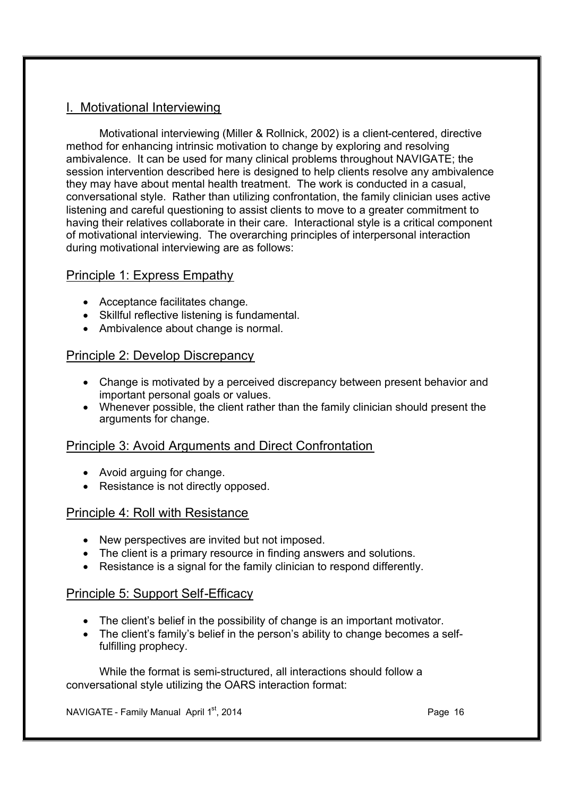### I. Motivational Interviewing

Motivational interviewing (Miller & Rollnick, 2002) is a client-centered, directive method for enhancing intrinsic motivation to change by exploring and resolving ambivalence. It can be used for many clinical problems throughout NAVIGATE; the session intervention described here is designed to help clients resolve any ambivalence they may have about mental health treatment. The work is conducted in a casual, conversational style. Rather than utilizing confrontation, the family clinician uses active listening and careful questioning to assist clients to move to a greater commitment to having their relatives collaborate in their care. Interactional style is a critical component of motivational interviewing. The overarching principles of interpersonal interaction during motivational interviewing are as follows:

### Principle 1: Express Empathy

- · Acceptance facilitates change.
- · Skillful reflective listening is fundamental.
- · Ambivalence about change is normal.

### Principle 2: Develop Discrepancy

- · Change is motivated by a perceived discrepancy between present behavior and important personal goals or values.
- · Whenever possible, the client rather than the family clinician should present the arguments for change.

### Principle 3: Avoid Arguments and Direct Confrontation

- · Avoid arguing for change.
- · Resistance is not directly opposed.

### Principle 4: Roll with Resistance

- · New perspectives are invited but not imposed.
- The client is a primary resource in finding answers and solutions.
- · Resistance is a signal for the family clinician to respond differently.

### Principle 5: Support Self-Efficacy

- · The client's belief in the possibility of change is an important motivator.
- · The client's family's belief in the person's ability to change becomes a selffulfilling prophecy.

While the format is semi-structured, all interactions should follow a conversational style utilizing the OARS interaction format:

NAVIGATE - Family Manual April 1<sup>st</sup>, 2014 **Page 16** Page 16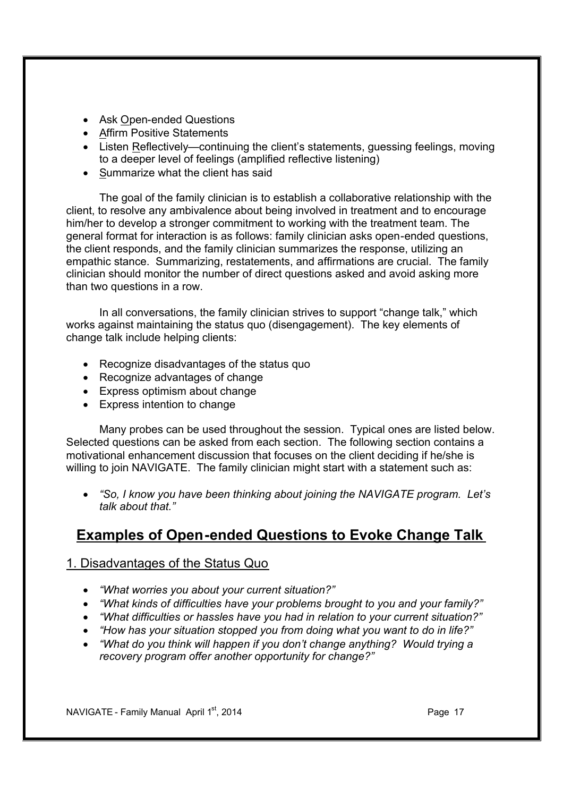- Ask Open-ended Questions
- · Affirm Positive Statements
- · Listen Reflectively—continuing the client's statements, guessing feelings, moving to a deeper level of feelings (amplified reflective listening)
- Summarize what the client has said

The goal of the family clinician is to establish a collaborative relationship with the client, to resolve any ambivalence about being involved in treatment and to encourage him/her to develop a stronger commitment to working with the treatment team. The general format for interaction is as follows: family clinician asks open-ended questions, the client responds, and the family clinician summarizes the response, utilizing an empathic stance. Summarizing, restatements, and affirmations are crucial. The family clinician should monitor the number of direct questions asked and avoid asking more than two questions in a row.

In all conversations, the family clinician strives to support "change talk," which works against maintaining the status quo (disengagement). The key elements of change talk include helping clients:

- · Recognize disadvantages of the status quo
- · Recognize advantages of change
- Express optimism about change
- · Express intention to change

Many probes can be used throughout the session. Typical ones are listed below. Selected questions can be asked from each section. The following section contains a motivational enhancement discussion that focuses on the client deciding if he/she is willing to join NAVIGATE. The family clinician might start with a statement such as:

· *"So, I know you have been thinking about joining the NAVIGATE program. Let's talk about that."* 

### **Examples of Open-ended Questions to Evoke Change Talk**

### 1. Disadvantages of the Status Quo

- · *"What worries you about your current situation?"*
- · *"What kinds of difficulties have your problems brought to you and your family?"*
- · *"What difficulties or hassles have you had in relation to your current situation?"*
- · *"How has your situation stopped you from doing what you want to do in life?"*
- · *"What do you think will happen if you don't change anything? Would trying a recovery program offer another opportunity for change?"*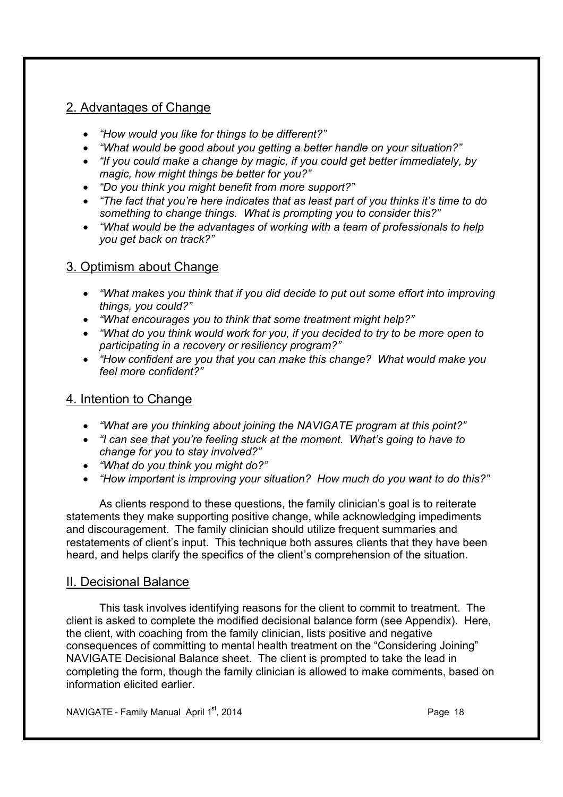### 2. Advantages of Change

- · *"How would you like for things to be different?"*
- · *"What would be good about you getting a better handle on your situation?"*
- · *"If you could make a change by magic, if you could get better immediately, by magic, how might things be better for you?"*
- · *"Do you think you might benefit from more support?"*
- · *"The fact that you're here indicates that as least part of you thinks it's time to do something to change things. What is prompting you to consider this?"*
- · *"What would be the advantages of working with a team of professionals to help you get back on track?"*

### 3. Optimism about Change

- · *"What makes you think that if you did decide to put out some effort into improving things, you could?"*
- · *"What encourages you to think that some treatment might help?"*
- · *"What do you think would work for you, if you decided to try to be more open to participating in a recovery or resiliency program?"*
- · *"How confident are you that you can make this change? What would make you feel more confident?"*

### 4. Intention to Change

- · *"What are you thinking about joining the NAVIGATE program at this point?"*
- · *"I can see that you're feeling stuck at the moment. What's going to have to change for you to stay involved?"*
- · *"What do you think you might do?"*
- · *"How important is improving your situation? How much do you want to do this?"*

As clients respond to these questions, the family clinician's goal is to reiterate statements they make supporting positive change, while acknowledging impediments and discouragement. The family clinician should utilize frequent summaries and restatements of client's input. This technique both assures clients that they have been heard, and helps clarify the specifics of the client's comprehension of the situation.

### II. Decisional Balance

This task involves identifying reasons for the client to commit to treatment. The client is asked to complete the modified decisional balance form (see Appendix). Here, the client, with coaching from the family clinician, lists positive and negative consequences of committing to mental health treatment on the "Considering Joining" NAVIGATE Decisional Balance sheet. The client is prompted to take the lead in completing the form, though the family clinician is allowed to make comments, based on information elicited earlier.

NAVIGATE - Family Manual April 1<sup>st</sup>, 2014 **Page 18** Page 18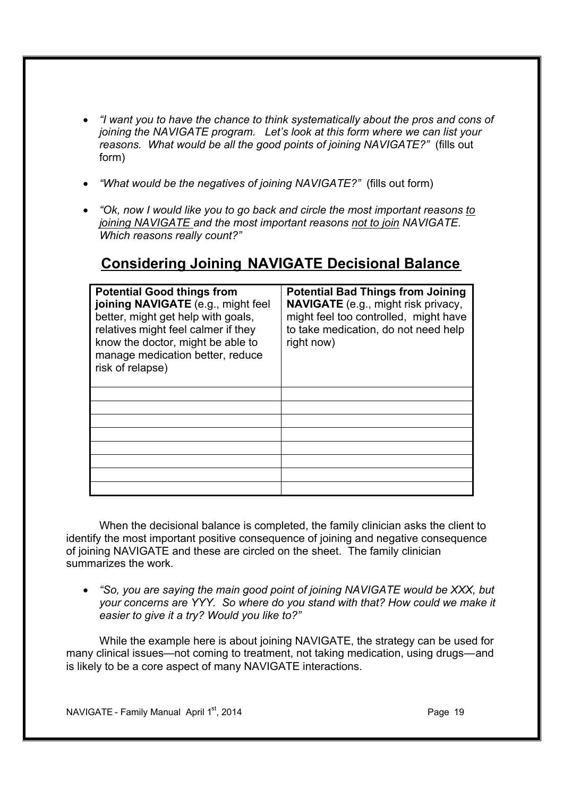- · *"I want you to have the chance to think systematically about the pros and cons of joining the NAVIGATE program. Let's look at this form where we can list your reasons. What would be all the good points of joining NAVIGATE?"* (fills out form)
- · *"What would be the negatives of joining NAVIGATE?"* (fills out form)
- · *"Ok, now I would like you to go back and circle the most important reasons to joining NAVIGATE and the most important reasons not to join NAVIGATE. Which reasons really count?"*

### **Considering Joining NAVIGATE Decisional Balance**

| <b>Potential Good things from</b><br>joining NAVIGATE (e.g., might feel<br>better, might get help with goals,<br>relatives might feel calmer if they<br>know the doctor, might be able to<br>manage medication better, reduce<br>risk of relapse) | <b>Potential Bad Things from Joining</b><br><b>NAVIGATE</b> (e.g., might risk privacy,<br>might feel too controlled, might have<br>to take medication, do not need help<br>right now) |
|---------------------------------------------------------------------------------------------------------------------------------------------------------------------------------------------------------------------------------------------------|---------------------------------------------------------------------------------------------------------------------------------------------------------------------------------------|
|                                                                                                                                                                                                                                                   |                                                                                                                                                                                       |
|                                                                                                                                                                                                                                                   |                                                                                                                                                                                       |
|                                                                                                                                                                                                                                                   |                                                                                                                                                                                       |
|                                                                                                                                                                                                                                                   |                                                                                                                                                                                       |
|                                                                                                                                                                                                                                                   |                                                                                                                                                                                       |
|                                                                                                                                                                                                                                                   |                                                                                                                                                                                       |
|                                                                                                                                                                                                                                                   |                                                                                                                                                                                       |
|                                                                                                                                                                                                                                                   |                                                                                                                                                                                       |

When the decisional balance is completed, the family clinician asks the client to identify the most important positive consequence of joining and negative consequence of joining NAVIGATE and these are circled on the sheet. The family clinician summarizes the work.

· *"So, you are saying the main good point of joining NAVIGATE would be XXX, but your concerns are YYY. So where do you stand with that? How could we make it easier to give it a try? Would you like to?"* 

While the example here is about joining NAVIGATE, the strategy can be used for many clinical issues—not coming to treatment, not taking medication, using drugs—and is likely to be a core aspect of many NAVIGATE interactions.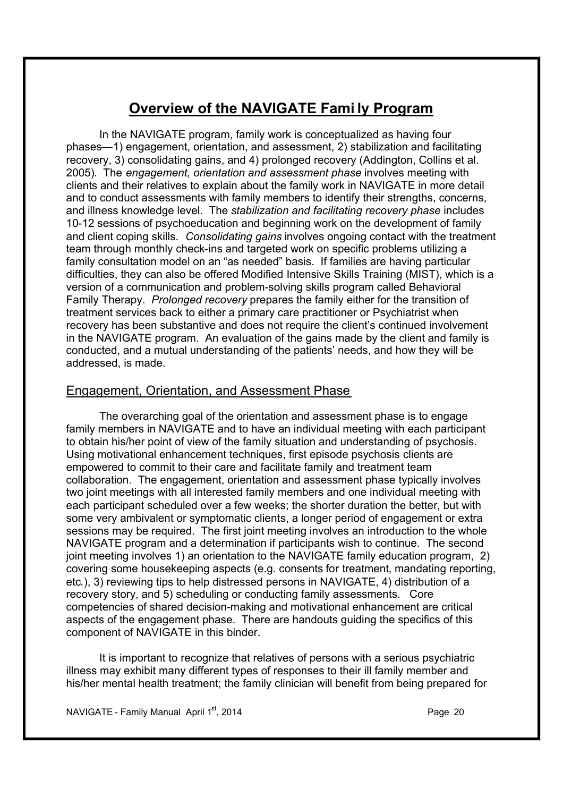### **Overview of the NAVIGATE Fami ly Program**

In the NAVIGATE program, family work is conceptualized as having four phases—1) engagement, orientation, and assessment, 2) stabilization and facilitating recovery, 3) consolidating gains, and 4) prolonged recovery (Addington, Collins et al. 2005). The *engagement*, *orientation and assessment phase* involves meeting with clients and their relatives to explain about the family work in NAVIGATE in more detail and to conduct assessments with family members to identify their strengths, concerns, and illness knowledge level. The *stabilization and facilitating recovery phase* includes 10-12 sessions of psychoeducation and beginning work on the development of family and client coping skills. *Consolidating gains* involves ongoing contact with the treatment team through monthly check-ins and targeted work on specific problems utilizing a family consultation model on an "as needed" basis. If families are having particular difficulties, they can also be offered Modified Intensive Skills Training (MIST), which is a version of a communication and problem-solving skills program called Behavioral Family Therapy. *Prolonged recovery* prepares the family either for the transition of treatment services back to either a primary care practitioner or Psychiatrist when recovery has been substantive and does not require the client's continued involvement in the NAVIGATE program. An evaluation of the gains made by the client and family is conducted, and a mutual understanding of the patients' needs, and how they will be addressed, is made.

### Engagement, Orientation, and Assessment Phase

The overarching goal of the orientation and assessment phase is to engage family members in NAVIGATE and to have an individual meeting with each participant to obtain his/her point of view of the family situation and understanding of psychosis. Using motivational enhancement techniques, first episode psychosis clients are empowered to commit to their care and facilitate family and treatment team collaboration. The engagement, orientation and assessment phase typically involves two joint meetings with all interested family members and one individual meeting with each participant scheduled over a few weeks; the shorter duration the better, but with some very ambivalent or symptomatic clients, a longer period of engagement or extra sessions may be required. The first joint meeting involves an introduction to the whole NAVIGATE program and a determination if participants wish to continue. The second joint meeting involves 1) an orientation to the NAVIGATE family education program, 2) covering some housekeeping aspects (e.g. consents for treatment, mandating reporting, etc.), 3) reviewing tips to help distressed persons in NAVIGATE, 4) distribution of a recovery story, and 5) scheduling or conducting family assessments. Core competencies of shared decision-making and motivational enhancement are critical aspects of the engagement phase. There are handouts guiding the specifics of this component of NAVIGATE in this binder.

It is important to recognize that relatives of persons with a serious psychiatric illness may exhibit many different types of responses to their ill family member and his/her mental health treatment; the family clinician will benefit from being prepared for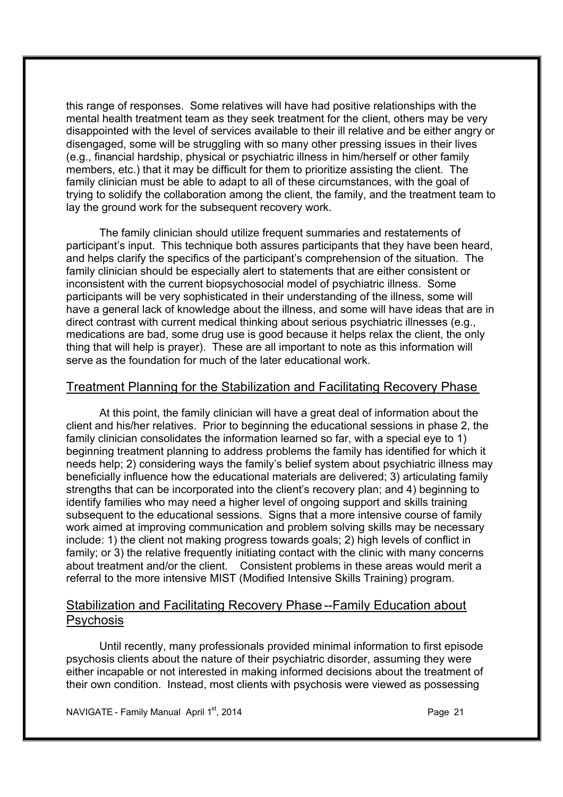this range of responses. Some relatives will have had positive relationships with the mental health treatment team as they seek treatment for the client, others may be very disappointed with the level of services available to their ill relative and be either angry or disengaged, some will be struggling with so many other pressing issues in their lives (e.g., financial hardship, physical or psychiatric illness in him/herself or other family members, etc.) that it may be difficult for them to prioritize assisting the client. The family clinician must be able to adapt to all of these circumstances, with the goal of trying to solidify the collaboration among the client, the family, and the treatment team to lay the ground work for the subsequent recovery work.

The family clinician should utilize frequent summaries and restatements of participant's input. This technique both assures participants that they have been heard, and helps clarify the specifics of the participant's comprehension of the situation. The family clinician should be especially alert to statements that are either consistent or inconsistent with the current biopsychosocial model of psychiatric illness. Some participants will be very sophisticated in their understanding of the illness, some will have a general lack of knowledge about the illness, and some will have ideas that are in direct contrast with current medical thinking about serious psychiatric illnesses (e.g., medications are bad, some drug use is good because it helps relax the client, the only thing that will help is prayer). These are all important to note as this information will serve as the foundation for much of the later educational work.

### Treatment Planning for the Stabilization and Facilitating Recovery Phase

At this point, the family clinician will have a great deal of information about the client and his/her relatives. Prior to beginning the educational sessions in phase 2, the family clinician consolidates the information learned so far, with a special eye to 1) beginning treatment planning to address problems the family has identified for which it needs help; 2) considering ways the family's belief system about psychiatric illness may beneficially influence how the educational materials are delivered; 3) articulating family strengths that can be incorporated into the client's recovery plan; and 4) beginning to identify families who may need a higher level of ongoing support and skills training subsequent to the educational sessions. Signs that a more intensive course of family work aimed at improving communication and problem solving skills may be necessary include: 1) the client not making progress towards goals; 2) high levels of conflict in family; or 3) the relative frequently initiating contact with the clinic with many concerns about treatment and/or the client. Consistent problems in these areas would merit a referral to the more intensive MIST (Modified Intensive Skills Training) program.

### Stabilization and Facilitating Recovery Phase --Family Education about **Psychosis**

Until recently, many professionals provided minimal information to first episode psychosis clients about the nature of their psychiatric disorder, assuming they were either incapable or not interested in making informed decisions about the treatment of their own condition. Instead, most clients with psychosis were viewed as possessing

NAVIGATE - Family Manual April 1<sup>st</sup>, 2014 **Page 21** Page 21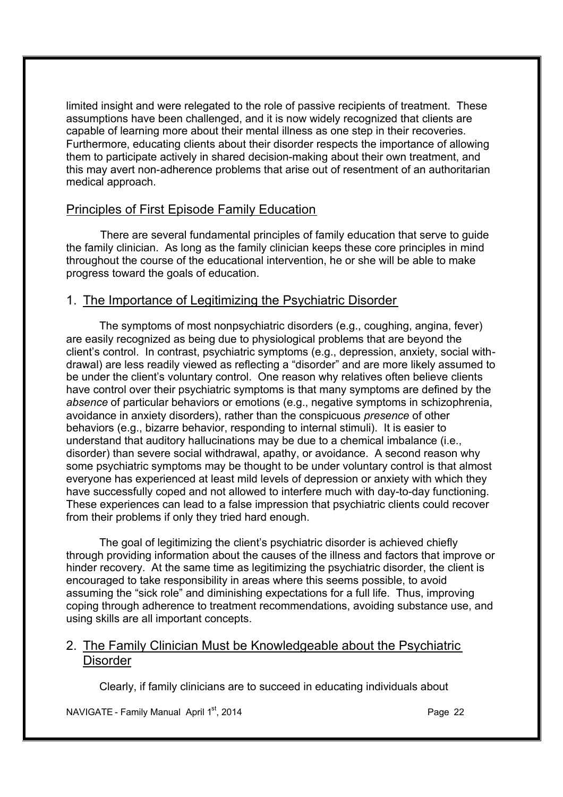limited insight and were relegated to the role of passive recipients of treatment. These assumptions have been challenged, and it is now widely recognized that clients are capable of learning more about their mental illness as one step in their recoveries. Furthermore, educating clients about their disorder respects the importance of allowing them to participate actively in shared decision-making about their own treatment, and this may avert non-adherence problems that arise out of resentment of an authoritarian medical approach.

### Principles of First Episode Family Education

There are several fundamental principles of family education that serve to guide the family clinician. As long as the family clinician keeps these core principles in mind throughout the course of the educational intervention, he or she will be able to make progress toward the goals of education.

### 1. The Importance of Legitimizing the Psychiatric Disorder

The symptoms of most nonpsychiatric disorders (e.g., coughing, angina, fever) are easily recognized as being due to physiological problems that are beyond the client's control. In contrast, psychiatric symptoms (e.g., depression, anxiety, social withdrawal) are less readily viewed as reflecting a "disorder" and are more likely assumed to be under the client's voluntary control. One reason why relatives often believe clients have control over their psychiatric symptoms is that many symptoms are defined by the *absence* of particular behaviors or emotions (e.g., negative symptoms in schizophrenia, avoidance in anxiety disorders), rather than the conspicuous *presence* of other behaviors (e.g., bizarre behavior, responding to internal stimuli). It is easier to understand that auditory hallucinations may be due to a chemical imbalance (i.e., disorder) than severe social withdrawal, apathy, or avoidance. A second reason why some psychiatric symptoms may be thought to be under voluntary control is that almost everyone has experienced at least mild levels of depression or anxiety with which they have successfully coped and not allowed to interfere much with day-to-day functioning. These experiences can lead to a false impression that psychiatric clients could recover from their problems if only they tried hard enough.

The goal of legitimizing the client's psychiatric disorder is achieved chiefly through providing information about the causes of the illness and factors that improve or hinder recovery. At the same time as legitimizing the psychiatric disorder, the client is encouraged to take responsibility in areas where this seems possible, to avoid assuming the "sick role" and diminishing expectations for a full life. Thus, improving coping through adherence to treatment recommendations, avoiding substance use, and using skills are all important concepts.

### 2. The Family Clinician Must be Knowledgeable about the Psychiatric **Disorder**

Clearly, if family clinicians are to succeed in educating individuals about

NAVIGATE - Family Manual April 1<sup>st</sup>, 2014 **Page 22** Page 22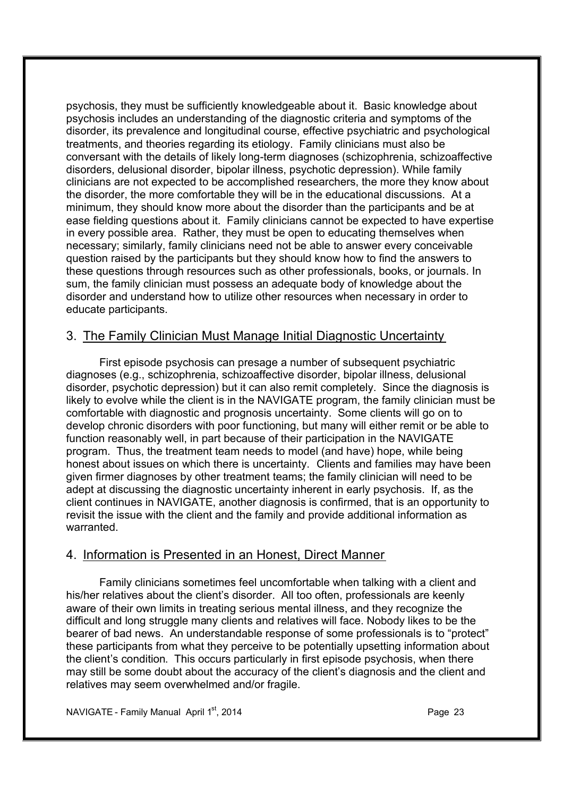psychosis, they must be sufficiently knowledgeable about it. Basic knowledge about psychosis includes an understanding of the diagnostic criteria and symptoms of the disorder, its prevalence and longitudinal course, effective psychiatric and psychological treatments, and theories regarding its etiology. Family clinicians must also be conversant with the details of likely long-term diagnoses (schizophrenia, schizoaffective disorders, delusional disorder, bipolar illness, psychotic depression). While family clinicians are not expected to be accomplished researchers, the more they know about the disorder, the more comfortable they will be in the educational discussions. At a minimum, they should know more about the disorder than the participants and be at ease fielding questions about it. Family clinicians cannot be expected to have expertise in every possible area. Rather, they must be open to educating themselves when necessary; similarly, family clinicians need not be able to answer every conceivable question raised by the participants but they should know how to find the answers to these questions through resources such as other professionals, books, or journals. In sum, the family clinician must possess an adequate body of knowledge about the disorder and understand how to utilize other resources when necessary in order to educate participants.

### 3. The Family Clinician Must Manage Initial Diagnostic Uncertainty

First episode psychosis can presage a number of subsequent psychiatric diagnoses (e.g., schizophrenia, schizoaffective disorder, bipolar illness, delusional disorder, psychotic depression) but it can also remit completely. Since the diagnosis is likely to evolve while the client is in the NAVIGATE program, the family clinician must be comfortable with diagnostic and prognosis uncertainty. Some clients will go on to develop chronic disorders with poor functioning, but many will either remit or be able to function reasonably well, in part because of their participation in the NAVIGATE program. Thus, the treatment team needs to model (and have) hope, while being honest about issues on which there is uncertainty. Clients and families may have been given firmer diagnoses by other treatment teams; the family clinician will need to be adept at discussing the diagnostic uncertainty inherent in early psychosis. If, as the client continues in NAVIGATE, another diagnosis is confirmed, that is an opportunity to revisit the issue with the client and the family and provide additional information as warranted.

### 4. Information is Presented in an Honest, Direct Manner

Family clinicians sometimes feel uncomfortable when talking with a client and his/her relatives about the client's disorder. All too often, professionals are keenly aware of their own limits in treating serious mental illness, and they recognize the difficult and long struggle many clients and relatives will face. Nobody likes to be the bearer of bad news. An understandable response of some professionals is to "protect" these participants from what they perceive to be potentially upsetting information about the client's condition. This occurs particularly in first episode psychosis, when there may still be some doubt about the accuracy of the client's diagnosis and the client and relatives may seem overwhelmed and/or fragile.

NAVIGATE - Family Manual April  $1<sup>st</sup>$ , 2014 **Page 23** Page 23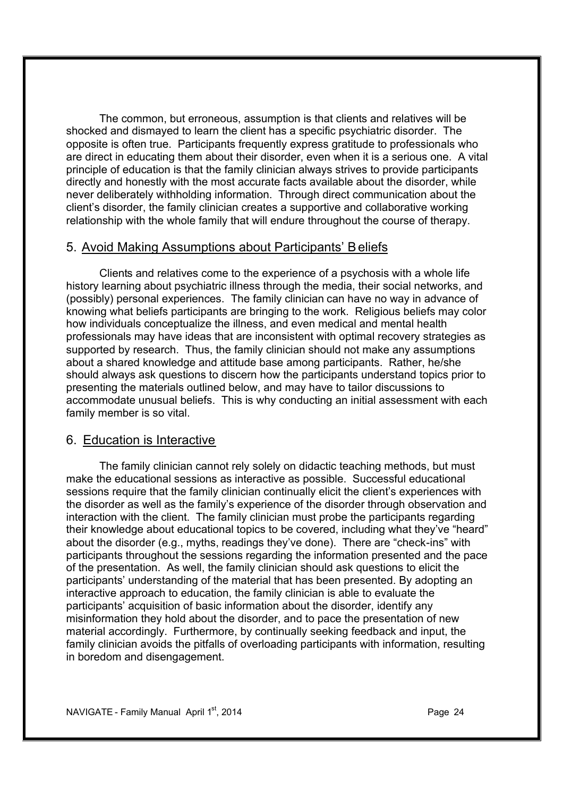The common, but erroneous, assumption is that clients and relatives will be shocked and dismayed to learn the client has a specific psychiatric disorder. The opposite is often true. Participants frequently express gratitude to professionals who are direct in educating them about their disorder, even when it is a serious one. A vital principle of education is that the family clinician always strives to provide participants directly and honestly with the most accurate facts available about the disorder, while never deliberately withholding information. Through direct communication about the client's disorder, the family clinician creates a supportive and collaborative working relationship with the whole family that will endure throughout the course of therapy.

### 5. Avoid Making Assumptions about Participants' B eliefs

Clients and relatives come to the experience of a psychosis with a whole life history learning about psychiatric illness through the media, their social networks, and (possibly) personal experiences. The family clinician can have no way in advance of knowing what beliefs participants are bringing to the work. Religious beliefs may color how individuals conceptualize the illness, and even medical and mental health professionals may have ideas that are inconsistent with optimal recovery strategies as supported by research. Thus, the family clinician should not make any assumptions about a shared knowledge and attitude base among participants. Rather, he/she should always ask questions to discern how the participants understand topics prior to presenting the materials outlined below, and may have to tailor discussions to accommodate unusual beliefs. This is why conducting an initial assessment with each family member is so vital.

### 6. Education is Interactive

The family clinician cannot rely solely on didactic teaching methods, but must make the educational sessions as interactive as possible. Successful educational sessions require that the family clinician continually elicit the client's experiences with the disorder as well as the family's experience of the disorder through observation and interaction with the client. The family clinician must probe the participants regarding their knowledge about educational topics to be covered, including what they've "heard" about the disorder (e.g., myths, readings they've done). There are "check-ins" with participants throughout the sessions regarding the information presented and the pace of the presentation. As well, the family clinician should ask questions to elicit the participants' understanding of the material that has been presented. By adopting an interactive approach to education, the family clinician is able to evaluate the participants' acquisition of basic information about the disorder, identify any misinformation they hold about the disorder, and to pace the presentation of new material accordingly. Furthermore, by continually seeking feedback and input, the family clinician avoids the pitfalls of overloading participants with information, resulting in boredom and disengagement.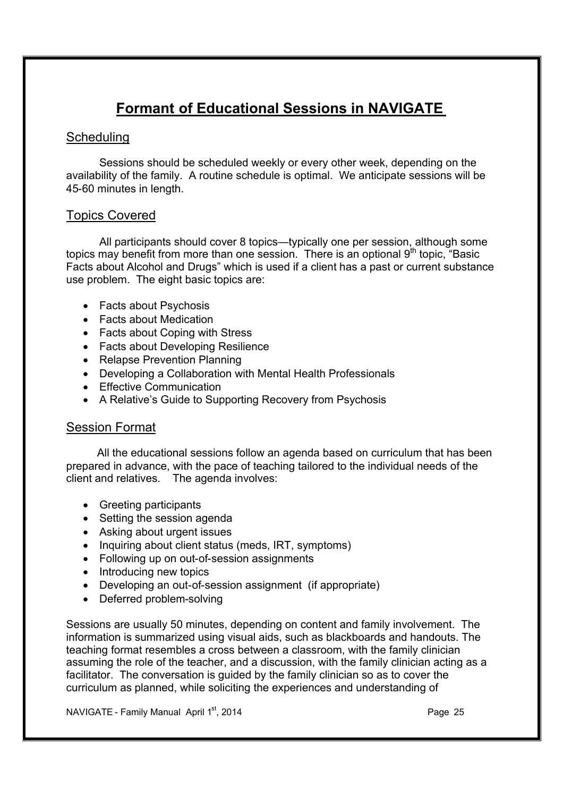## **Formant of Educational Sessions in NAVIGATE**

### **Scheduling**

Sessions should be scheduled weekly or every other week, depending on the availability of the family. A routine schedule is optimal. We anticipate sessions will be 45-60 minutes in length.

### Topics Covered

All participants should cover 8 topics—typically one per session, although some topics may benefit from more than one session. There is an optional 9<sup>th</sup> topic, "Basic Facts about Alcohol and Drugs" which is used if a client has a past or current substance use problem. The eight basic topics are:

- Facts about Psychosis
- Facts about Medication
- Facts about Coping with Stress
- · Facts about Developing Resilience
- · Relapse Prevention Planning
- · Developing a Collaboration with Mental Health Professionals
- Effective Communication
- · A Relative's Guide to Supporting Recovery from Psychosis

### Session Format

All the educational sessions follow an agenda based on curriculum that has been prepared in advance, with the pace of teaching tailored to the individual needs of the client and relatives. The agenda involves:

- · Greeting participants
- Setting the session agenda
- · Asking about urgent issues
- Inquiring about client status (meds, IRT, symptoms)
- Following up on out-of-session assignments
- Introducing new topics
- · Developing an out-of-session assignment (if appropriate)
- · Deferred problem-solving

Sessions are usually 50 minutes, depending on content and family involvement. The information is summarized using visual aids, such as blackboards and handouts. The teaching format resembles a cross between a classroom, with the family clinician assuming the role of the teacher, and a discussion, with the family clinician acting as a facilitator. The conversation is guided by the family clinician so as to cover the curriculum as planned, while soliciting the experiences and understanding of

NAVIGATE - Family Manual April 1<sup>st</sup>, 2014 **Page 25** Page 25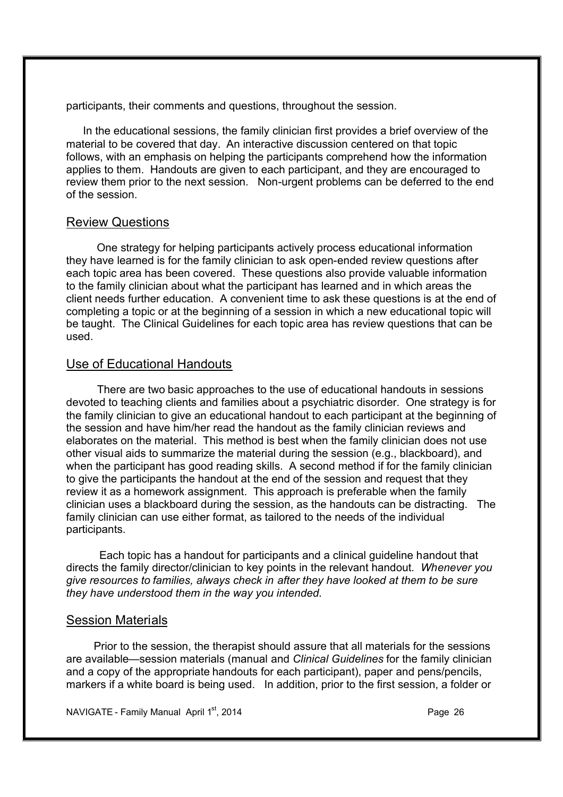participants, their comments and questions, throughout the session.

In the educational sessions, the family clinician first provides a brief overview of the material to be covered that day. An interactive discussion centered on that topic follows, with an emphasis on helping the participants comprehend how the information applies to them. Handouts are given to each participant, and they are encouraged to review them prior to the next session. Non-urgent problems can be deferred to the end of the session.

### Review Questions

 One strategy for helping participants actively process educational information they have learned is for the family clinician to ask open-ended review questions after each topic area has been covered. These questions also provide valuable information to the family clinician about what the participant has learned and in which areas the client needs further education. A convenient time to ask these questions is at the end of completing a topic or at the beginning of a session in which a new educational topic will be taught. The Clinical Guidelines for each topic area has review questions that can be used.

### Use of Educational Handouts

There are two basic approaches to the use of educational handouts in sessions devoted to teaching clients and families about a psychiatric disorder. One strategy is for the family clinician to give an educational handout to each participant at the beginning of the session and have him/her read the handout as the family clinician reviews and elaborates on the material. This method is best when the family clinician does not use other visual aids to summarize the material during the session (e.g., blackboard), and when the participant has good reading skills. A second method if for the family clinician to give the participants the handout at the end of the session and request that they review it as a homework assignment. This approach is preferable when the family clinician uses a blackboard during the session, as the handouts can be distracting. The family clinician can use either format, as tailored to the needs of the individual participants.

Each topic has a handout for participants and a clinical guideline handout that directs the family director/clinician to key points in the relevant handout*. Whenever you give resources to families, always check in after they have looked at them to be sure they have understood them in the way you intended*.

### Session Materials

 Prior to the session, the therapist should assure that all materials for the sessions are available—session materials (manual and *Clinical Guidelines* for the family clinician and a copy of the appropriate handouts for each participant), paper and pens/pencils, markers if a white board is being used. In addition, prior to the first session, a folder or

NAVIGATE - Family Manual April  $1^{st}$ , 2014 **Page 26** Page 26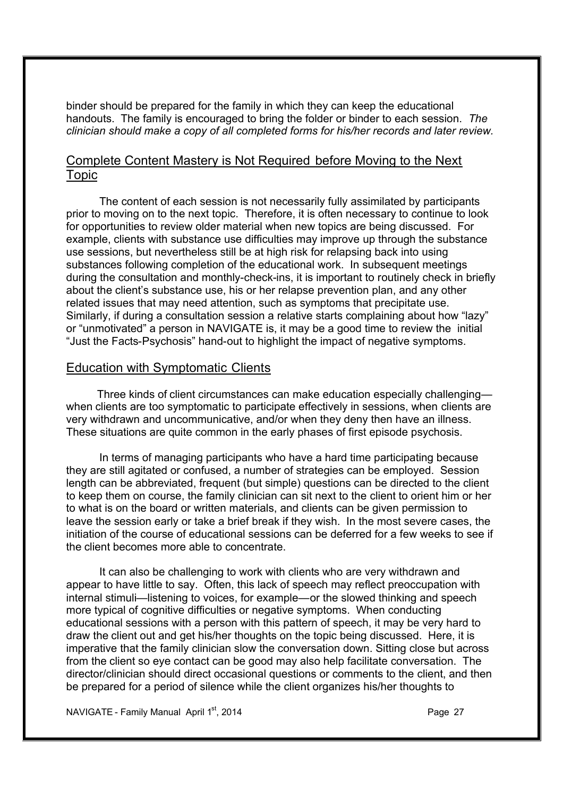binder should be prepared for the family in which they can keep the educational handouts. The family is encouraged to bring the folder or binder to each session. *The clinician should make a copy of all completed forms for his/her records and later review.*

### Complete Content Mastery is Not Required before Moving to the Next Topic

The content of each session is not necessarily fully assimilated by participants prior to moving on to the next topic. Therefore, it is often necessary to continue to look for opportunities to review older material when new topics are being discussed. For example, clients with substance use difficulties may improve up through the substance use sessions, but nevertheless still be at high risk for relapsing back into using substances following completion of the educational work. In subsequent meetings during the consultation and monthly-check-ins, it is important to routinely check in briefly about the client's substance use, his or her relapse prevention plan, and any other related issues that may need attention, such as symptoms that precipitate use. Similarly, if during a consultation session a relative starts complaining about how "lazy" or "unmotivated" a person in NAVIGATE is, it may be a good time to review the initial "Just the Facts-Psychosis" hand-out to highlight the impact of negative symptoms.

### Education with Symptomatic Clients

Three kinds of client circumstances can make education especially challenging when clients are too symptomatic to participate effectively in sessions, when clients are very withdrawn and uncommunicative, and/or when they deny then have an illness. These situations are quite common in the early phases of first episode psychosis.

In terms of managing participants who have a hard time participating because they are still agitated or confused, a number of strategies can be employed. Session length can be abbreviated, frequent (but simple) questions can be directed to the client to keep them on course, the family clinician can sit next to the client to orient him or her to what is on the board or written materials, and clients can be given permission to leave the session early or take a brief break if they wish. In the most severe cases, the initiation of the course of educational sessions can be deferred for a few weeks to see if the client becomes more able to concentrate.

It can also be challenging to work with clients who are very withdrawn and appear to have little to say. Often, this lack of speech may reflect preoccupation with internal stimuli—listening to voices, for example—or the slowed thinking and speech more typical of cognitive difficulties or negative symptoms. When conducting educational sessions with a person with this pattern of speech, it may be very hard to draw the client out and get his/her thoughts on the topic being discussed. Here, it is imperative that the family clinician slow the conversation down. Sitting close but across from the client so eye contact can be good may also help facilitate conversation. The director/clinician should direct occasional questions or comments to the client, and then be prepared for a period of silence while the client organizes his/her thoughts to

NAVIGATE - Family Manual April 1<sup>st</sup>, 2014 **Page 27** Page 27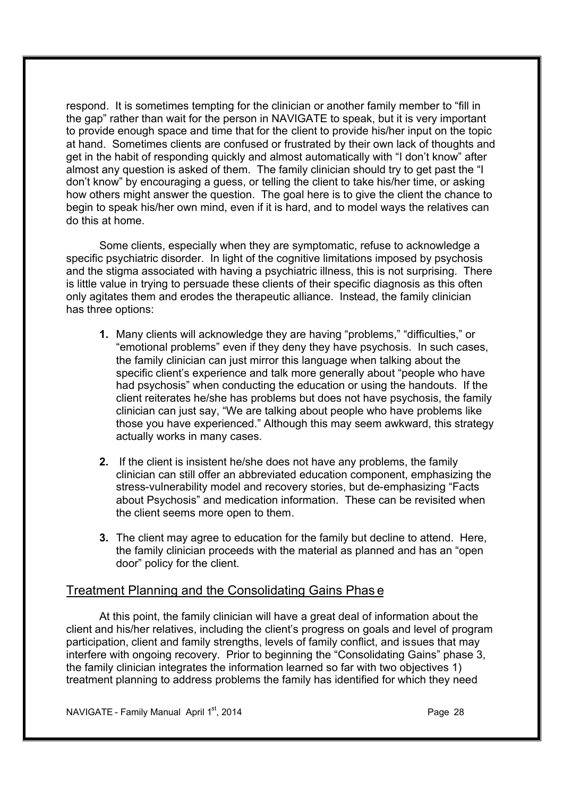respond. It is sometimes tempting for the clinician or another family member to "fill in the gap" rather than wait for the person in NAVIGATE to speak, but it is very important to provide enough space and time that for the client to provide his/her input on the topic at hand. Sometimes clients are confused or frustrated by their own lack of thoughts and get in the habit of responding quickly and almost automatically with "I don't know" after almost any question is asked of them. The family clinician should try to get past the "I don't know" by encouraging a guess, or telling the client to take his/her time, or asking how others might answer the question. The goal here is to give the client the chance to begin to speak his/her own mind, even if it is hard, and to model ways the relatives can do this at home.

Some clients, especially when they are symptomatic, refuse to acknowledge a specific psychiatric disorder. In light of the cognitive limitations imposed by psychosis and the stigma associated with having a psychiatric illness, this is not surprising. There is little value in trying to persuade these clients of their specific diagnosis as this often only agitates them and erodes the therapeutic alliance. Instead, the family clinician has three options:

- **1.** Many clients will acknowledge they are having "problems," "difficulties," or "emotional problems" even if they deny they have psychosis. In such cases, the family clinician can just mirror this language when talking about the specific client's experience and talk more generally about "people who have had psychosis" when conducting the education or using the handouts. If the client reiterates he/she has problems but does not have psychosis, the family clinician can just say, "We are talking about people who have problems like those you have experienced." Although this may seem awkward, this strategy actually works in many cases.
- **2.** If the client is insistent he/she does not have any problems, the family clinician can still offer an abbreviated education component, emphasizing the stress-vulnerability model and recovery stories, but de-emphasizing "Facts about Psychosis" and medication information. These can be revisited when the client seems more open to them.
- **3.** The client may agree to education for the family but decline to attend. Here, the family clinician proceeds with the material as planned and has an "open door" policy for the client.

### Treatment Planning and the Consolidating Gains Phas e

At this point, the family clinician will have a great deal of information about the client and his/her relatives, including the client's progress on goals and level of program participation, client and family strengths, levels of family conflict, and issues that may interfere with ongoing recovery. Prior to beginning the "Consolidating Gains" phase 3, the family clinician integrates the information learned so far with two objectives 1) treatment planning to address problems the family has identified for which they need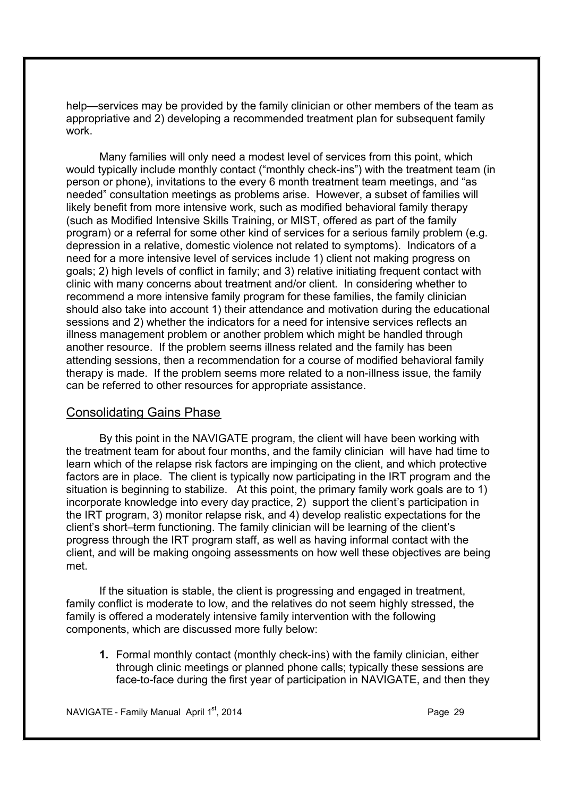help—services may be provided by the family clinician or other members of the team as appropriative and 2) developing a recommended treatment plan for subsequent family work.

Many families will only need a modest level of services from this point, which would typically include monthly contact ("monthly check-ins") with the treatment team (in person or phone), invitations to the every 6 month treatment team meetings, and "as needed" consultation meetings as problems arise. However, a subset of families will likely benefit from more intensive work, such as modified behavioral family therapy (such as Modified Intensive Skills Training, or MIST, offered as part of the family program) or a referral for some other kind of services for a serious family problem (e.g. depression in a relative, domestic violence not related to symptoms). Indicators of a need for a more intensive level of services include 1) client not making progress on goals; 2) high levels of conflict in family; and 3) relative initiating frequent contact with clinic with many concerns about treatment and/or client. In considering whether to recommend a more intensive family program for these families, the family clinician should also take into account 1) their attendance and motivation during the educational sessions and 2) whether the indicators for a need for intensive services reflects an illness management problem or another problem which might be handled through another resource. If the problem seems illness related and the family has been attending sessions, then a recommendation for a course of modified behavioral family therapy is made. If the problem seems more related to a non-illness issue, the family can be referred to other resources for appropriate assistance.

### Consolidating Gains Phase

By this point in the NAVIGATE program, the client will have been working with the treatment team for about four months, and the family clinician will have had time to learn which of the relapse risk factors are impinging on the client, and which protective factors are in place. The client is typically now participating in the IRT program and the situation is beginning to stabilize. At this point, the primary family work goals are to 1) incorporate knowledge into every day practice, 2) support the client's participation in the IRT program, 3) monitor relapse risk, and 4) develop realistic expectations for the client's short–term functioning. The family clinician will be learning of the client's progress through the IRT program staff, as well as having informal contact with the client, and will be making ongoing assessments on how well these objectives are being met.

If the situation is stable, the client is progressing and engaged in treatment, family conflict is moderate to low, and the relatives do not seem highly stressed, the family is offered a moderately intensive family intervention with the following components, which are discussed more fully below:

**1.** Formal monthly contact (monthly check-ins) with the family clinician, either through clinic meetings or planned phone calls; typically these sessions are face-to-face during the first year of participation in NAVIGATE, and then they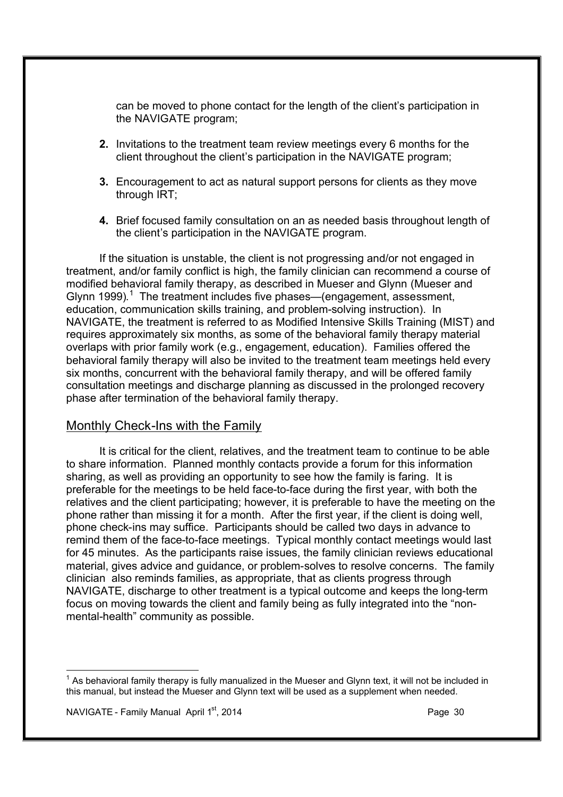can be moved to phone contact for the length of the client's participation in the NAVIGATE program;

- **2.** Invitations to the treatment team review meetings every 6 months for the client throughout the client's participation in the NAVIGATE program;
- **3.** Encouragement to act as natural support persons for clients as they move through IRT;
- **4.** Brief focused family consultation on an as needed basis throughout length of the client's participation in the NAVIGATE program.

If the situation is unstable, the client is not progressing and/or not engaged in treatment, and/or family conflict is high, the family clinician can recommend a course of modified behavioral family therapy, as described in Mueser and Glynn (Mueser and Glynn 1999).<sup>1</sup> The treatment includes five phases—(engagement, assessment, education, communication skills training, and problem-solving instruction). In NAVIGATE, the treatment is referred to as Modified Intensive Skills Training (MIST) and requires approximately six months, as some of the behavioral family therapy material overlaps with prior family work (e.g., engagement, education). Families offered the behavioral family therapy will also be invited to the treatment team meetings held every six months, concurrent with the behavioral family therapy, and will be offered family consultation meetings and discharge planning as discussed in the prolonged recovery phase after termination of the behavioral family therapy.

### Monthly Check-Ins with the Family

It is critical for the client, relatives, and the treatment team to continue to be able to share information. Planned monthly contacts provide a forum for this information sharing, as well as providing an opportunity to see how the family is faring. It is preferable for the meetings to be held face-to-face during the first year, with both the relatives and the client participating; however, it is preferable to have the meeting on the phone rather than missing it for a month. After the first year, if the client is doing well, phone check-ins may suffice. Participants should be called two days in advance to remind them of the face-to-face meetings. Typical monthly contact meetings would last for 45 minutes. As the participants raise issues, the family clinician reviews educational material, gives advice and guidance, or problem-solves to resolve concerns. The family clinician also reminds families, as appropriate, that as clients progress through NAVIGATE, discharge to other treatment is a typical outcome and keeps the long-term focus on moving towards the client and family being as fully integrated into the "nonmental-health" community as possible.

NAVIGATE - Family Manual April 1st, 2014 **Page 30** Page 30

i,

 $1$  As behavioral family therapy is fully manualized in the Mueser and Glynn text, it will not be included in this manual, but instead the Mueser and Glynn text will be used as a supplement when needed.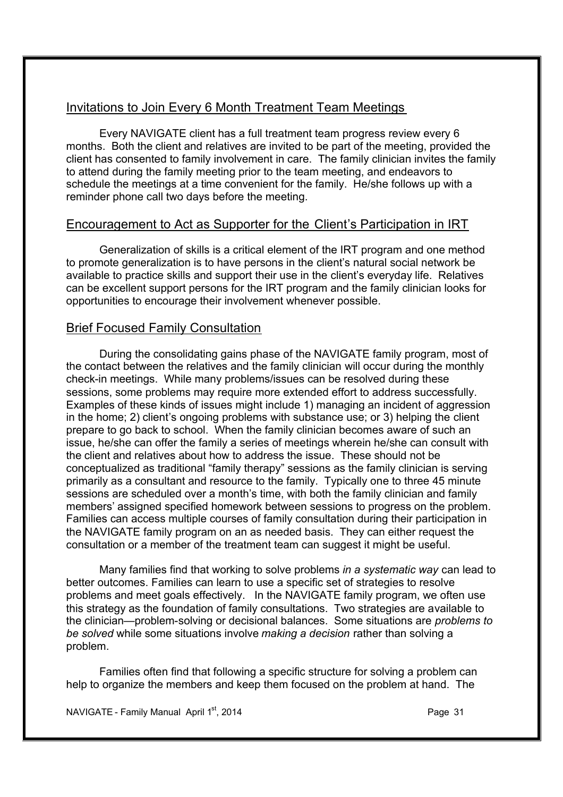### Invitations to Join Every 6 Month Treatment Team Meetings

Every NAVIGATE client has a full treatment team progress review every 6 months. Both the client and relatives are invited to be part of the meeting, provided the client has consented to family involvement in care. The family clinician invites the family to attend during the family meeting prior to the team meeting, and endeavors to schedule the meetings at a time convenient for the family. He/she follows up with a reminder phone call two days before the meeting.

### Encouragement to Act as Supporter for the Client's Participation in IRT

Generalization of skills is a critical element of the IRT program and one method to promote generalization is to have persons in the client's natural social network be available to practice skills and support their use in the client's everyday life. Relatives can be excellent support persons for the IRT program and the family clinician looks for opportunities to encourage their involvement whenever possible.

### Brief Focused Family Consultation

During the consolidating gains phase of the NAVIGATE family program, most of the contact between the relatives and the family clinician will occur during the monthly check-in meetings. While many problems/issues can be resolved during these sessions, some problems may require more extended effort to address successfully. Examples of these kinds of issues might include 1) managing an incident of aggression in the home; 2) client's ongoing problems with substance use; or 3) helping the client prepare to go back to school. When the family clinician becomes aware of such an issue, he/she can offer the family a series of meetings wherein he/she can consult with the client and relatives about how to address the issue. These should not be conceptualized as traditional "family therapy" sessions as the family clinician is serving primarily as a consultant and resource to the family. Typically one to three 45 minute sessions are scheduled over a month's time, with both the family clinician and family members' assigned specified homework between sessions to progress on the problem. Families can access multiple courses of family consultation during their participation in the NAVIGATE family program on an as needed basis. They can either request the consultation or a member of the treatment team can suggest it might be useful.

Many families find that working to solve problems *in a systematic way* can lead to better outcomes. Families can learn to use a specific set of strategies to resolve problems and meet goals effectively. In the NAVIGATE family program, we often use this strategy as the foundation of family consultations. Two strategies are available to the clinician—problem-solving or decisional balances. Some situations are *problems to be solved* while some situations involve *making a decision* rather than solving a problem.

Families often find that following a specific structure for solving a problem can help to organize the members and keep them focused on the problem at hand. The

NAVIGATE - Family Manual April 1st, 2014 **Page 31** Page 31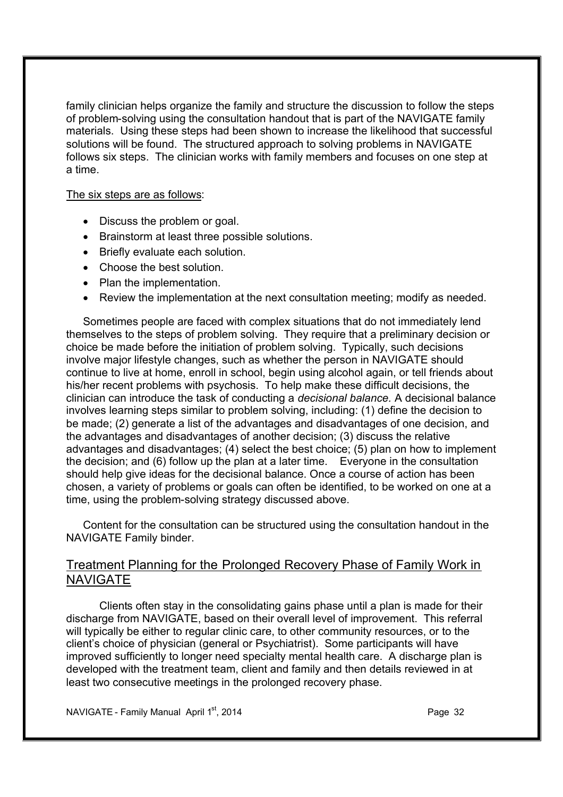family clinician helps organize the family and structure the discussion to follow the steps of problem-solving using the consultation handout that is part of the NAVIGATE family materials. Using these steps had been shown to increase the likelihood that successful solutions will be found. The structured approach to solving problems in NAVIGATE follows six steps. The clinician works with family members and focuses on one step at a time.

The six steps are as follows:

- · Discuss the problem or goal.
- · Brainstorm at least three possible solutions.
- Briefly evaluate each solution.
- Choose the best solution.
- · Plan the implementation.
- · Review the implementation at the next consultation meeting; modify as needed.

Sometimes people are faced with complex situations that do not immediately lend themselves to the steps of problem solving. They require that a preliminary decision or choice be made before the initiation of problem solving. Typically, such decisions involve major lifestyle changes, such as whether the person in NAVIGATE should continue to live at home, enroll in school, begin using alcohol again, or tell friends about his/her recent problems with psychosis. To help make these difficult decisions, the clinician can introduce the task of conducting a *decisional balance.* A decisional balance involves learning steps similar to problem solving, including: (1) define the decision to be made; (2) generate a list of the advantages and disadvantages of one decision, and the advantages and disadvantages of another decision; (3) discuss the relative advantages and disadvantages; (4) select the best choice; (5) plan on how to implement the decision; and (6) follow up the plan at a later time. Everyone in the consultation should help give ideas for the decisional balance. Once a course of action has been chosen, a variety of problems or goals can often be identified, to be worked on one at a time, using the problem-solving strategy discussed above.

Content for the consultation can be structured using the consultation handout in the NAVIGATE Family binder.

### Treatment Planning for the Prolonged Recovery Phase of Family Work in **NAVIGATE**

Clients often stay in the consolidating gains phase until a plan is made for their discharge from NAVIGATE, based on their overall level of improvement. This referral will typically be either to regular clinic care, to other community resources, or to the client's choice of physician (general or Psychiatrist). Some participants will have improved sufficiently to longer need specialty mental health care. A discharge plan is developed with the treatment team, client and family and then details reviewed in at least two consecutive meetings in the prolonged recovery phase.

NAVIGATE - Family Manual April  $1^{st}$ , 2014 **Page 32 Page 32**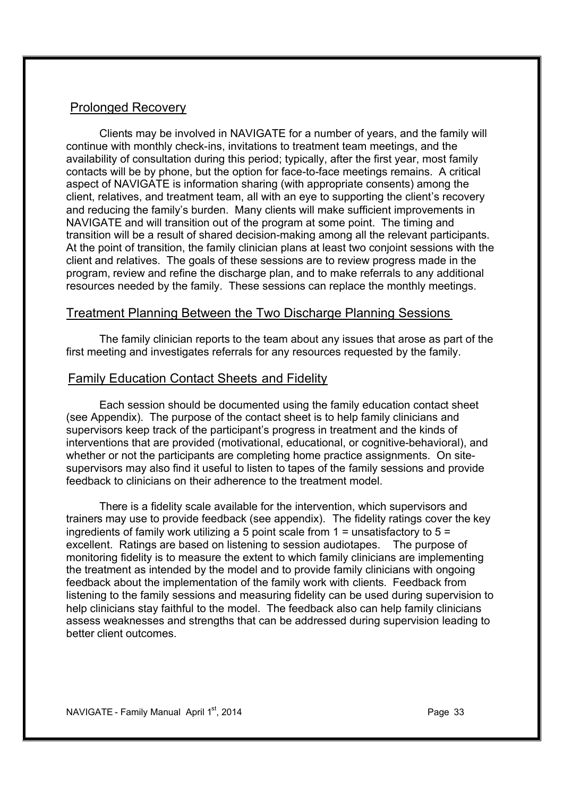### Prolonged Recovery

Clients may be involved in NAVIGATE for a number of years, and the family will continue with monthly check-ins, invitations to treatment team meetings, and the availability of consultation during this period; typically, after the first year, most family contacts will be by phone, but the option for face-to-face meetings remains. A critical aspect of NAVIGATE is information sharing (with appropriate consents) among the client, relatives, and treatment team, all with an eye to supporting the client's recovery and reducing the family's burden. Many clients will make sufficient improvements in NAVIGATE and will transition out of the program at some point. The timing and transition will be a result of shared decision-making among all the relevant participants. At the point of transition, the family clinician plans at least two conjoint sessions with the client and relatives. The goals of these sessions are to review progress made in the program, review and refine the discharge plan, and to make referrals to any additional resources needed by the family. These sessions can replace the monthly meetings.

### Treatment Planning Between the Two Discharge Planning Sessions

The family clinician reports to the team about any issues that arose as part of the first meeting and investigates referrals for any resources requested by the family.

### Family Education Contact Sheets and Fidelity

Each session should be documented using the family education contact sheet (see Appendix). The purpose of the contact sheet is to help family clinicians and supervisors keep track of the participant's progress in treatment and the kinds of interventions that are provided (motivational, educational, or cognitive-behavioral), and whether or not the participants are completing home practice assignments. On sitesupervisors may also find it useful to listen to tapes of the family sessions and provide feedback to clinicians on their adherence to the treatment model.

There is a fidelity scale available for the intervention, which supervisors and trainers may use to provide feedback (see appendix). The fidelity ratings cover the key ingredients of family work utilizing a 5 point scale from  $1 =$  unsatisfactory to  $5 =$ excellent. Ratings are based on listening to session audiotapes. The purpose of monitoring fidelity is to measure the extent to which family clinicians are implementing the treatment as intended by the model and to provide family clinicians with ongoing feedback about the implementation of the family work with clients. Feedback from listening to the family sessions and measuring fidelity can be used during supervision to help clinicians stay faithful to the model. The feedback also can help family clinicians assess weaknesses and strengths that can be addressed during supervision leading to better client outcomes.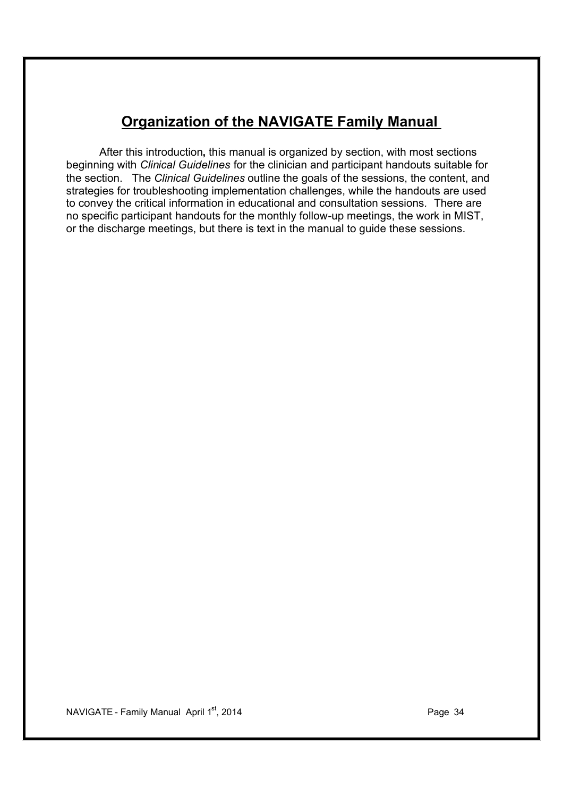### **Organization of the NAVIGATE Family Manual**

After this introduction**,** this manual is organized by section, with most sections beginning with *Clinical Guidelines* for the clinician and participant handouts suitable for the section. The *Clinical Guidelines* outline the goals of the sessions, the content, and strategies for troubleshooting implementation challenges, while the handouts are used to convey the critical information in educational and consultation sessions*.* There are no specific participant handouts for the monthly follow-up meetings, the work in MIST, or the discharge meetings, but there is text in the manual to guide these sessions.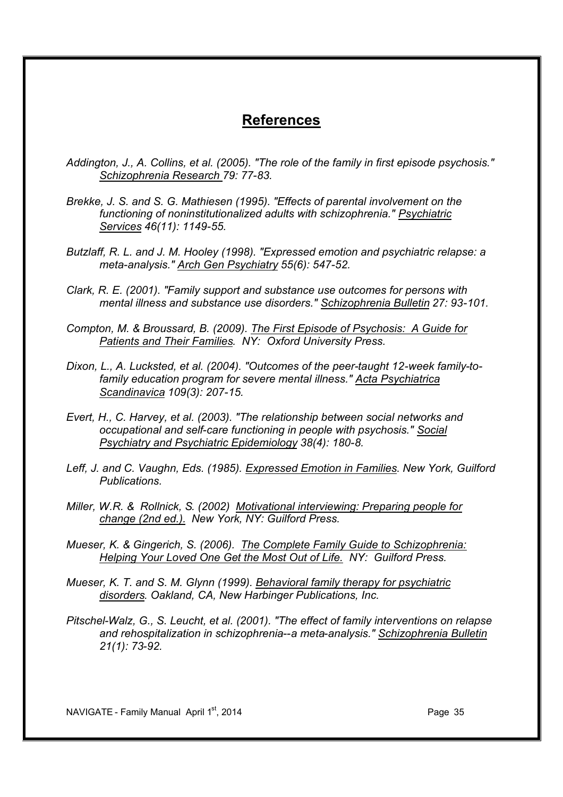### **References**

- *Addington, J., A. Collins, et al. (2005). "The role of the family in first episode psychosis." Schizophrenia Research 79: 77-83.*
- *Brekke, J. S. and S. G. Mathiesen (1995). "Effects of parental involvement on the functioning of noninstitutionalized adults with schizophrenia." Psychiatric Services 46(11): 1149-55.*
- *Butzlaff, R. L. and J. M. Hooley (1998). "Expressed emotion and psychiatric relapse: a meta-analysis." Arch Gen Psychiatry 55(6): 547-52.*
- *Clark, R. E. (2001). "Family support and substance use outcomes for persons with mental illness and substance use disorders." Schizophrenia Bulletin 27: 93-101.*
- *Compton, M. & Broussard, B. (2009). The First Episode of Psychosis: A Guide for Patients and Their Families. NY: Oxford University Press.*
- *Dixon, L., A. Lucksted, et al. (2004). "Outcomes of the peer-taught 12-week family-tofamily education program for severe mental illness." Acta Psychiatrica Scandinavica 109(3): 207-15.*
- *Evert, H., C. Harvey, et al. (2003). "The relationship between social networks and occupational and self-care functioning in people with psychosis." Social Psychiatry and Psychiatric Epidemiology 38(4): 180-8.*
- *Leff, J. and C. Vaughn, Eds. (1985). Expressed Emotion in Families*. *New York, Guilford Publications.*
- *Miller, W.R. & Rollnick, S. (2002) Motivational interviewing: Preparing people for change (2nd ed.). New York, NY: Guilford Press.*
- *Mueser, K. & Gingerich, S. (2006). The Complete Family Guide to Schizophrenia: Helping Your Loved One Get the Most Out of Life. NY: Guilford Press.*
- *Mueser, K. T. and S. M. Glynn (1999). Behavioral family therapy for psychiatric disorders. Oakland, CA, New Harbinger Publications, Inc.*
- *Pitschel-Walz, G., S. Leucht, et al. (2001). "The effect of family interventions on relapse and rehospitalization in schizophrenia--a meta-analysis." Schizophrenia Bulletin 21(1): 73-92.*

NAVIGATE - Family Manual April 1st, 2014 **Page 35** Page 35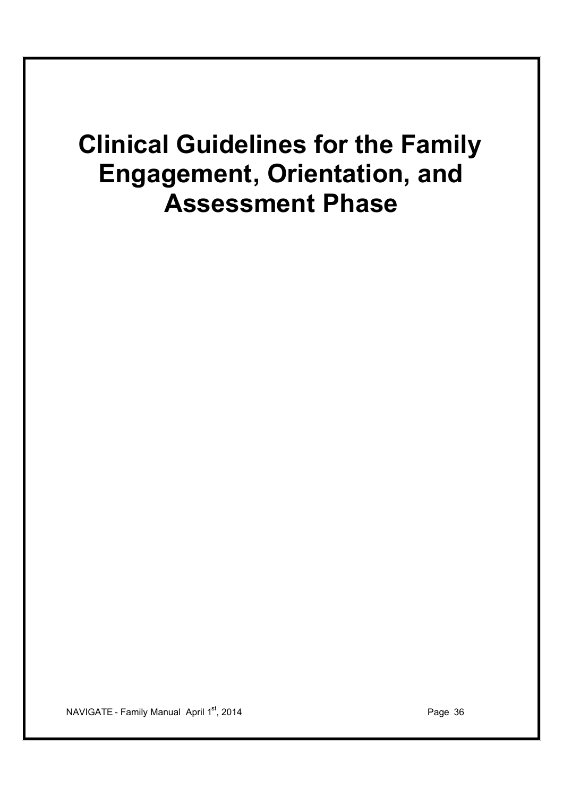## **Clinical Guidelines for the Family Engagement, Orientation, and Assessment Phase**

NAVIGATE - Family Manual April 1<sup>st</sup>, 2014 **Page 36** Page 36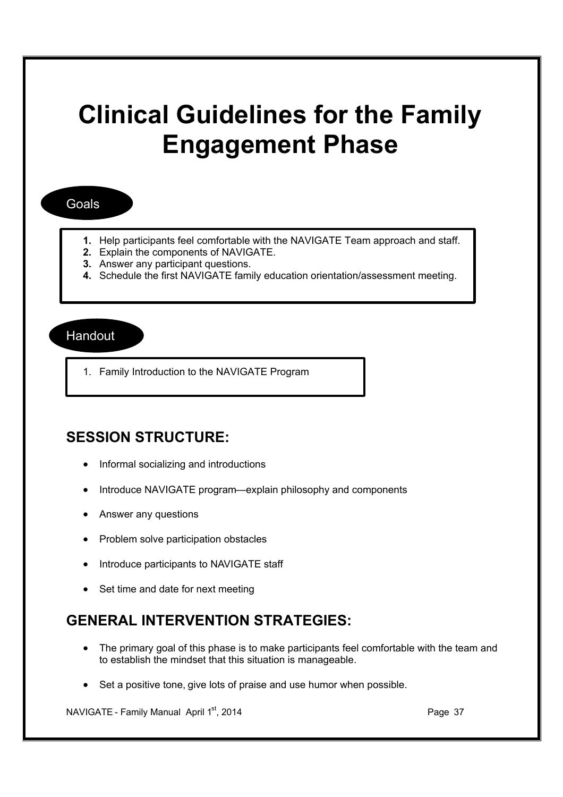# **Clinical Guidelines for the Family Engagement Phase**

#### Goals

- **1.** Help participants feel comfortable with the NAVIGATE Team approach and staff.
- **2.** Explain the components of NAVIGATE.
- **3.** Answer any participant questions.
- **4.** Schedule the first NAVIGATE family education orientation/assessment meeting.

#### Handout

1. Family Introduction to the NAVIGATE Program

#### **SESSION STRUCTURE:**

- · Informal socializing and introductions
- Introduce NAVIGATE program—explain philosophy and components
- · Answer any questions
- · Problem solve participation obstacles
- · Introduce participants to NAVIGATE staff
- Set time and date for next meeting

#### **GENERAL INTERVENTION STRATEGIES:**

- · The primary goal of this phase is to make participants feel comfortable with the team and to establish the mindset that this situation is manageable.
- Set a positive tone, give lots of praise and use humor when possible.

NAVIGATE - Family Manual April 1<sup>st</sup>, 2014 **Page 37** Page 37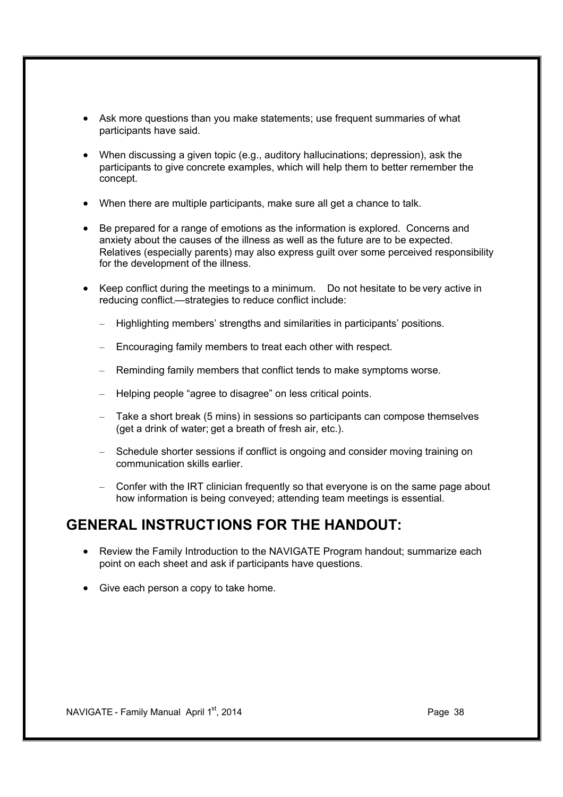- · Ask more questions than you make statements; use frequent summaries of what participants have said.
- · When discussing a given topic (e.g., auditory hallucinations; depression), ask the participants to give concrete examples, which will help them to better remember the concept.
- · When there are multiple participants, make sure all get a chance to talk.
- · Be prepared for a range of emotions as the information is explored. Concerns and anxiety about the causes of the illness as well as the future are to be expected. Relatives (especially parents) may also express guilt over some perceived responsibility for the development of the illness.
- · Keep conflict during the meetings to a minimum. Do not hesitate to be very active in reducing conflict.—strategies to reduce conflict include:
	- Highlighting members' strengths and similarities in participants' positions.
	- Encouraging family members to treat each other with respect.
	- Reminding family members that conflict tends to make symptoms worse.
	- Helping people "agree to disagree" on less critical points.
	- Take a short break (5 mins) in sessions so participants can compose themselves (get a drink of water; get a breath of fresh air, etc.).
	- Schedule shorter sessions if conflict is ongoing and consider moving training on communication skills earlier.
	- Confer with the IRT clinician frequently so that everyone is on the same page about how information is being conveyed; attending team meetings is essential.

#### **GENERAL INSTRUCTIONS FOR THE HANDOUT:**

- · Review the Family Introduction to the NAVIGATE Program handout; summarize each point on each sheet and ask if participants have questions.
- · Give each person a copy to take home.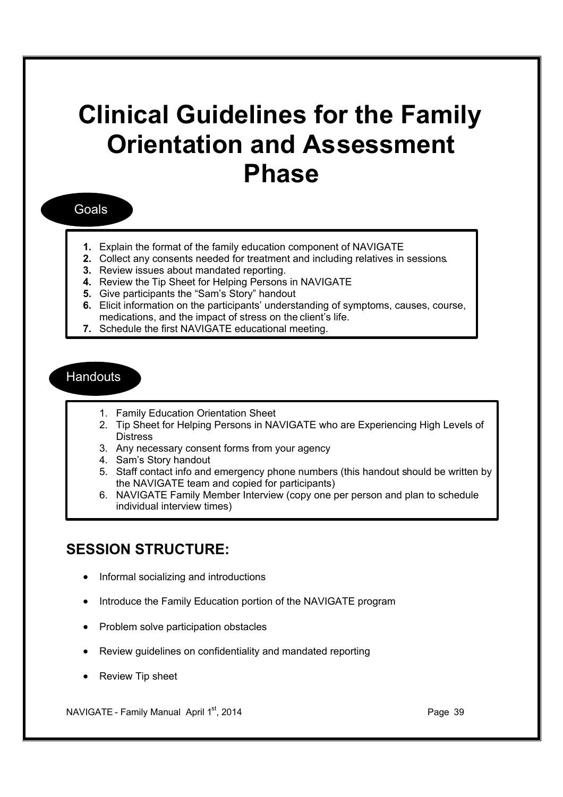# **Clinical Guidelines for the Family Orientation and Assessment Phase**

#### Goals

- **1.** Explain the format of the family education component of NAVIGATE
- **2.** Collect any consents needed for treatment and including relatives in sessions.
- **3.** Review issues about mandated reporting.
- **4.** Review the Tip Sheet for Helping Persons in NAVIGATE
- **5.** Give participants the "Sam's Story" handout
- **6.** Elicit information on the participants' understanding of symptoms, causes, course, medications, and the impact of stress on the client's life.
- **7.** Schedule the first NAVIGATE educational meeting.

#### **Handouts**

- 1. Family Education Orientation Sheet
- 2. Tip Sheet for Helping Persons in NAVIGATE who are Experiencing High Levels of **Distress**
- 3. Any necessary consent forms from your agency
- 4. Sam's Story handout
- 5. Staff contact info and emergency phone numbers (this handout should be written by the NAVIGATE team and copied for participants)
- 6. NAVIGATE Family Member Interview (copy one per person and plan to schedule individual interview times)

#### **SESSION STRUCTURE:**

- · Informal socializing and introductions
- · Introduce the Family Education portion of the NAVIGATE program
- · Problem solve participation obstacles
- Review quidelines on confidentiality and mandated reporting
- Review Tip sheet

NAVIGATE - Family Manual April 1<sup>st</sup>, 2014 **Page 39** Page 39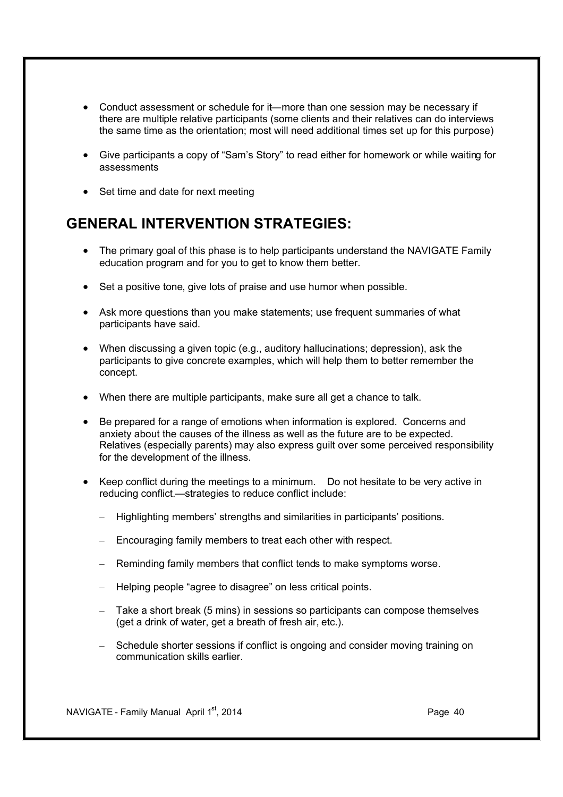- · Conduct assessment or schedule for it—more than one session may be necessary if there are multiple relative participants (some clients and their relatives can do interviews the same time as the orientation; most will need additional times set up for this purpose)
- · Give participants a copy of "Sam's Story" to read either for homework or while waiting for assessments
- Set time and date for next meeting

### **GENERAL INTERVENTION STRATEGIES:**

- The primary goal of this phase is to help participants understand the NAVIGATE Family education program and for you to get to know them better.
- Set a positive tone, give lots of praise and use humor when possible.
- Ask more questions than you make statements; use frequent summaries of what participants have said.
- · When discussing a given topic (e.g., auditory hallucinations; depression), ask the participants to give concrete examples, which will help them to better remember the concept.
- · When there are multiple participants, make sure all get a chance to talk.
- · Be prepared for a range of emotions when information is explored. Concerns and anxiety about the causes of the illness as well as the future are to be expected. Relatives (especially parents) may also express guilt over some perceived responsibility for the development of the illness.
- · Keep conflict during the meetings to a minimum. Do not hesitate to be very active in reducing conflict.—strategies to reduce conflict include:
	- Highlighting members' strengths and similarities in participants' positions.
	- Encouraging family members to treat each other with respect.
	- Reminding family members that conflict tends to make symptoms worse.
	- Helping people "agree to disagree" on less critical points.
	- Take a short break (5 mins) in sessions so participants can compose themselves (get a drink of water, get a breath of fresh air, etc.).
	- Schedule shorter sessions if conflict is ongoing and consider moving training on communication skills earlier.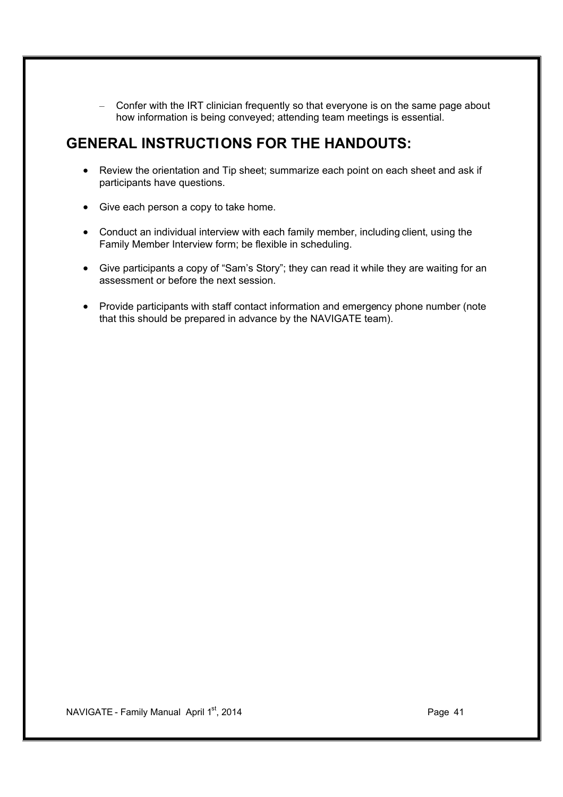– Confer with the IRT clinician frequently so that everyone is on the same page about how information is being conveyed; attending team meetings is essential.

### **GENERAL INSTRUCTIONS FOR THE HANDOUTS:**

- · Review the orientation and Tip sheet; summarize each point on each sheet and ask if participants have questions.
- · Give each person a copy to take home.
- · Conduct an individual interview with each family member, including client, using the Family Member Interview form; be flexible in scheduling.
- · Give participants a copy of "Sam's Story"; they can read it while they are waiting for an assessment or before the next session.
- · Provide participants with staff contact information and emergency phone number (note that this should be prepared in advance by the NAVIGATE team).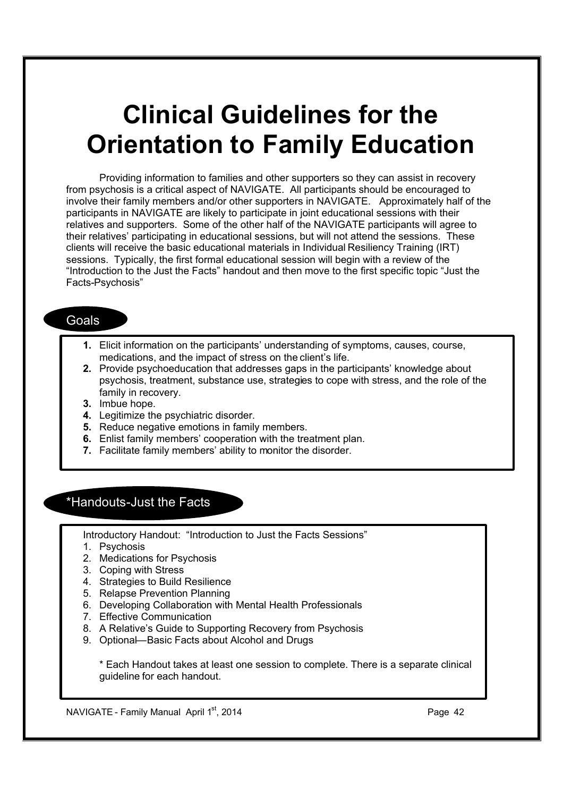# **Clinical Guidelines for the Orientation to Family Education**

Providing information to families and other supporters so they can assist in recovery from psychosis is a critical aspect of NAVIGATE. All participants should be encouraged to involve their family members and/or other supporters in NAVIGATE. Approximately half of the participants in NAVIGATE are likely to participate in joint educational sessions with their relatives and supporters. Some of the other half of the NAVIGATE participants will agree to their relatives' participating in educational sessions, but will not attend the sessions. These clients will receive the basic educational materials in Individual Resiliency Training (IRT) sessions. Typically, the first formal educational session will begin with a review of the "Introduction to the Just the Facts" handout and then move to the first specific topic "Just the Facts-Psychosis"

#### Goals

- **1.** Elicit information on the participants' understanding of symptoms, causes, course, medications, and the impact of stress on the client's life.
- **2.** Provide psychoeducation that addresses gaps in the participants' knowledge about psychosis, treatment, substance use, strategies to cope with stress, and the role of the family in recovery.
- **3.** Imbue hope.
- **4.** Legitimize the psychiatric disorder.
- **5.** Reduce negative emotions in family members.
- **6.** Enlist family members' cooperation with the treatment plan.
- **7.** Facilitate family members' ability to monitor the disorder.

#### \*Handouts-Just the Facts

Introductory Handout: "Introduction to Just the Facts Sessions"

- 1. Psychosis
- 2. Medications for Psychosis
- 3. Coping with Stress
- 4. Strategies to Build Resilience
- 5. Relapse Prevention Planning
- 6. Developing Collaboration with Mental Health Professionals
- 7. Effective Communication
- 8. A Relative's Guide to Supporting Recovery from Psychosis
- 9. Optional—Basic Facts about Alcohol and Drugs

\* Each Handout takes at least one session to complete. There is a separate clinical guideline for each handout.

NAVIGATE - Family Manual April 1<sup>st</sup>, 2014 **Page 42** Page 42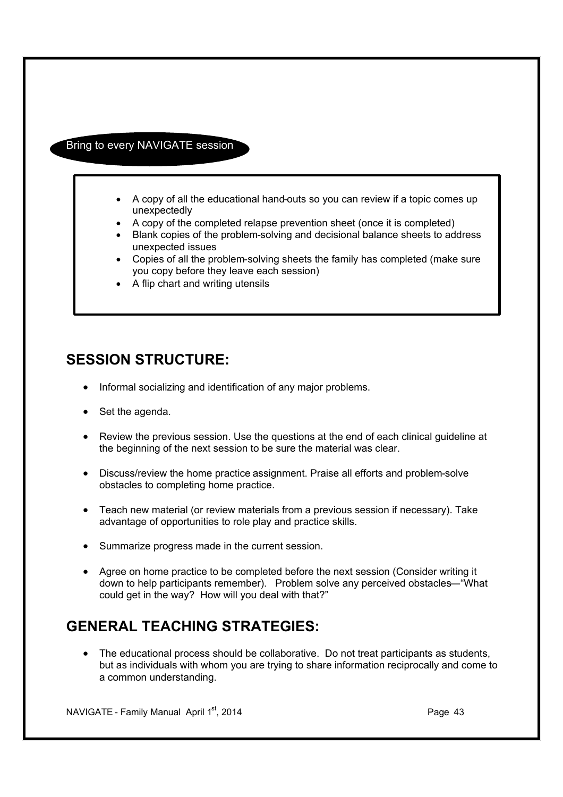#### Bring to every NAVIGATE session

- · A copy of all the educational hand-outs so you can review if a topic comes up unexpectedly
- · A copy of the completed relapse prevention sheet (once it is completed)
- · Blank copies of the problem-solving and decisional balance sheets to address unexpected issues
- · Copies of all the problem-solving sheets the family has completed (make sure you copy before they leave each session)
- · A flip chart and writing utensils

### **SESSION STRUCTURE:**

- · Informal socializing and identification of any major problems.
- · Set the agenda.
- · Review the previous session. Use the questions at the end of each clinical guideline at the beginning of the next session to be sure the material was clear.
- · Discuss/review the home practice assignment. Praise all efforts and problem-solve obstacles to completing home practice.
- · Teach new material (or review materials from a previous session if necessary). Take advantage of opportunities to role play and practice skills.
- · Summarize progress made in the current session.
- · Agree on home practice to be completed before the next session (Consider writing it down to help participants remember). Problem solve any perceived obstacles—"What could get in the way? How will you deal with that?"

## **GENERAL TEACHING STRATEGIES:**

· The educational process should be collaborative. Do not treat participants as students, but as individuals with whom you are trying to share information reciprocally and come to a common understanding.

NAVIGATE - Family Manual April 1<sup>st</sup>, 2014 **Page 43** Page 43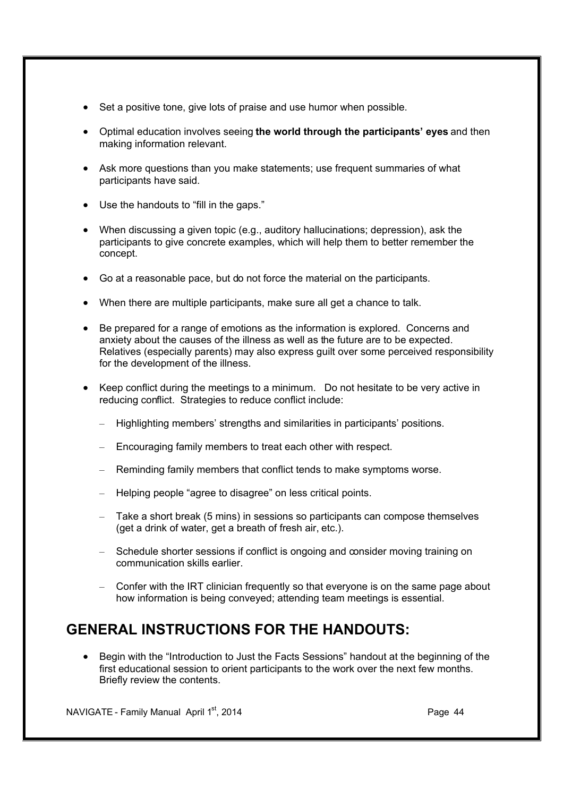- Set a positive tone, give lots of praise and use humor when possible.
- · Optimal education involves seeing **the world through the participants' eyes** and then making information relevant.
- · Ask more questions than you make statements; use frequent summaries of what participants have said.
- · Use the handouts to "fill in the gaps."
- · When discussing a given topic (e.g., auditory hallucinations; depression), ask the participants to give concrete examples, which will help them to better remember the concept.
- · Go at a reasonable pace, but do not force the material on the participants.
- · When there are multiple participants, make sure all get a chance to talk.
- · Be prepared for a range of emotions as the information is explored. Concerns and anxiety about the causes of the illness as well as the future are to be expected. Relatives (especially parents) may also express guilt over some perceived responsibility for the development of the illness.
- · Keep conflict during the meetings to a minimum. Do not hesitate to be very active in reducing conflict. Strategies to reduce conflict include:
	- Highlighting members' strengths and similarities in participants' positions.
	- Encouraging family members to treat each other with respect.
	- Reminding family members that conflict tends to make symptoms worse.
	- Helping people "agree to disagree" on less critical points.
	- Take a short break (5 mins) in sessions so participants can compose themselves (get a drink of water, get a breath of fresh air, etc.).
	- Schedule shorter sessions if conflict is ongoing and consider moving training on communication skills earlier.
	- Confer with the IRT clinician frequently so that everyone is on the same page about how information is being conveyed; attending team meetings is essential.

## **GENERAL INSTRUCTIONS FOR THE HANDOUTS:**

Begin with the "Introduction to Just the Facts Sessions" handout at the beginning of the first educational session to orient participants to the work over the next few months. Briefly review the contents.

NAVIGATE - Family Manual April 1st, 2014 **Page 44** Page 44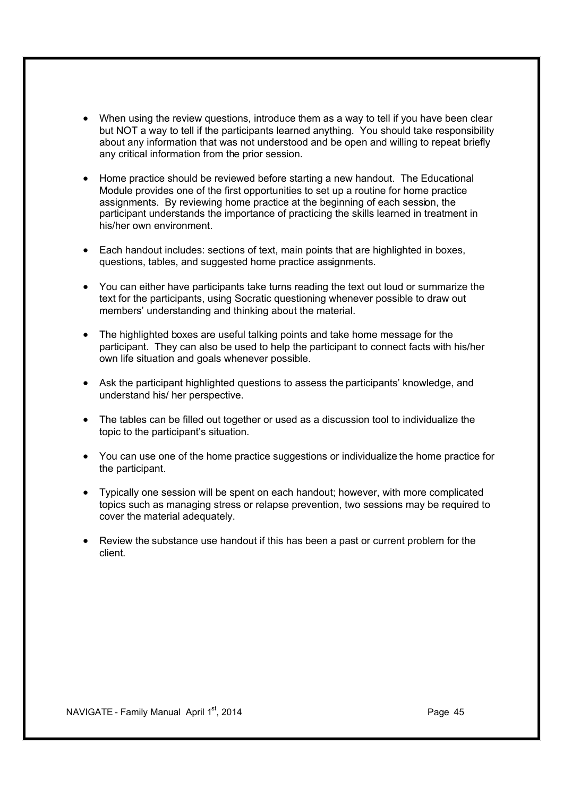- · When using the review questions, introduce them as a way to tell if you have been clear but NOT a way to tell if the participants learned anything. You should take responsibility about any information that was not understood and be open and willing to repeat briefly any critical information from the prior session.
- · Home practice should be reviewed before starting a new handout. The Educational Module provides one of the first opportunities to set up a routine for home practice assignments. By reviewing home practice at the beginning of each session, the participant understands the importance of practicing the skills learned in treatment in his/her own environment.
- · Each handout includes: sections of text, main points that are highlighted in boxes, questions, tables, and suggested home practice assignments.
- · You can either have participants take turns reading the text out loud or summarize the text for the participants, using Socratic questioning whenever possible to draw out members' understanding and thinking about the material.
- · The highlighted boxes are useful talking points and take home message for the participant. They can also be used to help the participant to connect facts with his/her own life situation and goals whenever possible.
- · Ask the participant highlighted questions to assess the participants' knowledge, and understand his/ her perspective.
- · The tables can be filled out together or used as a discussion tool to individualize the topic to the participant's situation.
- · You can use one of the home practice suggestions or individualize the home practice for the participant.
- · Typically one session will be spent on each handout; however, with more complicated topics such as managing stress or relapse prevention, two sessions may be required to cover the material adequately.
- · Review the substance use handout if this has been a past or current problem for the client.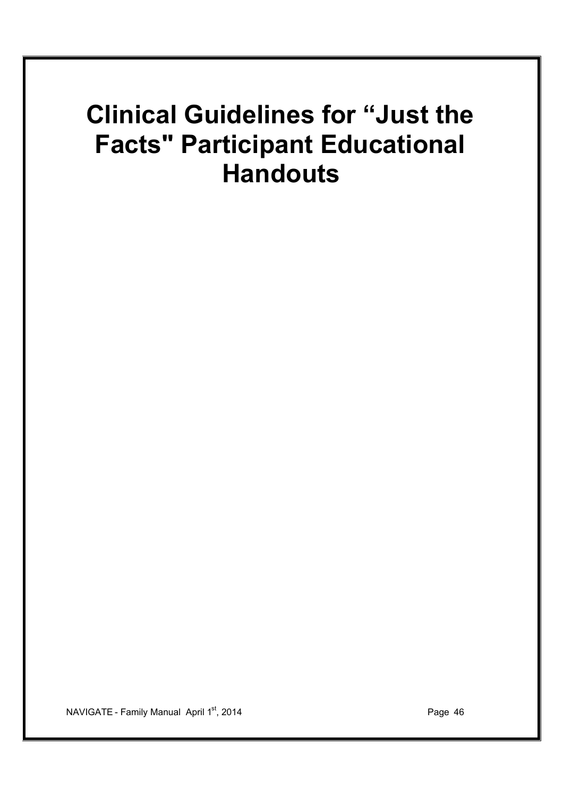# **Clinical Guidelines for "Just the Facts" Participant Educational Handouts**

NAVIGATE - Family Manual April 1<sup>st</sup>, 2014 **Page 46** Page 46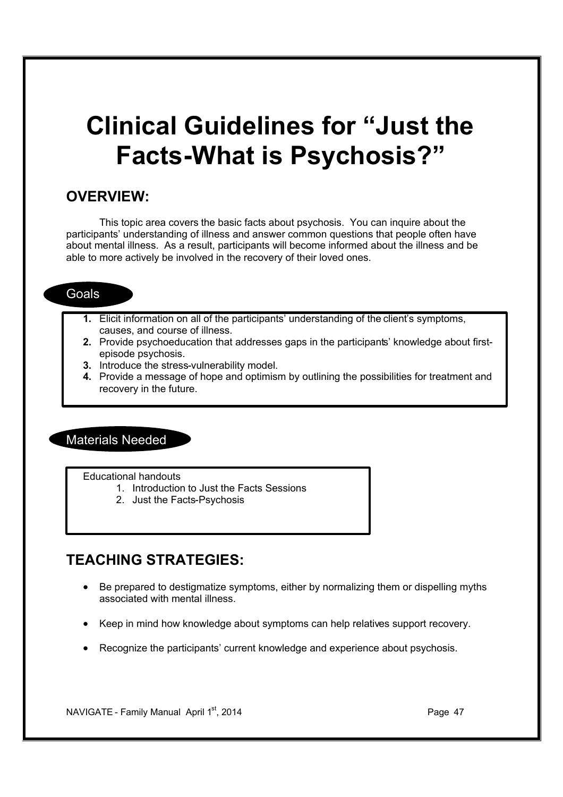# **Clinical Guidelines for "Just the Facts-What is Psychosis?"**

#### **OVERVIEW:**

This topic area covers the basic facts about psychosis. You can inquire about the participants' understanding of illness and answer common questions that people often have about mental illness. As a result, participants will become informed about the illness and be able to more actively be involved in the recovery of their loved ones.

#### Goals

- **1.** Elicit information on all of the participants' understanding of the client's symptoms, causes, and course of illness.
- **2.** Provide psychoeducation that addresses gaps in the participants' knowledge about firstepisode psychosis.
- **3.** Introduce the stress-vulnerability model.
- **4.** Provide a message of hope and optimism by outlining the possibilities for treatment and recovery in the future.

#### Materials Needed

Educational handouts

- 1. Introduction to Just the Facts Sessions
- 2. Just the Facts-Psychosis

## **TEACHING STRATEGIES:**

- · Be prepared to destigmatize symptoms, either by normalizing them or dispelling myths associated with mental illness.
- · Keep in mind how knowledge about symptoms can help relatives support recovery.
- · Recognize the participants' current knowledge and experience about psychosis.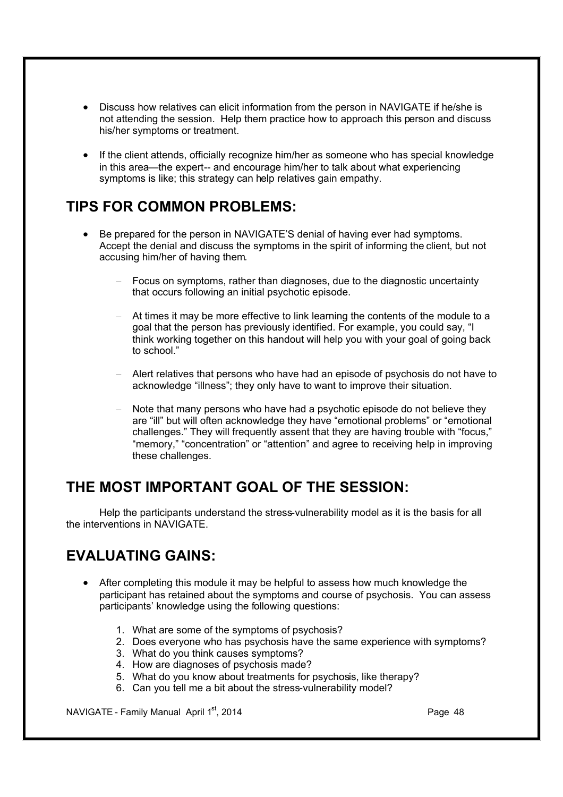- · Discuss how relatives can elicit information from the person in NAVIGATE if he/she is not attending the session. Help them practice how to approach this person and discuss his/her symptoms or treatment.
- If the client attends, officially recognize him/her as someone who has special knowledge in this area—the expert-- and encourage him/her to talk about what experiencing symptoms is like; this strategy can help relatives gain empathy.

## **TIPS FOR COMMON PROBLEMS:**

- · Be prepared for the person in NAVIGATE'S denial of having ever had symptoms. Accept the denial and discuss the symptoms in the spirit of informing the client, but not accusing him/her of having them*.*
	- Focus on symptoms, rather than diagnoses, due to the diagnostic uncertainty that occurs following an initial psychotic episode.
	- At times it may be more effective to link learning the contents of the module to a goal that the person has previously identified. For example, you could say, "I think working together on this handout will help you with your goal of going back to school."
	- Alert relatives that persons who have had an episode of psychosis do not have to acknowledge "illness"; they only have to want to improve their situation.
	- Note that many persons who have had a psychotic episode do not believe they are "ill" but will often acknowledge they have "emotional problems" or "emotional challenges." They will frequently assent that they are having trouble with "focus," "memory," "concentration" or "attention" and agree to receiving help in improving these challenges.

### **THE MOST IMPORTANT GOAL OF THE SESSION:**

Help the participants understand the stress-vulnerability model as it is the basis for all the interventions in NAVIGATE.

## **EVALUATING GAINS:**

- · After completing this module it may be helpful to assess how much knowledge the participant has retained about the symptoms and course of psychosis. You can assess participants' knowledge using the following questions:
	- 1. What are some of the symptoms of psychosis?
	- 2. Does everyone who has psychosis have the same experience with symptoms?
	- 3. What do you think causes symptoms?
	- 4. How are diagnoses of psychosis made?
	- 5. What do you know about treatments for psychosis, like therapy?
	- 6. Can you tell me a bit about the stress-vulnerability model?

NAVIGATE - Family Manual April 1<sup>st</sup>, 2014 **Page 18** Page 48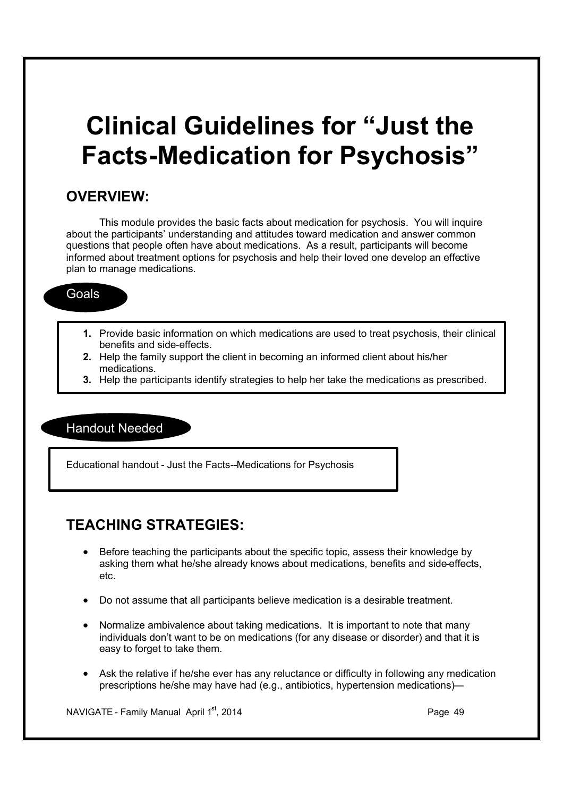# **Clinical Guidelines for "Just the Facts-Medication for Psychosis"**

#### **OVERVIEW:**

This module provides the basic facts about medication for psychosis. You will inquire about the participants' understanding and attitudes toward medication and answer common questions that people often have about medications. As a result, participants will become informed about treatment options for psychosis and help their loved one develop an effective plan to manage medications.

#### Goals

- **1.** Provide basic information on which medications are used to treat psychosis, their clinical benefits and side-effects.
- **2.** Help the family support the client in becoming an informed client about his/her medications.
- **3.** Help the participants identify strategies to help her take the medications as prescribed.

#### Handout Needed

Educational handout - Just the Facts--Medications for Psychosis

### **TEACHING STRATEGIES:**

- Before teaching the participants about the specific topic, assess their knowledge by asking them what he/she already knows about medications, benefits and side-effects, etc.
- · Do not assume that all participants believe medication is a desirable treatment.
- · Normalize ambivalence about taking medications. It is important to note that many individuals don't want to be on medications (for any disease or disorder) and that it is easy to forget to take them.
- Ask the relative if he/she ever has any reluctance or difficulty in following any medication prescriptions he/she may have had (e.g., antibiotics, hypertension medications)—

NAVIGATE - Family Manual April 1<sup>st</sup>, 2014 **Page 49** Page 49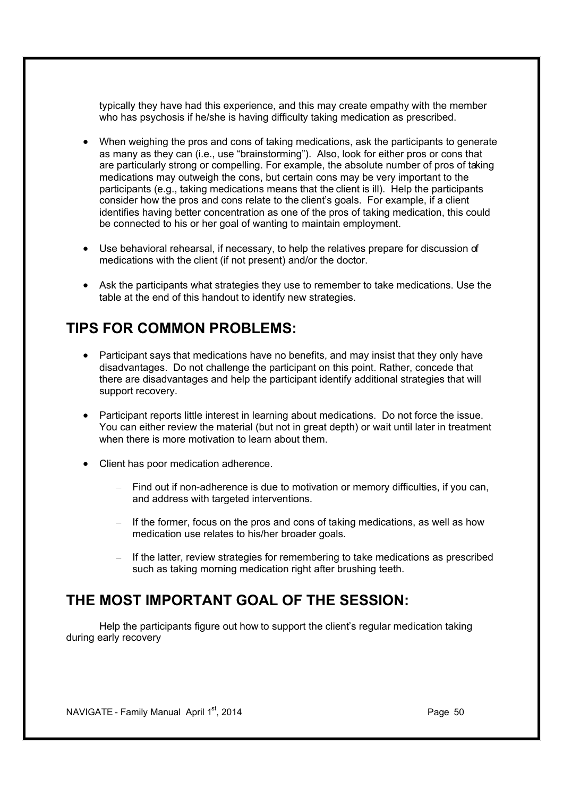typically they have had this experience, and this may create empathy with the member who has psychosis if he/she is having difficulty taking medication as prescribed.

- · When weighing the pros and cons of taking medications, ask the participants to generate as many as they can (i.e., use "brainstorming"). Also, look for either pros or cons that are particularly strong or compelling. For example, the absolute number of pros of taking medications may outweigh the cons, but certain cons may be very important to the participants (e.g., taking medications means that the client is ill). Help the participants consider how the pros and cons relate to the client's goals. For example, if a client identifies having better concentration as one of the pros of taking medication, this could be connected to his or her goal of wanting to maintain employment.
- · Use behavioral rehearsal, if necessary, to help the relatives prepare for discussion of medications with the client (if not present) and/or the doctor.
- · Ask the participants what strategies they use to remember to take medications. Use the table at the end of this handout to identify new strategies.

### **TIPS FOR COMMON PROBLEMS:**

- Participant says that medications have no benefits, and may insist that they only have disadvantages. Do not challenge the participant on this point. Rather, concede that there are disadvantages and help the participant identify additional strategies that will support recovery.
- · Participant reports little interest in learning about medications. Do not force the issue. You can either review the material (but not in great depth) or wait until later in treatment when there is more motivation to learn about them.
- · Client has poor medication adherence.
	- Find out if non-adherence is due to motivation or memory difficulties, if you can, and address with targeted interventions.
	- If the former, focus on the pros and cons of taking medications, as well as how medication use relates to his/her broader goals.
	- If the latter, review strategies for remembering to take medications as prescribed such as taking morning medication right after brushing teeth.

### **THE MOST IMPORTANT GOAL OF THE SESSION:**

Help the participants figure out how to support the client's regular medication taking during early recovery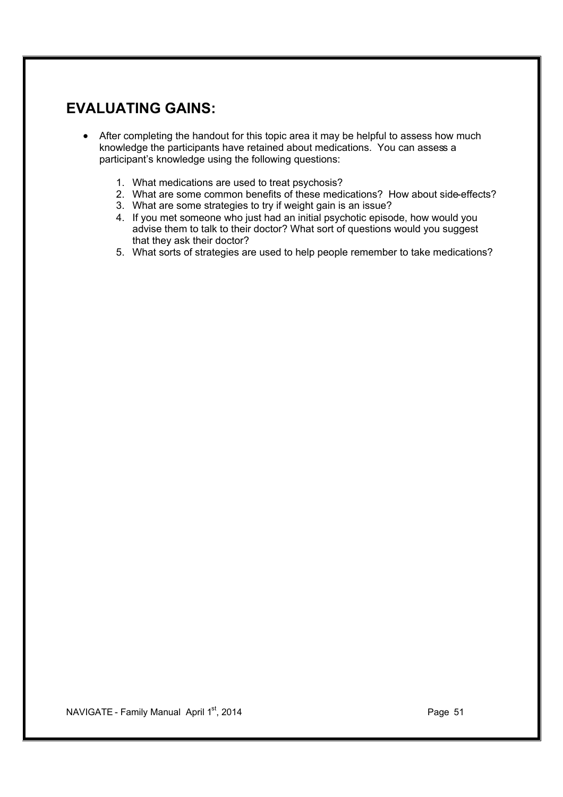- After completing the handout for this topic area it may be helpful to assess how much knowledge the participants have retained about medications. You can assess a participant's knowledge using the following questions:
	- 1. What medications are used to treat psychosis?
	- 2. What are some common benefits of these medications? How about side-effects?
	- 3. What are some strategies to try if weight gain is an issue?
	- 4. If you met someone who just had an initial psychotic episode, how would you advise them to talk to their doctor? What sort of questions would you suggest that they ask their doctor?
	- 5. What sorts of strategies are used to help people remember to take medications?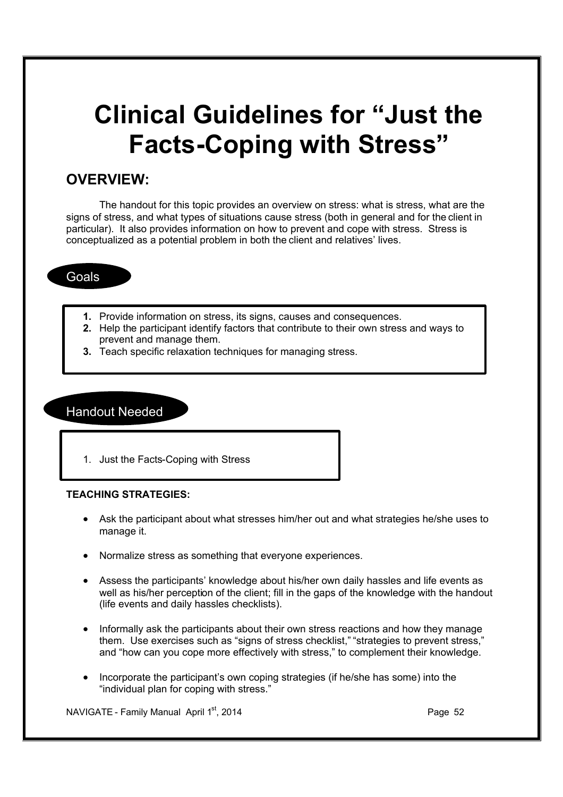# **Clinical Guidelines for "Just the Facts-Coping with Stress"**

### **OVERVIEW:**

The handout for this topic provides an overview on stress: what is stress, what are the signs of stress, and what types of situations cause stress (both in general and for the client in particular). It also provides information on how to prevent and cope with stress. Stress is conceptualized as a potential problem in both the client and relatives' lives.

#### **Goals**

- **1.** Provide information on stress, its signs, causes and consequences.
- **2.** Help the participant identify factors that contribute to their own stress and ways to prevent and manage them.
- **3.** Teach specific relaxation techniques for managing stress.

#### Handout Needed

1. Just the Facts-Coping with Stress

#### **TEACHING STRATEGIES:**

- · Ask the participant about what stresses him/her out and what strategies he/she uses to manage it.
- · Normalize stress as something that everyone experiences.
- · Assess the participants' knowledge about his/her own daily hassles and life events as well as his/her perception of the client; fill in the gaps of the knowledge with the handout (life events and daily hassles checklists).
- Informally ask the participants about their own stress reactions and how they manage them. Use exercises such as "signs of stress checklist," "strategies to prevent stress," and "how can you cope more effectively with stress," to complement their knowledge.
- · Incorporate the participant's own coping strategies (if he/she has some) into the "individual plan for coping with stress."

NAVIGATE - Family Manual April 1<sup>st</sup>, 2014 **Page 12** Page 52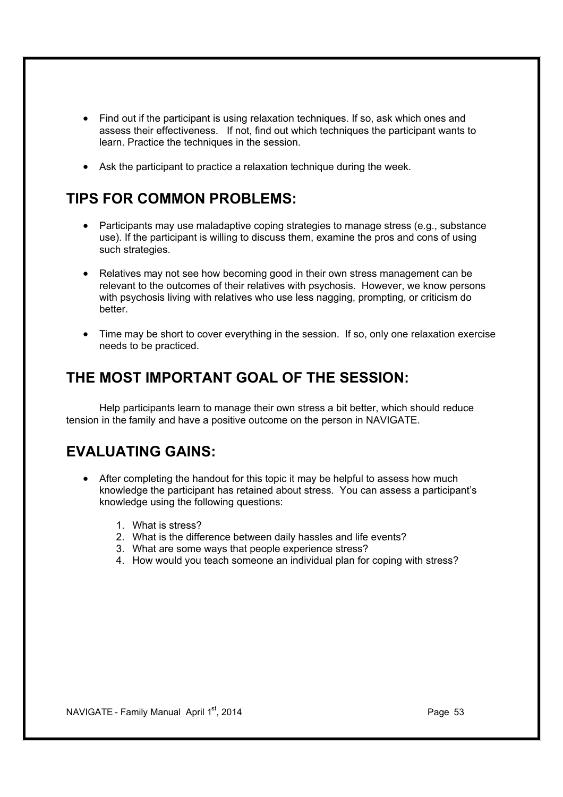- Find out if the participant is using relaxation techniques. If so, ask which ones and assess their effectiveness. If not, find out which techniques the participant wants to learn. Practice the techniques in the session.
- Ask the participant to practice a relaxation technique during the week.

## **TIPS FOR COMMON PROBLEMS:**

- Participants may use maladaptive coping strategies to manage stress (e.g., substance use). If the participant is willing to discuss them, examine the pros and cons of using such strategies.
- Relatives may not see how becoming good in their own stress management can be relevant to the outcomes of their relatives with psychosis. However, we know persons with psychosis living with relatives who use less nagging, prompting, or criticism do better.
- · Time may be short to cover everything in the session. If so, only one relaxation exercise needs to be practiced.

### **THE MOST IMPORTANT GOAL OF THE SESSION:**

Help participants learn to manage their own stress a bit better, which should reduce tension in the family and have a positive outcome on the person in NAVIGATE.

- · After completing the handout for this topic it may be helpful to assess how much knowledge the participant has retained about stress. You can assess a participant's knowledge using the following questions:
	- 1. What is stress?
	- 2. What is the difference between daily hassles and life events?
	- 3. What are some ways that people experience stress?
	- 4. How would you teach someone an individual plan for coping with stress?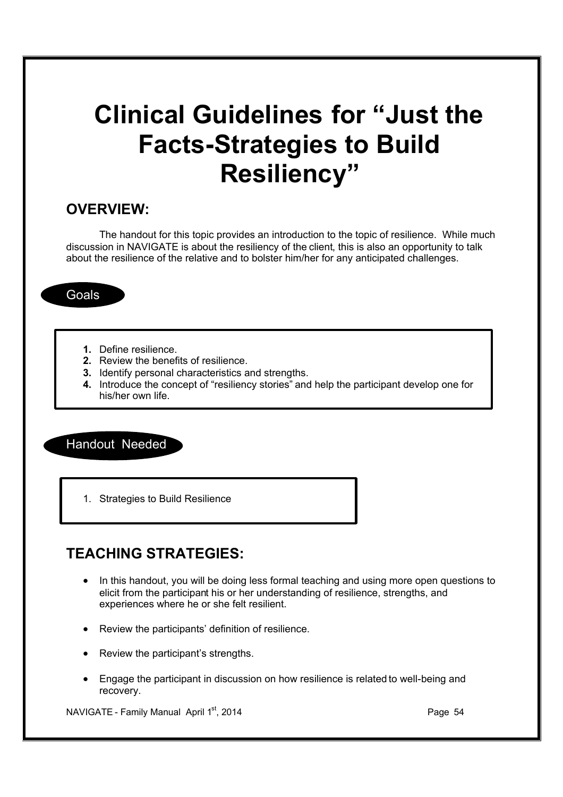# **Clinical Guidelines for "Just the Facts-Strategies to Build Resiliency"**

#### **OVERVIEW:**

The handout for this topic provides an introduction to the topic of resilience. While much discussion in NAVIGATE is about the resiliency of the client, this is also an opportunity to talk about the resilience of the relative and to bolster him/her for any anticipated challenges.

**Goals** 

- **1.** Define resilience.
- **2.** Review the benefits of resilience.
- **3.** Identify personal characteristics and strengths.
- **4.** Introduce the concept of "resiliency stories" and help the participant develop one for his/her own life.

Handout Needed

1. Strategies to Build Resilience

## **TEACHING STRATEGIES:**

- · In this handout, you will be doing less formal teaching and using more open questions to elicit from the participant his or her understanding of resilience, strengths, and experiences where he or she felt resilient.
- · Review the participants' definition of resilience.
- Review the participant's strengths.
- · Engage the participant in discussion on how resilience is related to well-being and recovery.

NAVIGATE - Family Manual April 1<sup>st</sup>, 2014 **Page 14** Page 54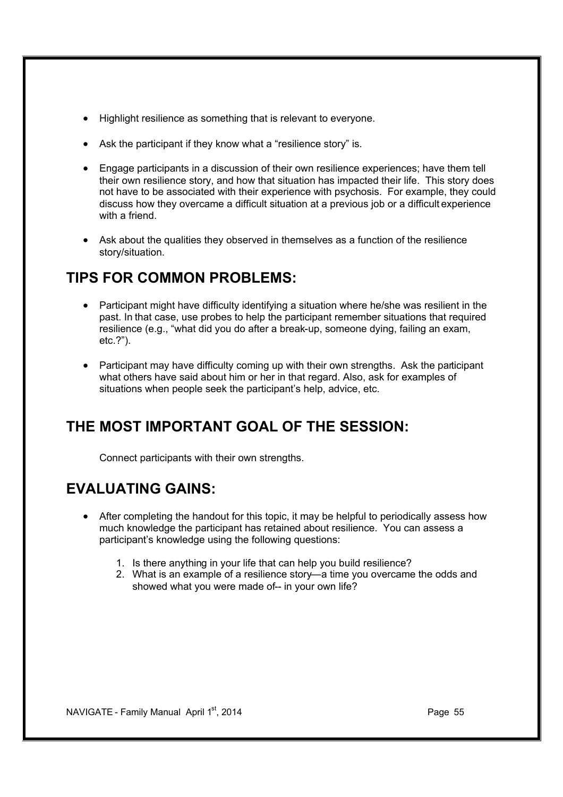- · Highlight resilience as something that is relevant to everyone.
- Ask the participant if they know what a "resilience story" is.
- · Engage participants in a discussion of their own resilience experiences; have them tell their own resilience story, and how that situation has impacted their life. This story does not have to be associated with their experience with psychosis. For example, they could discuss how they overcame a difficult situation at a previous job or a difficult experience with a friend.
- · Ask about the qualities they observed in themselves as a function of the resilience story/situation.

## **TIPS FOR COMMON PROBLEMS:**

- · Participant might have difficulty identifying a situation where he/she was resilient in the past. In that case, use probes to help the participant remember situations that required resilience (e.g., "what did you do after a break-up, someone dying, failing an exam, etc.?").
- Participant may have difficulty coming up with their own strengths. Ask the participant what others have said about him or her in that regard. Also, ask for examples of situations when people seek the participant's help, advice, etc.

## **THE MOST IMPORTANT GOAL OF THE SESSION:**

Connect participants with their own strengths.

- · After completing the handout for this topic, it may be helpful to periodically assess how much knowledge the participant has retained about resilience. You can assess a participant's knowledge using the following questions:
	- 1. Is there anything in your life that can help you build resilience?
	- 2. What is an example of a resilience story—a time you overcame the odds and showed what you were made of-- in your own life?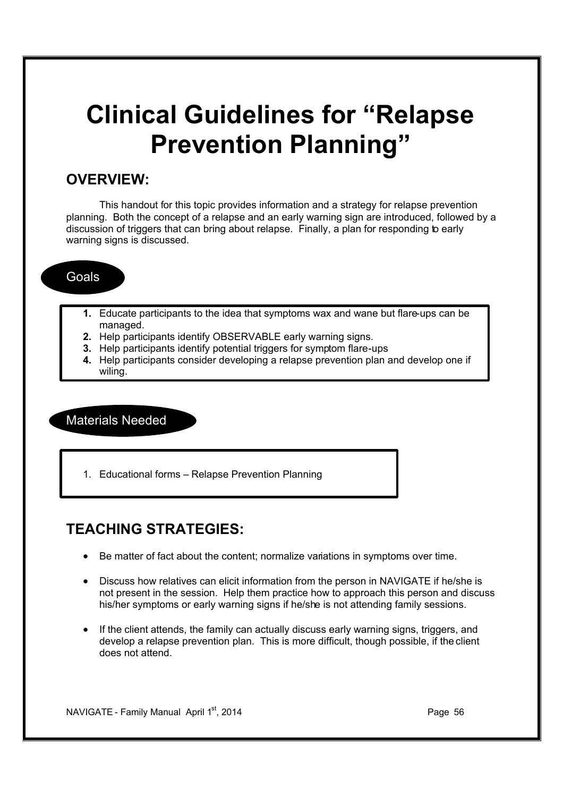# **Clinical Guidelines for "Relapse Prevention Planning"**

### **OVERVIEW:**

This handout for this topic provides information and a strategy for relapse prevention planning. Both the concept of a relapse and an early warning sign are introduced, followed by a discussion of triggers that can bring about relapse. Finally, a plan for responding to early warning signs is discussed.

#### Goals

- **1.** Educate participants to the idea that symptoms wax and wane but flare-ups can be managed.
- **2.** Help participants identify OBSERVABLE early warning signs.
- **3.** Help participants identify potential triggers for symptom flare-ups
- **4.** Help participants consider developing a relapse prevention plan and develop one if wiling.

Materials Needed

1. Educational forms – Relapse Prevention Planning

## **TEACHING STRATEGIES:**

- · Be matter of fact about the content; normalize variations in symptoms over time.
- · Discuss how relatives can elicit information from the person in NAVIGATE if he/she is not present in the session. Help them practice how to approach this person and discuss his/her symptoms or early warning signs if he/she is not attending family sessions.
- · If the client attends, the family can actually discuss early warning signs, triggers, and develop a relapse prevention plan. This is more difficult, though possible, if the client does not attend.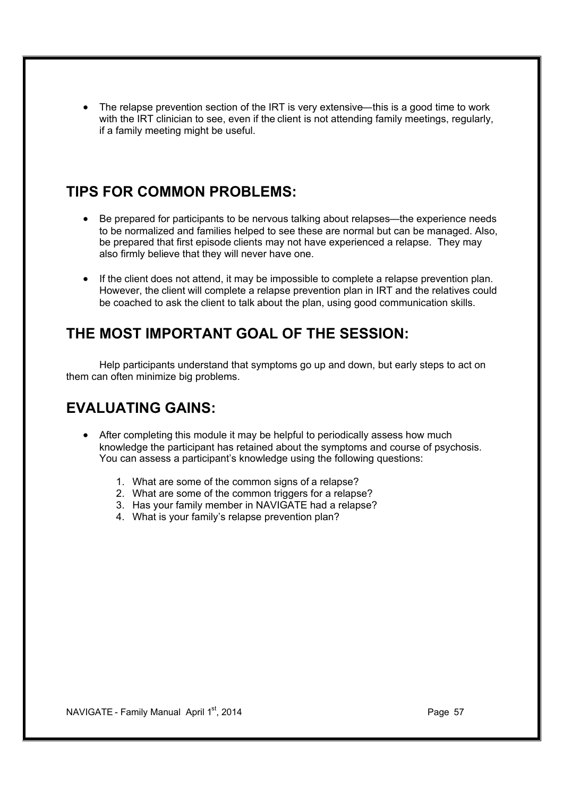The relapse prevention section of the IRT is very extensive—this is a good time to work with the IRT clinician to see, even if the client is not attending family meetings, regularly, if a family meeting might be useful.

### **TIPS FOR COMMON PROBLEMS:**

- · Be prepared for participants to be nervous talking about relapses—the experience needs to be normalized and families helped to see these are normal but can be managed. Also, be prepared that first episode clients may not have experienced a relapse. They may also firmly believe that they will never have one.
- · If the client does not attend, it may be impossible to complete a relapse prevention plan. However, the client will complete a relapse prevention plan in IRT and the relatives could be coached to ask the client to talk about the plan, using good communication skills.

#### **THE MOST IMPORTANT GOAL OF THE SESSION:**

Help participants understand that symptoms go up and down, but early steps to act on them can often minimize big problems.

- · After completing this module it may be helpful to periodically assess how much knowledge the participant has retained about the symptoms and course of psychosis. You can assess a participant's knowledge using the following questions:
	- 1. What are some of the common signs of a relapse?
	- 2. What are some of the common triggers for a relapse?
	- 3. Has your family member in NAVIGATE had a relapse?
	- 4. What is your family's relapse prevention plan?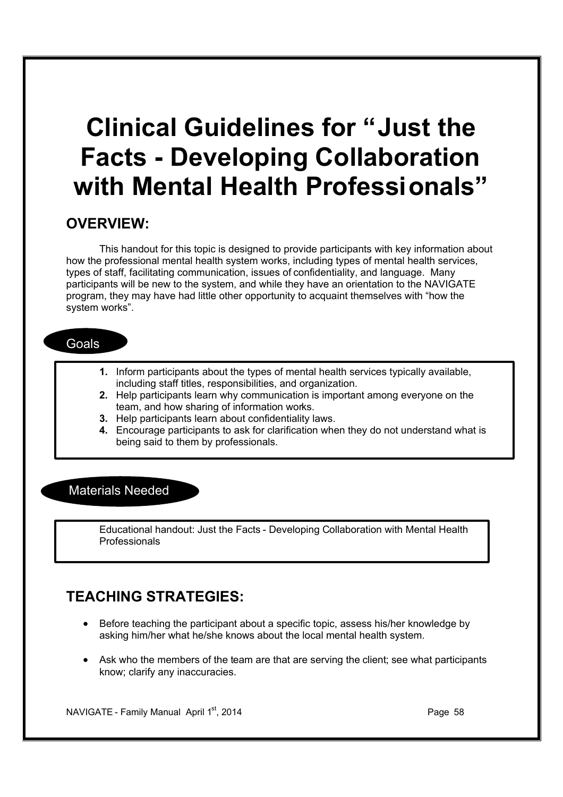# **Clinical Guidelines for "Just the Facts - Developing Collaboration with Mental Health Professionals"**

#### **OVERVIEW:**

This handout for this topic is designed to provide participants with key information about how the professional mental health system works, including types of mental health services, types of staff, facilitating communication, issues of confidentiality, and language. Many participants will be new to the system, and while they have an orientation to the NAVIGATE program, they may have had little other opportunity to acquaint themselves with "how the system works".

#### **Goals**

- **1.** Inform participants about the types of mental health services typically available, including staff titles, responsibilities, and organization.
- **2.** Help participants learn why communication is important among everyone on the team, and how sharing of information works.
- **3.** Help participants learn about confidentiality laws.
- **4.** Encourage participants to ask for clarification when they do not understand what is being said to them by professionals.

#### Materials Needed

Educational handout: Just the Facts - Developing Collaboration with Mental Health Professionals

## **TEACHING STRATEGIES:**

- Before teaching the participant about a specific topic, assess his/her knowledge by asking him/her what he/she knows about the local mental health system.
- Ask who the members of the team are that are serving the client; see what participants know; clarify any inaccuracies.

NAVIGATE - Family Manual April  $1<sup>st</sup>$ , 2014 **Page 18** Page 58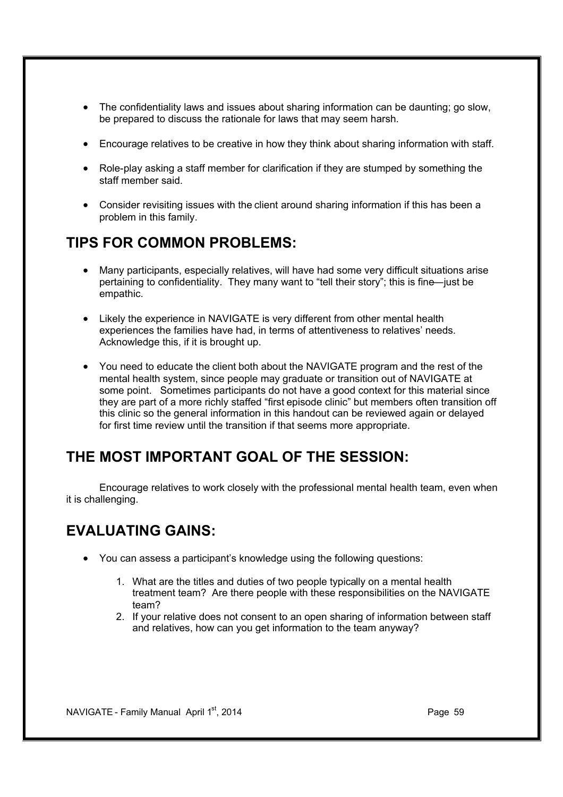- The confidentiality laws and issues about sharing information can be daunting; go slow, be prepared to discuss the rationale for laws that may seem harsh.
- · Encourage relatives to be creative in how they think about sharing information with staff.
- · Role-play asking a staff member for clarification if they are stumped by something the staff member said.
- · Consider revisiting issues with the client around sharing information if this has been a problem in this family.

### **TIPS FOR COMMON PROBLEMS:**

- · Many participants, especially relatives, will have had some very difficult situations arise pertaining to confidentiality. They many want to "tell their story"; this is fine—just be empathic.
- · Likely the experience in NAVIGATE is very different from other mental health experiences the families have had, in terms of attentiveness to relatives' needs. Acknowledge this, if it is brought up.
- · You need to educate the client both about the NAVIGATE program and the rest of the mental health system, since people may graduate or transition out of NAVIGATE at some point. Sometimes participants do not have a good context for this material since they are part of a more richly staffed "first episode clinic" but members often transition off this clinic so the general information in this handout can be reviewed again or delayed for first time review until the transition if that seems more appropriate.

## **THE MOST IMPORTANT GOAL OF THE SESSION:**

Encourage relatives to work closely with the professional mental health team, even when it is challenging.

- · You can assess a participant's knowledge using the following questions:
	- 1. What are the titles and duties of two people typically on a mental health treatment team? Are there people with these responsibilities on the NAVIGATE team?
	- 2. If your relative does not consent to an open sharing of information between staff and relatives, how can you get information to the team anyway?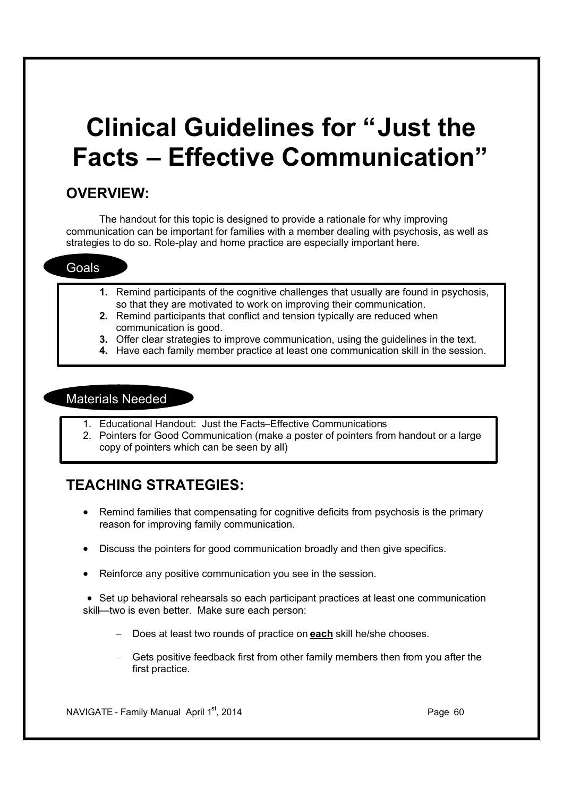# **Clinical Guidelines for "Just the Facts – Effective Communication"**

### **OVERVIEW:**

The handout for this topic is designed to provide a rationale for why improving communication can be important for families with a member dealing with psychosis, as well as strategies to do so. Role-play and home practice are especially important here.

#### Goals

- **1.** Remind participants of the cognitive challenges that usually are found in psychosis, so that they are motivated to work on improving their communication.
- **2.** Remind participants that conflict and tension typically are reduced when communication is good.
- **3.** Offer clear strategies to improve communication, using the guidelines in the text.
- **4.** Have each family member practice at least one communication skill in the session.

#### Materials Needed

- 1. Educational Handout: Just the Facts–Effective Communications
- 2. Pointers for Good Communication (make a poster of pointers from handout or a large copy of pointers which can be seen by all)

## **TEACHING STRATEGIES:**

- Remind families that compensating for cognitive deficits from psychosis is the primary reason for improving family communication.
- · Discuss the pointers for good communication broadly and then give specifics.
- Reinforce any positive communication you see in the session.
- · Set up behavioral rehearsals so each participant practices at least one communication skill—two is even better. Make sure each person:
	- Does at least two rounds of practice on **each** skill he/she chooses.
	- Gets positive feedback first from other family members then from you after the first practice.

NAVIGATE - Family Manual April 1st, 2014 **Page 19th Contract Contract Contract Contract Contract Page 60**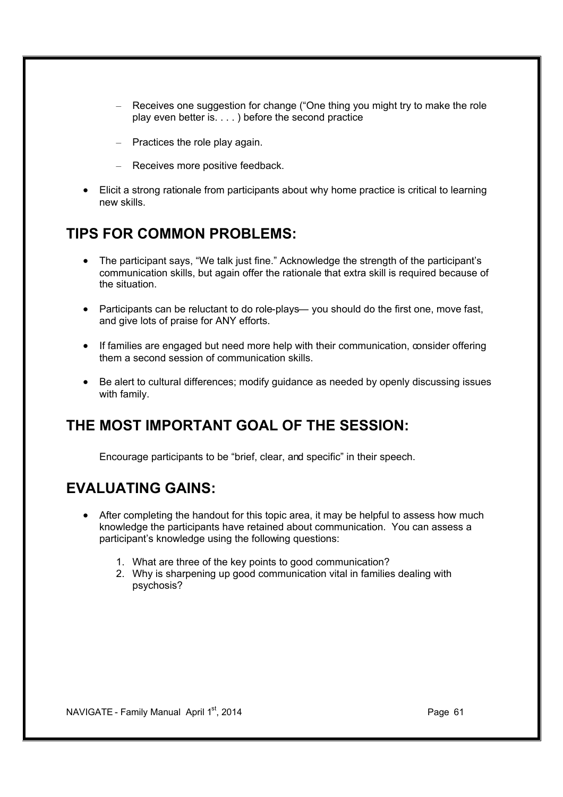- Receives one suggestion for change ("One thing you might try to make the role play even better is. . . . ) before the second practice
- $-$  Practices the role play again.
- Receives more positive feedback.
- Elicit a strong rationale from participants about why home practice is critical to learning new skills.

### **TIPS FOR COMMON PROBLEMS:**

- · The participant says, "We talk just fine." Acknowledge the strength of the participant's communication skills, but again offer the rationale that extra skill is required because of the situation.
- · Participants can be reluctant to do role-plays— you should do the first one, move fast, and give lots of praise for ANY efforts.
- If families are engaged but need more help with their communication, consider offering them a second session of communication skills.
- · Be alert to cultural differences; modify guidance as needed by openly discussing issues with family.

#### **THE MOST IMPORTANT GOAL OF THE SESSION:**

Encourage participants to be "brief, clear, and specific" in their speech.

- After completing the handout for this topic area, it may be helpful to assess how much knowledge the participants have retained about communication. You can assess a participant's knowledge using the following questions:
	- 1. What are three of the key points to good communication?
	- 2. Why is sharpening up good communication vital in families dealing with psychosis?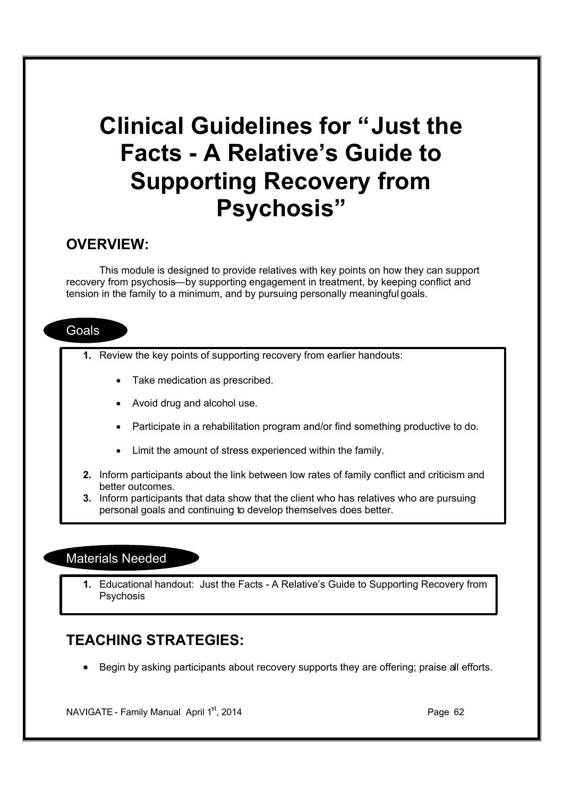## **Clinical Guidelines for "Just the Facts - A Relative's Guide to Supporting Recovery from Psychosis"**

#### **OVERVIEW:**

This module is designed to provide relatives with key points on how they can support recovery from psychosis—by supporting engagement in treatment, by keeping conflict and tension in the family to a minimum, and by pursuing personally meaningful goals.

#### **Goals**

- **1.** Review the key points of supporting recovery from earlier handouts:
	- Take medication as prescribed.
	- · Avoid drug and alcohol use.
	- · Participate in a rehabilitation program and/or find something productive to do.
	- · Limit the amount of stress experienced within the family.
- **2.** Inform participants about the link between low rates of family conflict and criticism and better outcomes.
- **3.** Inform participants that data show that the client who has relatives who are pursuing personal goals and continuing to develop themselves does better.

#### Materials Needed

**1.** Educational handout: Just the Facts - A Relative's Guide to Supporting Recovery from **Psychosis** 

### **TEACHING STRATEGIES:**

· Begin by asking participants about recovery supports they are offering; praise all efforts.

NAVIGATE - Family Manual April  $1<sup>st</sup>$ , 2014 **Page 62 Page 62**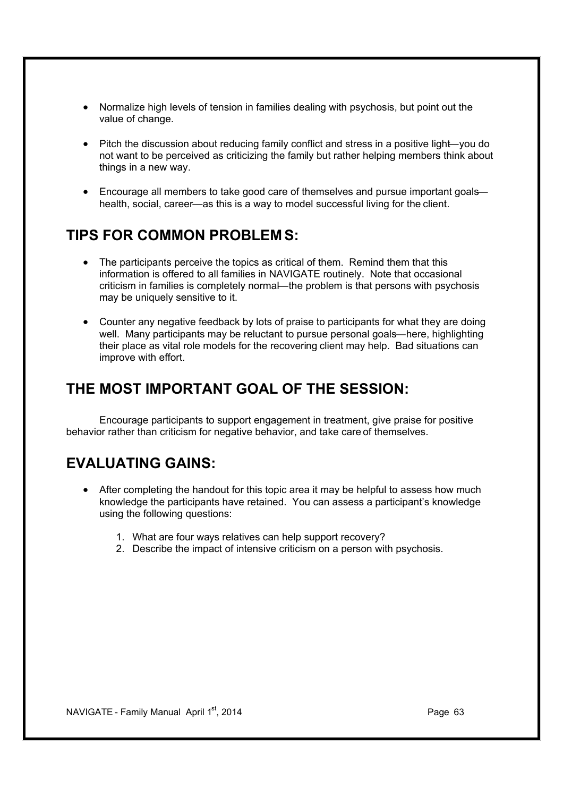- · Normalize high levels of tension in families dealing with psychosis, but point out the value of change.
- Pitch the discussion about reducing family conflict and stress in a positive light—you do not want to be perceived as criticizing the family but rather helping members think about things in a new way.
- · Encourage all members to take good care of themselves and pursue important goals health, social, career—as this is a way to model successful living for the client.

#### **TIPS FOR COMMON PROBLEM S:**

- The participants perceive the topics as critical of them. Remind them that this information is offered to all families in NAVIGATE routinely. Note that occasional criticism in families is completely normal—the problem is that persons with psychosis may be uniquely sensitive to it.
- Counter any negative feedback by lots of praise to participants for what they are doing well. Many participants may be reluctant to pursue personal goals—here, highlighting their place as vital role models for the recovering client may help. Bad situations can improve with effort.

### **THE MOST IMPORTANT GOAL OF THE SESSION:**

Encourage participants to support engagement in treatment, give praise for positive behavior rather than criticism for negative behavior, and take care of themselves.

- After completing the handout for this topic area it may be helpful to assess how much knowledge the participants have retained. You can assess a participant's knowledge using the following questions:
	- 1. What are four ways relatives can help support recovery?
	- 2. Describe the impact of intensive criticism on a person with psychosis.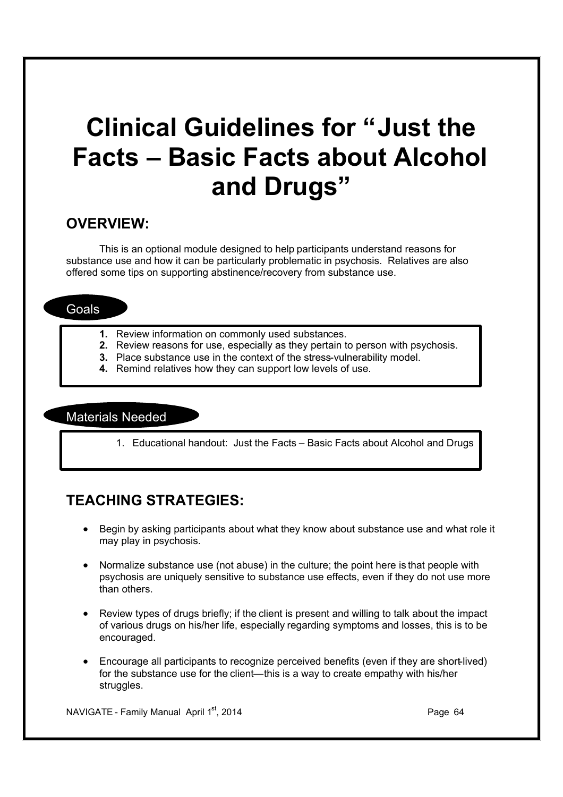# **Clinical Guidelines for "Just the Facts – Basic Facts about Alcohol and Drugs"**

#### **OVERVIEW:**

This is an optional module designed to help participants understand reasons for substance use and how it can be particularly problematic in psychosis. Relatives are also offered some tips on supporting abstinence/recovery from substance use.

#### **Goals**

- **1.** Review information on commonly used substances.
- **2.** Review reasons for use, especially as they pertain to person with psychosis.
- **3.** Place substance use in the context of the stress-vulnerability model.
- **4.** Remind relatives how they can support low levels of use.

#### Materials Needed

1. Educational handout: Just the Facts – Basic Facts about Alcohol and Drugs

## **TEACHING STRATEGIES:**

- · Begin by asking participants about what they know about substance use and what role it may play in psychosis.
- · Normalize substance use (not abuse) in the culture; the point here is that people with psychosis are uniquely sensitive to substance use effects, even if they do not use more than others.
- Review types of drugs briefly; if the client is present and willing to talk about the impact of various drugs on his/her life, especially regarding symptoms and losses, this is to be encouraged.
- · Encourage all participants to recognize perceived benefits (even if they are short-lived) for the substance use for the client—this is a way to create empathy with his/her struggles.

NAVIGATE - Family Manual April 1<sup>st</sup>, 2014 **Page 12 and April 1st and April 1st and April 1st and April 1st and April 1st and April 1st and April 1st and April 1st and April 1st and April 1st and April 1st and April 1st an**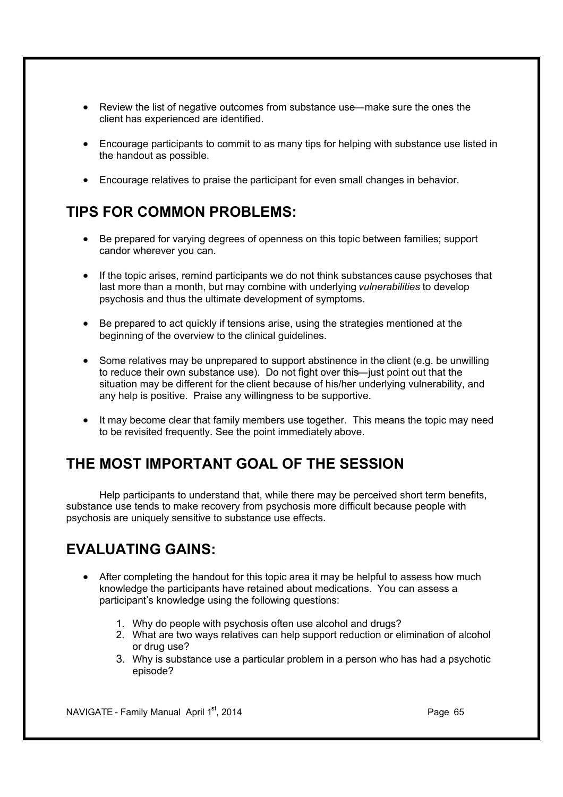- Review the list of negative outcomes from substance use—make sure the ones the client has experienced are identified.
- · Encourage participants to commit to as many tips for helping with substance use listed in the handout as possible.
- · Encourage relatives to praise the participant for even small changes in behavior.

## **TIPS FOR COMMON PROBLEMS:**

- · Be prepared for varying degrees of openness on this topic between families; support candor wherever you can.
- · If the topic arises, remind participants we do not think substances cause psychoses that last more than a month, but may combine with underlying *vulnerabilities* to develop psychosis and thus the ultimate development of symptoms.
- · Be prepared to act quickly if tensions arise, using the strategies mentioned at the beginning of the overview to the clinical guidelines.
- Some relatives may be unprepared to support abstinence in the client (e.g. be unwilling to reduce their own substance use). Do not fight over this—just point out that the situation may be different for the client because of his/her underlying vulnerability, and any help is positive. Praise any willingness to be supportive.
- · It may become clear that family members use together. This means the topic may need to be revisited frequently. See the point immediately above.

## **THE MOST IMPORTANT GOAL OF THE SESSION**

Help participants to understand that, while there may be perceived short term benefits, substance use tends to make recovery from psychosis more difficult because people with psychosis are uniquely sensitive to substance use effects.

## **EVALUATING GAINS:**

- After completing the handout for this topic area it may be helpful to assess how much knowledge the participants have retained about medications. You can assess a participant's knowledge using the following questions:
	- 1. Why do people with psychosis often use alcohol and drugs?
	- 2. What are two ways relatives can help support reduction or elimination of alcohol or drug use?
	- 3. Why is substance use a particular problem in a person who has had a psychotic episode?

NAVIGATE - Family Manual April 1st, 2014 **Page 65** Page 65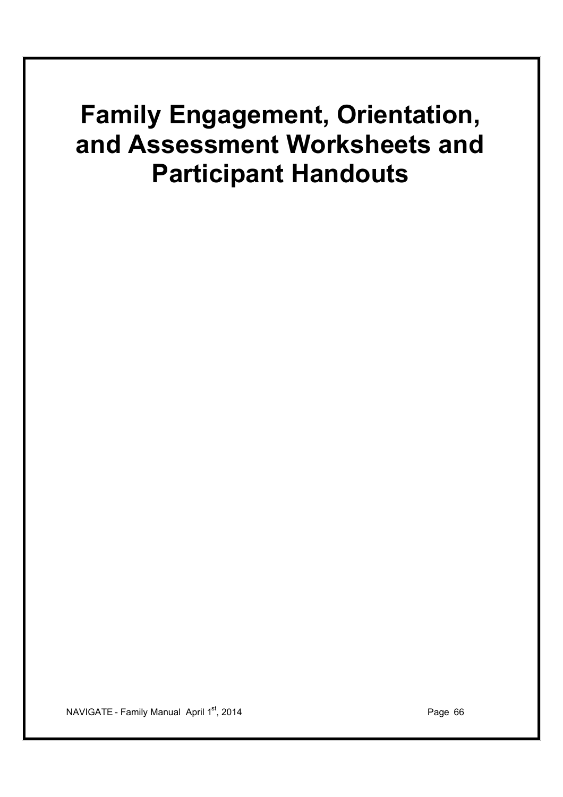# **Family Engagement, Orientation, and Assessment Worksheets and Participant Handouts**

NAVIGATE - Family Manual April 1<sup>st</sup>, 2014 **Page 19th Page 12th Page 12th Page 66**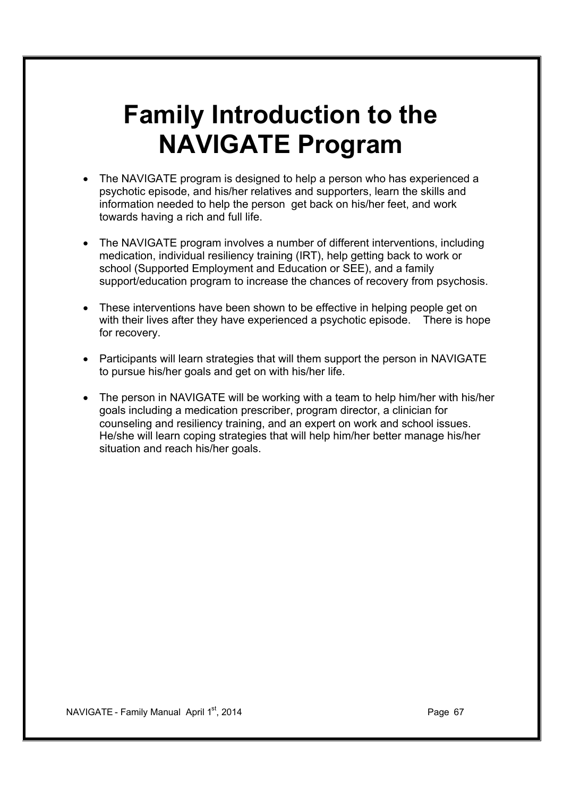# **Family Introduction to the NAVIGATE Program**

- The NAVIGATE program is designed to help a person who has experienced a psychotic episode, and his/her relatives and supporters, learn the skills and information needed to help the person get back on his/her feet, and work towards having a rich and full life.
- The NAVIGATE program involves a number of different interventions, including medication, individual resiliency training (IRT), help getting back to work or school (Supported Employment and Education or SEE), and a family support/education program to increase the chances of recovery from psychosis.
- · These interventions have been shown to be effective in helping people get on with their lives after they have experienced a psychotic episode. There is hope for recovery.
- · Participants will learn strategies that will them support the person in NAVIGATE to pursue his/her goals and get on with his/her life.
- · The person in NAVIGATE will be working with a team to help him/her with his/her goals including a medication prescriber, program director, a clinician for counseling and resiliency training, and an expert on work and school issues. He/she will learn coping strategies that will help him/her better manage his/her situation and reach his/her goals.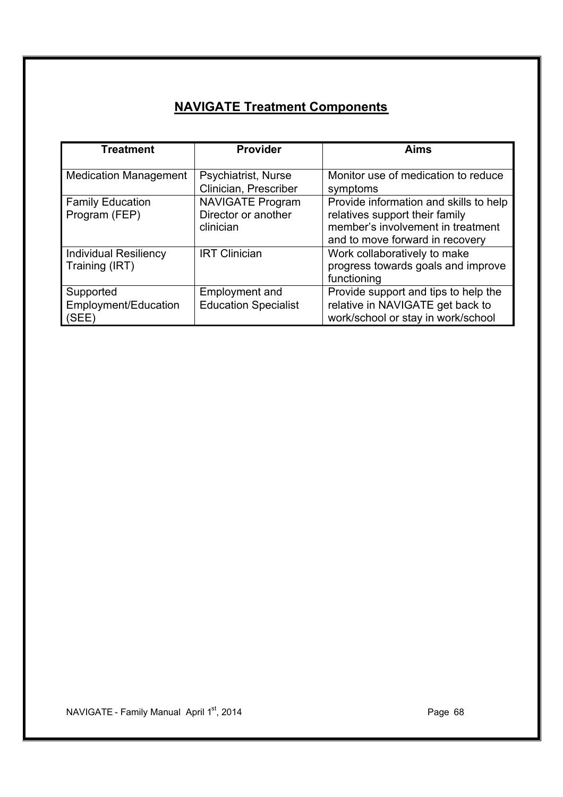## **NAVIGATE Treatment Components**

| <b>Treatment</b>                               | <b>Provider</b>                                             | <b>Aims</b>                                                                                                                                      |
|------------------------------------------------|-------------------------------------------------------------|--------------------------------------------------------------------------------------------------------------------------------------------------|
| <b>Medication Management</b>                   | Psychiatrist, Nurse<br>Clinician, Prescriber                | Monitor use of medication to reduce<br>symptoms                                                                                                  |
| <b>Family Education</b><br>Program (FEP)       | <b>NAVIGATE Program</b><br>Director or another<br>clinician | Provide information and skills to help<br>relatives support their family<br>member's involvement in treatment<br>and to move forward in recovery |
| <b>Individual Resiliency</b><br>Training (IRT) | <b>IRT Clinician</b>                                        | Work collaboratively to make<br>progress towards goals and improve<br>functioning                                                                |
| Supported<br>Employment/Education<br>(SEE)     | <b>Employment and</b><br><b>Education Specialist</b>        | Provide support and tips to help the<br>relative in NAVIGATE get back to<br>work/school or stay in work/school                                   |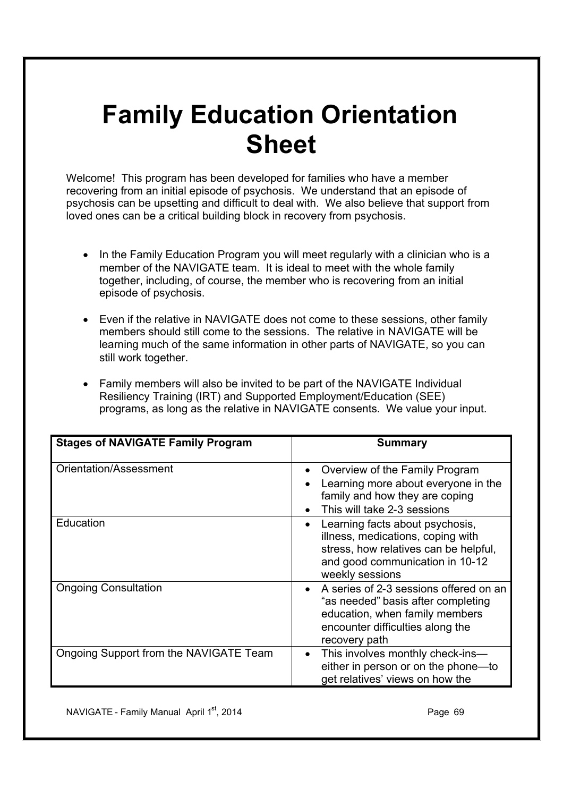# **Family Education Orientation Sheet**

Welcome! This program has been developed for families who have a member recovering from an initial episode of psychosis. We understand that an episode of psychosis can be upsetting and difficult to deal with. We also believe that support from loved ones can be a critical building block in recovery from psychosis.

- · In the Family Education Program you will meet regularly with a clinician who is a member of the NAVIGATE team. It is ideal to meet with the whole family together, including, of course, the member who is recovering from an initial episode of psychosis.
- · Even if the relative in NAVIGATE does not come to these sessions, other family members should still come to the sessions. The relative in NAVIGATE will be learning much of the same information in other parts of NAVIGATE, so you can still work together.
- · Family members will also be invited to be part of the NAVIGATE Individual Resiliency Training (IRT) and Supported Employment/Education (SEE) programs, as long as the relative in NAVIGATE consents. We value your input.

| <b>Stages of NAVIGATE Family Program</b> | <b>Summary</b>                                                                                                                                                                   |
|------------------------------------------|----------------------------------------------------------------------------------------------------------------------------------------------------------------------------------|
| Orientation/Assessment                   | Overview of the Family Program<br>$\bullet$                                                                                                                                      |
|                                          | Learning more about everyone in the<br>family and how they are coping                                                                                                            |
|                                          | This will take 2-3 sessions                                                                                                                                                      |
| Education                                | Learning facts about psychosis,<br>$\bullet$<br>illness, medications, coping with<br>stress, how relatives can be helpful,<br>and good communication in 10-12<br>weekly sessions |
| <b>Ongoing Consultation</b>              | A series of 2-3 sessions offered on an<br>$\bullet$<br>"as needed" basis after completing<br>education, when family members<br>encounter difficulties along the<br>recovery path |
| Ongoing Support from the NAVIGATE Team   | This involves monthly check-ins-<br>$\bullet$<br>either in person or on the phone-to<br>get relatives' views on how the                                                          |

NAVIGATE - Family Manual April 1st, 2014 **Page 19th** Page 69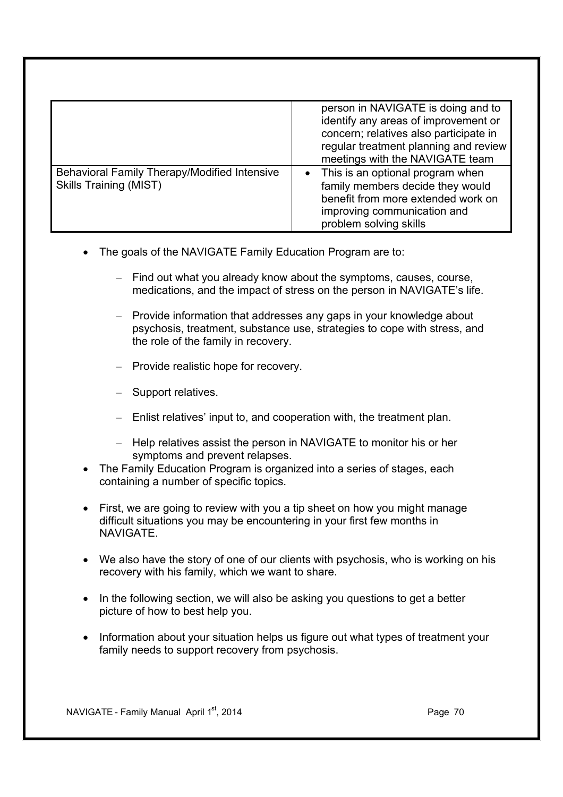|                                                                               | person in NAVIGATE is doing and to<br>identify any areas of improvement or<br>concern; relatives also participate in<br>regular treatment planning and review<br>meetings with the NAVIGATE team |
|-------------------------------------------------------------------------------|--------------------------------------------------------------------------------------------------------------------------------------------------------------------------------------------------|
| Behavioral Family Therapy/Modified Intensive<br><b>Skills Training (MIST)</b> | • This is an optional program when<br>family members decide they would<br>benefit from more extended work on<br>improving communication and<br>problem solving skills                            |

- The goals of the NAVIGATE Family Education Program are to:
	- Find out what you already know about the symptoms, causes, course, medications, and the impact of stress on the person in NAVIGATE's life.
	- Provide information that addresses any gaps in your knowledge about psychosis, treatment, substance use, strategies to cope with stress, and the role of the family in recovery.
	- Provide realistic hope for recovery.
	- Support relatives.
	- Enlist relatives' input to, and cooperation with, the treatment plan.
	- Help relatives assist the person in NAVIGATE to monitor his or her symptoms and prevent relapses.
- · The Family Education Program is organized into a series of stages, each containing a number of specific topics.
- First, we are going to review with you a tip sheet on how you might manage difficult situations you may be encountering in your first few months in NAVIGATE.
- · We also have the story of one of our clients with psychosis, who is working on his recovery with his family, which we want to share.
- In the following section, we will also be asking you questions to get a better picture of how to best help you.
- · Information about your situation helps us figure out what types of treatment your family needs to support recovery from psychosis.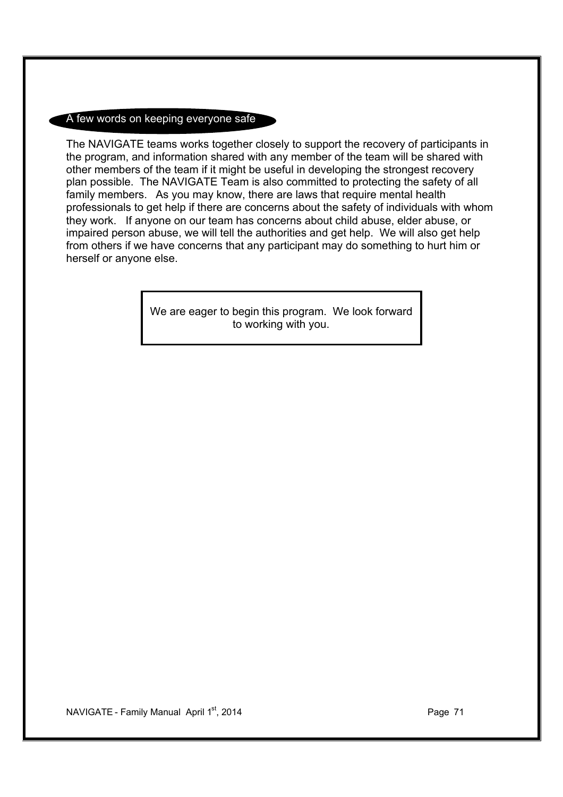#### A few words on keeping everyone safe

The NAVIGATE teams works together closely to support the recovery of participants in the program, and information shared with any member of the team will be shared with other members of the team if it might be useful in developing the strongest recovery plan possible. The NAVIGATE Team is also committed to protecting the safety of all family members. As you may know, there are laws that require mental health professionals to get help if there are concerns about the safety of individuals with whom they work. If anyone on our team has concerns about child abuse, elder abuse, or impaired person abuse, we will tell the authorities and get help. We will also get help from others if we have concerns that any participant may do something to hurt him or herself or anyone else.

> We are eager to begin this program. We look forward to working with you.

NAVIGATE - Family Manual April 1<sup>st</sup>, 2014 **Page 71** Page 71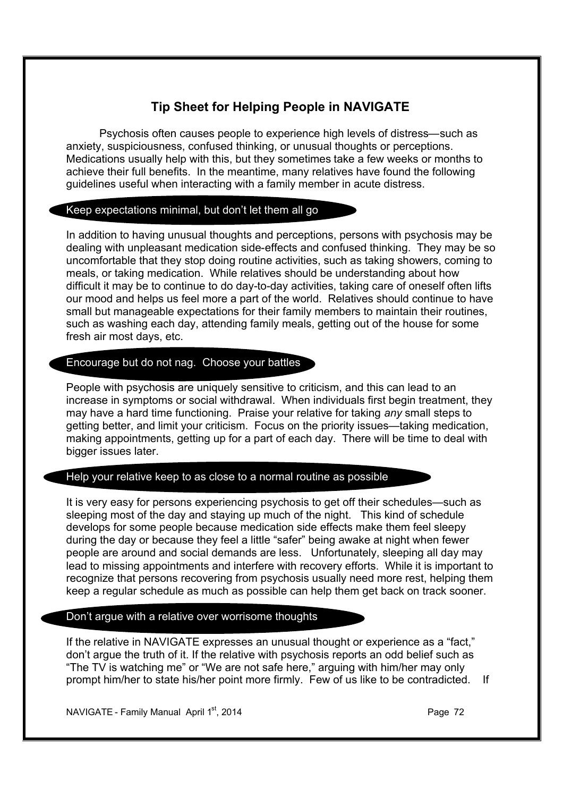#### **Tip Sheet for Helping People in NAVIGATE**

Psychosis often causes people to experience high levels of distress—such as anxiety, suspiciousness, confused thinking, or unusual thoughts or perceptions. Medications usually help with this, but they sometimes take a few weeks or months to achieve their full benefits. In the meantime, many relatives have found the following guidelines useful when interacting with a family member in acute distress.

#### Keep expectations minimal, but don't let them all go

In addition to having unusual thoughts and perceptions, persons with psychosis may be dealing with unpleasant medication side-effects and confused thinking. They may be so uncomfortable that they stop doing routine activities, such as taking showers, coming to meals, or taking medication. While relatives should be understanding about how difficult it may be to continue to do day-to-day activities, taking care of oneself often lifts our mood and helps us feel more a part of the world. Relatives should continue to have small but manageable expectations for their family members to maintain their routines, such as washing each day, attending family meals, getting out of the house for some fresh air most days, etc.

#### Encourage but do not nag. Choose your battles

People with psychosis are uniquely sensitive to criticism, and this can lead to an increase in symptoms or social withdrawal. When individuals first begin treatment, they may have a hard time functioning. Praise your relative for taking *any* small steps to getting better, and limit your criticism. Focus on the priority issues—taking medication, making appointments, getting up for a part of each day. There will be time to deal with bigger issues later.

#### Help your relative keep to as close to a normal routine as possible

It is very easy for persons experiencing psychosis to get off their schedules—such as sleeping most of the day and staying up much of the night. This kind of schedule develops for some people because medication side effects make them feel sleepy during the day or because they feel a little "safer" being awake at night when fewer people are around and social demands are less. Unfortunately, sleeping all day may lead to missing appointments and interfere with recovery efforts. While it is important to recognize that persons recovering from psychosis usually need more rest, helping them keep a regular schedule as much as possible can help them get back on track sooner.

#### Don't argue with a relative over worrisome thoughts

If the relative in NAVIGATE expresses an unusual thought or experience as a "fact," don't argue the truth of it. If the relative with psychosis reports an odd belief such as "The TV is watching me" or "We are not safe here," arguing with him/her may only prompt him/her to state his/her point more firmly. Few of us like to be contradicted. If

NAVIGATE - Family Manual April  $1^{st}$ , 2014 **Page 72 Page 72**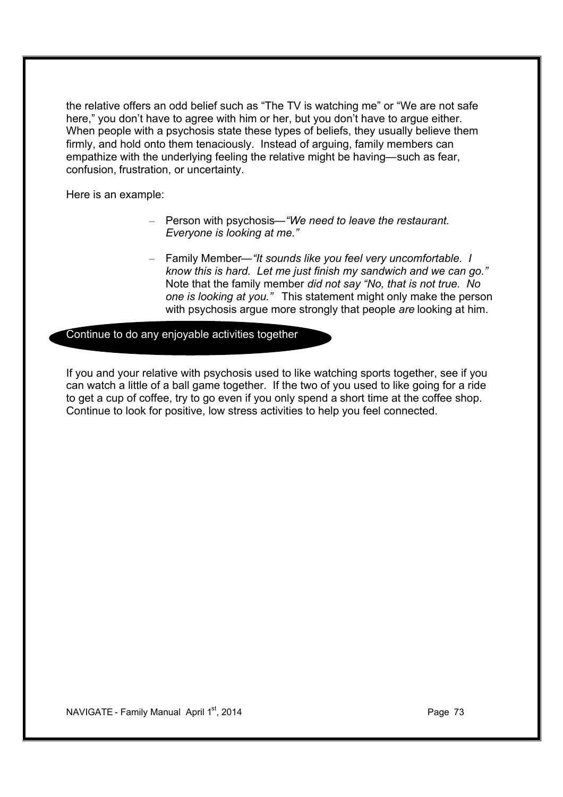the relative offers an odd belief such as "The TV is watching me" or "We are not safe here," you don't have to agree with him or her, but you don't have to argue either. When people with a psychosis state these types of beliefs, they usually believe them firmly, and hold onto them tenaciously. Instead of arguing, family members can empathize with the underlying feeling the relative might be having—such as fear, confusion, frustration, or uncertainty.

Here is an example:

- Person with psychosis*—"We need to leave the restaurant. Everyone is looking at me."*
- Family Member*—"It sounds like you feel very uncomfortable. I know this is hard. Let me just finish my sandwich and we can go."* Note that the family member *did not say "No, that is not true. No one is looking at you."* This statement might only make the person with psychosis argue more strongly that people *are* looking at him.

Continue to do any enjoyable activities together

If you and your relative with psychosis used to like watching sports together, see if you can watch a little of a ball game together. If the two of you used to like going for a ride to get a cup of coffee, try to go even if you only spend a short time at the coffee shop. Continue to look for positive, low stress activities to help you feel connected.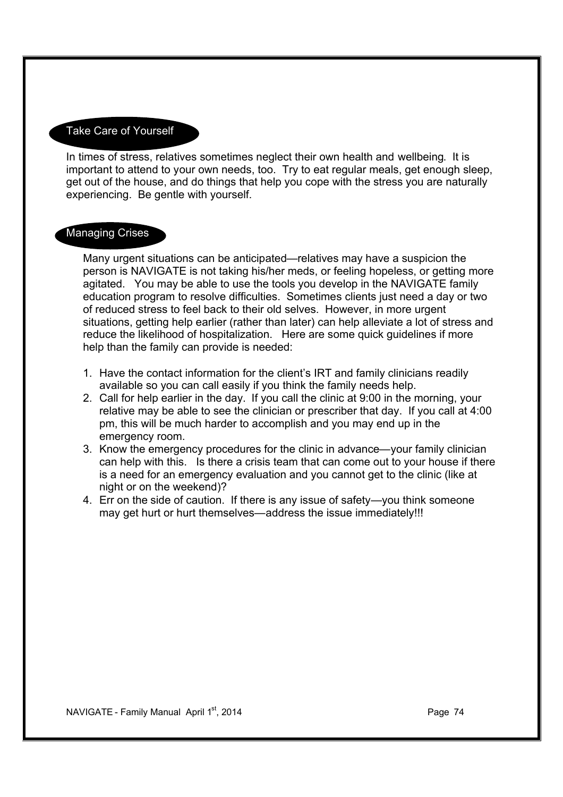### Take Care of Yourself

In times of stress, relatives sometimes neglect their own health and wellbeing. It is important to attend to your own needs, too. Try to eat regular meals, get enough sleep, get out of the house, and do things that help you cope with the stress you are naturally experiencing. Be gentle with yourself.

### **Managing Crises**

Many urgent situations can be anticipated—relatives may have a suspicion the person is NAVIGATE is not taking his/her meds, or feeling hopeless, or getting more agitated. You may be able to use the tools you develop in the NAVIGATE family education program to resolve difficulties. Sometimes clients just need a day or two of reduced stress to feel back to their old selves. However, in more urgent situations, getting help earlier (rather than later) can help alleviate a lot of stress and reduce the likelihood of hospitalization. Here are some quick guidelines if more help than the family can provide is needed:

- 1. Have the contact information for the client's IRT and family clinicians readily available so you can call easily if you think the family needs help.
- 2. Call for help earlier in the day. If you call the clinic at 9:00 in the morning, your relative may be able to see the clinician or prescriber that day. If you call at 4:00 pm, this will be much harder to accomplish and you may end up in the emergency room.
- 3. Know the emergency procedures for the clinic in advance—your family clinician can help with this. Is there a crisis team that can come out to your house if there is a need for an emergency evaluation and you cannot get to the clinic (like at night or on the weekend)?
- 4. Err on the side of caution. If there is any issue of safety—you think someone may get hurt or hurt themselves—address the issue immediately!!!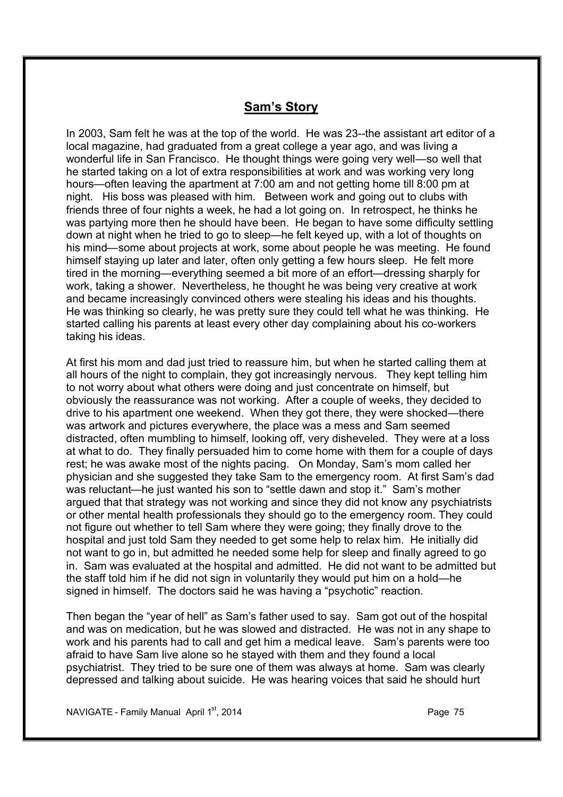## **Sam's Story**

In 2003, Sam felt he was at the top of the world. He was 23--the assistant art editor of a local magazine, had graduated from a great college a year ago, and was living a wonderful life in San Francisco. He thought things were going very well—so well that he started taking on a lot of extra responsibilities at work and was working very long hours—often leaving the apartment at 7:00 am and not getting home till 8:00 pm at night. His boss was pleased with him. Between work and going out to clubs with friends three of four nights a week, he had a lot going on. In retrospect, he thinks he was partying more then he should have been. He began to have some difficulty settling down at night when he tried to go to sleep—he felt keyed up, with a lot of thoughts on his mind—some about projects at work, some about people he was meeting. He found himself staying up later and later, often only getting a few hours sleep. He felt more tired in the morning—everything seemed a bit more of an effort—dressing sharply for work, taking a shower. Nevertheless, he thought he was being very creative at work and became increasingly convinced others were stealing his ideas and his thoughts. He was thinking so clearly, he was pretty sure they could tell what he was thinking. He started calling his parents at least every other day complaining about his co-workers taking his ideas.

At first his mom and dad just tried to reassure him, but when he started calling them at all hours of the night to complain, they got increasingly nervous. They kept telling him to not worry about what others were doing and just concentrate on himself, but obviously the reassurance was not working. After a couple of weeks, they decided to drive to his apartment one weekend. When they got there, they were shocked—there was artwork and pictures everywhere, the place was a mess and Sam seemed distracted, often mumbling to himself, looking off, very disheveled. They were at a loss at what to do. They finally persuaded him to come home with them for a couple of days rest; he was awake most of the nights pacing. On Monday, Sam's mom called her physician and she suggested they take Sam to the emergency room. At first Sam's dad was reluctant—he just wanted his son to "settle dawn and stop it." Sam's mother argued that that strategy was not working and since they did not know any psychiatrists or other mental health professionals they should go to the emergency room. They could not figure out whether to tell Sam where they were going; they finally drove to the hospital and just told Sam they needed to get some help to relax him. He initially did not want to go in, but admitted he needed some help for sleep and finally agreed to go in. Sam was evaluated at the hospital and admitted. He did not want to be admitted but the staff told him if he did not sign in voluntarily they would put him on a hold—he signed in himself. The doctors said he was having a "psychotic" reaction.

Then began the "year of hell" as Sam's father used to say. Sam got out of the hospital and was on medication, but he was slowed and distracted. He was not in any shape to work and his parents had to call and get him a medical leave. Sam's parents were too afraid to have Sam live alone so he stayed with them and they found a local psychiatrist. They tried to be sure one of them was always at home. Sam was clearly depressed and talking about suicide. He was hearing voices that said he should hurt

NAVIGATE - Family Manual April 1st, 2014 **Page 75** Page 75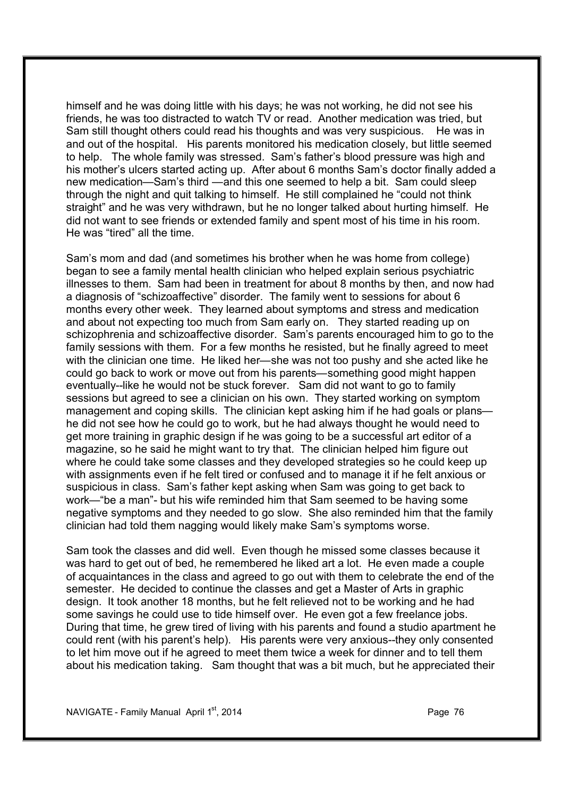himself and he was doing little with his days; he was not working, he did not see his friends, he was too distracted to watch TV or read. Another medication was tried, but Sam still thought others could read his thoughts and was very suspicious. He was in and out of the hospital. His parents monitored his medication closely, but little seemed to help. The whole family was stressed. Sam's father's blood pressure was high and his mother's ulcers started acting up. After about 6 months Sam's doctor finally added a new medication—Sam's third —and this one seemed to help a bit. Sam could sleep through the night and quit talking to himself. He still complained he "could not think straight" and he was very withdrawn, but he no longer talked about hurting himself. He did not want to see friends or extended family and spent most of his time in his room. He was "tired" all the time.

Sam's mom and dad (and sometimes his brother when he was home from college) began to see a family mental health clinician who helped explain serious psychiatric illnesses to them. Sam had been in treatment for about 8 months by then, and now had a diagnosis of "schizoaffective" disorder. The family went to sessions for about 6 months every other week. They learned about symptoms and stress and medication and about not expecting too much from Sam early on. They started reading up on schizophrenia and schizoaffective disorder. Sam's parents encouraged him to go to the family sessions with them. For a few months he resisted, but he finally agreed to meet with the clinician one time. He liked her—she was not too pushy and she acted like he could go back to work or move out from his parents—something good might happen eventually--like he would not be stuck forever. Sam did not want to go to family sessions but agreed to see a clinician on his own. They started working on symptom management and coping skills. The clinician kept asking him if he had goals or plans he did not see how he could go to work, but he had always thought he would need to get more training in graphic design if he was going to be a successful art editor of a magazine, so he said he might want to try that. The clinician helped him figure out where he could take some classes and they developed strategies so he could keep up with assignments even if he felt tired or confused and to manage it if he felt anxious or suspicious in class. Sam's father kept asking when Sam was going to get back to work—"be a man"- but his wife reminded him that Sam seemed to be having some negative symptoms and they needed to go slow. She also reminded him that the family clinician had told them nagging would likely make Sam's symptoms worse.

Sam took the classes and did well. Even though he missed some classes because it was hard to get out of bed, he remembered he liked art a lot. He even made a couple of acquaintances in the class and agreed to go out with them to celebrate the end of the semester. He decided to continue the classes and get a Master of Arts in graphic design. It took another 18 months, but he felt relieved not to be working and he had some savings he could use to tide himself over. He even got a few freelance jobs. During that time, he grew tired of living with his parents and found a studio apartment he could rent (with his parent's help). His parents were very anxious--they only consented to let him move out if he agreed to meet them twice a week for dinner and to tell them about his medication taking. Sam thought that was a bit much, but he appreciated their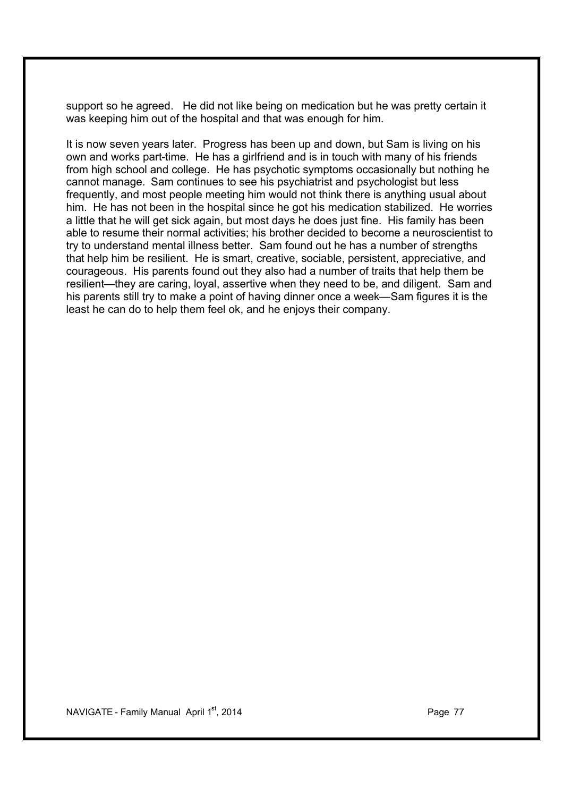support so he agreed. He did not like being on medication but he was pretty certain it was keeping him out of the hospital and that was enough for him.

It is now seven years later. Progress has been up and down, but Sam is living on his own and works part-time. He has a girlfriend and is in touch with many of his friends from high school and college. He has psychotic symptoms occasionally but nothing he cannot manage. Sam continues to see his psychiatrist and psychologist but less frequently, and most people meeting him would not think there is anything usual about him. He has not been in the hospital since he got his medication stabilized. He worries a little that he will get sick again, but most days he does just fine. His family has been able to resume their normal activities; his brother decided to become a neuroscientist to try to understand mental illness better. Sam found out he has a number of strengths that help him be resilient. He is smart, creative, sociable, persistent, appreciative, and courageous. His parents found out they also had a number of traits that help them be resilient—they are caring, loyal, assertive when they need to be, and diligent. Sam and his parents still try to make a point of having dinner once a week—Sam figures it is the least he can do to help them feel ok, and he enjoys their company.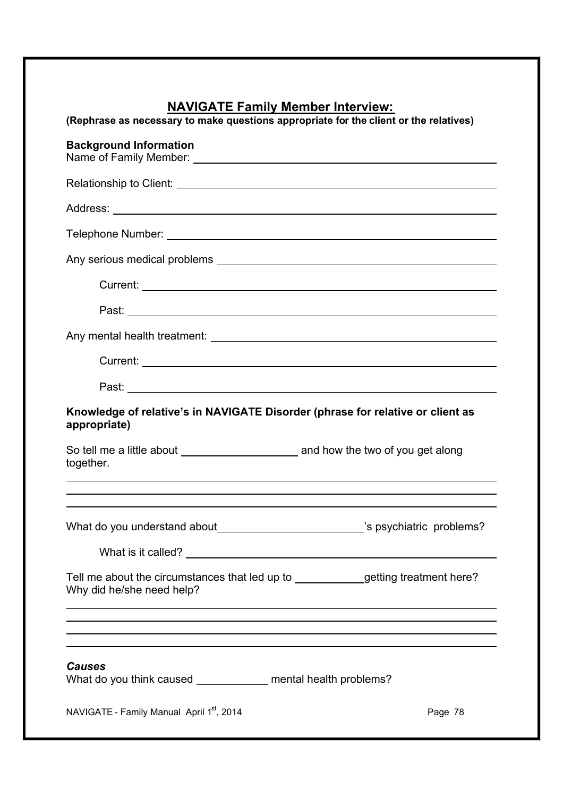## **NAVIGATE Family Member Interview:**

|                                                                                                                                                                                                                                                              | (Rephrase as necessary to make questions appropriate for the client or the relatives) |
|--------------------------------------------------------------------------------------------------------------------------------------------------------------------------------------------------------------------------------------------------------------|---------------------------------------------------------------------------------------|
| <b>Background Information</b>                                                                                                                                                                                                                                |                                                                                       |
|                                                                                                                                                                                                                                                              |                                                                                       |
|                                                                                                                                                                                                                                                              |                                                                                       |
|                                                                                                                                                                                                                                                              |                                                                                       |
|                                                                                                                                                                                                                                                              |                                                                                       |
|                                                                                                                                                                                                                                                              |                                                                                       |
|                                                                                                                                                                                                                                                              |                                                                                       |
|                                                                                                                                                                                                                                                              |                                                                                       |
|                                                                                                                                                                                                                                                              |                                                                                       |
|                                                                                                                                                                                                                                                              |                                                                                       |
| Knowledge of relative's in NAVIGATE Disorder (phrase for relative or client as<br>appropriate)                                                                                                                                                               |                                                                                       |
|                                                                                                                                                                                                                                                              |                                                                                       |
| together.                                                                                                                                                                                                                                                    |                                                                                       |
| ,我们也不会有什么。""我们的人,我们也不会有什么?""我们的人,我们也不会有什么?""我们的人,我们也不会有什么?""我们的人,我们也不会有什么?""我们的人<br>,我们也不会有什么。""我们的人,我们也不会有什么?""我们的人,我们也不会有什么?""我们的人,我们也不会有什么?""我们的人,我们也不会有什么?""我们的人<br>What do you understand about________________________________'s psychiatric problems? |                                                                                       |
| Tell me about the circumstances that led up to _____________getting treatment here?<br>Why did he/she need help?<br>,我们也不会有什么。""我们的人,我们也不会有什么?""我们的人,我们也不会有什么?""我们的人,我们也不会有什么?""我们的人,我们也不会有什么?""我们的人                                                         |                                                                                       |
| <b>Causes</b>                                                                                                                                                                                                                                                |                                                                                       |
| What do you think caused _____________ mental health problems?                                                                                                                                                                                               |                                                                                       |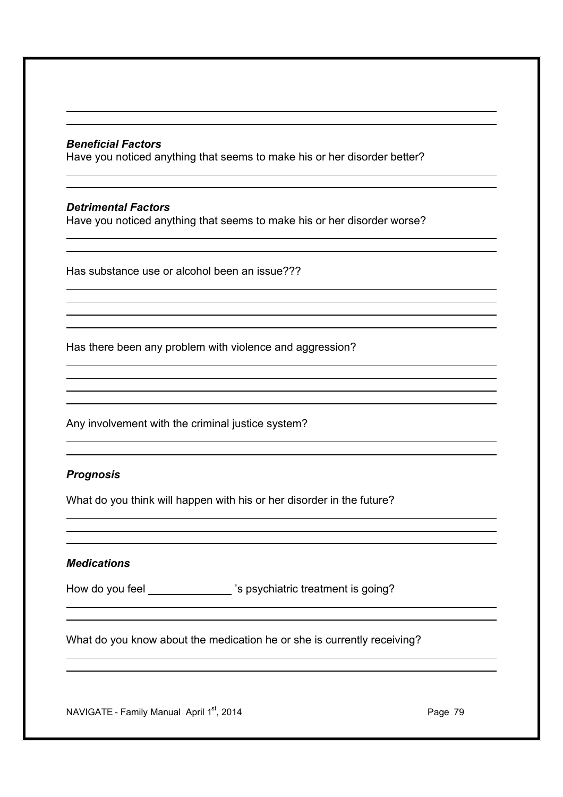#### *Beneficial Factors*

Have you noticed anything that seems to make his or her disorder better?

#### *Detrimental Factors*

Have you noticed anything that seems to make his or her disorder worse?

Has substance use or alcohol been an issue???

Has there been any problem with violence and aggression?

Any involvement with the criminal justice system?

#### *Prognosis*

What do you think will happen with his or her disorder in the future?

#### *Medications*

How do you feel \_\_\_\_\_\_\_\_\_\_\_\_\_\_'s psychiatric treatment is going?

What do you know about the medication he or she is currently receiving?

NAVIGATE - Family Manual April 1<sup>st</sup>, 2014 **Page 79** Page 79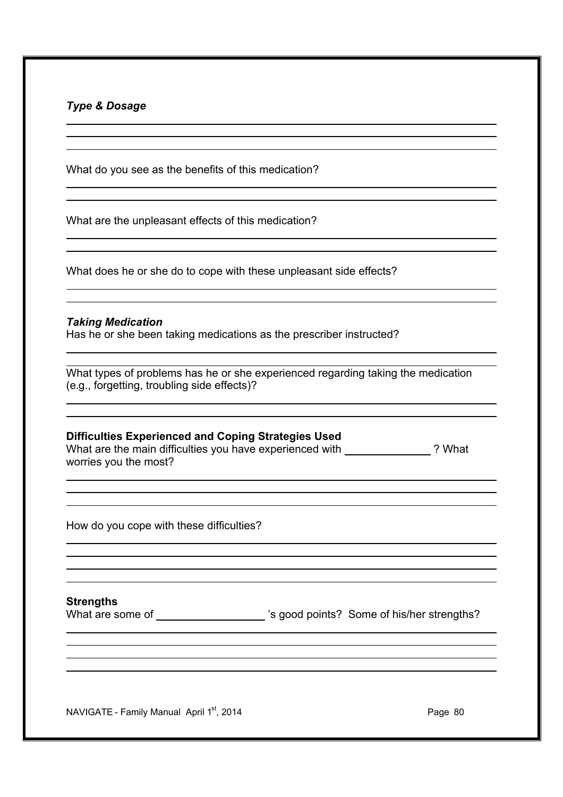### *Type & Dosage*

What do you see as the benefits of this medication?

What are the unpleasant effects of this medication?

What does he or she do to cope with these unpleasant side effects?

#### *Taking Medication*

Has he or she been taking medications as the prescriber instructed?

What types of problems has he or she experienced regarding taking the medication (e.g., forgetting, troubling side effects)?

#### **Difficulties Experienced and Coping Strategies Used**

What are the main difficulties you have experienced with ? What worries you the most?

How do you cope with these difficulties?

**Strengths**

What are some of \_\_\_\_\_\_\_\_\_\_\_\_\_\_\_\_\_\_\_\_\_'s good points? Some of his/her strengths?

NAVIGATE - Family Manual April 1<sup>st</sup>, 2014 **Page 1908** Page 80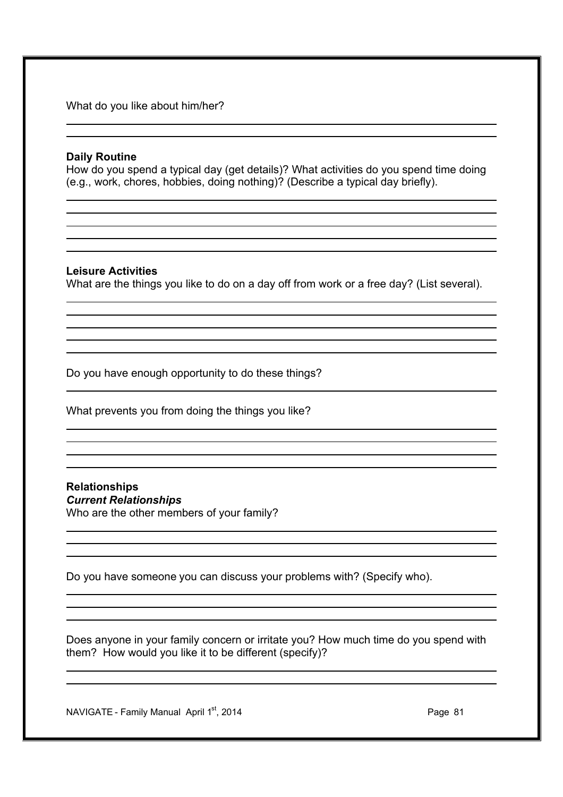What do you like about him/her?

#### **Daily Routine**

How do you spend a typical day (get details)? What activities do you spend time doing (e.g., work, chores, hobbies, doing nothing)? (Describe a typical day briefly).

#### **Leisure Activities**

What are the things you like to do on a day off from work or a free day? (List several).

Do you have enough opportunity to do these things?

What prevents you from doing the things you like?

#### **Relationships**  *Current Relationships*

Who are the other members of your family?

Do you have someone you can discuss your problems with? (Specify who).

Does anyone in your family concern or irritate you? How much time do you spend with them? How would you like it to be different (specify)?

NAVIGATE - Family Manual April 1<sup>st</sup>, 2014 **Page 81** Page 81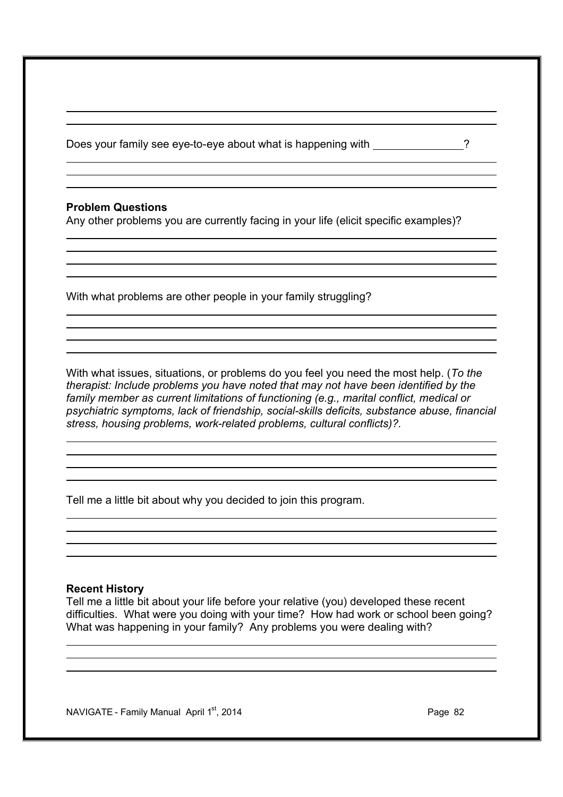Does your family see eye-to-eye about what is happening with \_\_\_\_\_\_\_\_\_\_\_\_\_\_\_\_\_\_\_\_

### **Problem Questions**

Any other problems you are currently facing in your life (elicit specific examples)?

With what problems are other people in your family struggling?

With what issues, situations, or problems do you feel you need the most help. (*To the therapist: Include problems you have noted that may not have been identified by the family member as current limitations of functioning (e.g., marital conflict, medical or psychiatric symptoms, lack of friendship, social-skills deficits, substance abuse, financial stress, housing problems, work-related problems, cultural conflicts)?.*

Tell me a little bit about why you decided to join this program.

#### **Recent History**

Tell me a little bit about your life before your relative (you) developed these recent difficulties. What were you doing with your time? How had work or school been going? What was happening in your family? Any problems you were dealing with?

 $NAVIGATE - Family Manual$  April 1st, 2014 **Page 82** Page 82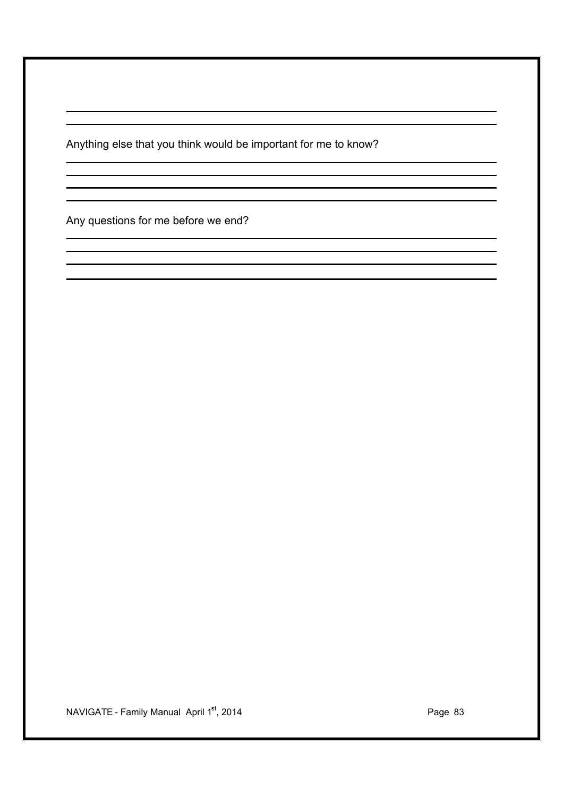Anything else that you think would be important for me to know?

Any questions for me before we end?

NAVIGATE - Family Manual April 1<sup>st</sup>, 2014 **Page 19th** Page 83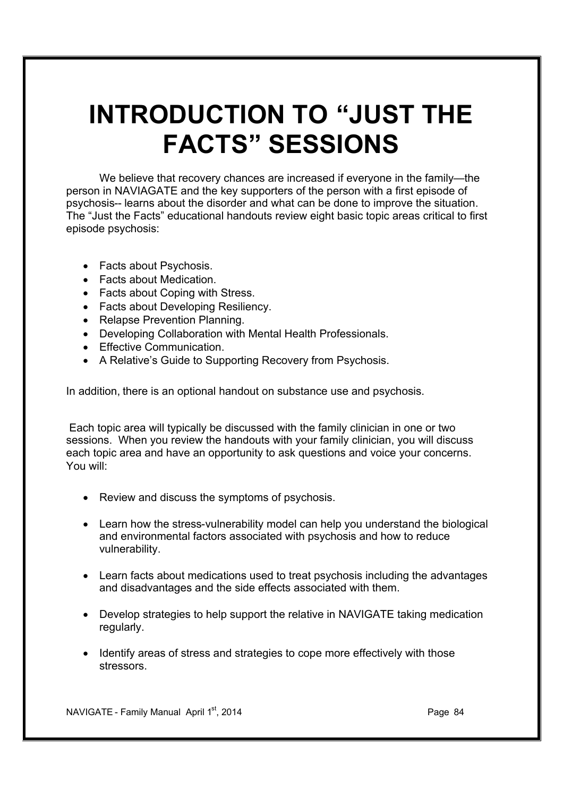## **INTRODUCTION TO "JUST THE FACTS" SESSIONS**

We believe that recovery chances are increased if everyone in the family—the person in NAVIAGATE and the key supporters of the person with a first episode of psychosis-- learns about the disorder and what can be done to improve the situation. The "Just the Facts" educational handouts review eight basic topic areas critical to first episode psychosis:

- Facts about Psychosis.
- · Facts about Medication.
- · Facts about Coping with Stress.
- · Facts about Developing Resiliency.
- · Relapse Prevention Planning.
- · Developing Collaboration with Mental Health Professionals.
- · Effective Communication.
- · A Relative's Guide to Supporting Recovery from Psychosis.

In addition, there is an optional handout on substance use and psychosis.

 Each topic area will typically be discussed with the family clinician in one or two sessions. When you review the handouts with your family clinician, you will discuss each topic area and have an opportunity to ask questions and voice your concerns. You will:

- · Review and discuss the symptoms of psychosis.
- · Learn how the stress-vulnerability model can help you understand the biological and environmental factors associated with psychosis and how to reduce vulnerability.
- · Learn facts about medications used to treat psychosis including the advantages and disadvantages and the side effects associated with them.
- · Develop strategies to help support the relative in NAVIGATE taking medication regularly.
- · Identify areas of stress and strategies to cope more effectively with those stressors.

NAVIGATE - Family Manual April 1st, 2014 **Page 84** Page 84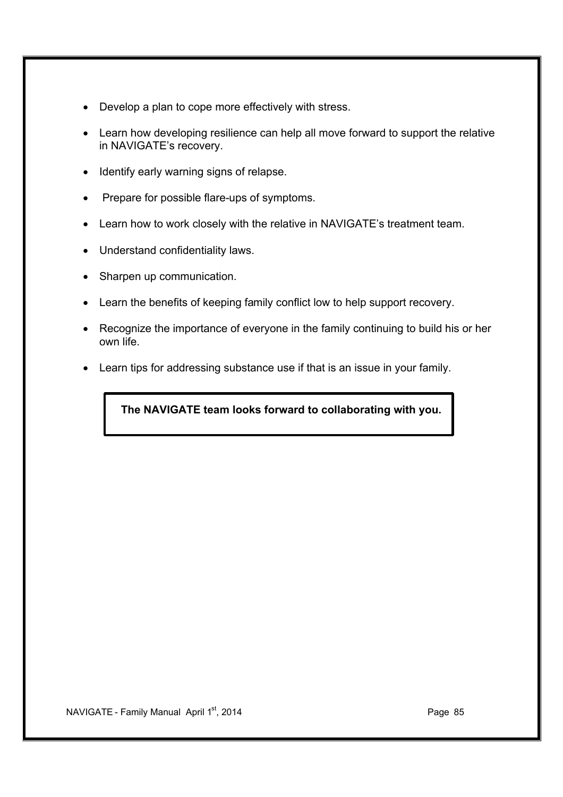- · Develop a plan to cope more effectively with stress.
- · Learn how developing resilience can help all move forward to support the relative in NAVIGATE's recovery.
- · Identify early warning signs of relapse.
- Prepare for possible flare-ups of symptoms.
- · Learn how to work closely with the relative in NAVIGATE's treatment team.
- · Understand confidentiality laws.
- · Sharpen up communication.
- · Learn the benefits of keeping family conflict low to help support recovery.
- · Recognize the importance of everyone in the family continuing to build his or her own life.
- · Learn tips for addressing substance use if that is an issue in your family.

## **The NAVIGATE team looks forward to collaborating with you.**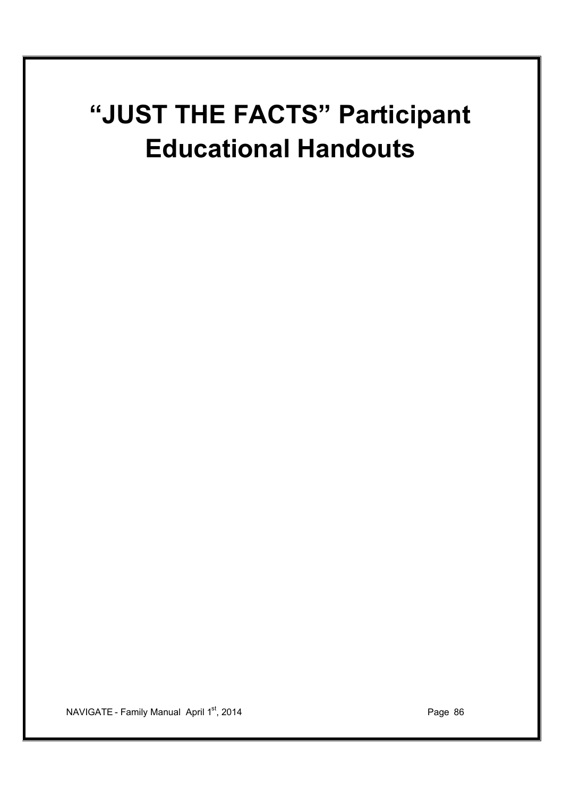# **"JUST THE FACTS" Participant Educational Handouts**

NAVIGATE - Family Manual April 1<sup>st</sup>, 2014 **Page 19th** Page 86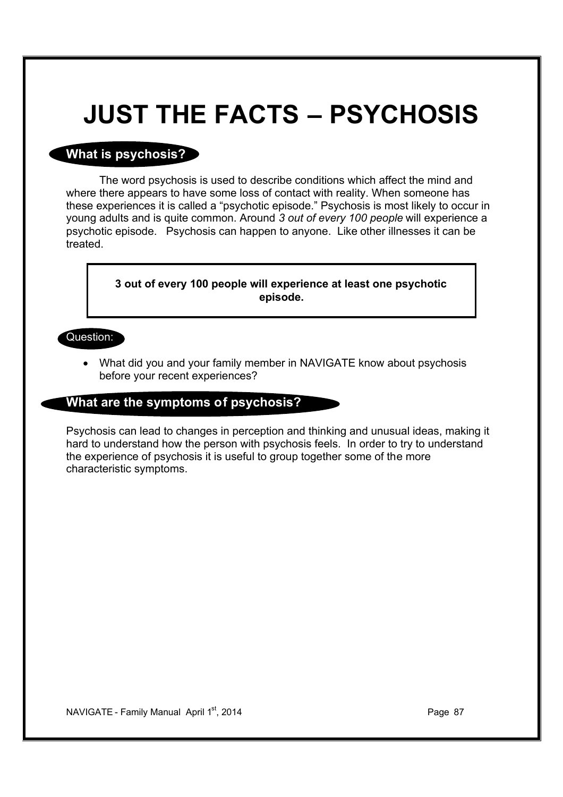## **JUST THE FACTS – PSYCHOSIS**

## **What is psychosis?**

The word psychosis is used to describe conditions which affect the mind and where there appears to have some loss of contact with reality. When someone has these experiences it is called a "psychotic episode." Psychosis is most likely to occur in young adults and is quite common. Around *3 out of every 100 people* will experience a psychotic episode. Psychosis can happen to anyone. Like other illnesses it can be treated.

> **3 out of every 100 people will experience at least one psychotic episode.**

#### Question:

· What did you and your family member in NAVIGATE know about psychosis before your recent experiences?

## **What are the symptoms of psychosis?**

Psychosis can lead to changes in perception and thinking and unusual ideas, making it hard to understand how the person with psychosis feels. In order to try to understand the experience of psychosis it is useful to group together some of the more characteristic symptoms.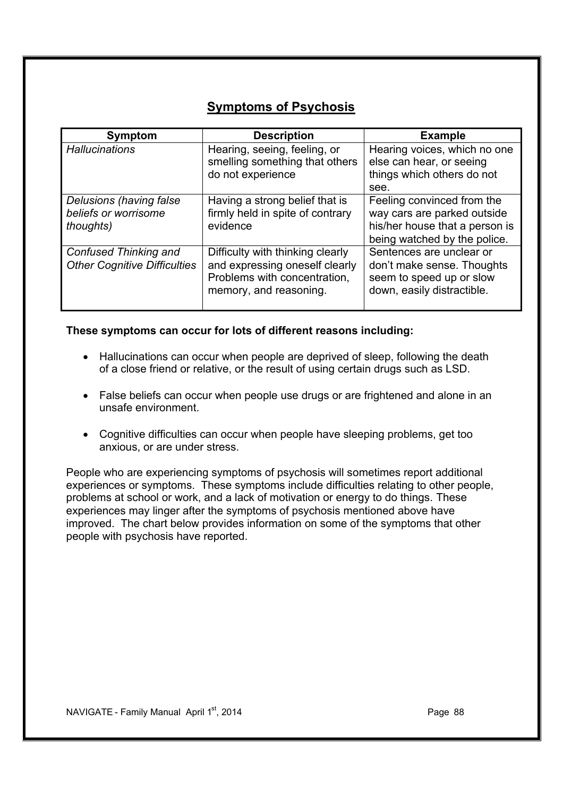## **Symptoms of Psychosis**

| Symptom                                                              | <b>Description</b>                                                                                                           | <b>Example</b>                                                                                                              |
|----------------------------------------------------------------------|------------------------------------------------------------------------------------------------------------------------------|-----------------------------------------------------------------------------------------------------------------------------|
| <b>Hallucinations</b>                                                | Hearing, seeing, feeling, or<br>smelling something that others<br>do not experience                                          | Hearing voices, which no one<br>else can hear, or seeing<br>things which others do not<br>see.                              |
| Delusions (having false<br>beliefs or worrisome<br><i>thoughts</i> ) | Having a strong belief that is<br>firmly held in spite of contrary<br>evidence                                               | Feeling convinced from the<br>way cars are parked outside<br>his/her house that a person is<br>being watched by the police. |
| Confused Thinking and<br><b>Other Cognitive Difficulties</b>         | Difficulty with thinking clearly<br>and expressing oneself clearly<br>Problems with concentration,<br>memory, and reasoning. | Sentences are unclear or<br>don't make sense. Thoughts<br>seem to speed up or slow<br>down, easily distractible.            |

#### **These symptoms can occur for lots of different reasons including:**

- · Hallucinations can occur when people are deprived of sleep, following the death of a close friend or relative, or the result of using certain drugs such as LSD.
- · False beliefs can occur when people use drugs or are frightened and alone in an unsafe environment.
- · Cognitive difficulties can occur when people have sleeping problems, get too anxious, or are under stress.

People who are experiencing symptoms of psychosis will sometimes report additional experiences or symptoms. These symptoms include difficulties relating to other people, problems at school or work, and a lack of motivation or energy to do things. These experiences may linger after the symptoms of psychosis mentioned above have improved. The chart below provides information on some of the symptoms that other people with psychosis have reported.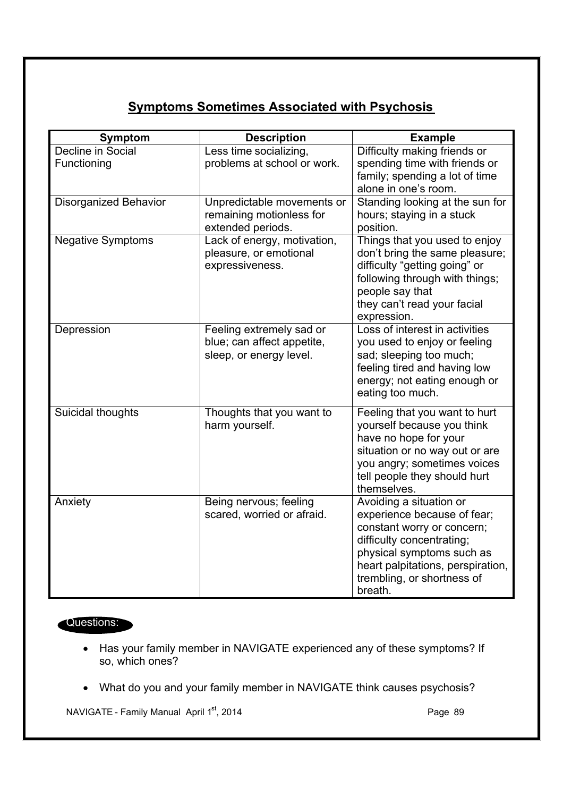## **Symptoms Sometimes Associated with Psychosis**

| <b>Symptom</b>           | <b>Description</b>          | <b>Example</b>                                                  |
|--------------------------|-----------------------------|-----------------------------------------------------------------|
| Decline in Social        | Less time socializing,      | Difficulty making friends or                                    |
| Functioning              | problems at school or work. | spending time with friends or                                   |
|                          |                             | family; spending a lot of time                                  |
|                          |                             | alone in one's room.                                            |
| Disorganized Behavior    | Unpredictable movements or  | Standing looking at the sun for                                 |
|                          | remaining motionless for    | hours; staying in a stuck                                       |
|                          | extended periods.           | position.                                                       |
| <b>Negative Symptoms</b> | Lack of energy, motivation, | Things that you used to enjoy                                   |
|                          | pleasure, or emotional      | don't bring the same pleasure;                                  |
|                          | expressiveness.             | difficulty "getting going" or<br>following through with things; |
|                          |                             | people say that                                                 |
|                          |                             | they can't read your facial                                     |
|                          |                             | expression.                                                     |
| Depression               | Feeling extremely sad or    | Loss of interest in activities                                  |
|                          | blue; can affect appetite,  | you used to enjoy or feeling                                    |
|                          | sleep, or energy level.     | sad; sleeping too much;                                         |
|                          |                             | feeling tired and having low                                    |
|                          |                             | energy; not eating enough or                                    |
|                          |                             | eating too much.                                                |
| Suicidal thoughts        | Thoughts that you want to   | Feeling that you want to hurt                                   |
|                          | harm yourself.              | yourself because you think                                      |
|                          |                             | have no hope for your                                           |
|                          |                             | situation or no way out or are                                  |
|                          |                             | you angry; sometimes voices                                     |
|                          |                             | tell people they should hurt                                    |
|                          |                             | themselves.                                                     |
| Anxiety                  | Being nervous; feeling      | Avoiding a situation or                                         |
|                          | scared, worried or afraid.  | experience because of fear;                                     |
|                          |                             | constant worry or concern;<br>difficulty concentrating;         |
|                          |                             | physical symptoms such as                                       |
|                          |                             | heart palpitations, perspiration,                               |
|                          |                             | trembling, or shortness of                                      |
|                          |                             | breath.                                                         |

## Questions:

- · Has your family member in NAVIGATE experienced any of these symptoms? If so, which ones?
- · What do you and your family member in NAVIGATE think causes psychosis?

NAVIGATE - Family Manual April 1<sup>st</sup>, 2014 **Page 19** Page 89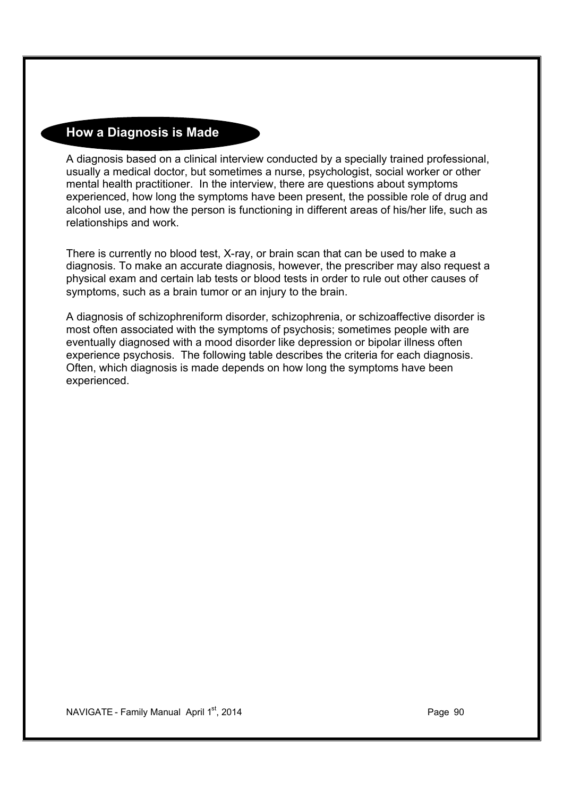## **How a Diagnosis is Made**

A diagnosis based on a clinical interview conducted by a specially trained professional, usually a medical doctor, but sometimes a nurse, psychologist, social worker or other mental health practitioner. In the interview, there are questions about symptoms experienced, how long the symptoms have been present, the possible role of drug and alcohol use, and how the person is functioning in different areas of his/her life, such as relationships and work.

There is currently no blood test, X-ray, or brain scan that can be used to make a diagnosis. To make an accurate diagnosis, however, the prescriber may also request a physical exam and certain lab tests or blood tests in order to rule out other causes of symptoms, such as a brain tumor or an injury to the brain.

A diagnosis of schizophreniform disorder, schizophrenia, or schizoaffective disorder is most often associated with the symptoms of psychosis; sometimes people with are eventually diagnosed with a mood disorder like depression or bipolar illness often experience psychosis. The following table describes the criteria for each diagnosis. Often, which diagnosis is made depends on how long the symptoms have been experienced.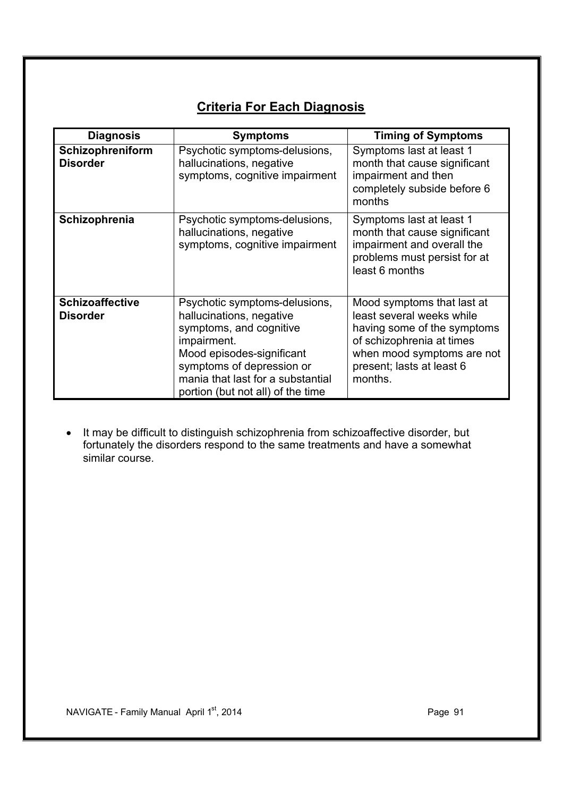## **Criteria For Each Diagnosis**

| <b>Diagnosis</b>                          | <b>Symptoms</b>                                                                                                                                                                                                                         | <b>Timing of Symptoms</b>                                                                                                                                                                 |
|-------------------------------------------|-----------------------------------------------------------------------------------------------------------------------------------------------------------------------------------------------------------------------------------------|-------------------------------------------------------------------------------------------------------------------------------------------------------------------------------------------|
| Schizophreniform<br><b>Disorder</b>       | Psychotic symptoms-delusions,<br>hallucinations, negative<br>symptoms, cognitive impairment                                                                                                                                             | Symptoms last at least 1<br>month that cause significant<br>impairment and then<br>completely subside before 6<br>months                                                                  |
| Schizophrenia                             | Psychotic symptoms-delusions,<br>hallucinations, negative<br>symptoms, cognitive impairment                                                                                                                                             | Symptoms last at least 1<br>month that cause significant<br>impairment and overall the<br>problems must persist for at<br>least 6 months                                                  |
| <b>Schizoaffective</b><br><b>Disorder</b> | Psychotic symptoms-delusions,<br>hallucinations, negative<br>symptoms, and cognitive<br>impairment.<br>Mood episodes-significant<br>symptoms of depression or<br>mania that last for a substantial<br>portion (but not all) of the time | Mood symptoms that last at<br>least several weeks while<br>having some of the symptoms<br>of schizophrenia at times<br>when mood symptoms are not<br>present; lasts at least 6<br>months. |

· It may be difficult to distinguish schizophrenia from schizoaffective disorder, but fortunately the disorders respond to the same treatments and have a somewhat similar course.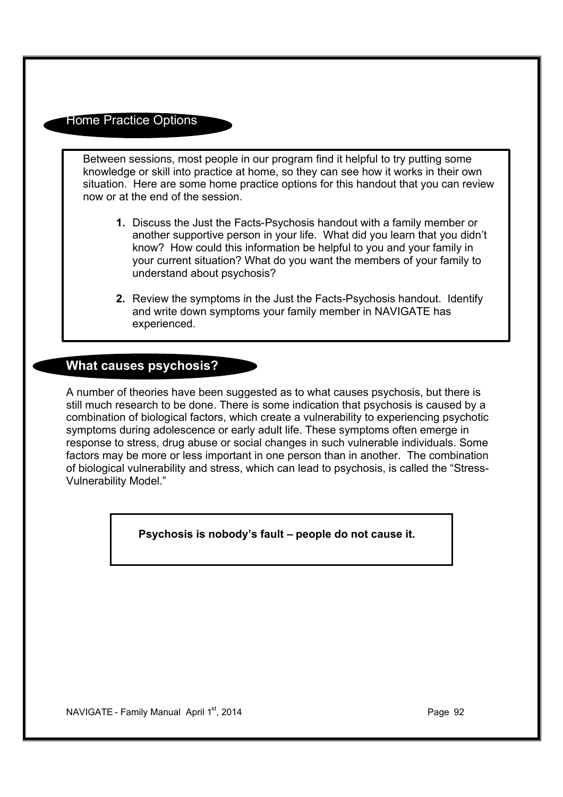## Home Practice Options

Between sessions, most people in our program find it helpful to try putting some knowledge or skill into practice at home, so they can see how it works in their own situation. Here are some home practice options for this handout that you can review now or at the end of the session.

- **1.** Discuss the Just the Facts-Psychosis handout with a family member or another supportive person in your life. What did you learn that you didn't know? How could this information be helpful to you and your family in your current situation? What do you want the members of your family to understand about psychosis?
- **2.** Review the symptoms in the Just the Facts-Psychosis handout. Identify and write down symptoms your family member in NAVIGATE has experienced.

## **What causes psychosis?**

A number of theories have been suggested as to what causes psychosis, but there is still much research to be done. There is some indication that psychosis is caused by a combination of biological factors, which create a vulnerability to experiencing psychotic symptoms during adolescence or early adult life. These symptoms often emerge in response to stress, drug abuse or social changes in such vulnerable individuals. Some factors may be more or less important in one person than in another. The combination of biological vulnerability and stress, which can lead to psychosis, is called the "Stress-Vulnerability Model."

 **Psychosis is nobody's fault – people do not cause it.**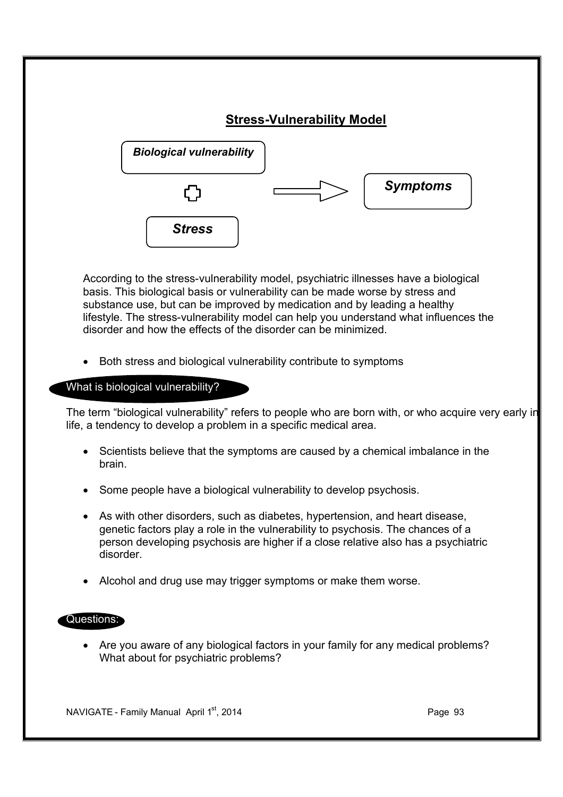

According to the stress-vulnerability model, psychiatric illnesses have a biological basis. This biological basis or vulnerability can be made worse by stress and substance use, but can be improved by medication and by leading a healthy lifestyle. The stress-vulnerability model can help you understand what influences the disorder and how the effects of the disorder can be minimized.

Both stress and biological vulnerability contribute to symptoms

What is biological vulnerability?

The term "biological vulnerability" refers to people who are born with, or who acquire very early in life, a tendency to develop a problem in a specific medical area.

- · Scientists believe that the symptoms are caused by a chemical imbalance in the brain.
- · Some people have a biological vulnerability to develop psychosis.
- · As with other disorders, such as diabetes, hypertension, and heart disease, genetic factors play a role in the vulnerability to psychosis. The chances of a person developing psychosis are higher if a close relative also has a psychiatric disorder.
- · Alcohol and drug use may trigger symptoms or make them worse.

#### Questions:

· Are you aware of any biological factors in your family for any medical problems? What about for psychiatric problems?

NAVIGATE - Family Manual April 1st, 2014 **Page 93** Page 93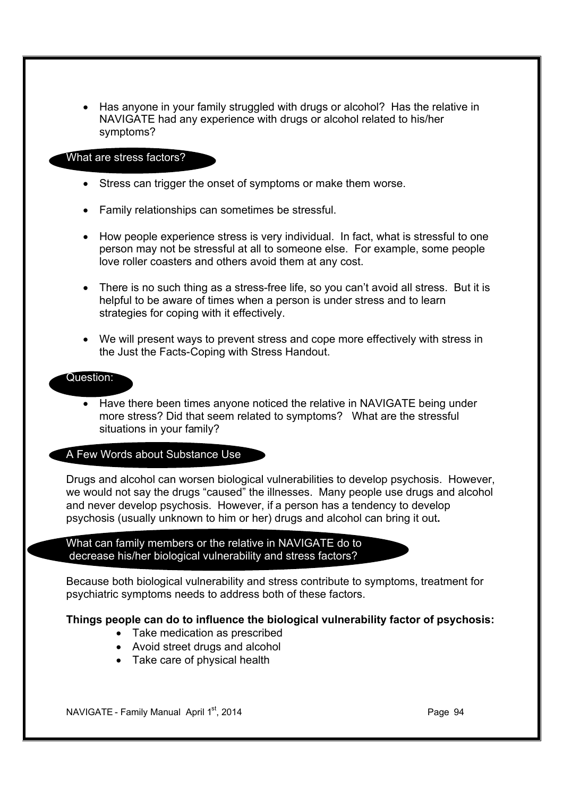· Has anyone in your family struggled with drugs or alcohol? Has the relative in NAVIGATE had any experience with drugs or alcohol related to his/her symptoms?

#### What are stress factors?

- Stress can trigger the onset of symptoms or make them worse.
- Family relationships can sometimes be stressful.
- · How people experience stress is very individual. In fact, what is stressful to one person may not be stressful at all to someone else. For example, some people love roller coasters and others avoid them at any cost.
- There is no such thing as a stress-free life, so you can't avoid all stress. But it is helpful to be aware of times when a person is under stress and to learn strategies for coping with it effectively.
- · We will present ways to prevent stress and cope more effectively with stress in the Just the Facts-Coping with Stress Handout.

#### Question:

· Have there been times anyone noticed the relative in NAVIGATE being under more stress? Did that seem related to symptoms? What are the stressful situations in your family?

#### A Few Words about Substance Use

Drugs and alcohol can worsen biological vulnerabilities to develop psychosis. However, we would not say the drugs "caused" the illnesses. Many people use drugs and alcohol and never develop psychosis. However, if a person has a tendency to develop psychosis (usually unknown to him or her) drugs and alcohol can bring it out**.**

What can family members or the relative in NAVIGATE do to decrease his/her biological vulnerability and stress factors?

Because both biological vulnerability and stress contribute to symptoms, treatment for psychiatric symptoms needs to address both of these factors.

#### **Things people can do to influence the biological vulnerability factor of psychosis:**

- Take medication as prescribed
- · Avoid street drugs and alcohol
- · Take care of physical health

NAVIGATE - Family Manual April 1st, 2014 **Page 94** Page 94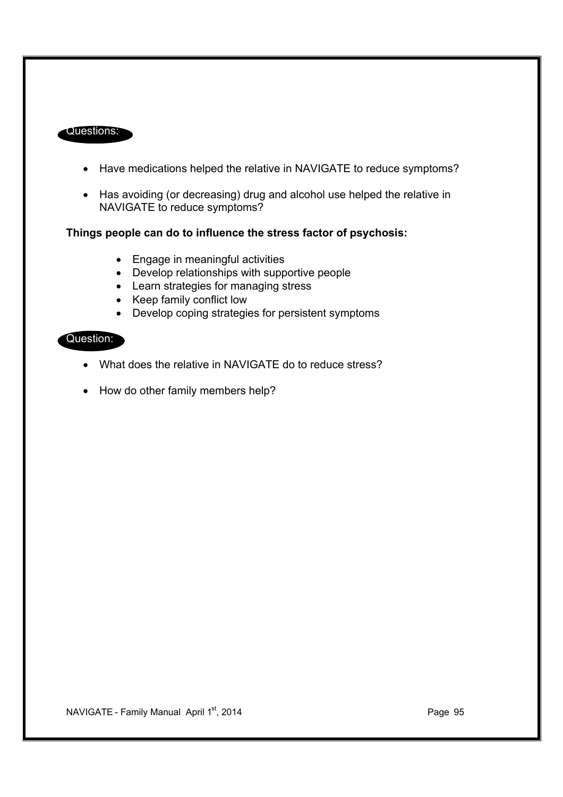#### Questions:

- · Have medications helped the relative in NAVIGATE to reduce symptoms?
- · Has avoiding (or decreasing) drug and alcohol use helped the relative in NAVIGATE to reduce symptoms?

#### **Things people can do to influence the stress factor of psychosis:**

- · Engage in meaningful activities
- · Develop relationships with supportive people
- · Learn strategies for managing stress
- · Keep family conflict low
- · Develop coping strategies for persistent symptoms

## Question:

- What does the relative in NAVIGATE do to reduce stress?
- How do other family members help?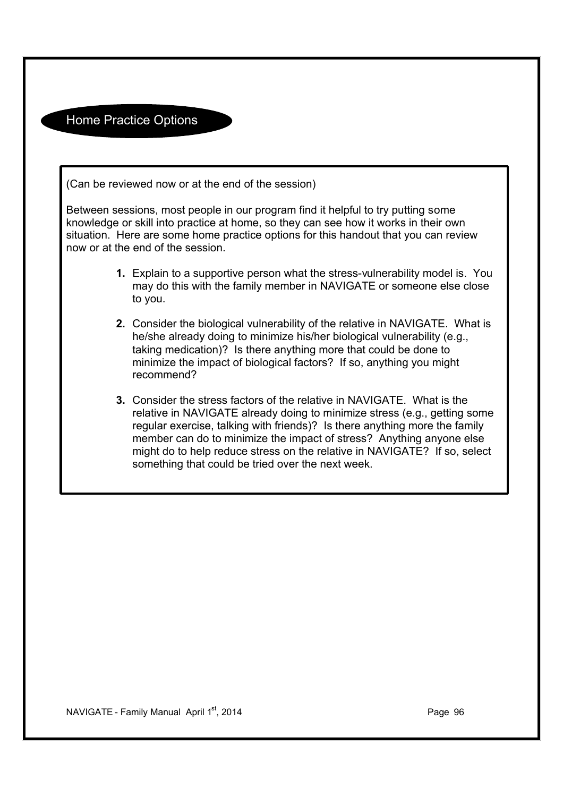Home Practice Options

(Can be reviewed now or at the end of the session)

Between sessions, most people in our program find it helpful to try putting some knowledge or skill into practice at home, so they can see how it works in their own situation. Here are some home practice options for this handout that you can review now or at the end of the session.

- **1.** Explain to a supportive person what the stress-vulnerability model is. You may do this with the family member in NAVIGATE or someone else close to you.
- **2.** Consider the biological vulnerability of the relative in NAVIGATE. What is he/she already doing to minimize his/her biological vulnerability (e.g., taking medication)? Is there anything more that could be done to minimize the impact of biological factors? If so, anything you might recommend?
- **3.** Consider the stress factors of the relative in NAVIGATE. What is the relative in NAVIGATE already doing to minimize stress (e.g., getting some regular exercise, talking with friends)? Is there anything more the family member can do to minimize the impact of stress? Anything anyone else might do to help reduce stress on the relative in NAVIGATE? If so, select something that could be tried over the next week.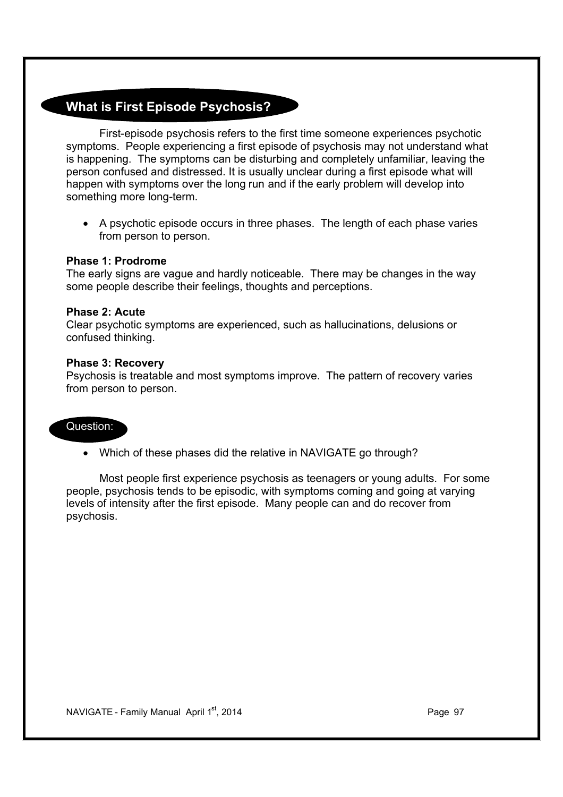## **What is First Episode Psychosis?**

First-episode psychosis refers to the first time someone experiences psychotic symptoms. People experiencing a first episode of psychosis may not understand what is happening. The symptoms can be disturbing and completely unfamiliar, leaving the person confused and distressed. It is usually unclear during a first episode what will happen with symptoms over the long run and if the early problem will develop into something more long-term.

· A psychotic episode occurs in three phases. The length of each phase varies from person to person.

#### **Phase 1: Prodrome**

The early signs are vague and hardly noticeable. There may be changes in the way some people describe their feelings, thoughts and perceptions.

#### **Phase 2: Acute**

Clear psychotic symptoms are experienced, such as hallucinations, delusions or confused thinking.

#### **Phase 3: Recovery**

Psychosis is treatable and most symptoms improve. The pattern of recovery varies from person to person.

#### Question:

• Which of these phases did the relative in NAVIGATE go through?

Most people first experience psychosis as teenagers or young adults. For some people, psychosis tends to be episodic, with symptoms coming and going at varying levels of intensity after the first episode. Many people can and do recover from psychosis.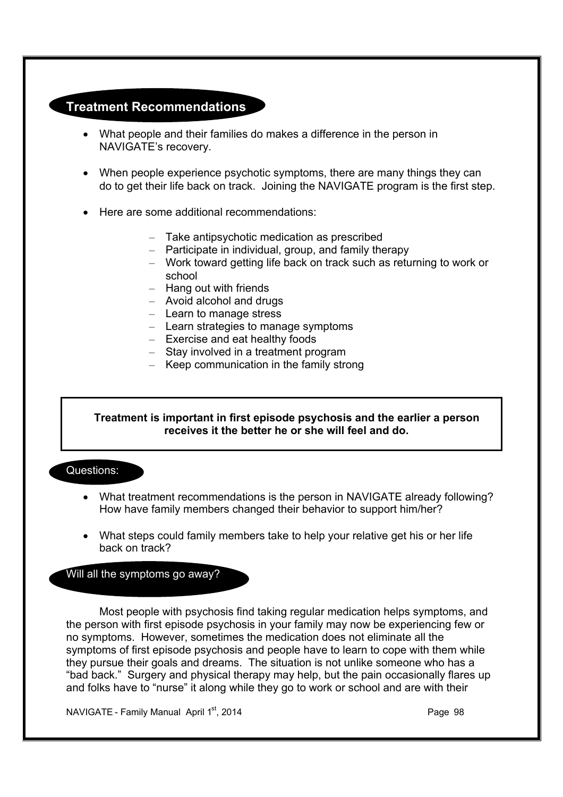## **Treatment Recommendations**

- · What people and their families do makes a difference in the person in NAVIGATE's recovery.
- · When people experience psychotic symptoms, there are many things they can do to get their life back on track. Joining the NAVIGATE program is the first step.
- · Here are some additional recommendations:
	- Take antipsychotic medication as prescribed
	- Participate in individual, group, and family therapy
	- Work toward getting life back on track such as returning to work or school
	- Hang out with friends
	- Avoid alcohol and drugs
	- Learn to manage stress
	- Learn strategies to manage symptoms
	- Exercise and eat healthy foods
	- Stay involved in a treatment program
	- Keep communication in the family strong

#### **Treatment is important in first episode psychosis and the earlier a person receives it the better he or she will feel and do.**

Questions:

- · What treatment recommendations is the person in NAVIGATE already following? How have family members changed their behavior to support him/her?
- · What steps could family members take to help your relative get his or her life back on track?

#### Will all the symptoms go away?

Most people with psychosis find taking regular medication helps symptoms, and the person with first episode psychosis in your family may now be experiencing few or no symptoms. However, sometimes the medication does not eliminate all the symptoms of first episode psychosis and people have to learn to cope with them while they pursue their goals and dreams. The situation is not unlike someone who has a "bad back." Surgery and physical therapy may help, but the pain occasionally flares up and folks have to "nurse" it along while they go to work or school and are with their

NAVIGATE - Family Manual April 1<sup>st</sup>, 2014 **Page 98** Page 98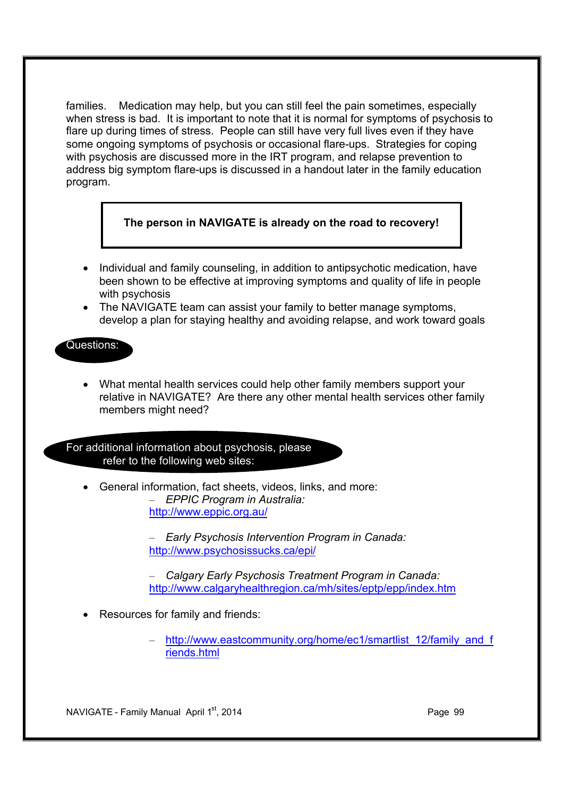families. Medication may help, but you can still feel the pain sometimes, especially when stress is bad. It is important to note that it is normal for symptoms of psychosis to flare up during times of stress. People can still have very full lives even if they have some ongoing symptoms of psychosis or occasional flare-ups. Strategies for coping with psychosis are discussed more in the IRT program, and relapse prevention to address big symptom flare-ups is discussed in a handout later in the family education program.

## **The person in NAVIGATE is already on the road to recovery!**

- · Individual and family counseling, in addition to antipsychotic medication, have been shown to be effective at improving symptoms and quality of life in people with psychosis
- · The NAVIGATE team can assist your family to better manage symptoms, develop a plan for staying healthy and avoiding relapse, and work toward goals

#### Questions:

· What mental health services could help other family members support your relative in NAVIGATE? Are there any other mental health services other family members might need?

For additional information about psychosis, please refer to the following web sites:

General information, fact sheets, videos, links, and more: – *EPPIC Program in Australia:* http://www.eppic.org.au/

> – *Early Psychosis Intervention Program in Canada:* http://www.psychosissucks.ca/epi/

– *Calgary Early Psychosis Treatment Program in Canada:* http://www.calgaryhealthregion.ca/mh/sites/eptp/epp/index.htm

- · Resources for family and friends:
	- http://www.eastcommunity.org/home/ec1/smartlist\_12/family\_and\_f riends.html

NAVIGATE - Family Manual April 1st, 2014 **Page 99** Page 99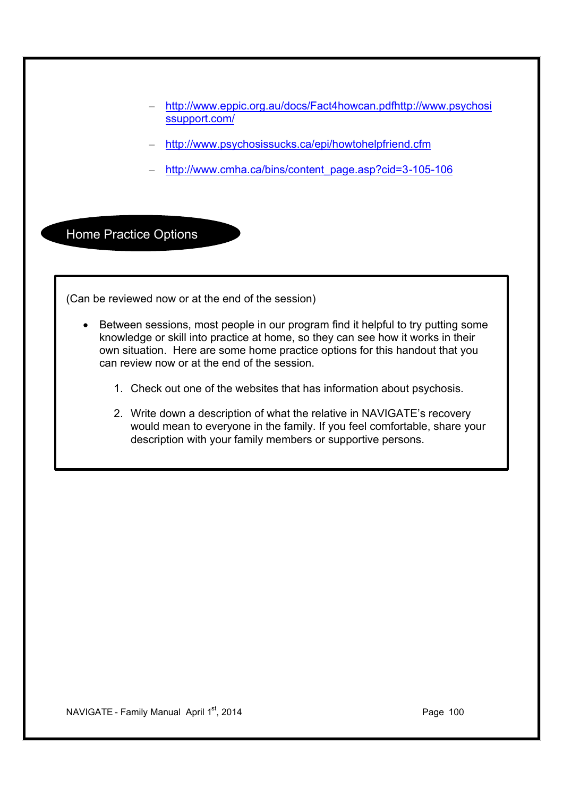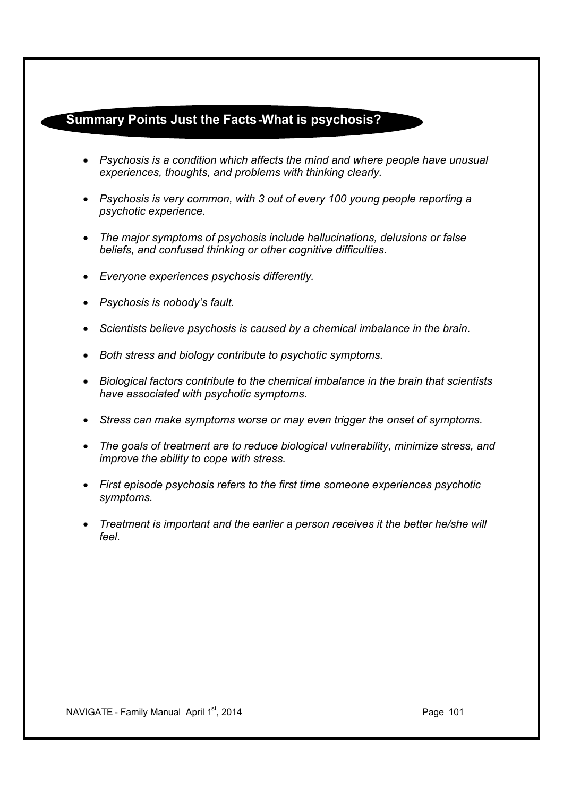## **Summary Points Just the Facts-What is psychosis?**

- · *Psychosis is a condition which affects the mind and where people have unusual experiences, thoughts, and problems with thinking clearly.*
- · *Psychosis is very common, with 3 out of every 100 young people reporting a psychotic experience.*
- · *The major symptoms of psychosis include hallucinations, delusions or false beliefs, and confused thinking or other cognitive difficulties.*
- · *Everyone experiences psychosis differently.*
- · *Psychosis is nobody's fault.*
- · *Scientists believe psychosis is caused by a chemical imbalance in the brain.*
- · *Both stress and biology contribute to psychotic symptoms.*
- · *Biological factors contribute to the chemical imbalance in the brain that scientists have associated with psychotic symptoms.*
- · *Stress can make symptoms worse or may even trigger the onset of symptoms.*
- · *The goals of treatment are to reduce biological vulnerability, minimize stress, and improve the ability to cope with stress.*
- · *First episode psychosis refers to the first time someone experiences psychotic symptoms.*
- · *Treatment is important and the earlier a person receives it the better he/she will feel.*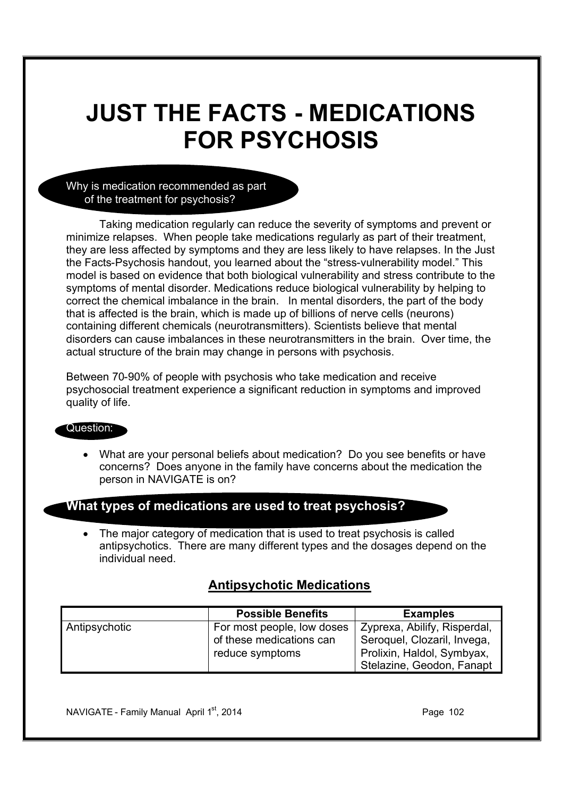## **JUST THE FACTS - MEDICATIONS FOR PSYCHOSIS**

Why is medication recommended as part of the treatment for psychosis?

Taking medication regularly can reduce the severity of symptoms and prevent or minimize relapses. When people take medications regularly as part of their treatment, they are less affected by symptoms and they are less likely to have relapses. In the Just the Facts-Psychosis handout, you learned about the "stress-vulnerability model." This model is based on evidence that both biological vulnerability and stress contribute to the symptoms of mental disorder. Medications reduce biological vulnerability by helping to correct the chemical imbalance in the brain. In mental disorders, the part of the body that is affected is the brain, which is made up of billions of nerve cells (neurons) containing different chemicals (neurotransmitters). Scientists believe that mental disorders can cause imbalances in these neurotransmitters in the brain. Over time, the actual structure of the brain may change in persons with psychosis.

Between 70-90% of people with psychosis who take medication and receive psychosocial treatment experience a significant reduction in symptoms and improved quality of life.

#### Question:

· What are your personal beliefs about medication? Do you see benefits or have concerns? Does anyone in the family have concerns about the medication the person in NAVIGATE is on?

### **What types of medications are used to treat psychosis?**

• The major category of medication that is used to treat psychosis is called antipsychotics. There are many different types and the dosages depend on the individual need.

## **Antipsychotic Medications**

|               | <b>Possible Benefits</b>   | <b>Examples</b>              |
|---------------|----------------------------|------------------------------|
| Antipsychotic | For most people, low doses | Zyprexa, Abilify, Risperdal, |
|               | of these medications can   | Seroquel, Clozaril, Invega,  |
|               | reduce symptoms            | Prolixin, Haldol, Symbyax,   |
|               |                            | Stelazine, Geodon, Fanapt    |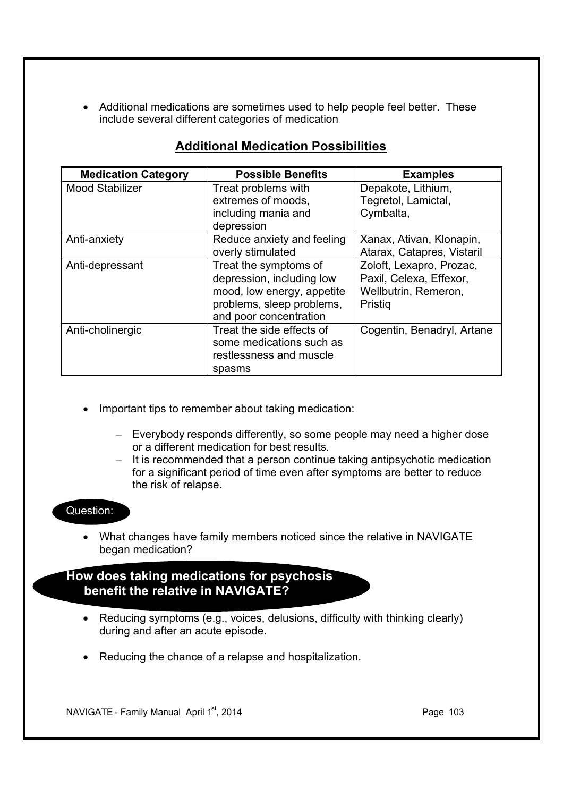· Additional medications are sometimes used to help people feel better. These include several different categories of medication

| <b>Medication Category</b> | <b>Possible Benefits</b>   | <b>Examples</b>            |
|----------------------------|----------------------------|----------------------------|
| <b>Mood Stabilizer</b>     | Treat problems with        | Depakote, Lithium,         |
|                            | extremes of moods,         | Tegretol, Lamictal,        |
|                            | including mania and        | Cymbalta,                  |
|                            | depression                 |                            |
| Anti-anxiety               | Reduce anxiety and feeling | Xanax, Ativan, Klonapin,   |
|                            | overly stimulated          | Atarax, Catapres, Vistaril |
| Anti-depressant            | Treat the symptoms of      | Zoloft, Lexapro, Prozac,   |
|                            | depression, including low  | Paxil, Celexa, Effexor,    |
|                            | mood, low energy, appetite | Wellbutrin, Remeron,       |
|                            | problems, sleep problems,  | Pristig                    |
|                            | and poor concentration     |                            |
| Anti-cholinergic           | Treat the side effects of  | Cogentin, Benadryl, Artane |
|                            | some medications such as   |                            |
|                            | restlessness and muscle    |                            |
|                            | spasms                     |                            |

## **Additional Medication Possibilities**

- Important tips to remember about taking medication:
	- Everybody responds differently, so some people may need a higher dose or a different medication for best results.
	- It is recommended that a person continue taking antipsychotic medication for a significant period of time even after symptoms are better to reduce the risk of relapse.

## Question:

· What changes have family members noticed since the relative in NAVIGATE began medication?

## **How does taking medications for psychosis benefit the relative in NAVIGATE?**

- Reducing symptoms (e.g., voices, delusions, difficulty with thinking clearly) during and after an acute episode.
- · Reducing the chance of a relapse and hospitalization.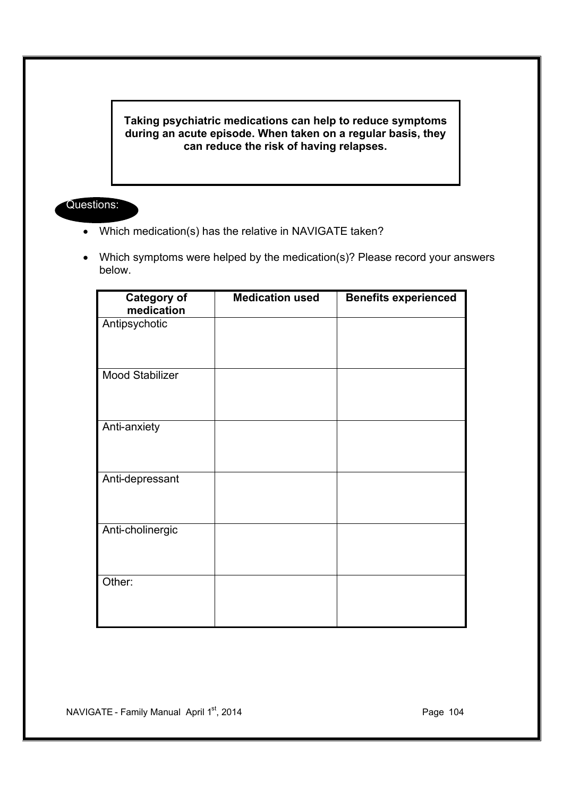**Taking psychiatric medications can help to reduce symptoms during an acute episode. When taken on a regular basis, they can reduce the risk of having relapses.**

### Questions:

- · Which medication(s) has the relative in NAVIGATE taken?
- · Which symptoms were helped by the medication(s)? Please record your answers below.

| <b>Category of</b><br>medication | <b>Medication used</b> | <b>Benefits experienced</b> |
|----------------------------------|------------------------|-----------------------------|
| Antipsychotic                    |                        |                             |
| Mood Stabilizer                  |                        |                             |
| Anti-anxiety                     |                        |                             |
| Anti-depressant                  |                        |                             |
| Anti-cholinergic                 |                        |                             |
| Other:                           |                        |                             |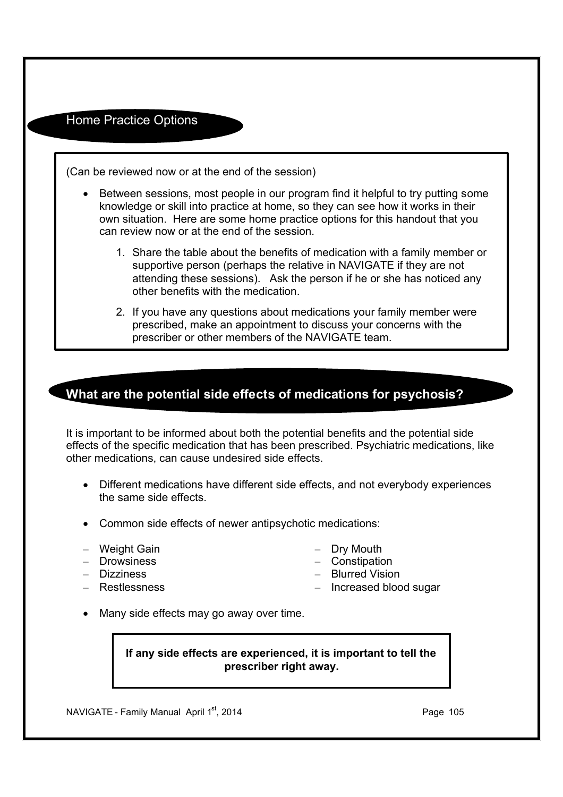Home Practice Options

(Can be reviewed now or at the end of the session)

- · Between sessions, most people in our program find it helpful to try putting some knowledge or skill into practice at home, so they can see how it works in their own situation. Here are some home practice options for this handout that you can review now or at the end of the session.
	- 1. Share the table about the benefits of medication with a family member or supportive person (perhaps the relative in NAVIGATE if they are not attending these sessions). Ask the person if he or she has noticed any other benefits with the medication.
	- 2. If you have any questions about medications your family member were prescribed, make an appointment to discuss your concerns with the prescriber or other members of the NAVIGATE team.

## **What are the potential side effects of medications for psychosis?**

It is important to be informed about both the potential benefits and the potential side effects of the specific medication that has been prescribed. Psychiatric medications, like other medications, can cause undesired side effects.

- · Different medications have different side effects, and not everybody experiences the same side effects.
- · Common side effects of newer antipsychotic medications:
- Weight Gain
- Drowsiness
- Dizziness
- Restlessness
- Dry Mouth
- Constipation
- Blurred Vision
- Increased blood sugar
- · Many side effects may go away over time.

#### **If any side effects are experienced, it is important to tell the prescriber right away.**

NAVIGATE - Family Manual April 1<sup>st</sup>, 2014 **Page 105**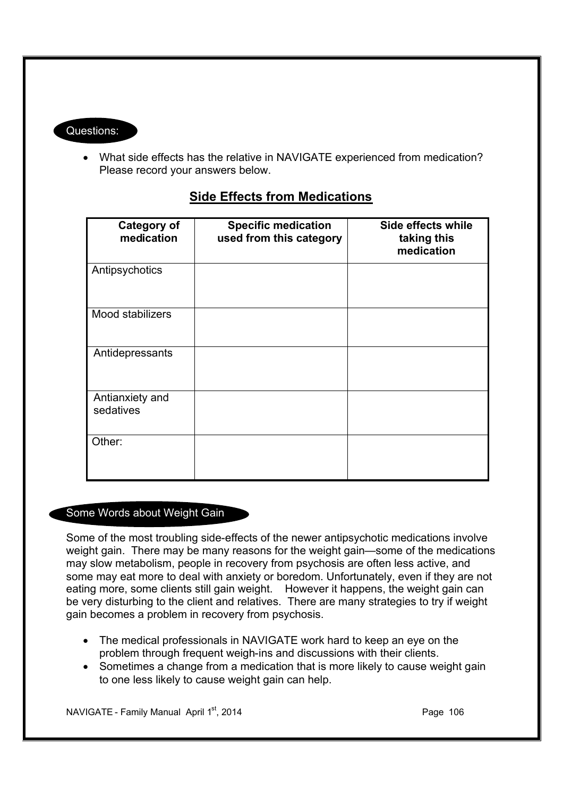## Questions:

· What side effects has the relative in NAVIGATE experienced from medication? Please record your answers below.

| <b>Category of</b><br>medication | <b>Specific medication</b><br>used from this category | Side effects while<br>taking this<br>medication |
|----------------------------------|-------------------------------------------------------|-------------------------------------------------|
| Antipsychotics                   |                                                       |                                                 |
| Mood stabilizers                 |                                                       |                                                 |
| Antidepressants                  |                                                       |                                                 |
| Antianxiety and<br>sedatives     |                                                       |                                                 |
| Other:                           |                                                       |                                                 |

## **Side Effects from Medications**

## Some Words about Weight Gain

Some of the most troubling side-effects of the newer antipsychotic medications involve weight gain. There may be many reasons for the weight gain—some of the medications may slow metabolism, people in recovery from psychosis are often less active, and some may eat more to deal with anxiety or boredom. Unfortunately, even if they are not eating more, some clients still gain weight. However it happens, the weight gain can be very disturbing to the client and relatives. There are many strategies to try if weight gain becomes a problem in recovery from psychosis.

- The medical professionals in NAVIGATE work hard to keep an eye on the problem through frequent weigh-ins and discussions with their clients.
- · Sometimes a change from a medication that is more likely to cause weight gain to one less likely to cause weight gain can help.

NAVIGATE - Family Manual April 1st, 2014 **Page 106** Page 106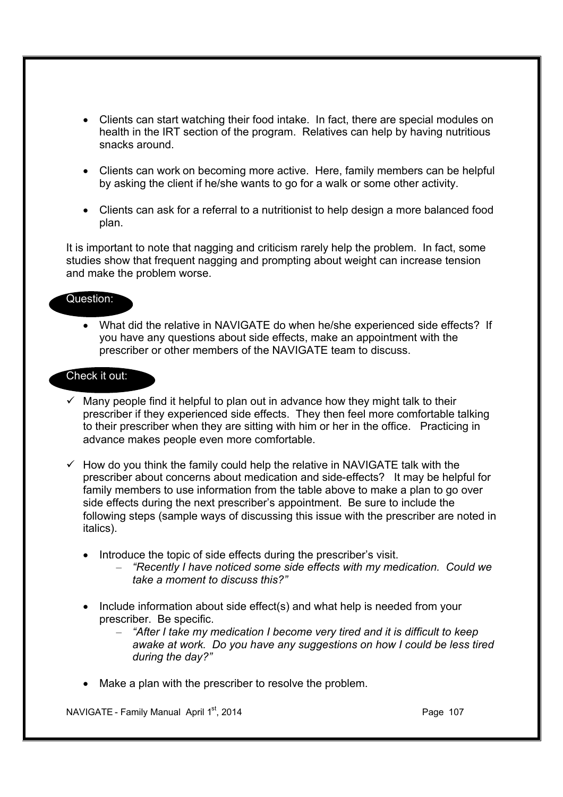- · Clients can start watching their food intake. In fact, there are special modules on health in the IRT section of the program. Relatives can help by having nutritious snacks around.
- · Clients can work on becoming more active. Here, family members can be helpful by asking the client if he/she wants to go for a walk or some other activity.
- · Clients can ask for a referral to a nutritionist to help design a more balanced food plan.

It is important to note that nagging and criticism rarely help the problem. In fact, some studies show that frequent nagging and prompting about weight can increase tension and make the problem worse.

#### Question:

· What did the relative in NAVIGATE do when he/she experienced side effects? If you have any questions about side effects, make an appointment with the prescriber or other members of the NAVIGATE team to discuss.

#### Check it out:

- Many people find it helpful to plan out in advance how they might talk to their prescriber if they experienced side effects. They then feel more comfortable talking to their prescriber when they are sitting with him or her in the office. Practicing in advance makes people even more comfortable.
- $\checkmark$  How do you think the family could help the relative in NAVIGATE talk with the prescriber about concerns about medication and side-effects? It may be helpful for family members to use information from the table above to make a plan to go over side effects during the next prescriber's appointment. Be sure to include the following steps (sample ways of discussing this issue with the prescriber are noted in italics).
	- Introduce the topic of side effects during the prescriber's visit.
		- *"Recently I have noticed some side effects with my medication. Could we take a moment to discuss this?"*
	- · Include information about side effect(s) and what help is needed from your prescriber. Be specific.
		- *"After I take my medication I become very tired and it is difficult to keep awake at work. Do you have any suggestions on how I could be less tired during the day?"*
	- Make a plan with the prescriber to resolve the problem.

NAVIGATE - Family Manual April  $1<sup>st</sup>$ , 2014 **Page 107** Page 107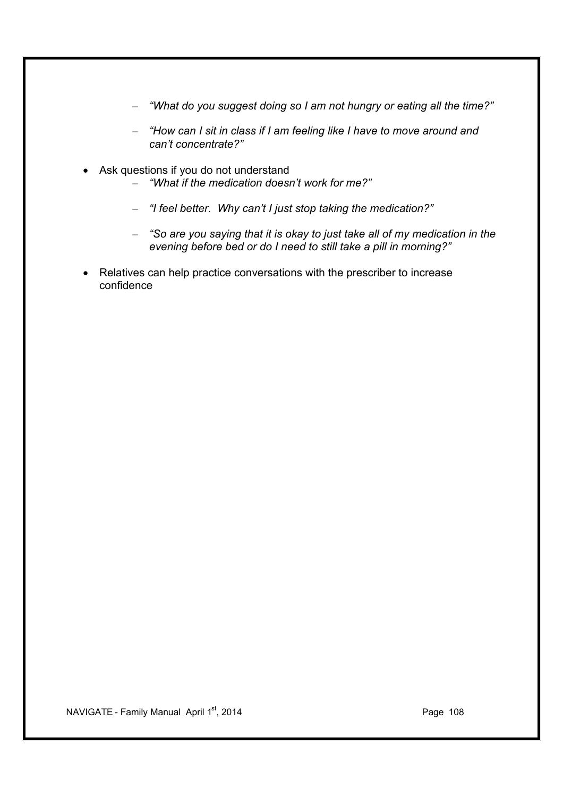- *"What do you suggest doing so I am not hungry or eating all the time?"*
- *"How can I sit in class if I am feeling like I have to move around and can't concentrate?"*
- Ask questions if you do not understand – *"What if the medication doesn't work for me?"*
	- *"I feel better. Why can't I just stop taking the medication?"*
	- *"So are you saying that it is okay to just take all of my medication in the evening before bed or do I need to still take a pill in morning?"*
- Relatives can help practice conversations with the prescriber to increase confidence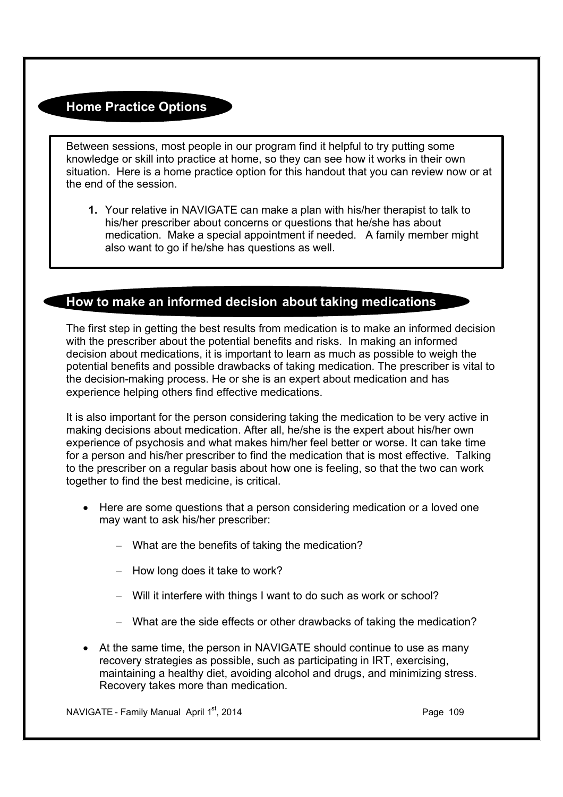## **Home Practice Options**

Between sessions, most people in our program find it helpful to try putting some knowledge or skill into practice at home, so they can see how it works in their own situation. Here is a home practice option for this handout that you can review now or at the end of the session.

**1.** Your relative in NAVIGATE can make a plan with his/her therapist to talk to his/her prescriber about concerns or questions that he/she has about medication. Make a special appointment if needed. A family member might also want to go if he/she has questions as well.

## **How to make an informed decision about taking medications**

The first step in getting the best results from medication is to make an informed decision with the prescriber about the potential benefits and risks. In making an informed decision about medications, it is important to learn as much as possible to weigh the potential benefits and possible drawbacks of taking medication. The prescriber is vital to the decision-making process. He or she is an expert about medication and has experience helping others find effective medications.

It is also important for the person considering taking the medication to be very active in making decisions about medication. After all, he/she is the expert about his/her own experience of psychosis and what makes him/her feel better or worse. It can take time for a person and his/her prescriber to find the medication that is most effective. Talking to the prescriber on a regular basis about how one is feeling, so that the two can work together to find the best medicine, is critical.

- · Here are some questions that a person considering medication or a loved one may want to ask his/her prescriber:
	- What are the benefits of taking the medication?
	- How long does it take to work?
	- Will it interfere with things I want to do such as work or school?
	- What are the side effects or other drawbacks of taking the medication?
- At the same time, the person in NAVIGATE should continue to use as many recovery strategies as possible, such as participating in IRT, exercising, maintaining a healthy diet, avoiding alcohol and drugs, and minimizing stress. Recovery takes more than medication.

NAVIGATE - Family Manual April 1<sup>st</sup>, 2014 **Page 109** Page 109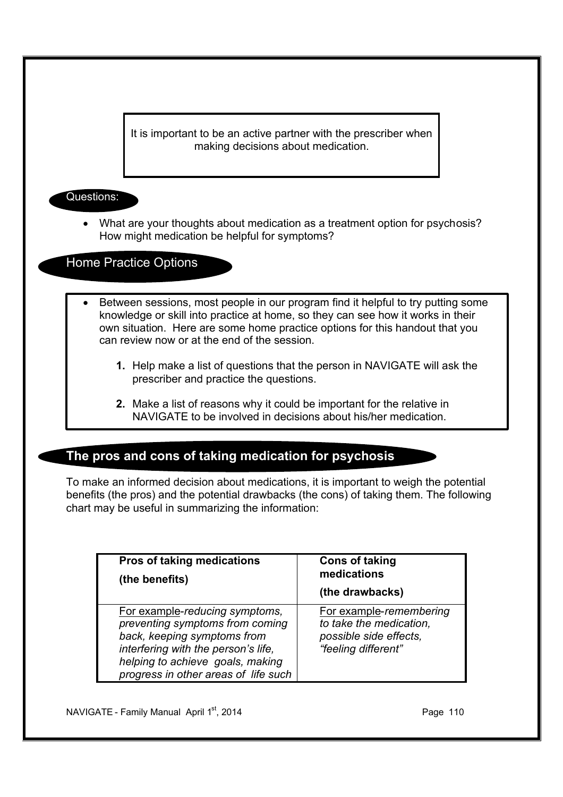It is important to be an active partner with the prescriber when making decisions about medication.

### Questions:

• What are your thoughts about medication as a treatment option for psychosis? How might medication be helpful for symptoms?

Home Practice Options

- Between sessions, most people in our program find it helpful to try putting some knowledge or skill into practice at home, so they can see how it works in their own situation. Here are some home practice options for this handout that you can review now or at the end of the session.
	- **1.** Help make a list of questions that the person in NAVIGATE will ask the prescriber and practice the questions.
	- **2.** Make a list of reasons why it could be important for the relative in NAVIGATE to be involved in decisions about his/her medication.

## **The pros and cons of taking medication for psychosis**

To make an informed decision about medications, it is important to weigh the potential benefits (the pros) and the potential drawbacks (the cons) of taking them. The following chart may be useful in summarizing the information:

| <b>Pros of taking medications</b><br>(the benefits)                                                                                                                                                                 | <b>Cons of taking</b><br>medications<br>(the drawbacks)                                             |
|---------------------------------------------------------------------------------------------------------------------------------------------------------------------------------------------------------------------|-----------------------------------------------------------------------------------------------------|
| For example-reducing symptoms,<br>preventing symptoms from coming<br>back, keeping symptoms from<br>interfering with the person's life,<br>helping to achieve goals, making<br>progress in other areas of life such | For example-remembering<br>to take the medication,<br>possible side effects,<br>"feeling different" |

NAVIGATE - Family Manual April  $1<sup>st</sup>$ , 2014 **Page 110** Page 110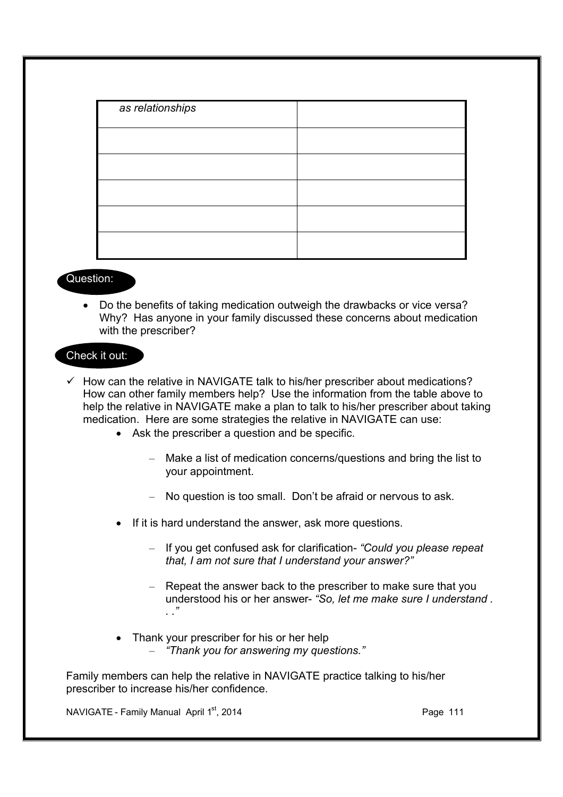| as relationships |  |
|------------------|--|
|                  |  |
|                  |  |
|                  |  |
|                  |  |
|                  |  |

#### Question:

· Do the benefits of taking medication outweigh the drawbacks or vice versa? Why? Has anyone in your family discussed these concerns about medication with the prescriber?

#### Check it out:

- $\checkmark$  How can the relative in NAVIGATE talk to his/her prescriber about medications? How can other family members help? Use the information from the table above to help the relative in NAVIGATE make a plan to talk to his/her prescriber about taking medication. Here are some strategies the relative in NAVIGATE can use:
	- Ask the prescriber a question and be specific.
		- Make a list of medication concerns/questions and bring the list to your appointment.
		- No question is too small. Don't be afraid or nervous to ask.
	- If it is hard understand the answer, ask more questions.
		- If you get confused ask for clarification- *"Could you please repeat that, I am not sure that I understand your answer?"*
		- Repeat the answer back to the prescriber to make sure that you understood his or her answer- *"So, let me make sure I understand . . ."*
	- Thank your prescriber for his or her help
		- *"Thank you for answering my questions."*

Family members can help the relative in NAVIGATE practice talking to his/her prescriber to increase his/her confidence.

NAVIGATE - Family Manual April 1<sup>st</sup>, 2014 **Page 111** Page 111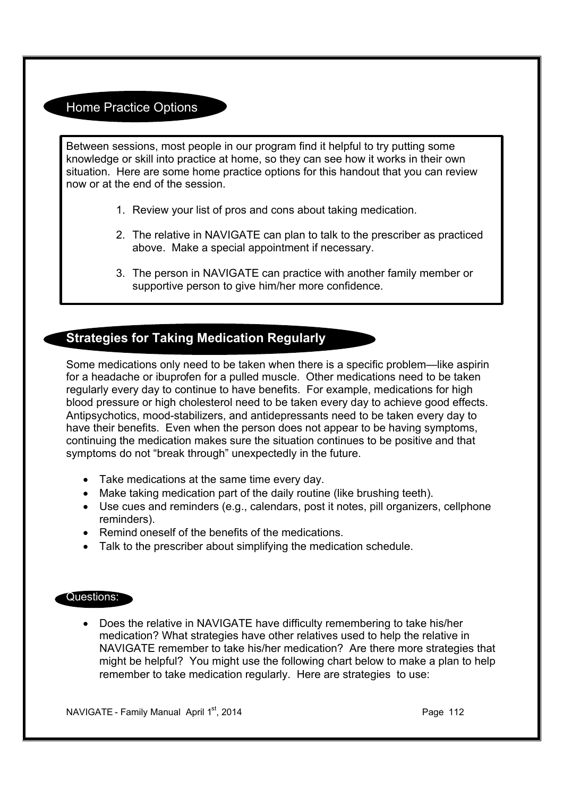## Home Practice Options

Between sessions, most people in our program find it helpful to try putting some knowledge or skill into practice at home, so they can see how it works in their own situation. Here are some home practice options for this handout that you can review now or at the end of the session.

- 1. Review your list of pros and cons about taking medication.
- 2. The relative in NAVIGATE can plan to talk to the prescriber as practiced above. Make a special appointment if necessary.
- 3. The person in NAVIGATE can practice with another family member or supportive person to give him/her more confidence.

## **Strategies for Taking Medication Regularly**

Some medications only need to be taken when there is a specific problem—like aspirin for a headache or ibuprofen for a pulled muscle. Other medications need to be taken regularly every day to continue to have benefits. For example, medications for high blood pressure or high cholesterol need to be taken every day to achieve good effects. Antipsychotics, mood-stabilizers, and antidepressants need to be taken every day to have their benefits. Even when the person does not appear to be having symptoms, continuing the medication makes sure the situation continues to be positive and that symptoms do not "break through" unexpectedly in the future.

- · Take medications at the same time every day.
- · Make taking medication part of the daily routine (like brushing teeth).
- · Use cues and reminders (e.g., calendars, post it notes, pill organizers, cellphone reminders).
- · Remind oneself of the benefits of the medications.
- · Talk to the prescriber about simplifying the medication schedule.

#### Questions:

· Does the relative in NAVIGATE have difficulty remembering to take his/her medication? What strategies have other relatives used to help the relative in NAVIGATE remember to take his/her medication? Are there more strategies that might be helpful? You might use the following chart below to make a plan to help remember to take medication regularly. Here are strategies to use: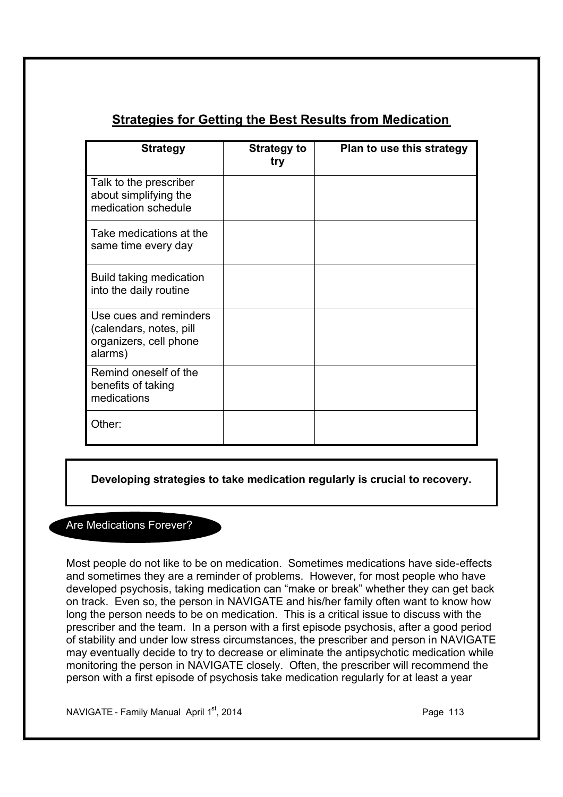## **Strategies for Getting the Best Results from Medication**

| <b>Strategy</b>                                                                        | <b>Strategy to</b><br>try | Plan to use this strategy |
|----------------------------------------------------------------------------------------|---------------------------|---------------------------|
| Talk to the prescriber<br>about simplifying the<br>medication schedule                 |                           |                           |
| Take medications at the<br>same time every day                                         |                           |                           |
| Build taking medication<br>into the daily routine                                      |                           |                           |
| Use cues and reminders<br>(calendars, notes, pill<br>organizers, cell phone<br>alarms) |                           |                           |
| Remind oneself of the<br>benefits of taking<br>medications                             |                           |                           |
| Other:                                                                                 |                           |                           |

**Developing strategies to take medication regularly is crucial to recovery.**

## Are Medications Forever?

Most people do not like to be on medication. Sometimes medications have side-effects and sometimes they are a reminder of problems. However, for most people who have developed psychosis, taking medication can "make or break" whether they can get back on track. Even so, the person in NAVIGATE and his/her family often want to know how long the person needs to be on medication. This is a critical issue to discuss with the prescriber and the team. In a person with a first episode psychosis, after a good period of stability and under low stress circumstances, the prescriber and person in NAVIGATE may eventually decide to try to decrease or eliminate the antipsychotic medication while monitoring the person in NAVIGATE closely. Often, the prescriber will recommend the person with a first episode of psychosis take medication regularly for at least a year

NAVIGATE - Family Manual April  $1^{st}$ , 2014 **Page 113**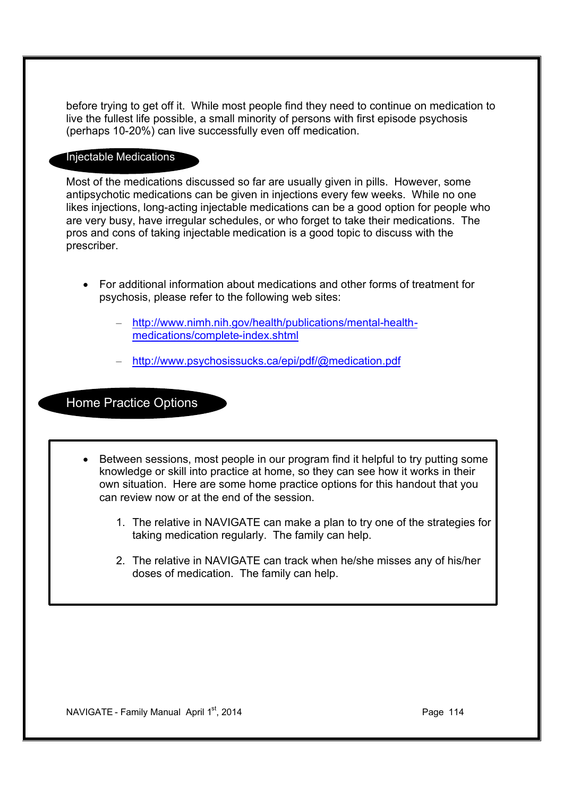before trying to get off it. While most people find they need to continue on medication to live the fullest life possible, a small minority of persons with first episode psychosis (perhaps 10-20%) can live successfully even off medication.

#### Injectable Medications

Most of the medications discussed so far are usually given in pills. However, some antipsychotic medications can be given in injections every few weeks. While no one likes injections, long-acting injectable medications can be a good option for people who are very busy, have irregular schedules, or who forget to take their medications. The pros and cons of taking injectable medication is a good topic to discuss with the prescriber.

- · For additional information about medications and other forms of treatment for psychosis, please refer to the following web sites:
	- http://www.nimh.nih.gov/health/publications/mental-healthmedications/complete-index.shtml
	- http://www.psychosissucks.ca/epi/pdf/@medication.pdf

## Home Practice Options

- · Between sessions, most people in our program find it helpful to try putting some knowledge or skill into practice at home, so they can see how it works in their own situation. Here are some home practice options for this handout that you can review now or at the end of the session.
	- 1. The relative in NAVIGATE can make a plan to try one of the strategies for taking medication regularly. The family can help.
	- 2. The relative in NAVIGATE can track when he/she misses any of his/her doses of medication. The family can help.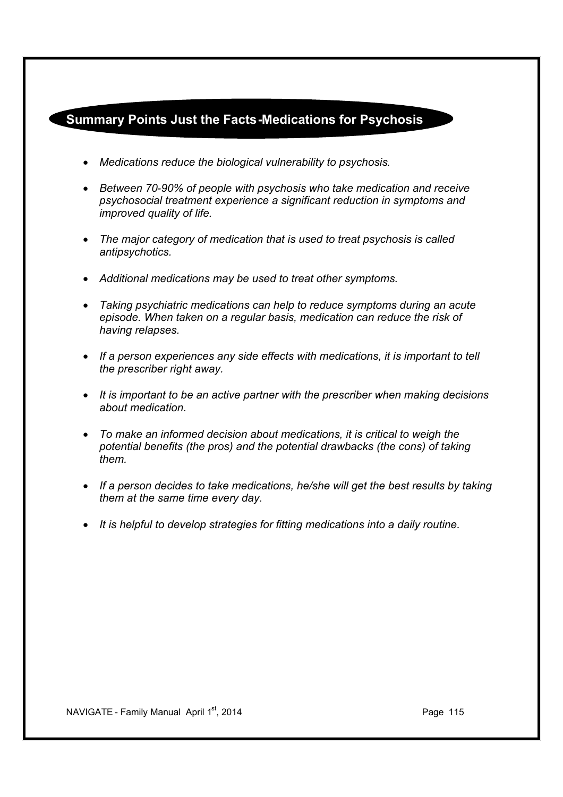## **Summary Points Just the Facts-Medications for Psychosis**

- · *Medications reduce the biological vulnerability to psychosis.*
- · *Between 70-90% of people with psychosis who take medication and receive psychosocial treatment experience a significant reduction in symptoms and improved quality of life.*
- · *The major category of medication that is used to treat psychosis is called antipsychotics.*
- · *Additional medications may be used to treat other symptoms.*
- · *Taking psychiatric medications can help to reduce symptoms during an acute episode. When taken on a regular basis, medication can reduce the risk of having relapses.*
- · *If a person experiences any side effects with medications, it is important to tell the prescriber right away.*
- · *It is important to be an active partner with the prescriber when making decisions about medication.*
- · *To make an informed decision about medications, it is critical to weigh the potential benefits (the pros) and the potential drawbacks (the cons) of taking them.*
- · *If a person decides to take medications, he/she will get the best results by taking them at the same time every day.*
- · *It is helpful to develop strategies for fitting medications into a daily routine.*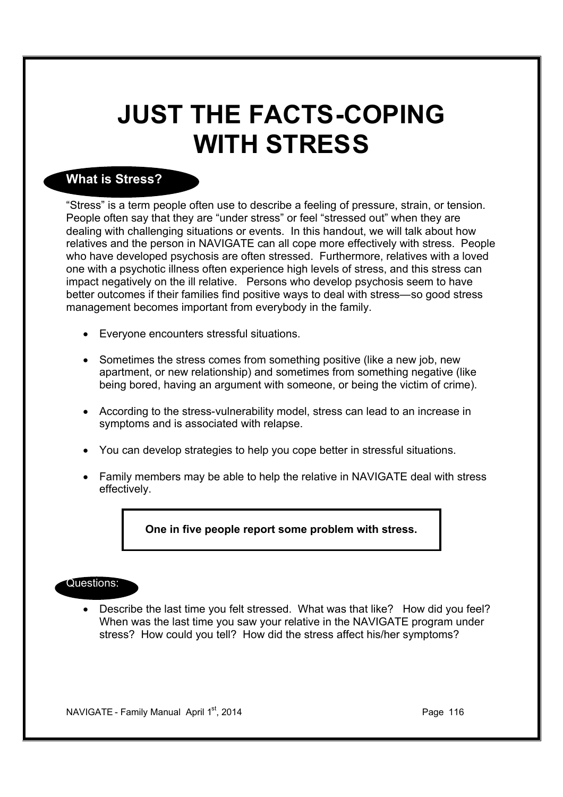# **JUST THE FACTS-COPING WITH STRESS**

## **What is Stress?**

"Stress" is a term people often use to describe a feeling of pressure, strain, or tension. People often say that they are "under stress" or feel "stressed out" when they are dealing with challenging situations or events. In this handout, we will talk about how relatives and the person in NAVIGATE can all cope more effectively with stress. People who have developed psychosis are often stressed. Furthermore, relatives with a loved one with a psychotic illness often experience high levels of stress, and this stress can impact negatively on the ill relative. Persons who develop psychosis seem to have better outcomes if their families find positive ways to deal with stress—so good stress management becomes important from everybody in the family.

- · Everyone encounters stressful situations.
- Sometimes the stress comes from something positive (like a new job, new apartment, or new relationship) and sometimes from something negative (like being bored, having an argument with someone, or being the victim of crime).
- · According to the stress-vulnerability model, stress can lead to an increase in symptoms and is associated with relapse.
- · You can develop strategies to help you cope better in stressful situations.
- · Family members may be able to help the relative in NAVIGATE deal with stress effectively.

#### **One in five people report some problem with stress.**

#### Questions:

· Describe the last time you felt stressed. What was that like? How did you feel? When was the last time you saw your relative in the NAVIGATE program under stress? How could you tell? How did the stress affect his/her symptoms?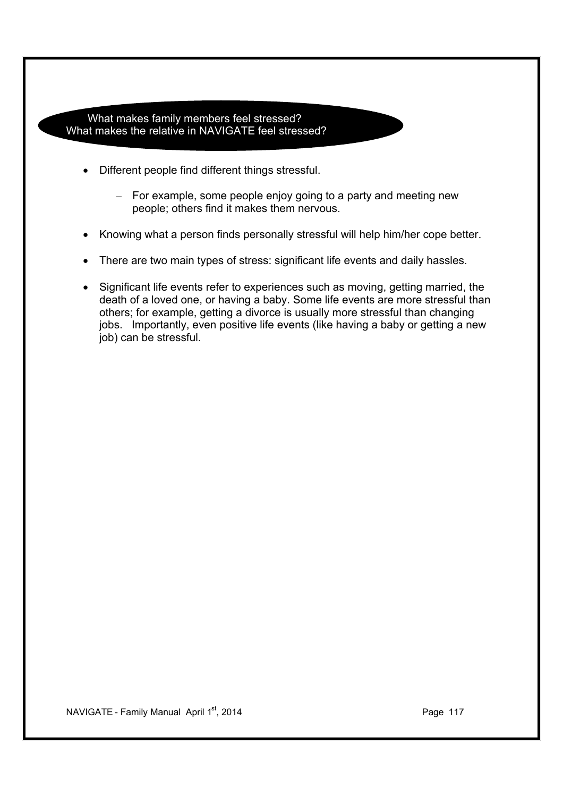What makes family members feel stressed? What makes the relative in NAVIGATE feel stressed?

- Different people find different things stressful.
	- For example, some people enjoy going to a party and meeting new people; others find it makes them nervous.
- Knowing what a person finds personally stressful will help him/her cope better.
- There are two main types of stress: significant life events and daily hassles.
- · Significant life events refer to experiences such as moving, getting married, the death of a loved one, or having a baby. Some life events are more stressful than others; for example, getting a divorce is usually more stressful than changing jobs. Importantly, even positive life events (like having a baby or getting a new job) can be stressful.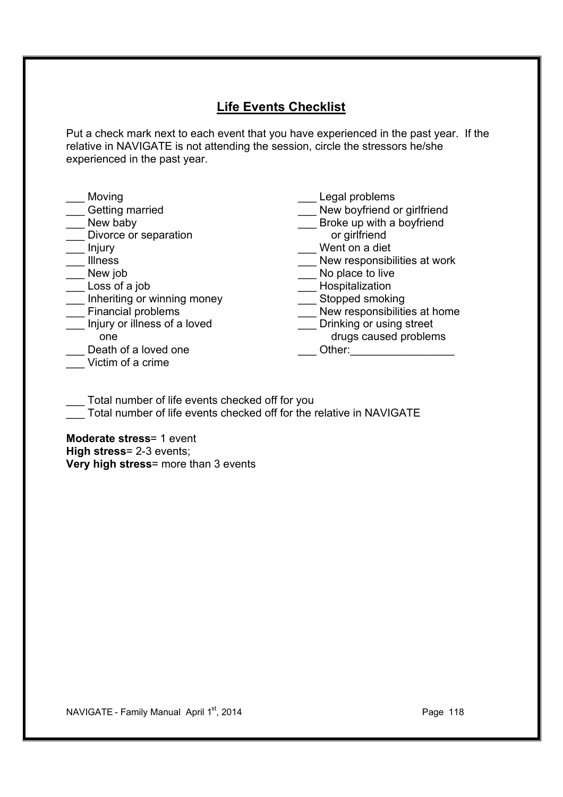## **Life Events Checklist**

Put a check mark next to each event that you have experienced in the past year. If the relative in NAVIGATE is not attending the session, circle the stressors he/she experienced in the past year.

| Moving                       | Legal problems               |
|------------------------------|------------------------------|
| Getting married              | New boyfriend or girlfriend  |
| New baby                     | Broke up with a boyfriend    |
| Divorce or separation        | or girlfriend                |
| Injury                       | Went on a diet               |
| <b>Illness</b>               | New responsibilities at work |
| New job                      | No place to live             |
| Loss of a job                | Hospitalization              |
| Inheriting or winning money  | Stopped smoking              |
| Financial problems           | New responsibilities at home |
| Injury or illness of a loved | Drinking or using street     |
| one                          | drugs caused problems        |
| Death of a loved one         | Other:                       |
| Victim of a crime            |                              |

Total number of life events checked off for you

Total number of life events checked off for the relative in NAVIGATE

**Moderate stress**= 1 event **High stress**= 2-3 events; **Very high stress**= more than 3 events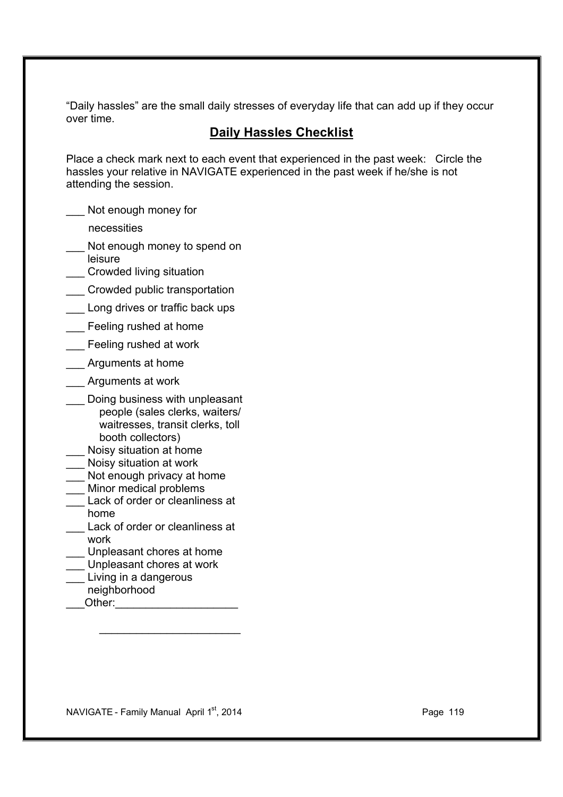"Daily hassles" are the small daily stresses of everyday life that can add up if they occur over time.

## **Daily Hassles Checklist**

Place a check mark next to each event that experienced in the past week: Circle the hassles your relative in NAVIGATE experienced in the past week if he/she is not attending the session.

- Not enough money for
	- necessities
- Not enough money to spend on
- leisure \_\_\_ Crowded living situation
- \_\_\_ Crowded public transportation
- Long drives or traffic back ups
- Feeling rushed at home
- \_\_\_ Feeling rushed at work
- \_\_\_ Arguments at home
- \_\_\_ Arguments at work
- Doing business with unpleasant people (sales clerks, waiters/ waitresses, transit clerks, toll booth collectors)
- Noisy situation at home
- \_\_\_ Noisy situation at work
- Not enough privacy at home
- Minor medical problems
- Lack of order or cleanliness at home
	- Lack of order or cleanliness at work
- Unpleasant chores at home
- Unpleasant chores at work
- Living in a dangerous
- neighborhood
- Other:

NAVIGATE - Family Manual April 1st, 2014 **Page 119** Page 119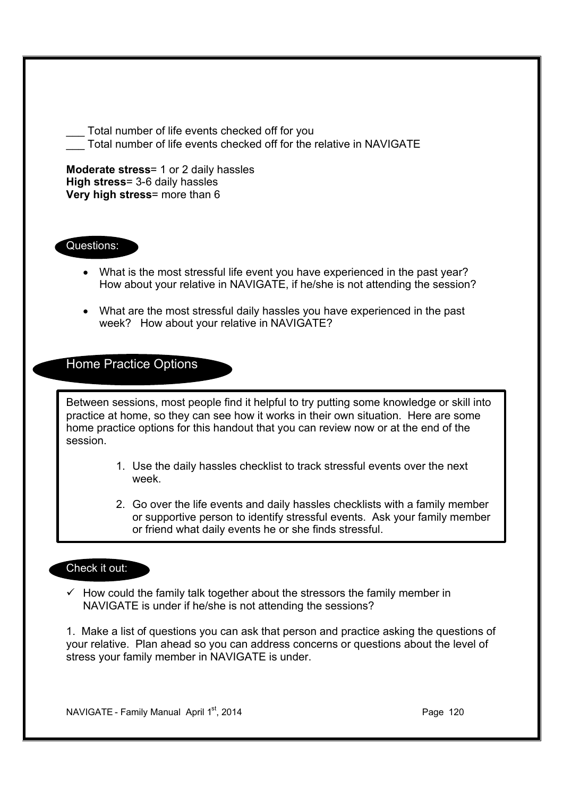**Moderate stress**= 1 or 2 daily hassles **High stress**= 3-6 daily hassles **Very high stress**= more than 6 Questions: · What is the most stressful life event you have experienced in the past year? How about your relative in NAVIGATE, if he/she is not attending the session? · What are the most stressful daily hassles you have experienced in the past week? How about your relative in NAVIGATE? Home Practice Options Between sessions, most people find it helpful to try putting some knowledge or skill into practice at home, so they can see how it works in their own situation. Here are some home practice options for this handout that you can review now or at the end of the session. 1. Use the daily hassles checklist to track stressful events over the next week. 2. Go over the life events and daily hassles checklists with a family member or supportive person to identify stressful events. Ask your family member or friend what daily events he or she finds stressful. Check it out:  $\checkmark$  How could the family talk together about the stressors the family member in

Total number of life events checked off for the relative in NAVIGATE

Total number of life events checked off for you

NAVIGATE is under if he/she is not attending the sessions?

1. Make a list of questions you can ask that person and practice asking the questions of your relative. Plan ahead so you can address concerns or questions about the level of stress your family member in NAVIGATE is under.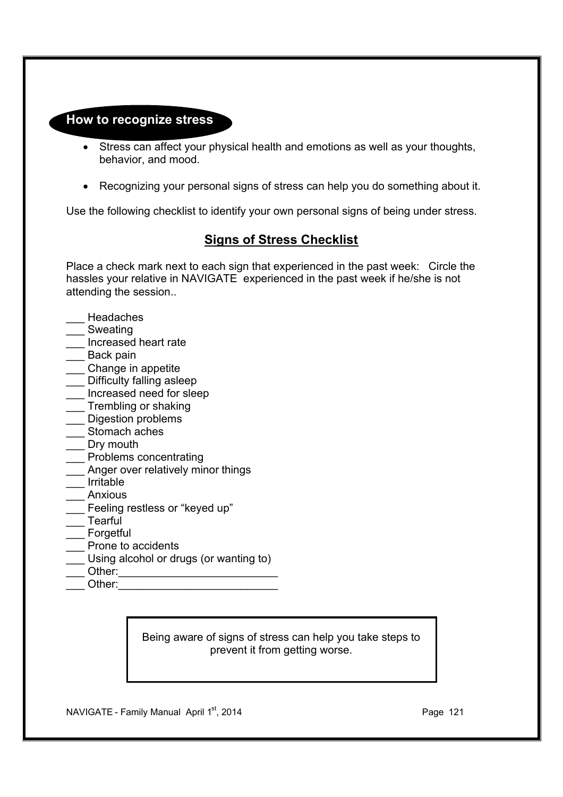### **How to recognize stress**

- · Stress can affect your physical health and emotions as well as your thoughts, behavior, and mood.
- · Recognizing your personal signs of stress can help you do something about it.

Use the following checklist to identify your own personal signs of being under stress.

## **Signs of Stress Checklist**

Place a check mark next to each sign that experienced in the past week: Circle the hassles your relative in NAVIGATE experienced in the past week if he/she is not attending the session..

- \_\_\_ Headaches
- \_\_\_ Sweating
- \_\_\_ Increased heart rate
- Back pain
- \_\_\_ Change in appetite
- \_\_\_ Difficulty falling asleep
- \_\_\_ Increased need for sleep
- \_\_\_ Trembling or shaking
- \_\_\_ Digestion problems
- Stomach aches
- Drv mouth
- \_\_\_ Problems concentrating
- Anger over relatively minor things
- \_\_\_ Irritable
- \_\_\_ Anxious
- \_\_\_ Feeling restless or "keyed up"
- \_\_\_ Tearful
- **Forgetful**
- Prone to accidents
- Using alcohol or drugs (or wanting to)
- Other:
- Other:

Being aware of signs of stress can help you take steps to prevent it from getting worse.

NAVIGATE - Family Manual April 1<sup>st</sup>, 2014 **Page 121** Page 121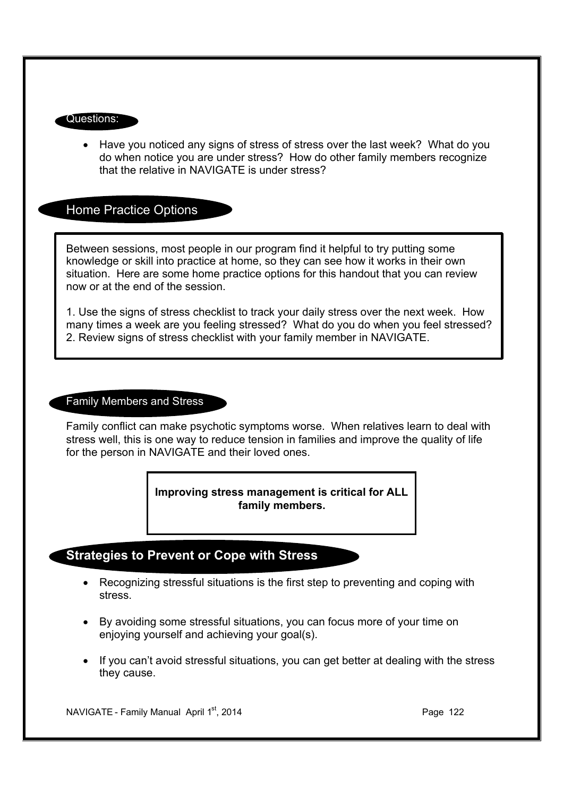#### Questions:

· Have you noticed any signs of stress of stress over the last week? What do you do when notice you are under stress? How do other family members recognize that the relative in NAVIGATE is under stress?

#### Home Practice Options

Between sessions, most people in our program find it helpful to try putting some knowledge or skill into practice at home, so they can see how it works in their own situation. Here are some home practice options for this handout that you can review now or at the end of the session.

1. Use the signs of stress checklist to track your daily stress over the next week. How many times a week are you feeling stressed? What do you do when you feel stressed? 2. Review signs of stress checklist with your family member in NAVIGATE.

#### Family Members and Stress

Family conflict can make psychotic symptoms worse. When relatives learn to deal with stress well, this is one way to reduce tension in families and improve the quality of life for the person in NAVIGATE and their loved ones.

> **Improving stress management is critical for ALL family members.**

## **Strategies to Prevent or Cope with Stress**

- · Recognizing stressful situations is the first step to preventing and coping with stress.
- · By avoiding some stressful situations, you can focus more of your time on enjoying yourself and achieving your goal(s).
- · If you can't avoid stressful situations, you can get better at dealing with the stress they cause.

NAVIGATE - Family Manual April  $1<sup>st</sup>$ , 2014 **Page 122** Page 122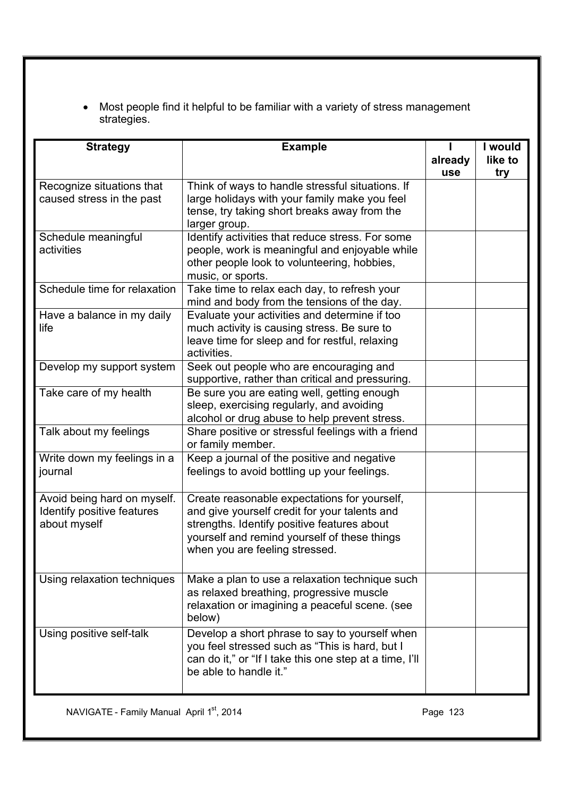· Most people find it helpful to be familiar with a variety of stress management strategies.

| <b>Strategy</b>                                                           | <b>Example</b>                                                                                                                                                                                                                 | already | I would<br>like to |
|---------------------------------------------------------------------------|--------------------------------------------------------------------------------------------------------------------------------------------------------------------------------------------------------------------------------|---------|--------------------|
|                                                                           |                                                                                                                                                                                                                                | use     | try                |
| Recognize situations that<br>caused stress in the past                    | Think of ways to handle stressful situations. If<br>large holidays with your family make you feel<br>tense, try taking short breaks away from the<br>larger group.                                                             |         |                    |
| Schedule meaningful<br>activities                                         | Identify activities that reduce stress. For some<br>people, work is meaningful and enjoyable while<br>other people look to volunteering, hobbies,<br>music, or sports.                                                         |         |                    |
| Schedule time for relaxation                                              | Take time to relax each day, to refresh your<br>mind and body from the tensions of the day.                                                                                                                                    |         |                    |
| Have a balance in my daily<br>life                                        | Evaluate your activities and determine if too<br>much activity is causing stress. Be sure to<br>leave time for sleep and for restful, relaxing<br>activities.                                                                  |         |                    |
| Develop my support system                                                 | Seek out people who are encouraging and<br>supportive, rather than critical and pressuring.                                                                                                                                    |         |                    |
| Take care of my health                                                    | Be sure you are eating well, getting enough<br>sleep, exercising regularly, and avoiding<br>alcohol or drug abuse to help prevent stress.                                                                                      |         |                    |
| Talk about my feelings                                                    | Share positive or stressful feelings with a friend<br>or family member.                                                                                                                                                        |         |                    |
| Write down my feelings in a<br>journal                                    | Keep a journal of the positive and negative<br>feelings to avoid bottling up your feelings.                                                                                                                                    |         |                    |
| Avoid being hard on myself.<br>Identify positive features<br>about myself | Create reasonable expectations for yourself,<br>and give yourself credit for your talents and<br>strengths. Identify positive features about<br>yourself and remind yourself of these things<br>when you are feeling stressed. |         |                    |
| Using relaxation techniques                                               | Make a plan to use a relaxation technique such<br>as relaxed breathing, progressive muscle<br>relaxation or imagining a peaceful scene. (see<br>below)                                                                         |         |                    |
| Using positive self-talk                                                  | Develop a short phrase to say to yourself when<br>you feel stressed such as "This is hard, but I<br>can do it," or "If I take this one step at a time, I'll<br>be able to handle it."                                          |         |                    |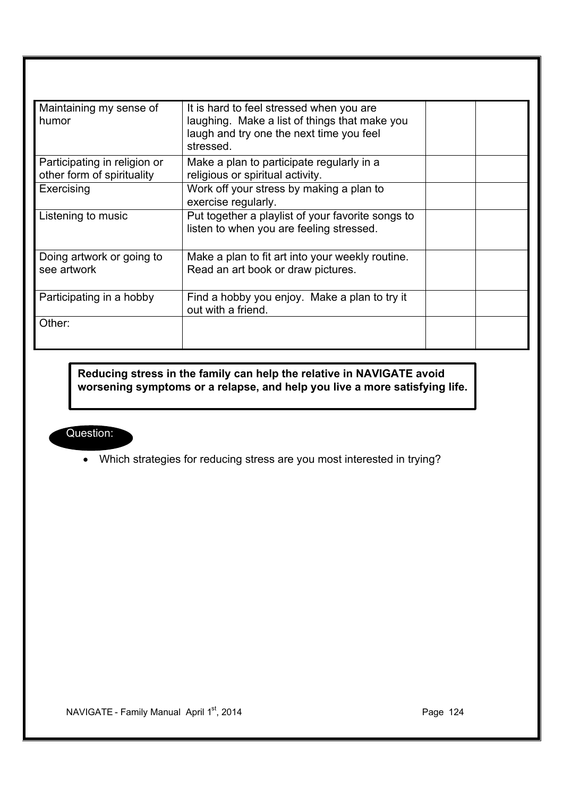| Maintaining my sense of<br>humor                           | It is hard to feel stressed when you are<br>laughing. Make a list of things that make you<br>laugh and try one the next time you feel<br>stressed. |  |
|------------------------------------------------------------|----------------------------------------------------------------------------------------------------------------------------------------------------|--|
| Participating in religion or<br>other form of spirituality | Make a plan to participate regularly in a<br>religious or spiritual activity.                                                                      |  |
| Exercising                                                 | Work off your stress by making a plan to<br>exercise regularly.                                                                                    |  |
| Listening to music                                         | Put together a playlist of your favorite songs to<br>listen to when you are feeling stressed.                                                      |  |
| Doing artwork or going to<br>see artwork                   | Make a plan to fit art into your weekly routine.<br>Read an art book or draw pictures.                                                             |  |
| Participating in a hobby                                   | Find a hobby you enjoy. Make a plan to try it<br>out with a friend.                                                                                |  |
| Other:                                                     |                                                                                                                                                    |  |

**Reducing stress in the family can help the relative in NAVIGATE avoid worsening symptoms or a relapse, and help you live a more satisfying life.**

## Question:

· Which strategies for reducing stress are you most interested in trying?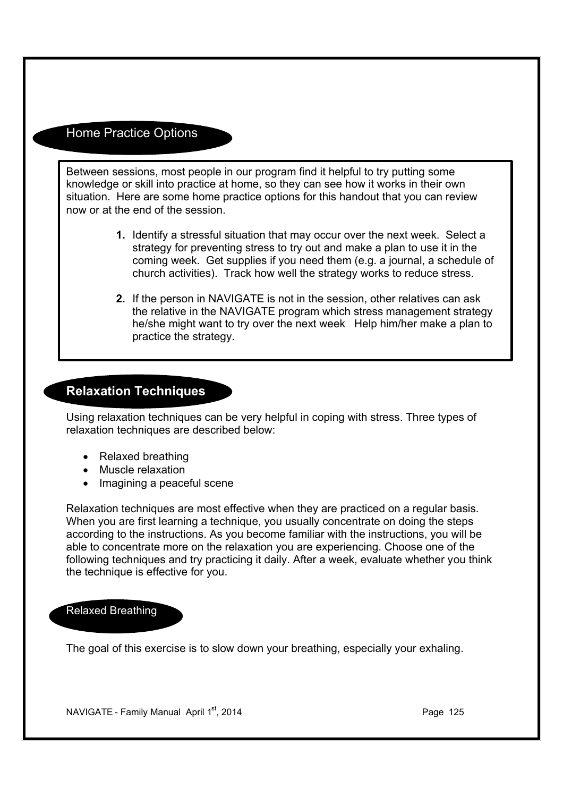## Home Practice Options

Between sessions, most people in our program find it helpful to try putting some knowledge or skill into practice at home, so they can see how it works in their own situation. Here are some home practice options for this handout that you can review now or at the end of the session.

- **1.** Identify a stressful situation that may occur over the next week. Select a strategy for preventing stress to try out and make a plan to use it in the coming week. Get supplies if you need them (e.g. a journal, a schedule of church activities). Track how well the strategy works to reduce stress.
- **2.** If the person in NAVIGATE is not in the session, other relatives can ask the relative in the NAVIGATE program which stress management strategy he/she might want to try over the next week Help him/her make a plan to practice the strategy.

## **Relaxation Techniques**

Using relaxation techniques can be very helpful in coping with stress. Three types of relaxation techniques are described below:

- · Relaxed breathing
- · Muscle relaxation
- Imagining a peaceful scene

Relaxation techniques are most effective when they are practiced on a regular basis. When you are first learning a technique, you usually concentrate on doing the steps according to the instructions. As you become familiar with the instructions, you will be able to concentrate more on the relaxation you are experiencing. Choose one of the following techniques and try practicing it daily. After a week, evaluate whether you think the technique is effective for you.

#### Relaxed Breathing

The goal of this exercise is to slow down your breathing, especially your exhaling.

NAVIGATE - Family Manual April  $1<sup>st</sup>$ , 2014 **Page 125** Page 125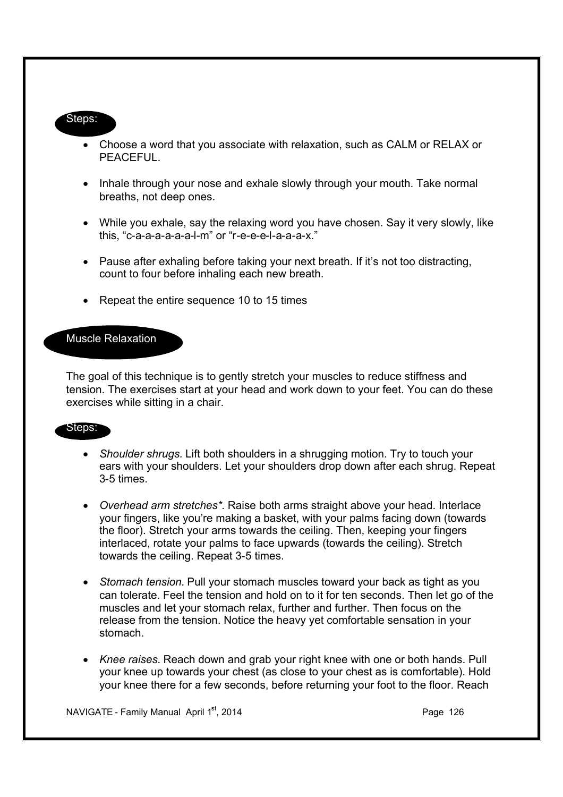#### Steps:

- · Choose a word that you associate with relaxation, such as CALM or RELAX or PEACEFUL.
- Inhale through your nose and exhale slowly through your mouth. Take normal breaths, not deep ones.
- · While you exhale, say the relaxing word you have chosen. Say it very slowly, like this, "c-a-a-a-a-a-a-l-m" or "r-e-e-e-l-a-a-a-x."
- · Pause after exhaling before taking your next breath. If it's not too distracting, count to four before inhaling each new breath.
- Repeat the entire sequence 10 to 15 times

#### Muscle Relaxation

The goal of this technique is to gently stretch your muscles to reduce stiffness and tension. The exercises start at your head and work down to your feet. You can do these exercises while sitting in a chair.

#### Steps:

- · *Shoulder shrugs.* Lift both shoulders in a shrugging motion. Try to touch your ears with your shoulders. Let your shoulders drop down after each shrug. Repeat 3-5 times.
- · *Overhead arm stretches\*.* Raise both arms straight above your head. Interlace your fingers, like you're making a basket, with your palms facing down (towards the floor). Stretch your arms towards the ceiling. Then, keeping your fingers interlaced, rotate your palms to face upwards (towards the ceiling). Stretch towards the ceiling. Repeat 3-5 times.
- · *Stomach tension.* Pull your stomach muscles toward your back as tight as you can tolerate. Feel the tension and hold on to it for ten seconds. Then let go of the muscles and let your stomach relax, further and further. Then focus on the release from the tension. Notice the heavy yet comfortable sensation in your stomach.
- · *Knee raises.* Reach down and grab your right knee with one or both hands. Pull your knee up towards your chest (as close to your chest as is comfortable). Hold your knee there for a few seconds, before returning your foot to the floor. Reach

NAVIGATE - Family Manual April  $1<sup>st</sup>$ , 2014 **Page 126** Page 126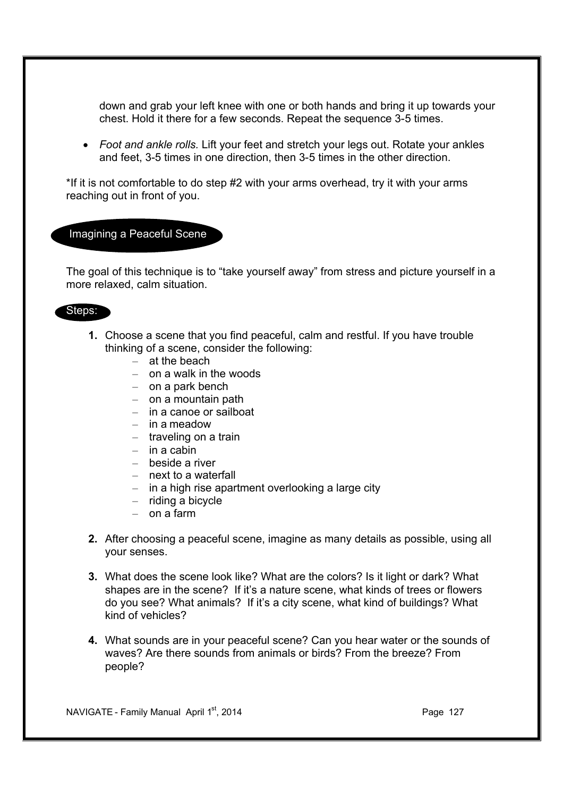down and grab your left knee with one or both hands and bring it up towards your chest. Hold it there for a few seconds. Repeat the sequence 3-5 times.

· *Foot and ankle rolls.* Lift your feet and stretch your legs out. Rotate your ankles and feet, 3-5 times in one direction, then 3-5 times in the other direction.

\*If it is not comfortable to do step #2 with your arms overhead, try it with your arms reaching out in front of you.

Imagining a Peaceful Scene

The goal of this technique is to "take yourself away" from stress and picture yourself in a more relaxed, calm situation.

#### Steps:

- **1.** Choose a scene that you find peaceful, calm and restful. If you have trouble thinking of a scene, consider the following:
	- at the beach
	- on a walk in the woods
	- on a park bench
	- on a mountain path
	- in a canoe or sailboat
	- in a meadow
	- traveling on a train
	- $-$  in a cabin
	- beside a river
	- next to a waterfall
	- in a high rise apartment overlooking a large city
	- riding a bicycle
	- on a farm
- **2.** After choosing a peaceful scene, imagine as many details as possible, using all your senses.
- **3.** What does the scene look like? What are the colors? Is it light or dark? What shapes are in the scene? If it's a nature scene, what kinds of trees or flowers do you see? What animals? If it's a city scene, what kind of buildings? What kind of vehicles?
- **4.** What sounds are in your peaceful scene? Can you hear water or the sounds of waves? Are there sounds from animals or birds? From the breeze? From people?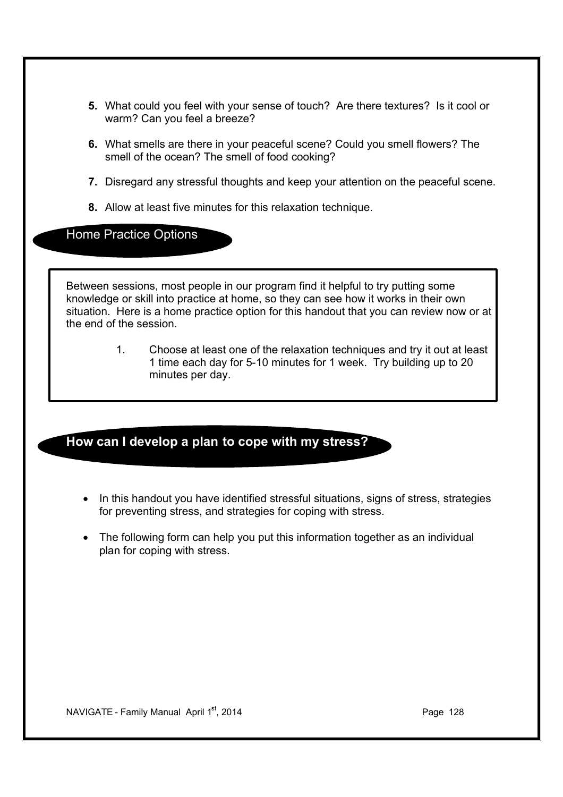- **5.** What could you feel with your sense of touch? Are there textures? Is it cool or warm? Can you feel a breeze?
- **6.** What smells are there in your peaceful scene? Could you smell flowers? The smell of the ocean? The smell of food cooking?
- **7.** Disregard any stressful thoughts and keep your attention on the peaceful scene.
- **8.** Allow at least five minutes for this relaxation technique.

Home Practice Options

Between sessions, most people in our program find it helpful to try putting some knowledge or skill into practice at home, so they can see how it works in their own situation. Here is a home practice option for this handout that you can review now or at the end of the session.

> 1. Choose at least one of the relaxation techniques and try it out at least 1 time each day for 5-10 minutes for 1 week. Try building up to 20 minutes per day.

## **How can I develop a plan to cope with my stress?**

- In this handout you have identified stressful situations, signs of stress, strategies for preventing stress, and strategies for coping with stress.
- · The following form can help you put this information together as an individual plan for coping with stress.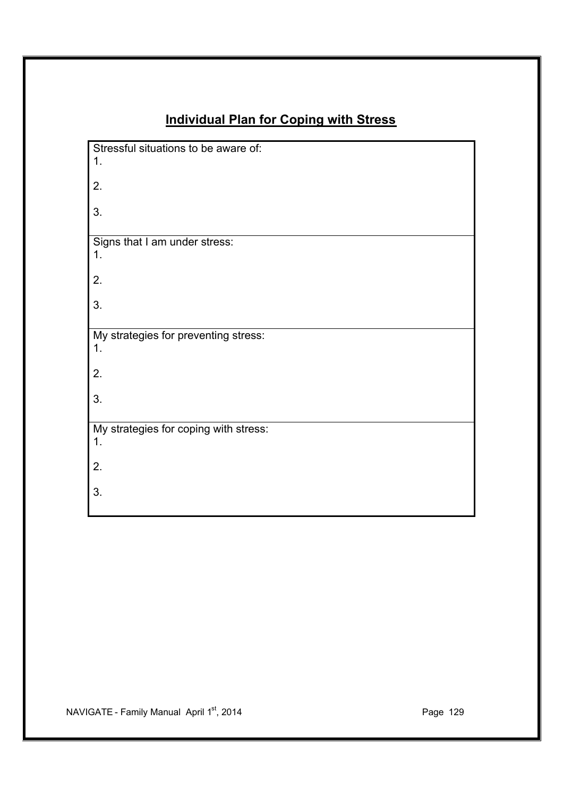# **Individual Plan for Coping with Stress**

| Stressful situations to be aware of:<br>1.  |
|---------------------------------------------|
| 2.                                          |
| 3.                                          |
| Signs that I am under stress:<br>1.         |
| 2.                                          |
| 3.                                          |
| My strategies for preventing stress:<br>1.  |
| 2.                                          |
| 3.                                          |
| My strategies for coping with stress:<br>1. |
| 2.                                          |
| 3.                                          |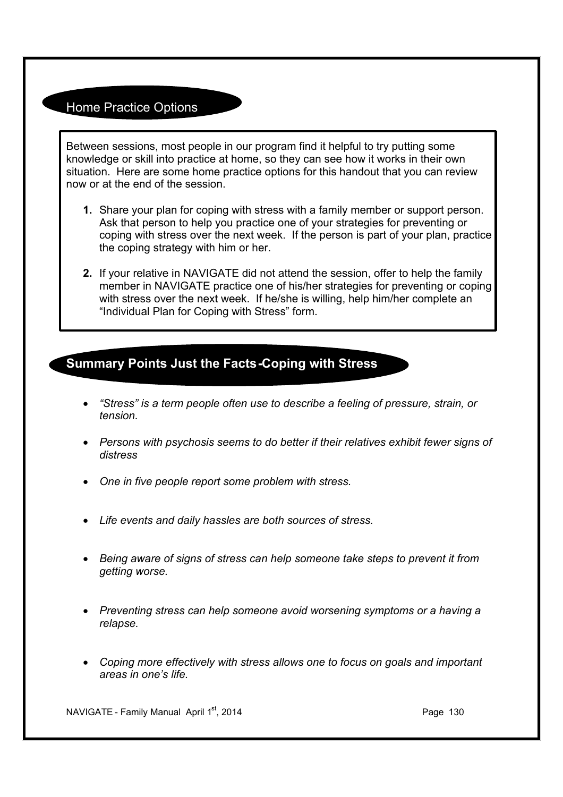## Home Practice Options

Between sessions, most people in our program find it helpful to try putting some knowledge or skill into practice at home, so they can see how it works in their own situation. Here are some home practice options for this handout that you can review now or at the end of the session.

- **1.** Share your plan for coping with stress with a family member or support person. Ask that person to help you practice one of your strategies for preventing or coping with stress over the next week. If the person is part of your plan, practice the coping strategy with him or her.
- **2.** If your relative in NAVIGATE did not attend the session, offer to help the family member in NAVIGATE practice one of his/her strategies for preventing or coping with stress over the next week. If he/she is willing, help him/her complete an "Individual Plan for Coping with Stress" form.

## **Summary Points Just the Facts-Coping with Stress**

- · *"Stress" is a term people often use to describe a feeling of pressure, strain, or tension.*
- · *Persons with psychosis seems to do better if their relatives exhibit fewer signs of distress*
- · *One in five people report some problem with stress.*
- · *Life events and daily hassles are both sources of stress.*
- · *Being aware of signs of stress can help someone take steps to prevent it from getting worse.*
- · *Preventing stress can help someone avoid worsening symptoms or a having a relapse.*
- · *Coping more effectively with stress allows one to focus on goals and important areas in one's life.*

NAVIGATE - Family Manual April 1st, 2014 **Page 130** Page 130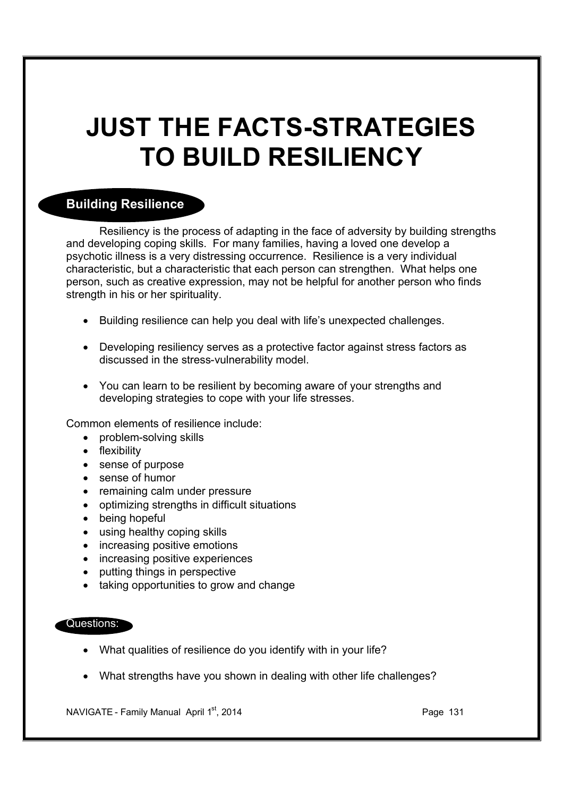# **JUST THE FACTS-STRATEGIES TO BUILD RESILIENCY**

## **Building Resilience**

Resiliency is the process of adapting in the face of adversity by building strengths and developing coping skills. For many families, having a loved one develop a psychotic illness is a very distressing occurrence. Resilience is a very individual characteristic, but a characteristic that each person can strengthen. What helps one person, such as creative expression, may not be helpful for another person who finds strength in his or her spirituality.

- · Building resilience can help you deal with life's unexpected challenges.
- · Developing resiliency serves as a protective factor against stress factors as discussed in the stress-vulnerability model.
- · You can learn to be resilient by becoming aware of your strengths and developing strategies to cope with your life stresses.

Common elements of resilience include:

- problem-solving skills
- flexibility
- · sense of purpose
- · sense of humor
- remaining calm under pressure
- · optimizing strengths in difficult situations
- being hopeful
- using healthy coping skills
- increasing positive emotions
- increasing positive experiences
- putting things in perspective
- taking opportunities to grow and change

#### Questions:

- · What qualities of resilience do you identify with in your life?
- · What strengths have you shown in dealing with other life challenges?

NAVIGATE - Family Manual April 1st, 2014 **Page 131** Page 131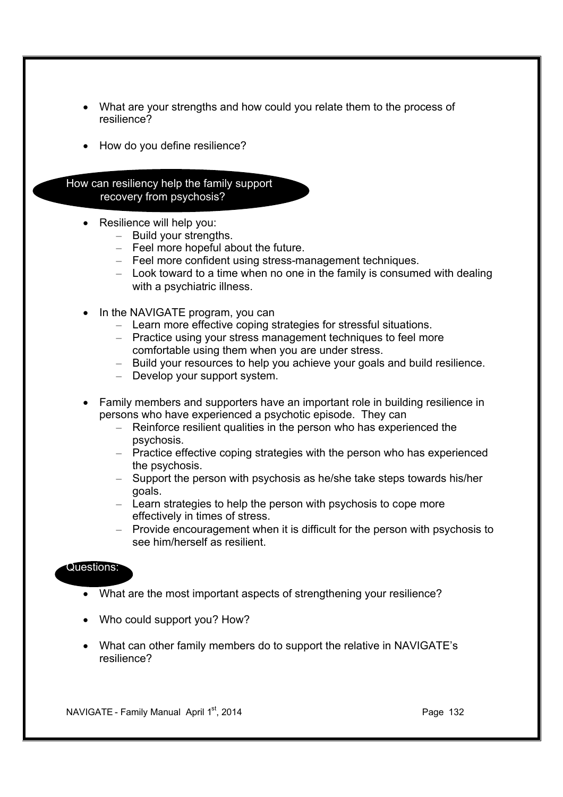- What are your strengths and how could you relate them to the process of resilience?
- How do you define resilience?

How can resiliency help the family support recovery from psychosis?

- · Resilience will help you:
	- Build your strengths.
	- Feel more hopeful about the future.
	- Feel more confident using stress-management techniques.
	- Look toward to a time when no one in the family is consumed with dealing with a psychiatric illness.
- In the NAVIGATE program, you can
	- Learn more effective coping strategies for stressful situations.
	- Practice using your stress management techniques to feel more comfortable using them when you are under stress.
	- Build your resources to help you achieve your goals and build resilience.
	- Develop your support system.
- · Family members and supporters have an important role in building resilience in persons who have experienced a psychotic episode. They can
	- Reinforce resilient qualities in the person who has experienced the psychosis.
	- Practice effective coping strategies with the person who has experienced the psychosis.
	- Support the person with psychosis as he/she take steps towards his/her goals.
	- Learn strategies to help the person with psychosis to cope more effectively in times of stress.
	- Provide encouragement when it is difficult for the person with psychosis to see him/herself as resilient.

#### Questions:

- · What are the most important aspects of strengthening your resilience?
- · Who could support you? How?
- · What can other family members do to support the relative in NAVIGATE's resilience?

NAVIGATE - Family Manual April  $1<sup>st</sup>$ , 2014 **Page 132** Page 132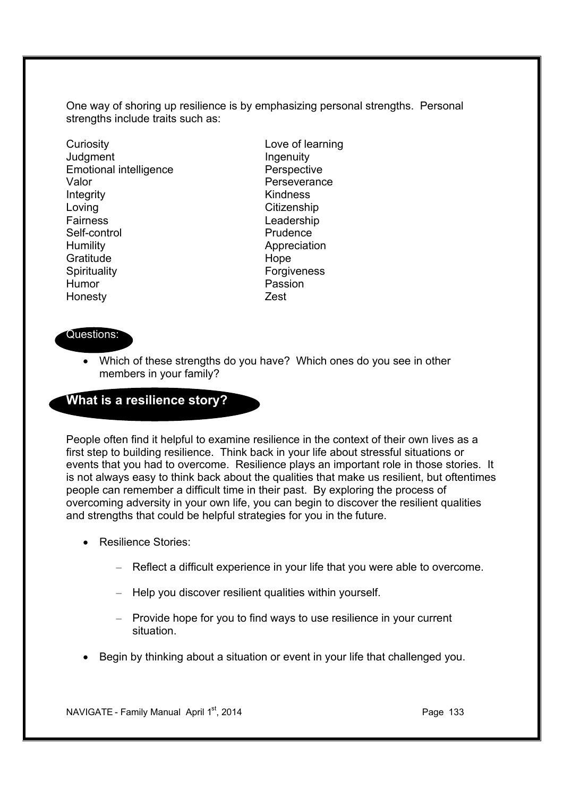One way of shoring up resilience is by emphasizing personal strengths. Personal strengths include traits such as:

Curiosity Love of learning Judgment **Ingenuity** Emotional intelligence **Perspective** Valor **Valor** Perseverance Integrity **Kindness** Loving **Citizenship** Fairness Leadership Self-control **Prudence** Humility **Appreciation** Gratitude Hope Spirituality **Forgiveness** Humor **Passion** Honesty Zest

### Questions:

• Which of these strengths do you have? Which ones do you see in other members in your family?

## **What is a resilience story?**

People often find it helpful to examine resilience in the context of their own lives as a first step to building resilience. Think back in your life about stressful situations or events that you had to overcome. Resilience plays an important role in those stories. It is not always easy to think back about the qualities that make us resilient, but oftentimes people can remember a difficult time in their past. By exploring the process of overcoming adversity in your own life, you can begin to discover the resilient qualities and strengths that could be helpful strategies for you in the future.

- · Resilience Stories:
	- Reflect a difficult experience in your life that you were able to overcome.
	- Help you discover resilient qualities within yourself.
	- Provide hope for you to find ways to use resilience in your current situation.
- · Begin by thinking about a situation or event in your life that challenged you.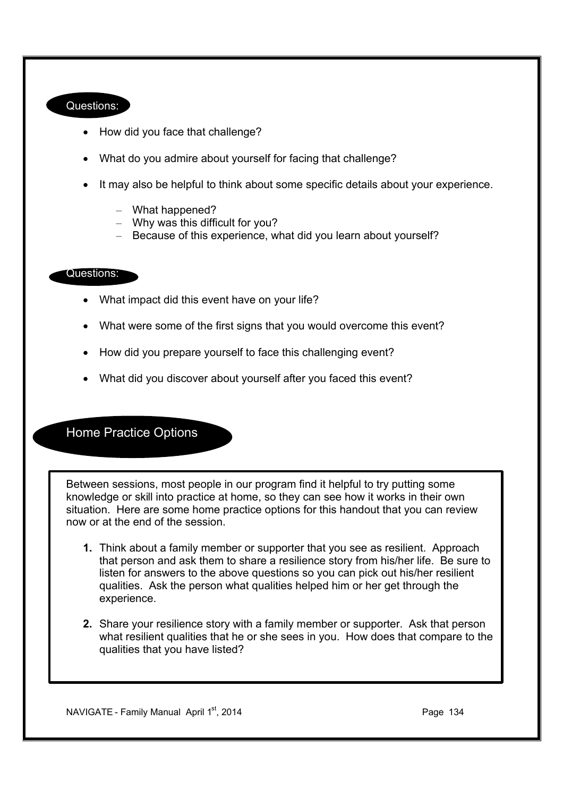#### Questions:

- · How did you face that challenge?
- · What do you admire about yourself for facing that challenge?
- · It may also be helpful to think about some specific details about your experience.
	- What happened?
	- Why was this difficult for you?
	- Because of this experience, what did you learn about yourself?

#### Questions:

- What impact did this event have on your life?
- · What were some of the first signs that you would overcome this event?
- How did you prepare yourself to face this challenging event?
- What did you discover about yourself after you faced this event?

Home Practice Options

Between sessions, most people in our program find it helpful to try putting some knowledge or skill into practice at home, so they can see how it works in their own situation. Here are some home practice options for this handout that you can review now or at the end of the session.

- **1.** Think about a family member or supporter that you see as resilient. Approach that person and ask them to share a resilience story from his/her life. Be sure to listen for answers to the above questions so you can pick out his/her resilient qualities. Ask the person what qualities helped him or her get through the experience.
- **2.** Share your resilience story with a family member or supporter. Ask that person what resilient qualities that he or she sees in you. How does that compare to the qualities that you have listed?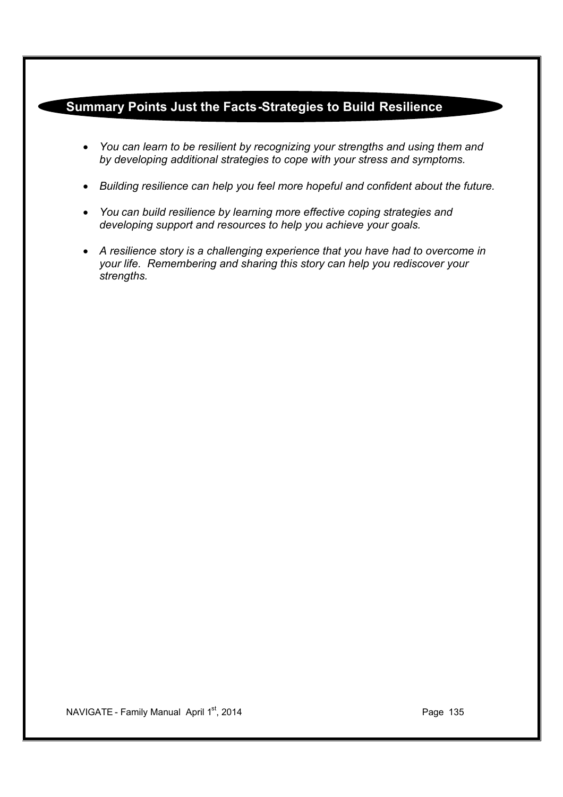## **Summary Points Just the Facts-Strategies to Build Resilience**

- · *You can learn to be resilient by recognizing your strengths and using them and by developing additional strategies to cope with your stress and symptoms.*
- · *Building resilience can help you feel more hopeful and confident about the future.*
- · *You can build resilience by learning more effective coping strategies and developing support and resources to help you achieve your goals.*
- · *A resilience story is a challenging experience that you have had to overcome in your life. Remembering and sharing this story can help you rediscover your strengths.*

NAVIGATE - Family Manual April 1<sup>st</sup>, 2014 **Page 135**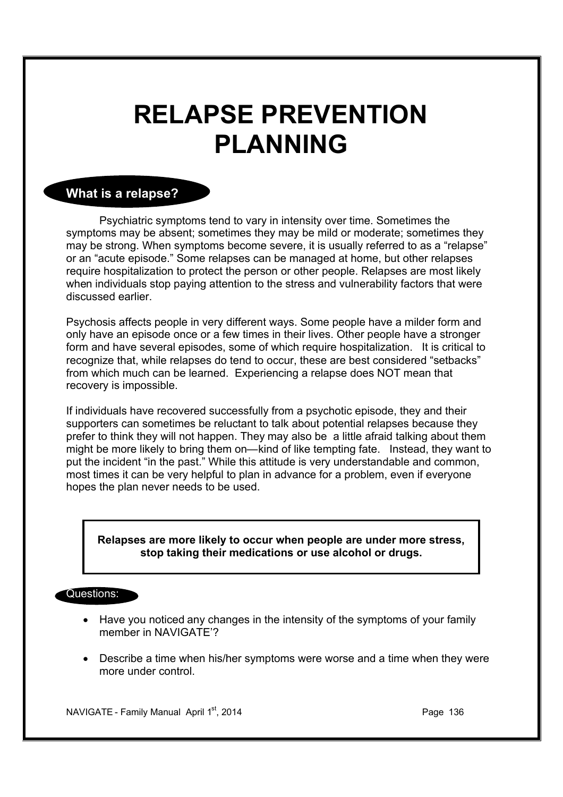# **RELAPSE PREVENTION PLANNING**

## **What is a relapse?**

Psychiatric symptoms tend to vary in intensity over time. Sometimes the symptoms may be absent; sometimes they may be mild or moderate; sometimes they may be strong. When symptoms become severe, it is usually referred to as a "relapse" or an "acute episode." Some relapses can be managed at home, but other relapses require hospitalization to protect the person or other people. Relapses are most likely when individuals stop paying attention to the stress and vulnerability factors that were discussed earlier.

Psychosis affects people in very different ways. Some people have a milder form and only have an episode once or a few times in their lives. Other people have a stronger form and have several episodes, some of which require hospitalization. It is critical to recognize that, while relapses do tend to occur, these are best considered "setbacks" from which much can be learned. Experiencing a relapse does NOT mean that recovery is impossible.

If individuals have recovered successfully from a psychotic episode, they and their supporters can sometimes be reluctant to talk about potential relapses because they prefer to think they will not happen. They may also be a little afraid talking about them might be more likely to bring them on—kind of like tempting fate. Instead, they want to put the incident "in the past." While this attitude is very understandable and common, most times it can be very helpful to plan in advance for a problem, even if everyone hopes the plan never needs to be used.

#### **Relapses are more likely to occur when people are under more stress, stop taking their medications or use alcohol or drugs.**

#### Questions:

- · Have you noticed any changes in the intensity of the symptoms of your family member in NAVIGATE'?
- · Describe a time when his/her symptoms were worse and a time when they were more under control.

NAVIGATE - Family Manual April 1<sup>st</sup>, 2014 **Page 136** Page 136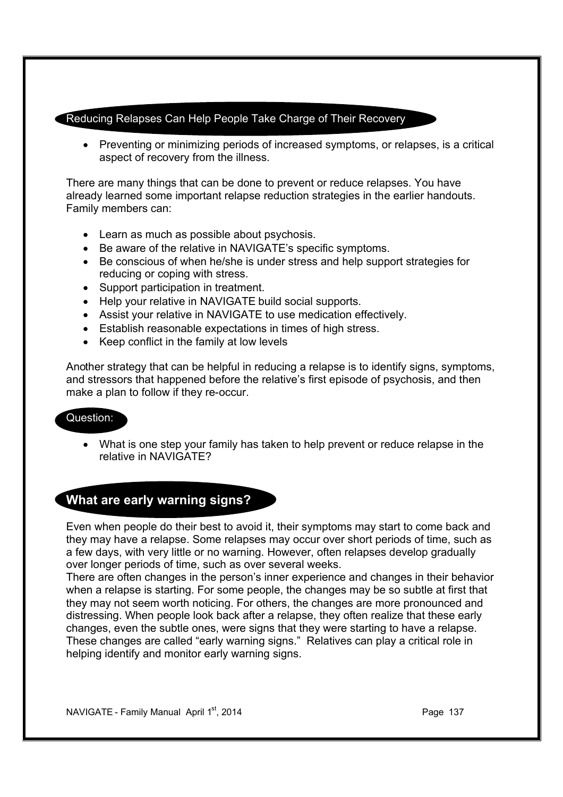#### Reducing Relapses Can Help People Take Charge of Their Recovery

· Preventing or minimizing periods of increased symptoms, or relapses, is a critical aspect of recovery from the illness.

There are many things that can be done to prevent or reduce relapses. You have already learned some important relapse reduction strategies in the earlier handouts. Family members can:

- · Learn as much as possible about psychosis.
- · Be aware of the relative in NAVIGATE's specific symptoms.
- · Be conscious of when he/she is under stress and help support strategies for reducing or coping with stress.
- · Support participation in treatment.
- · Help your relative in NAVIGATE build social supports.
- · Assist your relative in NAVIGATE to use medication effectively.
- · Establish reasonable expectations in times of high stress.
- · Keep conflict in the family at low levels

Another strategy that can be helpful in reducing a relapse is to identify signs, symptoms, and stressors that happened before the relative's first episode of psychosis, and then make a plan to follow if they re-occur.

#### Question:

· What is one step your family has taken to help prevent or reduce relapse in the relative in NAVIGATE?

## **What are early warning signs?**

Even when people do their best to avoid it, their symptoms may start to come back and they may have a relapse. Some relapses may occur over short periods of time, such as a few days, with very little or no warning. However, often relapses develop gradually over longer periods of time, such as over several weeks.

There are often changes in the person's inner experience and changes in their behavior when a relapse is starting. For some people, the changes may be so subtle at first that they may not seem worth noticing. For others, the changes are more pronounced and distressing. When people look back after a relapse, they often realize that these early changes, even the subtle ones, were signs that they were starting to have a relapse. These changes are called "early warning signs." Relatives can play a critical role in helping identify and monitor early warning signs.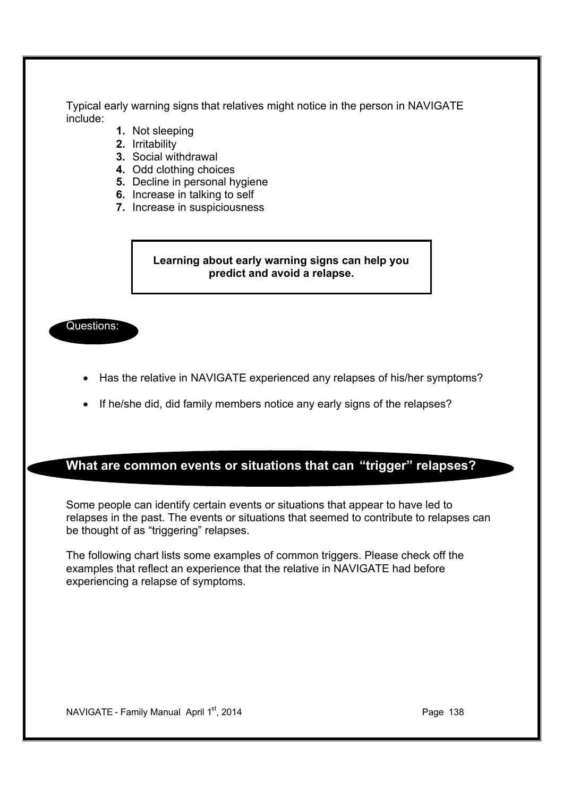Typical early warning signs that relatives might notice in the person in NAVIGATE include:

- **1.** Not sleeping
- **2.** Irritability
- **3.** Social withdrawal
- **4.** Odd clothing choices
- **5.** Decline in personal hygiene
- **6.** Increase in talking to self
- **7.** Increase in suspiciousness

#### **Learning about early warning signs can help you predict and avoid a relapse.**

Questions:

- · Has the relative in NAVIGATE experienced any relapses of his/her symptoms?
- If he/she did, did family members notice any early signs of the relapses?

## **What are common events or situations that can "trigger" relapses?**

Some people can identify certain events or situations that appear to have led to relapses in the past. The events or situations that seemed to contribute to relapses can be thought of as "triggering" relapses.

The following chart lists some examples of common triggers. Please check off the examples that reflect an experience that the relative in NAVIGATE had before experiencing a relapse of symptoms.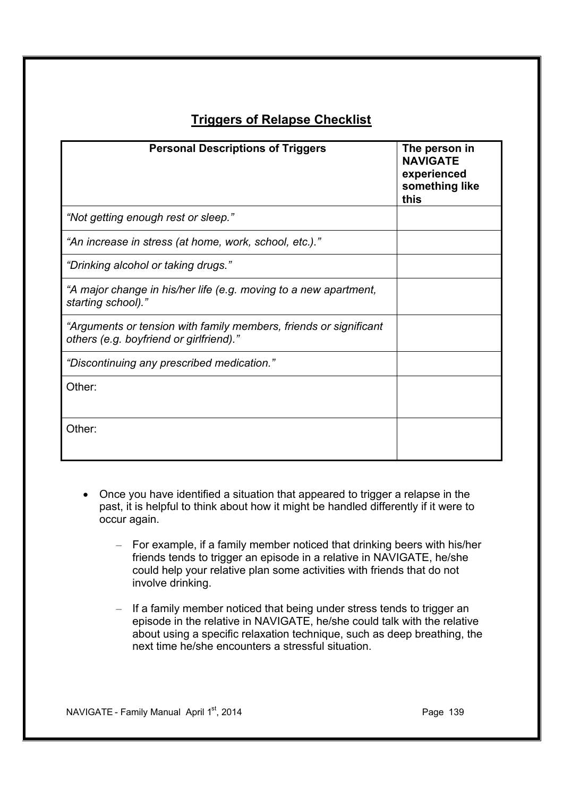## **Triggers of Relapse Checklist**

| <b>Personal Descriptions of Triggers</b>                                                                     | The person in<br><b>NAVIGATE</b><br>experienced<br>something like<br>this |
|--------------------------------------------------------------------------------------------------------------|---------------------------------------------------------------------------|
| "Not getting enough rest or sleep."                                                                          |                                                                           |
| "An increase in stress (at home, work, school, etc.)."                                                       |                                                                           |
| "Drinking alcohol or taking drugs."                                                                          |                                                                           |
| "A major change in his/her life (e.g. moving to a new apartment,<br>starting school)."                       |                                                                           |
| "Arguments or tension with family members, friends or significant<br>others (e.g. boyfriend or girlfriend)." |                                                                           |
| "Discontinuing any prescribed medication."                                                                   |                                                                           |
| Other:                                                                                                       |                                                                           |
| Other:                                                                                                       |                                                                           |

- · Once you have identified a situation that appeared to trigger a relapse in the past, it is helpful to think about how it might be handled differently if it were to occur again.
	- For example, if a family member noticed that drinking beers with his/her friends tends to trigger an episode in a relative in NAVIGATE, he/she could help your relative plan some activities with friends that do not involve drinking.
	- If a family member noticed that being under stress tends to trigger an episode in the relative in NAVIGATE, he/she could talk with the relative about using a specific relaxation technique, such as deep breathing, the next time he/she encounters a stressful situation.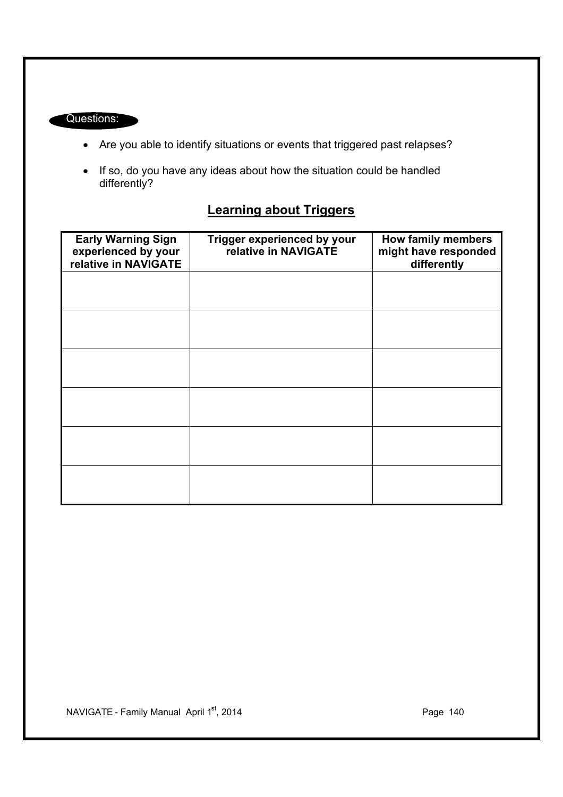### Questions:

- · Are you able to identify situations or events that triggered past relapses?
- · If so, do you have any ideas about how the situation could be handled differently?

## **Learning about Triggers**

| <b>Early Warning Sign</b><br>experienced by your<br>relative in NAVIGATE | Trigger experienced by your<br>relative in NAVIGATE | How family members<br>might have responded<br>differently |
|--------------------------------------------------------------------------|-----------------------------------------------------|-----------------------------------------------------------|
|                                                                          |                                                     |                                                           |
|                                                                          |                                                     |                                                           |
|                                                                          |                                                     |                                                           |
|                                                                          |                                                     |                                                           |
|                                                                          |                                                     |                                                           |
|                                                                          |                                                     |                                                           |

NAVIGATE - Family Manual April 1<sup>st</sup>, 2014 **Page 140** Page 140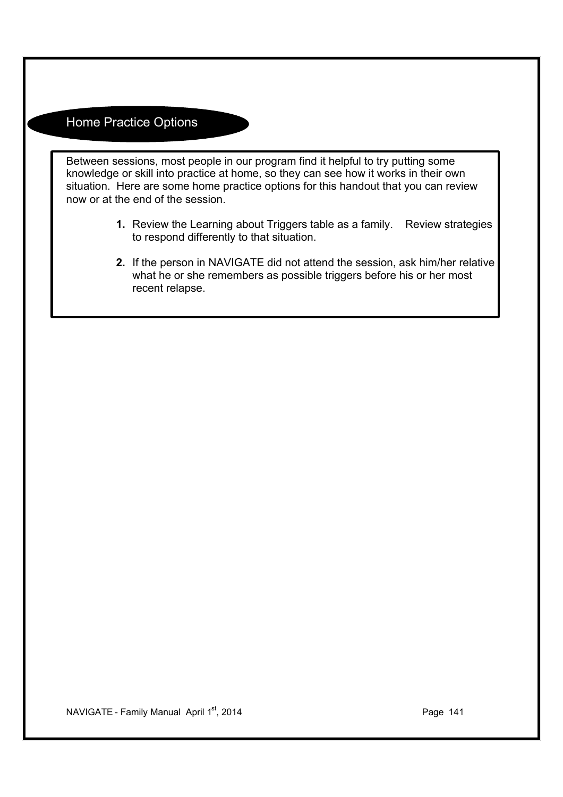## Home Practice Options

Between sessions, most people in our program find it helpful to try putting some knowledge or skill into practice at home, so they can see how it works in their own situation. Here are some home practice options for this handout that you can review now or at the end of the session.

- **1.** Review the Learning about Triggers table as a family. Review strategies to respond differently to that situation.
- **2.** If the person in NAVIGATE did not attend the session, ask him/her relative what he or she remembers as possible triggers before his or her most recent relapse.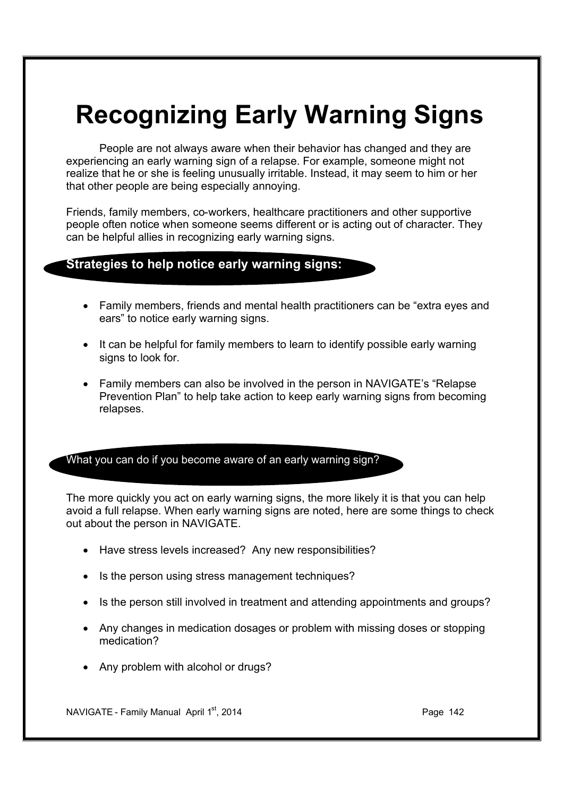# **Recognizing Early Warning Signs**

People are not always aware when their behavior has changed and they are experiencing an early warning sign of a relapse. For example, someone might not realize that he or she is feeling unusually irritable. Instead, it may seem to him or her that other people are being especially annoying.

Friends, family members, co-workers, healthcare practitioners and other supportive people often notice when someone seems different or is acting out of character. They can be helpful allies in recognizing early warning signs.

## **Strategies to help notice early warning signs:**

- · Family members, friends and mental health practitioners can be "extra eyes and ears" to notice early warning signs.
- · It can be helpful for family members to learn to identify possible early warning signs to look for.
- · Family members can also be involved in the person in NAVIGATE's "Relapse Prevention Plan" to help take action to keep early warning signs from becoming relapses.

What you can do if you become aware of an early warning sign?

The more quickly you act on early warning signs, the more likely it is that you can help avoid a full relapse. When early warning signs are noted, here are some things to check out about the person in NAVIGATE.

- · Have stress levels increased? Any new responsibilities?
- Is the person using stress management techniques?
- · Is the person still involved in treatment and attending appointments and groups?
- · Any changes in medication dosages or problem with missing doses or stopping medication?
- Any problem with alcohol or drugs?

NAVIGATE - Family Manual April  $1<sup>st</sup>$ , 2014 **Page 142** Page 142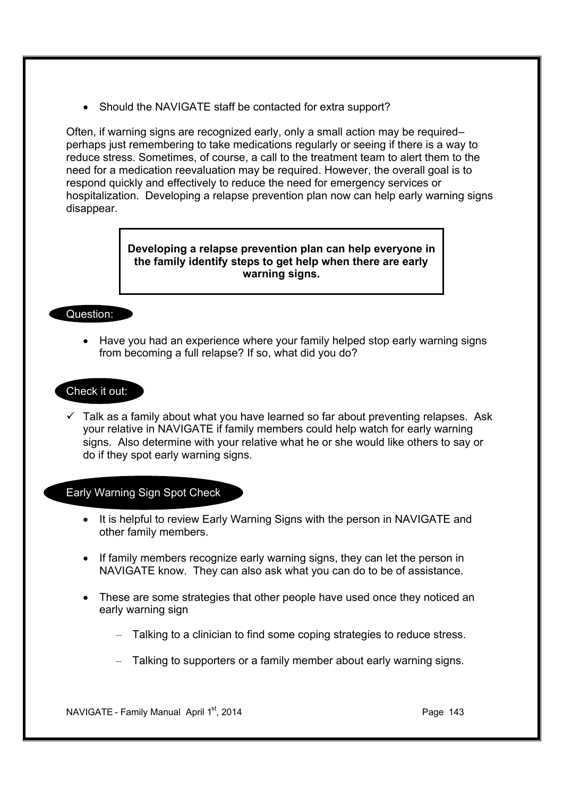• Should the NAVIGATE staff be contacted for extra support?

Often, if warning signs are recognized early, only a small action may be required– perhaps just remembering to take medications regularly or seeing if there is a way to reduce stress. Sometimes, of course, a call to the treatment team to alert them to the need for a medication reevaluation may be required. However, the overall goal is to respond quickly and effectively to reduce the need for emergency services or hospitalization. Developing a relapse prevention plan now can help early warning signs disappear.

> **Developing a relapse prevention plan can help everyone in the family identify steps to get help when there are early warning signs.**

#### Question:

· Have you had an experience where your family helped stop early warning signs from becoming a full relapse? If so, what did you do?

#### Check it out:

 $\checkmark$  Talk as a family about what you have learned so far about preventing relapses. Ask your relative in NAVIGATE if family members could help watch for early warning signs. Also determine with your relative what he or she would like others to say or do if they spot early warning signs.

#### Early Warning Sign Spot Check

- · It is helpful to review Early Warning Signs with the person in NAVIGATE and other family members.
- · If family members recognize early warning signs, they can let the person in NAVIGATE know. They can also ask what you can do to be of assistance.
- · These are some strategies that other people have used once they noticed an early warning sign
	- Talking to a clinician to find some coping strategies to reduce stress.
	- Talking to supporters or a family member about early warning signs.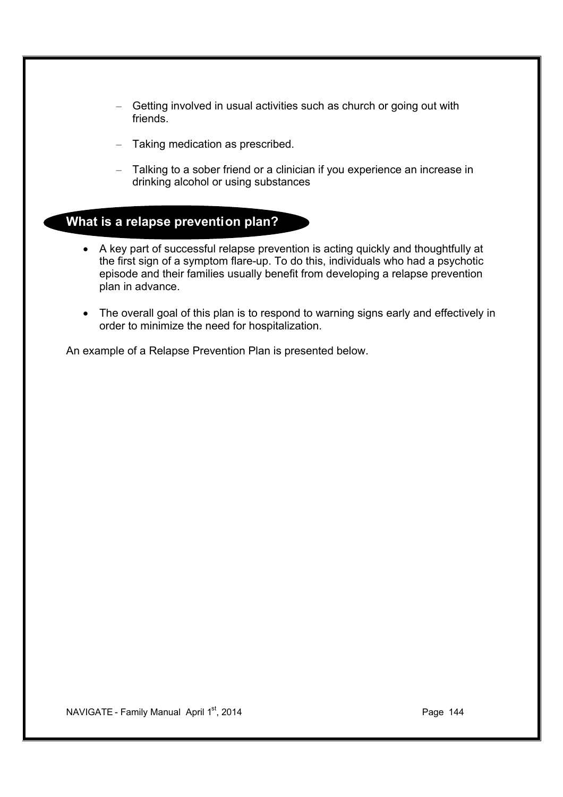- Getting involved in usual activities such as church or going out with friends.
- Taking medication as prescribed.
- Talking to a sober friend or a clinician if you experience an increase in drinking alcohol or using substances

## **What is a relapse prevention plan?**

- · A key part of successful relapse prevention is acting quickly and thoughtfully at the first sign of a symptom flare-up. To do this, individuals who had a psychotic episode and their families usually benefit from developing a relapse prevention plan in advance.
- The overall goal of this plan is to respond to warning signs early and effectively in order to minimize the need for hospitalization.

An example of a Relapse Prevention Plan is presented below.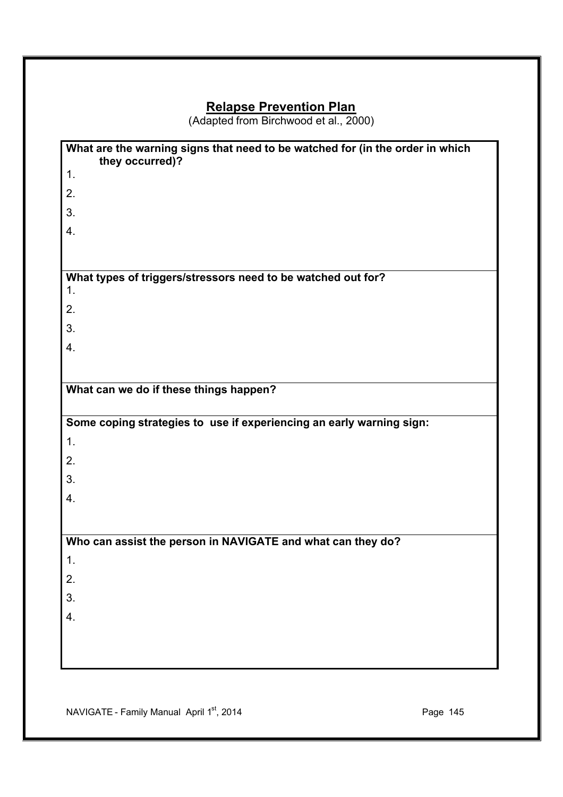## **Relapse Prevention Plan**

(Adapted from Birchwood et al., 2000)

| What are the warning signs that need to be watched for (in the order in which<br>they occurred)? |
|--------------------------------------------------------------------------------------------------|
| 1.                                                                                               |
| 2.                                                                                               |
| 3.                                                                                               |
| 4.                                                                                               |
|                                                                                                  |
|                                                                                                  |
| What types of triggers/stressors need to be watched out for?<br>1.                               |
| 2.                                                                                               |
| 3.                                                                                               |
| 4.                                                                                               |
|                                                                                                  |
| What can we do if these things happen?                                                           |
|                                                                                                  |
|                                                                                                  |
|                                                                                                  |
| Some coping strategies to use if experiencing an early warning sign:                             |
| 1.                                                                                               |
| 2.                                                                                               |
| 3.                                                                                               |
|                                                                                                  |
| 4.                                                                                               |
|                                                                                                  |
| Who can assist the person in NAVIGATE and what can they do?                                      |
| 1.                                                                                               |
| 2.                                                                                               |
| 3.                                                                                               |
| 4.                                                                                               |
|                                                                                                  |
|                                                                                                  |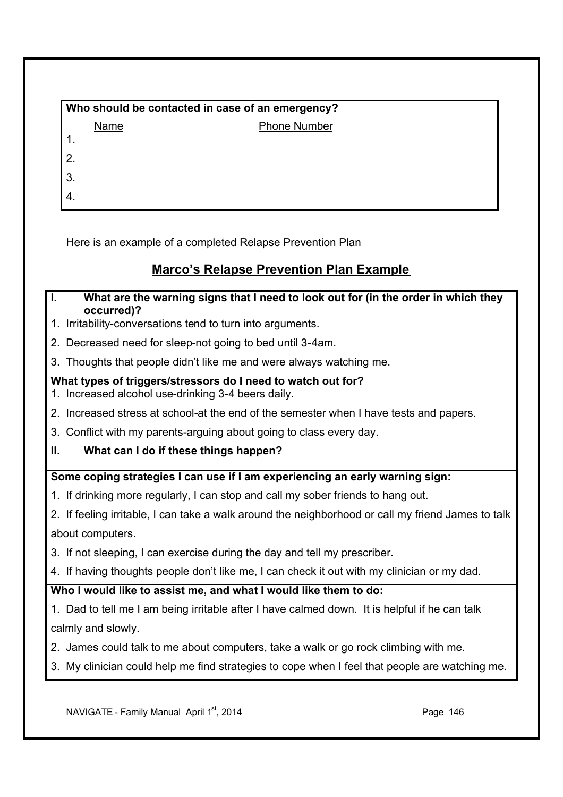| Who should be contacted in case of an emergency? |                     |  |  |  |
|--------------------------------------------------|---------------------|--|--|--|
| Name                                             | <b>Phone Number</b> |  |  |  |
|                                                  |                     |  |  |  |
| $\overline{2}$ .                                 |                     |  |  |  |
| $\vert$ 3.                                       |                     |  |  |  |
| I 4.                                             |                     |  |  |  |

Here is an example of a completed Relapse Prevention Plan

# **Marco's Relapse Prevention Plan Example**

#### **I. What are the warning signs that I need to look out for (in the order in which they occurred)?**

- 1. Irritability-conversations tend to turn into arguments.
- 2. Decreased need for sleep-not going to bed until 3-4am.
- 3. Thoughts that people didn't like me and were always watching me.

#### **What types of triggers/stressors do I need to watch out for?**

- 1. Increased alcohol use-drinking 3-4 beers daily.
- 2. Increased stress at school-at the end of the semester when I have tests and papers.
- 3. Conflict with my parents-arguing about going to class every day.

#### **II. What can I do if these things happen?**

#### **Some coping strategies I can use if I am experiencing an early warning sign:**

- 1. If drinking more regularly, I can stop and call my sober friends to hang out.
- 2. If feeling irritable, I can take a walk around the neighborhood or call my friend James to talk about computers.
- 3. If not sleeping, I can exercise during the day and tell my prescriber.
- 4. If having thoughts people don't like me, I can check it out with my clinician or my dad.

### **Who I would like to assist me, and what I would like them to do:**

- 1. Dad to tell me I am being irritable after I have calmed down. It is helpful if he can talk calmly and slowly.
- 2. James could talk to me about computers, take a walk or go rock climbing with me.
- 3. My clinician could help me find strategies to cope when I feel that people are watching me.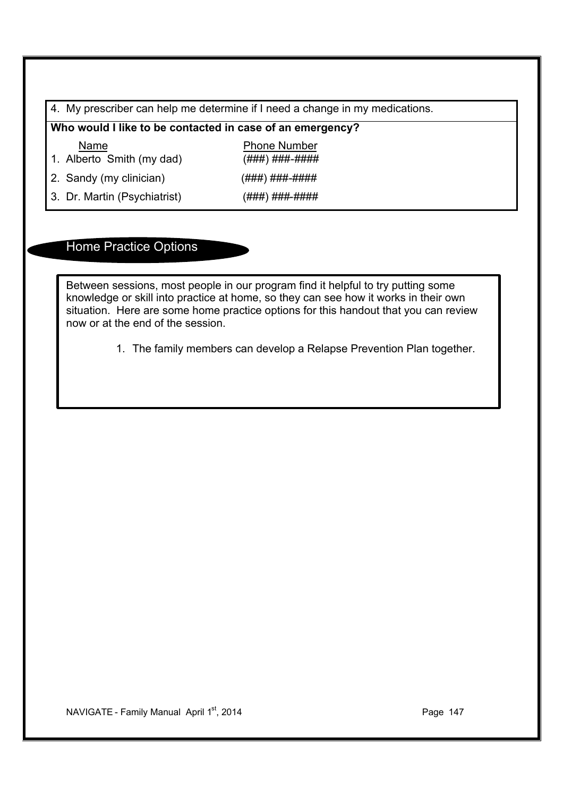4. My prescriber can help me determine if I need a change in my medications.

**Who would I like to be contacted in case of an emergency?** 

Name Phone Number

1. Alberto Smith (my dad) (###) ###-####

2. Sandy (my clinician)  $(\# \# \#) \# \# \# \# \# \# \# \#$ 

3. Dr. Martin (Psychiatrist) (###) ###-####

# Home Practice Options

Between sessions, most people in our program find it helpful to try putting some knowledge or skill into practice at home, so they can see how it works in their own situation. Here are some home practice options for this handout that you can review now or at the end of the session.

1. The family members can develop a Relapse Prevention Plan together.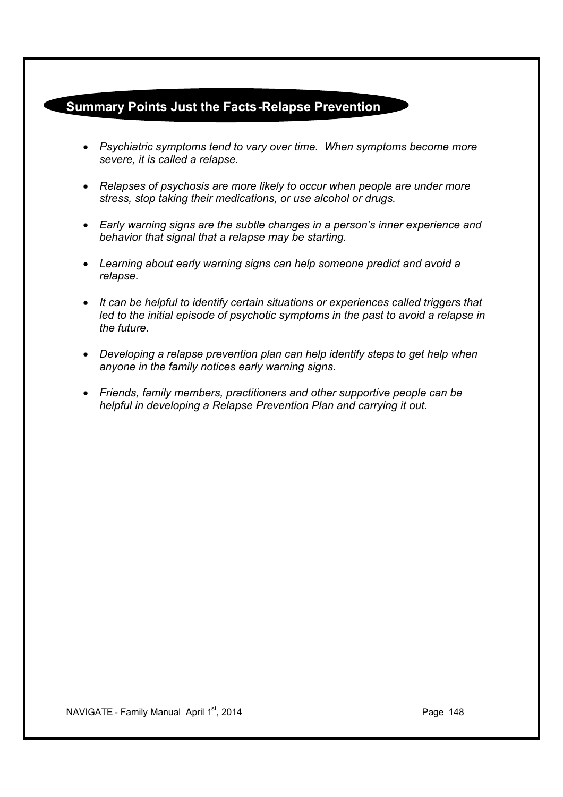# **Summary Points Just the Facts-Relapse Prevention**

- · *Psychiatric symptoms tend to vary over time. When symptoms become more severe, it is called a relapse.*
- · *Relapses of psychosis are more likely to occur when people are under more stress, stop taking their medications, or use alcohol or drugs.*
- · *Early warning signs are the subtle changes in a person's inner experience and behavior that signal that a relapse may be starting.*
- · *Learning about early warning signs can help someone predict and avoid a relapse.*
- · *It can be helpful to identify certain situations or experiences called triggers that led to the initial episode of psychotic symptoms in the past to avoid a relapse in the future.*
- · *Developing a relapse prevention plan can help identify steps to get help when anyone in the family notices early warning signs.*
- · *Friends, family members, practitioners and other supportive people can be helpful in developing a Relapse Prevention Plan and carrying it out.*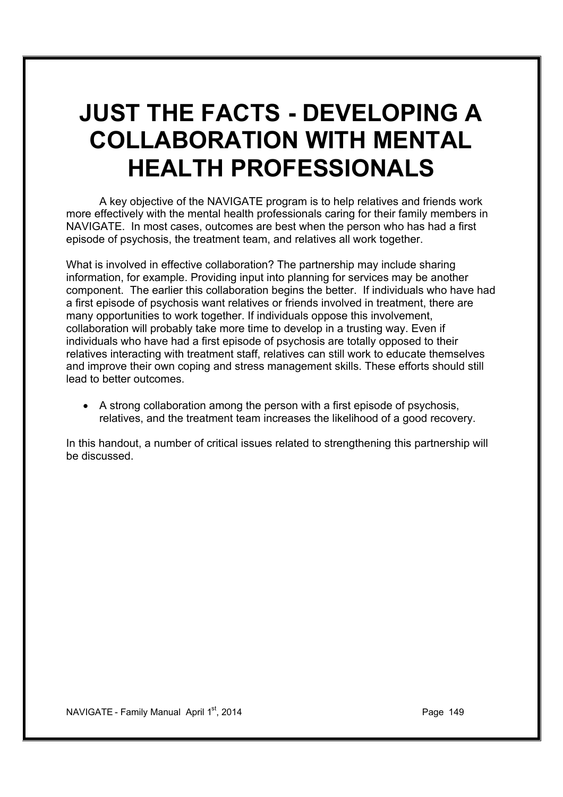# **JUST THE FACTS - DEVELOPING A COLLABORATION WITH MENTAL HEALTH PROFESSIONALS**

A key objective of the NAVIGATE program is to help relatives and friends work more effectively with the mental health professionals caring for their family members in NAVIGATE. In most cases, outcomes are best when the person who has had a first episode of psychosis, the treatment team, and relatives all work together.

What is involved in effective collaboration? The partnership may include sharing information, for example. Providing input into planning for services may be another component. The earlier this collaboration begins the better. If individuals who have had a first episode of psychosis want relatives or friends involved in treatment, there are many opportunities to work together. If individuals oppose this involvement, collaboration will probably take more time to develop in a trusting way. Even if individuals who have had a first episode of psychosis are totally opposed to their relatives interacting with treatment staff, relatives can still work to educate themselves and improve their own coping and stress management skills. These efforts should still lead to better outcomes.

· A strong collaboration among the person with a first episode of psychosis, relatives, and the treatment team increases the likelihood of a good recovery.

In this handout, a number of critical issues related to strengthening this partnership will be discussed.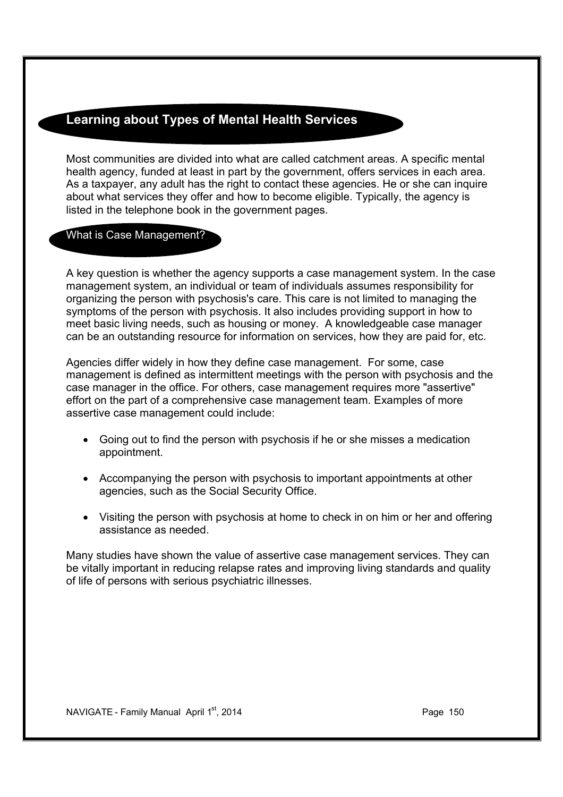# **Learning about Types of Mental Health Services**

Most communities are divided into what are called catchment areas. A specific mental health agency, funded at least in part by the government, offers services in each area. As a taxpayer, any adult has the right to contact these agencies. He or she can inquire about what services they offer and how to become eligible. Typically, the agency is listed in the telephone book in the government pages.

#### What is Case Management?

A key question is whether the agency supports a case management system. In the case management system, an individual or team of individuals assumes responsibility for organizing the person with psychosis's care. This care is not limited to managing the symptoms of the person with psychosis. It also includes providing support in how to meet basic living needs, such as housing or money. A knowledgeable case manager can be an outstanding resource for information on services, how they are paid for, etc.

Agencies differ widely in how they define case management. For some, case management is defined as intermittent meetings with the person with psychosis and the case manager in the office. For others, case management requires more "assertive" effort on the part of a comprehensive case management team. Examples of more assertive case management could include:

- · Going out to find the person with psychosis if he or she misses a medication appointment.
- · Accompanying the person with psychosis to important appointments at other agencies, such as the Social Security Office.
- · Visiting the person with psychosis at home to check in on him or her and offering assistance as needed.

Many studies have shown the value of assertive case management services. They can be vitally important in reducing relapse rates and improving living standards and quality of life of persons with serious psychiatric illnesses.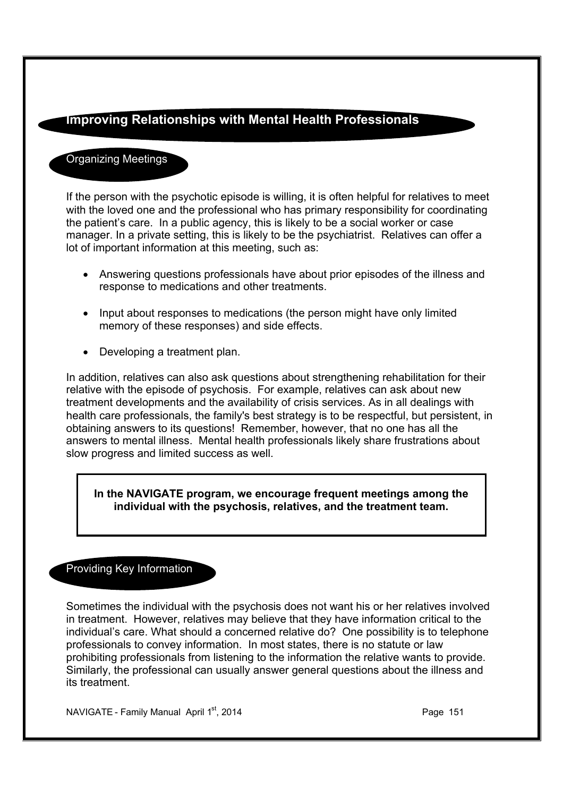# **Improving Relationships with Mental Health Professionals**

### Organizing Meetings

If the person with the psychotic episode is willing, it is often helpful for relatives to meet with the loved one and the professional who has primary responsibility for coordinating the patient's care. In a public agency, this is likely to be a social worker or case manager. In a private setting, this is likely to be the psychiatrist. Relatives can offer a lot of important information at this meeting, such as:

- · Answering questions professionals have about prior episodes of the illness and response to medications and other treatments.
- · Input about responses to medications (the person might have only limited memory of these responses) and side effects.
- Developing a treatment plan.

In addition, relatives can also ask questions about strengthening rehabilitation for their relative with the episode of psychosis. For example, relatives can ask about new treatment developments and the availability of crisis services. As in all dealings with health care professionals, the family's best strategy is to be respectful, but persistent, in obtaining answers to its questions! Remember, however, that no one has all the answers to mental illness. Mental health professionals likely share frustrations about slow progress and limited success as well.

**In the NAVIGATE program, we encourage frequent meetings among the individual with the psychosis, relatives, and the treatment team.**

## Providing Key Information

Sometimes the individual with the psychosis does not want his or her relatives involved in treatment. However, relatives may believe that they have information critical to the individual's care. What should a concerned relative do? One possibility is to telephone professionals to convey information. In most states, there is no statute or law prohibiting professionals from listening to the information the relative wants to provide. Similarly, the professional can usually answer general questions about the illness and its treatment.

NAVIGATE - Family Manual April 1st, 2014 **Page 151** Page 151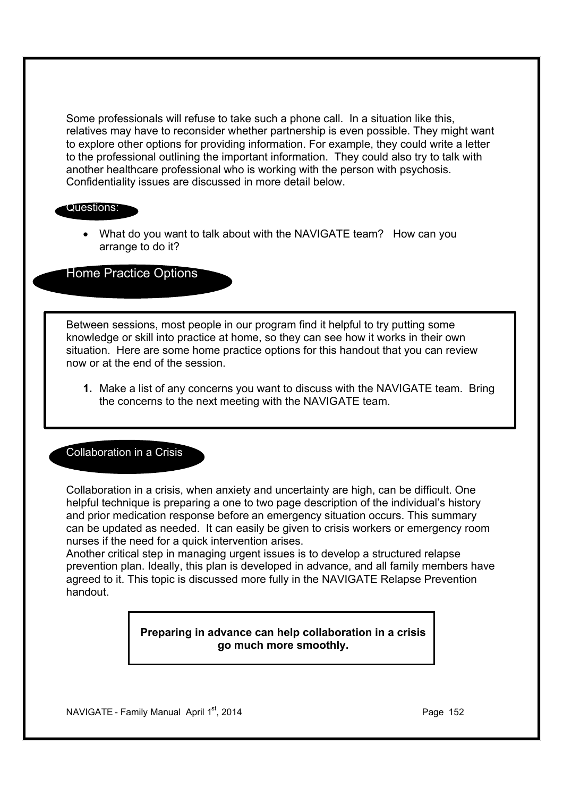Some professionals will refuse to take such a phone call. In a situation like this, relatives may have to reconsider whether partnership is even possible. They might want to explore other options for providing information. For example, they could write a letter to the professional outlining the important information. They could also try to talk with another healthcare professional who is working with the person with psychosis. Confidentiality issues are discussed in more detail below.

#### Questions:

• What do you want to talk about with the NAVIGATE team? How can you arrange to do it?

Home Practice Options

Between sessions, most people in our program find it helpful to try putting some knowledge or skill into practice at home, so they can see how it works in their own situation. Here are some home practice options for this handout that you can review now or at the end of the session.

**1.** Make a list of any concerns you want to discuss with the NAVIGATE team. Bring the concerns to the next meeting with the NAVIGATE team.

#### Collaboration in a Crisis

Collaboration in a crisis, when anxiety and uncertainty are high, can be difficult. One helpful technique is preparing a one to two page description of the individual's history and prior medication response before an emergency situation occurs. This summary can be updated as needed. It can easily be given to crisis workers or emergency room nurses if the need for a quick intervention arises.

Another critical step in managing urgent issues is to develop a structured relapse prevention plan. Ideally, this plan is developed in advance, and all family members have agreed to it. This topic is discussed more fully in the NAVIGATE Relapse Prevention handout.

> **Preparing in advance can help collaboration in a crisis go much more smoothly.**

NAVIGATE - Family Manual April  $1<sup>st</sup>$ , 2014 **Page 152** Page 152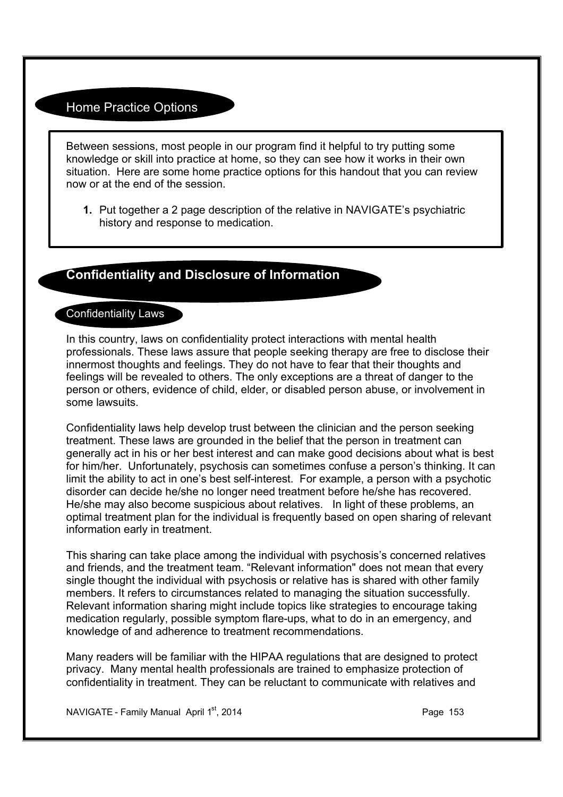## Home Practice Options

Between sessions, most people in our program find it helpful to try putting some knowledge or skill into practice at home, so they can see how it works in their own situation. Here are some home practice options for this handout that you can review now or at the end of the session.

**1.** Put together a 2 page description of the relative in NAVIGATE's psychiatric history and response to medication.

# **Confidentiality and Disclosure of Information**

#### Confidentiality Laws

In this country, laws on confidentiality protect interactions with mental health professionals. These laws assure that people seeking therapy are free to disclose their innermost thoughts and feelings. They do not have to fear that their thoughts and feelings will be revealed to others. The only exceptions are a threat of danger to the person or others, evidence of child, elder, or disabled person abuse, or involvement in some lawsuits.

Confidentiality laws help develop trust between the clinician and the person seeking treatment. These laws are grounded in the belief that the person in treatment can generally act in his or her best interest and can make good decisions about what is best for him/her. Unfortunately, psychosis can sometimes confuse a person's thinking. It can limit the ability to act in one's best self-interest. For example, a person with a psychotic disorder can decide he/she no longer need treatment before he/she has recovered. He/she may also become suspicious about relatives. In light of these problems, an optimal treatment plan for the individual is frequently based on open sharing of relevant information early in treatment.

This sharing can take place among the individual with psychosis's concerned relatives and friends, and the treatment team. "Relevant information" does not mean that every single thought the individual with psychosis or relative has is shared with other family members. It refers to circumstances related to managing the situation successfully. Relevant information sharing might include topics like strategies to encourage taking medication regularly, possible symptom flare-ups, what to do in an emergency, and knowledge of and adherence to treatment recommendations.

Many readers will be familiar with the HIPAA regulations that are designed to protect privacy. Many mental health professionals are trained to emphasize protection of confidentiality in treatment. They can be reluctant to communicate with relatives and

NAVIGATE - Family Manual April  $1<sup>st</sup>$ , 2014 **Page 153** Page 153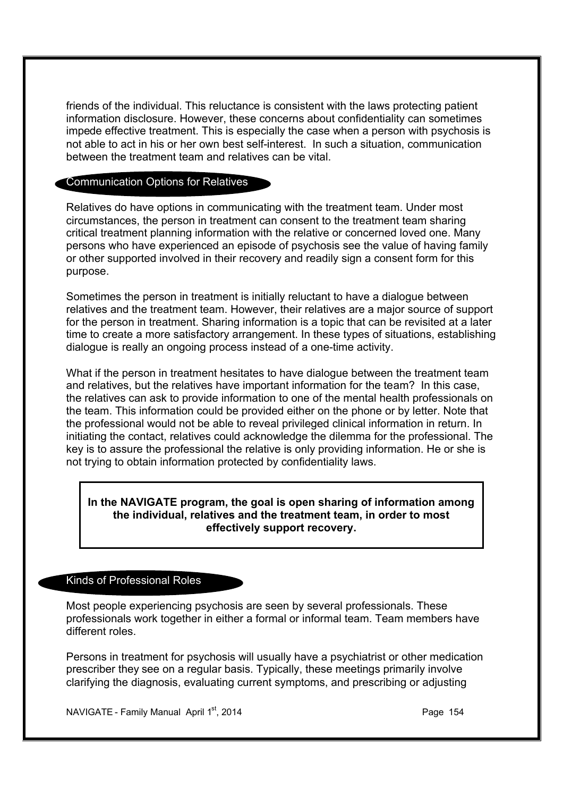friends of the individual. This reluctance is consistent with the laws protecting patient information disclosure. However, these concerns about confidentiality can sometimes impede effective treatment. This is especially the case when a person with psychosis is not able to act in his or her own best self-interest. In such a situation, communication between the treatment team and relatives can be vital.

#### Communication Options for Relatives

Relatives do have options in communicating with the treatment team. Under most circumstances, the person in treatment can consent to the treatment team sharing critical treatment planning information with the relative or concerned loved one. Many persons who have experienced an episode of psychosis see the value of having family or other supported involved in their recovery and readily sign a consent form for this purpose.

Sometimes the person in treatment is initially reluctant to have a dialogue between relatives and the treatment team. However, their relatives are a major source of support for the person in treatment. Sharing information is a topic that can be revisited at a later time to create a more satisfactory arrangement. In these types of situations, establishing dialogue is really an ongoing process instead of a one-time activity.

What if the person in treatment hesitates to have dialogue between the treatment team and relatives, but the relatives have important information for the team? In this case, the relatives can ask to provide information to one of the mental health professionals on the team. This information could be provided either on the phone or by letter. Note that the professional would not be able to reveal privileged clinical information in return. In initiating the contact, relatives could acknowledge the dilemma for the professional. The key is to assure the professional the relative is only providing information. He or she is not trying to obtain information protected by confidentiality laws.

#### **In the NAVIGATE program, the goal is open sharing of information among the individual, relatives and the treatment team, in order to most effectively support recovery.**

#### Kinds of Professional Roles

Most people experiencing psychosis are seen by several professionals. These professionals work together in either a formal or informal team. Team members have different roles.

Persons in treatment for psychosis will usually have a psychiatrist or other medication prescriber they see on a regular basis. Typically, these meetings primarily involve clarifying the diagnosis, evaluating current symptoms, and prescribing or adjusting

NAVIGATE - Family Manual April  $1<sup>st</sup>$ , 2014 **Page 154** Page 154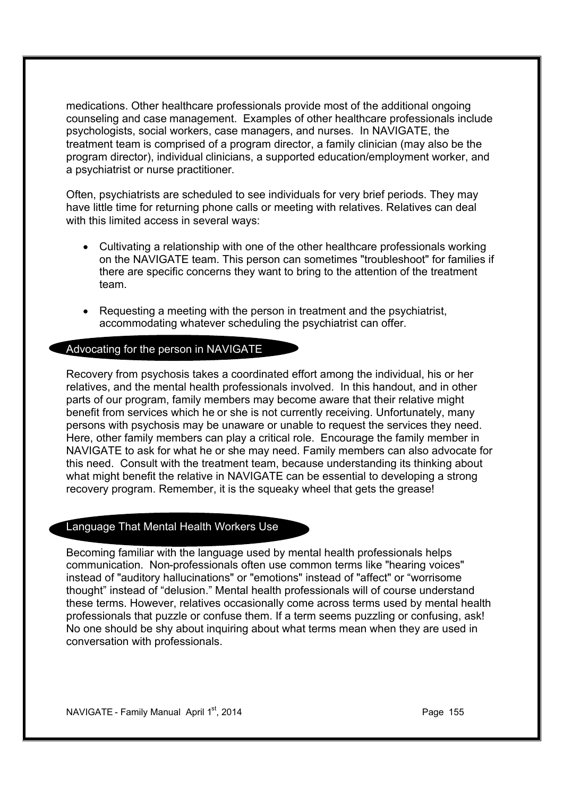medications. Other healthcare professionals provide most of the additional ongoing counseling and case management. Examples of other healthcare professionals include psychologists, social workers, case managers, and nurses. In NAVIGATE, the treatment team is comprised of a program director, a family clinician (may also be the program director), individual clinicians, a supported education/employment worker, and a psychiatrist or nurse practitioner.

Often, psychiatrists are scheduled to see individuals for very brief periods. They may have little time for returning phone calls or meeting with relatives. Relatives can deal with this limited access in several ways:

- · Cultivating a relationship with one of the other healthcare professionals working on the NAVIGATE team. This person can sometimes "troubleshoot" for families if there are specific concerns they want to bring to the attention of the treatment team.
- · Requesting a meeting with the person in treatment and the psychiatrist, accommodating whatever scheduling the psychiatrist can offer.

#### Advocating for the person in NAVIGATE

Recovery from psychosis takes a coordinated effort among the individual, his or her relatives, and the mental health professionals involved. In this handout, and in other parts of our program, family members may become aware that their relative might benefit from services which he or she is not currently receiving. Unfortunately, many persons with psychosis may be unaware or unable to request the services they need. Here, other family members can play a critical role. Encourage the family member in NAVIGATE to ask for what he or she may need. Family members can also advocate for this need. Consult with the treatment team, because understanding its thinking about what might benefit the relative in NAVIGATE can be essential to developing a strong recovery program. Remember, it is the squeaky wheel that gets the grease!

#### Language That Mental Health Workers Use

Becoming familiar with the language used by mental health professionals helps communication. Non-professionals often use common terms like "hearing voices" instead of "auditory hallucinations" or "emotions" instead of "affect" or "worrisome thought" instead of "delusion." Mental health professionals will of course understand these terms. However, relatives occasionally come across terms used by mental health professionals that puzzle or confuse them. If a term seems puzzling or confusing, ask! No one should be shy about inquiring about what terms mean when they are used in conversation with professionals.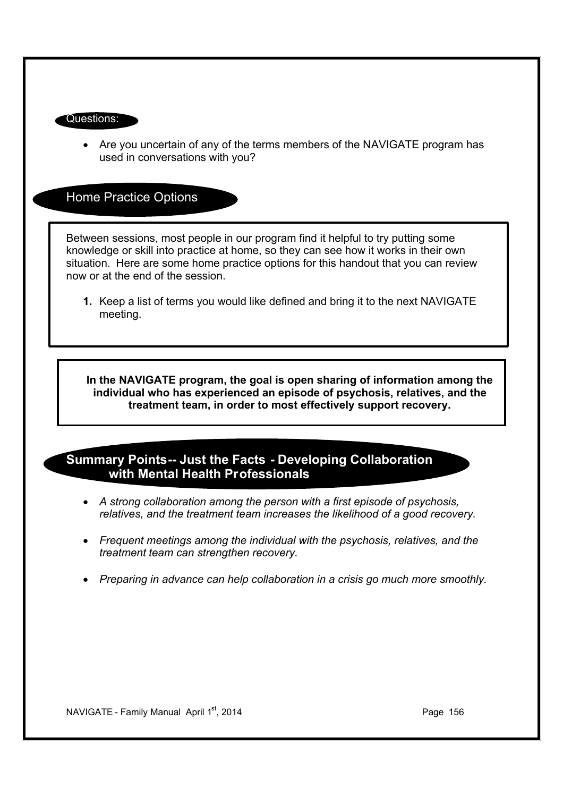#### Questions:

· Are you uncertain of any of the terms members of the NAVIGATE program has used in conversations with you?

Home Practice Options

Between sessions, most people in our program find it helpful to try putting some knowledge or skill into practice at home, so they can see how it works in their own situation. Here are some home practice options for this handout that you can review now or at the end of the session.

**1.** Keep a list of terms you would like defined and bring it to the next NAVIGATE meeting.

**In the NAVIGATE program, the goal is open sharing of information among the individual who has experienced an episode of psychosis, relatives, and the treatment team, in order to most effectively support recovery.**

## **Summary Points-- Just the Facts - Developing Collaboration with Mental Health Professionals**

- · *A strong collaboration among the person with a first episode of psychosis, relatives, and the treatment team increases the likelihood of a good recovery.*
- · *Frequent meetings among the individual with the psychosis, relatives, and the treatment team can strengthen recovery.*
- · *Preparing in advance can help collaboration in a crisis go much more smoothly.*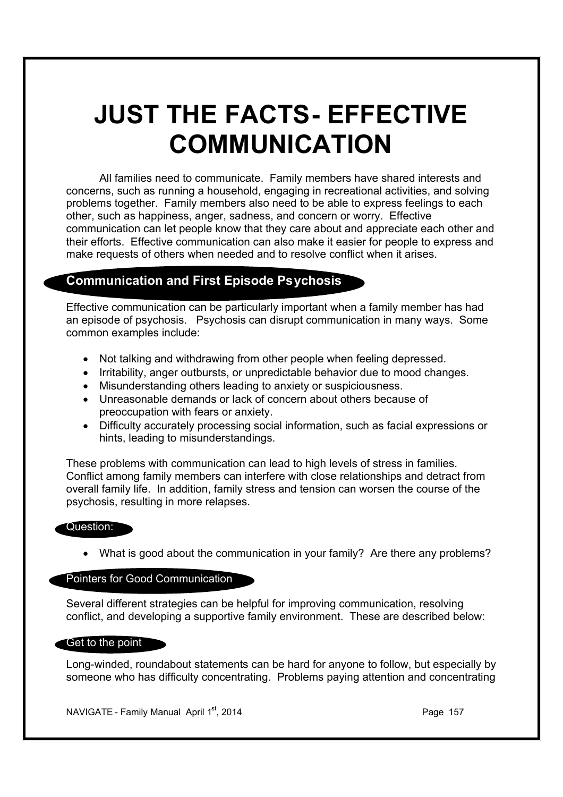# **JUST THE FACTS- EFFECTIVE COMMUNICATION**

All families need to communicate. Family members have shared interests and concerns, such as running a household, engaging in recreational activities, and solving problems together. Family members also need to be able to express feelings to each other, such as happiness, anger, sadness, and concern or worry. Effective communication can let people know that they care about and appreciate each other and their efforts. Effective communication can also make it easier for people to express and make requests of others when needed and to resolve conflict when it arises.

# **Communication and First Episode Psychosis**

Effective communication can be particularly important when a family member has had an episode of psychosis. Psychosis can disrupt communication in many ways. Some common examples include:

- · Not talking and withdrawing from other people when feeling depressed.
- · Irritability, anger outbursts, or unpredictable behavior due to mood changes.
- · Misunderstanding others leading to anxiety or suspiciousness.
- · Unreasonable demands or lack of concern about others because of preoccupation with fears or anxiety.
- · Difficulty accurately processing social information, such as facial expressions or hints, leading to misunderstandings.

These problems with communication can lead to high levels of stress in families. Conflict among family members can interfere with close relationships and detract from overall family life. In addition, family stress and tension can worsen the course of the psychosis, resulting in more relapses.

#### Question:

· What is good about the communication in your family? Are there any problems?

# Pointers for Good Communication

Several different strategies can be helpful for improving communication, resolving conflict, and developing a supportive family environment. These are described below:

#### Get to the point

Long-winded, roundabout statements can be hard for anyone to follow, but especially by someone who has difficulty concentrating. Problems paying attention and concentrating

NAVIGATE - Family Manual April  $1<sup>st</sup>$ , 2014 **Page 157** Page 157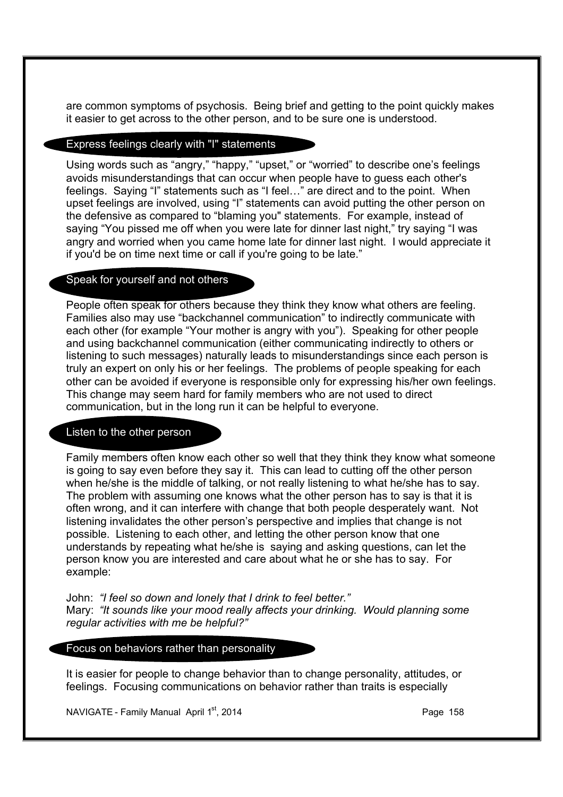are common symptoms of psychosis. Being brief and getting to the point quickly makes it easier to get across to the other person, and to be sure one is understood.

#### Express feelings clearly with "I" statements

Using words such as "angry," "happy," "upset," or "worried" to describe one's feelings avoids misunderstandings that can occur when people have to guess each other's feelings. Saying "I" statements such as "I feel…" are direct and to the point. When upset feelings are involved, using "I" statements can avoid putting the other person on the defensive as compared to "blaming you" statements. For example, instead of saying "You pissed me off when you were late for dinner last night," try saying "I was angry and worried when you came home late for dinner last night. I would appreciate it if you'd be on time next time or call if you're going to be late."

#### Speak for yourself and not others

People often speak for others because they think they know what others are feeling. Families also may use "backchannel communication" to indirectly communicate with each other (for example "Your mother is angry with you"). Speaking for other people and using backchannel communication (either communicating indirectly to others or listening to such messages) naturally leads to misunderstandings since each person is truly an expert on only his or her feelings. The problems of people speaking for each other can be avoided if everyone is responsible only for expressing his/her own feelings. This change may seem hard for family members who are not used to direct communication, but in the long run it can be helpful to everyone.

#### Listen to the other person

Family members often know each other so well that they think they know what someone is going to say even before they say it. This can lead to cutting off the other person when he/she is the middle of talking, or not really listening to what he/she has to say. The problem with assuming one knows what the other person has to say is that it is often wrong, and it can interfere with change that both people desperately want. Not listening invalidates the other person's perspective and implies that change is not possible. Listening to each other, and letting the other person know that one understands by repeating what he/she is saying and asking questions, can let the person know you are interested and care about what he or she has to say. For example:

John: *"I feel so down and lonely that I drink to feel better."* Mary: *"It sounds like your mood really affects your drinking. Would planning some regular activities with me be helpful?"*

Focus on behaviors rather than personality

It is easier for people to change behavior than to change personality, attitudes, or feelings. Focusing communications on behavior rather than traits is especially

NAVIGATE - Family Manual April  $1<sup>st</sup>$ , 2014 **Page 158** Page 158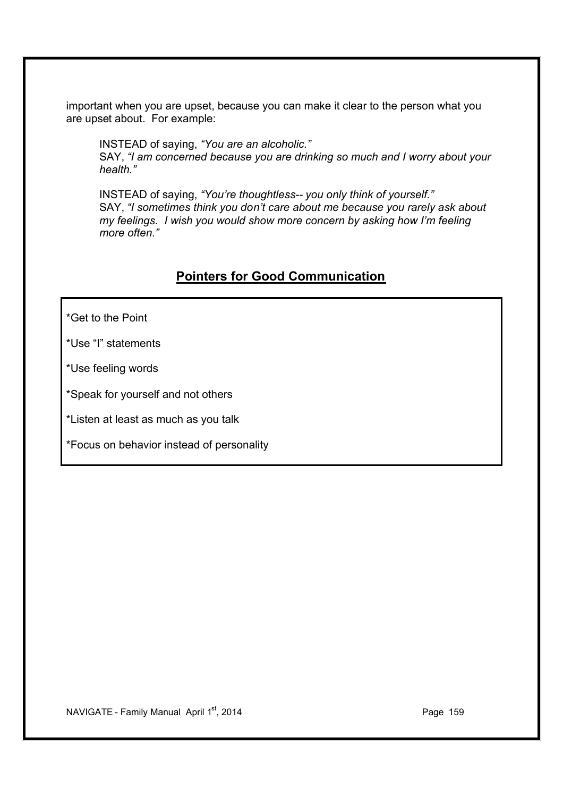important when you are upset, because you can make it clear to the person what you are upset about. For example:

INSTEAD of saying, *"You are an alcoholic."* SAY, *"I am concerned because you are drinking so much and I worry about your health."*

INSTEAD of saying, *"You're thoughtless-- you only think of yourself."* SAY, *"I sometimes think you don't care about me because you rarely ask about my feelings. I wish you would show more concern by asking how I'm feeling more often."*

# **Pointers for Good Communication**

\*Get to the Point

\*Use "I" statements

\*Use feeling words

\*Speak for yourself and not others

\*Listen at least as much as you talk

\*Focus on behavior instead of personality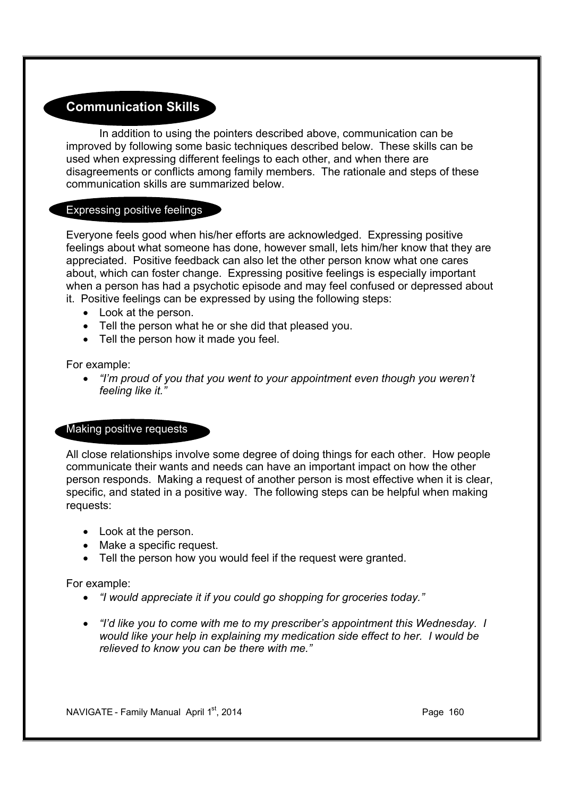# **Communication Skills**

In addition to using the pointers described above, communication can be improved by following some basic techniques described below. These skills can be used when expressing different feelings to each other, and when there are disagreements or conflicts among family members. The rationale and steps of these communication skills are summarized below.

#### Expressing positive feelings

Everyone feels good when his/her efforts are acknowledged. Expressing positive feelings about what someone has done, however small, lets him/her know that they are appreciated. Positive feedback can also let the other person know what one cares about, which can foster change. Expressing positive feelings is especially important when a person has had a psychotic episode and may feel confused or depressed about it. Positive feelings can be expressed by using the following steps:

- · Look at the person.
- · Tell the person what he or she did that pleased you.
- · Tell the person how it made you feel.

For example:

· *"I'm proud of you that you went to your appointment even though you weren't feeling like it."*

#### Making positive requests

All close relationships involve some degree of doing things for each other. How people communicate their wants and needs can have an important impact on how the other person responds. Making a request of another person is most effective when it is clear, specific, and stated in a positive way. The following steps can be helpful when making requests:

- Look at the person.
- Make a specific request.
- · Tell the person how you would feel if the request were granted.

For example:

- · *"I would appreciate it if you could go shopping for groceries today."*
- · *"I'd like you to come with me to my prescriber's appointment this Wednesday. I would like your help in explaining my medication side effect to her. I would be relieved to know you can be there with me."*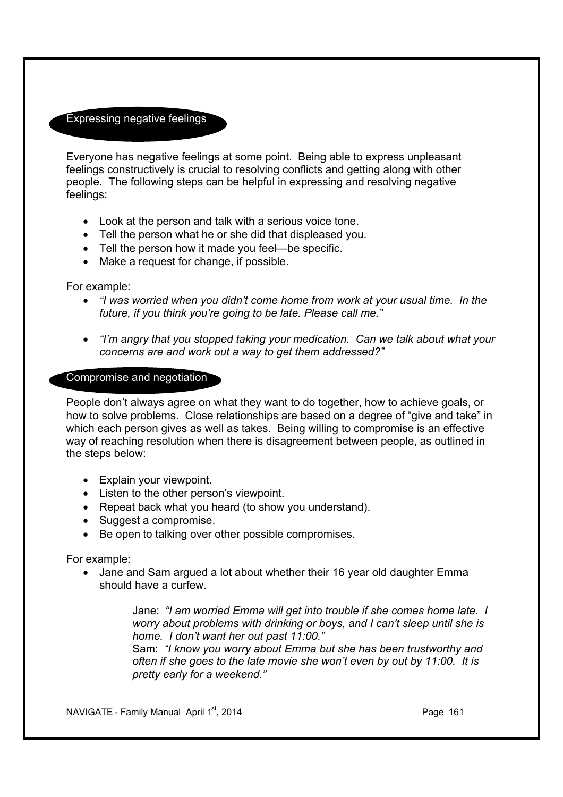## Expressing negative feelings

Everyone has negative feelings at some point. Being able to express unpleasant feelings constructively is crucial to resolving conflicts and getting along with other people. The following steps can be helpful in expressing and resolving negative feelings:

- · Look at the person and talk with a serious voice tone.
- · Tell the person what he or she did that displeased you.
- · Tell the person how it made you feel—be specific.
- · Make a request for change, if possible.

For example:

- · *"I was worried when you didn't come home from work at your usual time. In the future, if you think you're going to be late. Please call me."*
- · *"I'm angry that you stopped taking your medication. Can we talk about what your concerns are and work out a way to get them addressed?"*

#### Compromise and negotiation

People don't always agree on what they want to do together, how to achieve goals, or how to solve problems. Close relationships are based on a degree of "give and take" in which each person gives as well as takes. Being willing to compromise is an effective way of reaching resolution when there is disagreement between people, as outlined in the steps below:

- · Explain your viewpoint.
- · Listen to the other person's viewpoint.
- Repeat back what you heard (to show you understand).
- · Suggest a compromise.
- · Be open to talking over other possible compromises.

For example:

• Jane and Sam argued a lot about whether their 16 year old daughter Emma should have a curfew.

> Jane: *"I am worried Emma will get into trouble if she comes home late. I worry about problems with drinking or boys, and I can't sleep until she is home. I don't want her out past 11:00."*

Sam: *"I know you worry about Emma but she has been trustworthy and often if she goes to the late movie she won't even by out by 11:00. It is pretty early for a weekend."*

NAVIGATE - Family Manual April 1st, 2014 **Page 161** Page 161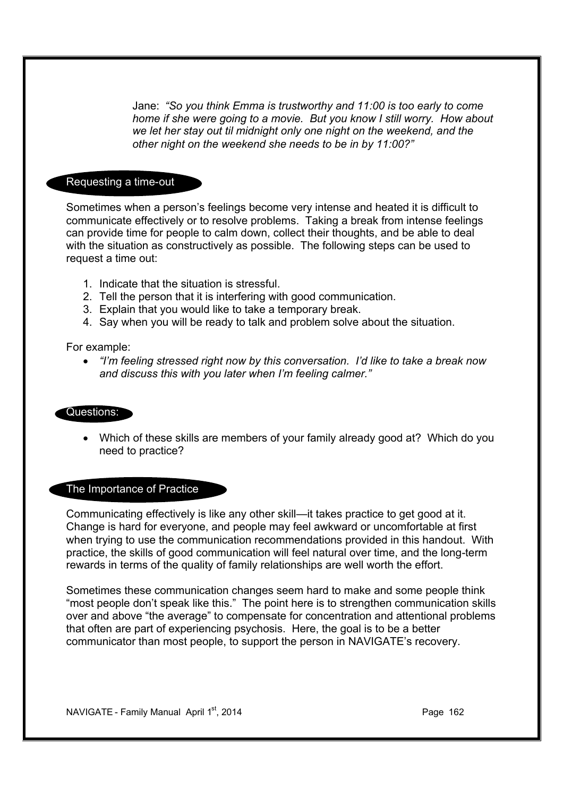Jane: *"So you think Emma is trustworthy and 11:00 is too early to come home if she were going to a movie. But you know I still worry. How about we let her stay out til midnight only one night on the weekend, and the other night on the weekend she needs to be in by 11:00?"*

#### Requesting a time-out

Sometimes when a person's feelings become very intense and heated it is difficult to communicate effectively or to resolve problems. Taking a break from intense feelings can provide time for people to calm down, collect their thoughts, and be able to deal with the situation as constructively as possible. The following steps can be used to request a time out:

- 1. Indicate that the situation is stressful.
- 2. Tell the person that it is interfering with good communication.
- 3. Explain that you would like to take a temporary break.
- 4. Say when you will be ready to talk and problem solve about the situation.

For example:

· *"I'm feeling stressed right now by this conversation. I'd like to take a break now and discuss this with you later when I'm feeling calmer."*

#### Questions:

· Which of these skills are members of your family already good at? Which do you need to practice?

#### The Importance of Practice

Communicating effectively is like any other skill—it takes practice to get good at it. Change is hard for everyone, and people may feel awkward or uncomfortable at first when trying to use the communication recommendations provided in this handout. With practice, the skills of good communication will feel natural over time, and the long-term rewards in terms of the quality of family relationships are well worth the effort.

Sometimes these communication changes seem hard to make and some people think "most people don't speak like this." The point here is to strengthen communication skills over and above "the average" to compensate for concentration and attentional problems that often are part of experiencing psychosis. Here, the goal is to be a better communicator than most people, to support the person in NAVIGATE's recovery.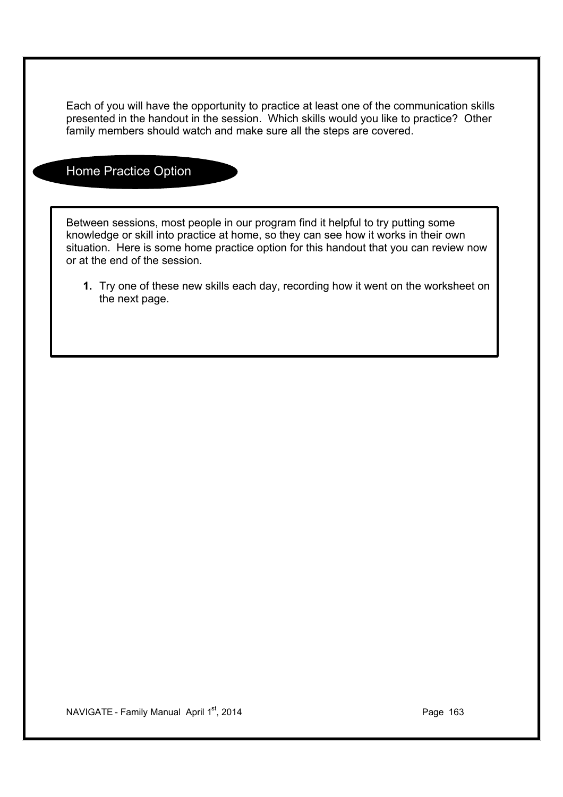Each of you will have the opportunity to practice at least one of the communication skills presented in the handout in the session. Which skills would you like to practice? Other family members should watch and make sure all the steps are covered.

## Home Practice Option

Between sessions, most people in our program find it helpful to try putting some knowledge or skill into practice at home, so they can see how it works in their own situation. Here is some home practice option for this handout that you can review now or at the end of the session.

**1.** Try one of these new skills each day, recording how it went on the worksheet on the next page.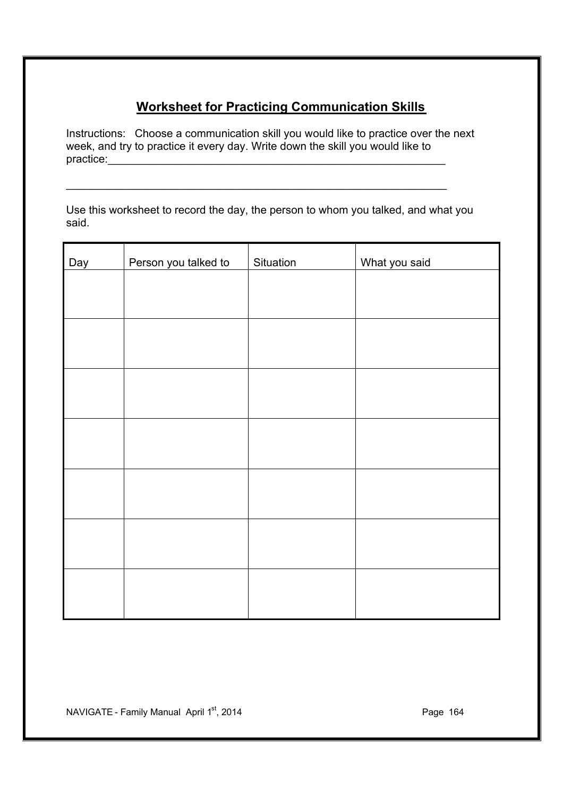# **Worksheet for Practicing Communication Skills**

Instructions: Choose a communication skill you would like to practice over the next week, and try to practice it every day. Write down the skill you would like to practice:

Use this worksheet to record the day, the person to whom you talked, and what you said.

\_\_\_\_\_\_\_\_\_\_\_\_\_\_\_\_\_\_\_\_\_\_\_\_\_\_\_\_\_\_\_\_\_\_\_\_\_\_\_\_\_\_\_\_\_\_\_\_\_\_\_\_\_\_\_\_\_\_\_\_\_\_

| Day | Person you talked to | Situation | What you said |
|-----|----------------------|-----------|---------------|
|     |                      |           |               |
|     |                      |           |               |
|     |                      |           |               |
|     |                      |           |               |
|     |                      |           |               |
|     |                      |           |               |
|     |                      |           |               |
|     |                      |           |               |
|     |                      |           |               |
|     |                      |           |               |
|     |                      |           |               |
|     |                      |           |               |
|     |                      |           |               |
|     |                      |           |               |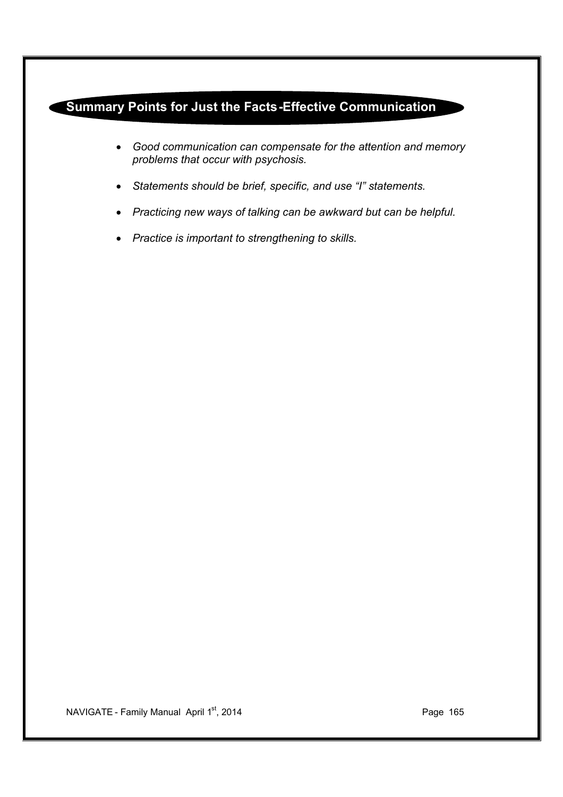# **Summary Points for Just the Facts-Effective Communication**

- · *Good communication can compensate for the attention and memory problems that occur with psychosis.*
- · *Statements should be brief, specific, and use "I" statements.*
- · *Practicing new ways of talking can be awkward but can be helpful.*
- · *Practice is important to strengthening to skills.*

NAVIGATE - Family Manual April 1<sup>st</sup>, 2014 **Page 165**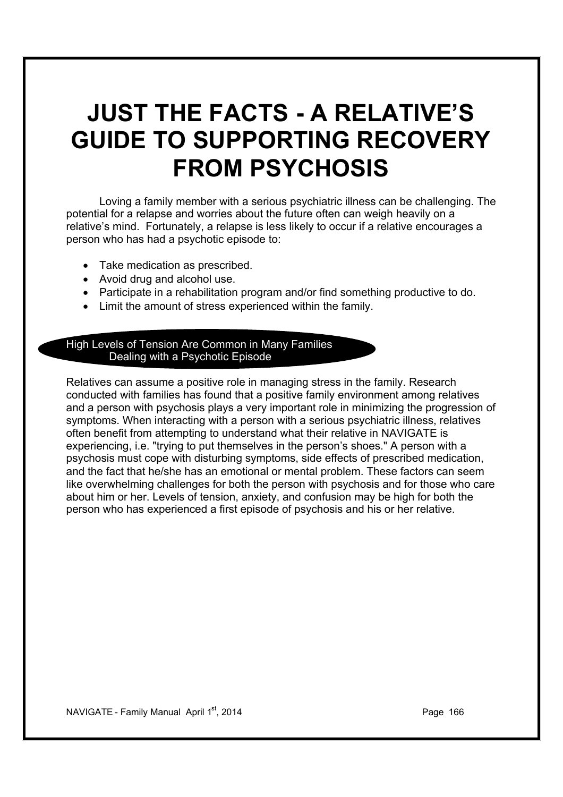# **JUST THE FACTS - A RELATIVE'S GUIDE TO SUPPORTING RECOVERY FROM PSYCHOSIS**

Loving a family member with a serious psychiatric illness can be challenging. The potential for a relapse and worries about the future often can weigh heavily on a relative's mind. Fortunately, a relapse is less likely to occur if a relative encourages a person who has had a psychotic episode to:

- · Take medication as prescribed.
- · Avoid drug and alcohol use.
- · Participate in a rehabilitation program and/or find something productive to do.
- · Limit the amount of stress experienced within the family.

#### High Levels of Tension Are Common in Many Families Dealing with a Psychotic Episode

Relatives can assume a positive role in managing stress in the family. Research conducted with families has found that a positive family environment among relatives and a person with psychosis plays a very important role in minimizing the progression of symptoms. When interacting with a person with a serious psychiatric illness, relatives often benefit from attempting to understand what their relative in NAVIGATE is experiencing, i.e. "trying to put themselves in the person's shoes." A person with a psychosis must cope with disturbing symptoms, side effects of prescribed medication, and the fact that he/she has an emotional or mental problem. These factors can seem like overwhelming challenges for both the person with psychosis and for those who care about him or her. Levels of tension, anxiety, and confusion may be high for both the person who has experienced a first episode of psychosis and his or her relative.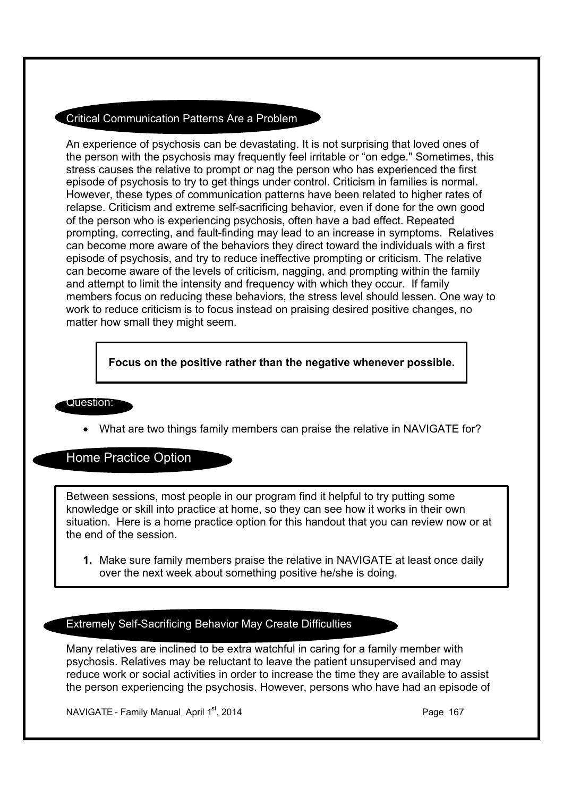#### Critical Communication Patterns Are a Problem

An experience of psychosis can be devastating. It is not surprising that loved ones of the person with the psychosis may frequently feel irritable or "on edge." Sometimes, this stress causes the relative to prompt or nag the person who has experienced the first episode of psychosis to try to get things under control. Criticism in families is normal. However, these types of communication patterns have been related to higher rates of relapse. Criticism and extreme self-sacrificing behavior, even if done for the own good of the person who is experiencing psychosis, often have a bad effect. Repeated prompting, correcting, and fault-finding may lead to an increase in symptoms. Relatives can become more aware of the behaviors they direct toward the individuals with a first episode of psychosis, and try to reduce ineffective prompting or criticism. The relative can become aware of the levels of criticism, nagging, and prompting within the family and attempt to limit the intensity and frequency with which they occur. If family members focus on reducing these behaviors, the stress level should lessen. One way to work to reduce criticism is to focus instead on praising desired positive changes, no matter how small they might seem.

**Focus on the positive rather than the negative whenever possible.**

#### Question:

What are two things family members can praise the relative in NAVIGATE for?

Home Practice Option

Between sessions, most people in our program find it helpful to try putting some knowledge or skill into practice at home, so they can see how it works in their own situation. Here is a home practice option for this handout that you can review now or at the end of the session.

**1.** Make sure family members praise the relative in NAVIGATE at least once daily over the next week about something positive he/she is doing.

### Extremely Self-Sacrificing Behavior May Create Difficulties

Many relatives are inclined to be extra watchful in caring for a family member with psychosis. Relatives may be reluctant to leave the patient unsupervised and may reduce work or social activities in order to increase the time they are available to assist the person experiencing the psychosis. However, persons who have had an episode of

NAVIGATE - Family Manual April  $1<sup>st</sup>$ , 2014 **Page 167** Page 167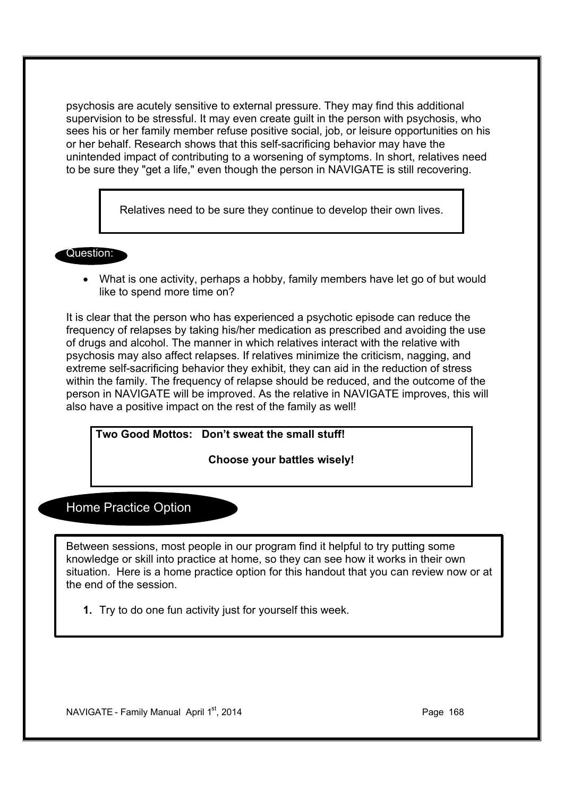psychosis are acutely sensitive to external pressure. They may find this additional supervision to be stressful. It may even create guilt in the person with psychosis, who sees his or her family member refuse positive social, job, or leisure opportunities on his or her behalf. Research shows that this self-sacrificing behavior may have the unintended impact of contributing to a worsening of symptoms. In short, relatives need to be sure they "get a life," even though the person in NAVIGATE is still recovering.

Relatives need to be sure they continue to develop their own lives.

Question:

· What is one activity, perhaps a hobby, family members have let go of but would like to spend more time on?

It is clear that the person who has experienced a psychotic episode can reduce the frequency of relapses by taking his/her medication as prescribed and avoiding the use of drugs and alcohol. The manner in which relatives interact with the relative with psychosis may also affect relapses. If relatives minimize the criticism, nagging, and extreme self-sacrificing behavior they exhibit, they can aid in the reduction of stress within the family. The frequency of relapse should be reduced, and the outcome of the person in NAVIGATE will be improved. As the relative in NAVIGATE improves, this will also have a positive impact on the rest of the family as well!

**Two Good Mottos: Don't sweat the small stuff!**

**Choose your battles wisely!**

# Home Practice Option

Between sessions, most people in our program find it helpful to try putting some knowledge or skill into practice at home, so they can see how it works in their own situation. Here is a home practice option for this handout that you can review now or at the end of the session.

**1.** Try to do one fun activity just for yourself this week.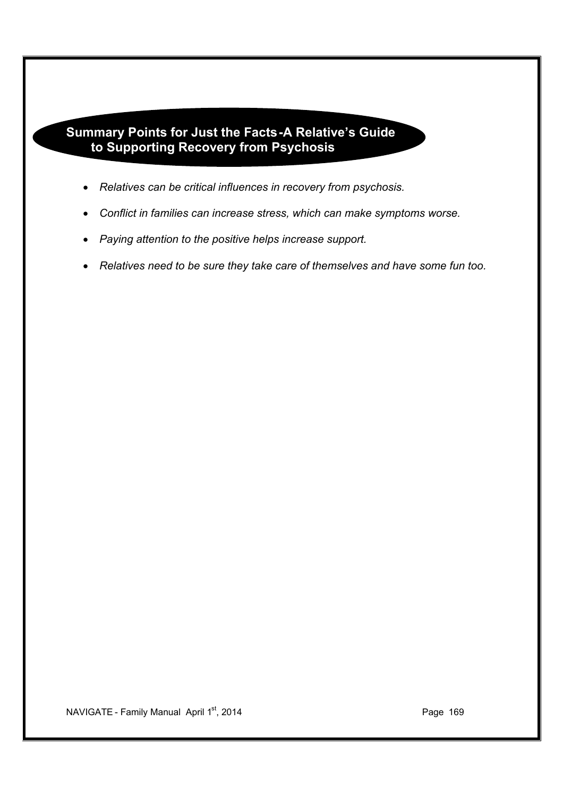# **Summary Points for Just the Facts-A Relative's Guide to Supporting Recovery from Psychosis**

- · *Relatives can be critical influences in recovery from psychosis.*
- · *Conflict in families can increase stress, which can make symptoms worse.*
- · *Paying attention to the positive helps increase support.*
- · *Relatives need to be sure they take care of themselves and have some fun too.*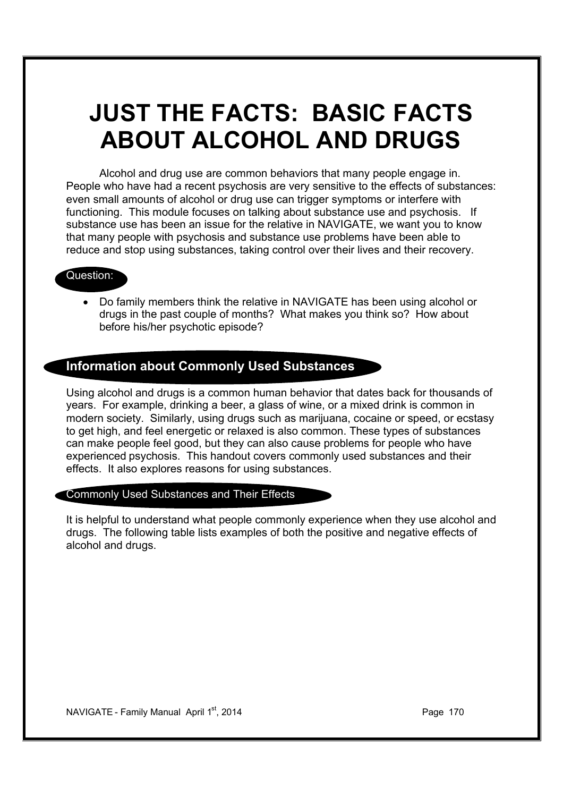# **JUST THE FACTS: BASIC FACTS ABOUT ALCOHOL AND DRUGS**

Alcohol and drug use are common behaviors that many people engage in. People who have had a recent psychosis are very sensitive to the effects of substances: even small amounts of alcohol or drug use can trigger symptoms or interfere with functioning. This module focuses on talking about substance use and psychosis. If substance use has been an issue for the relative in NAVIGATE, we want you to know that many people with psychosis and substance use problems have been able to reduce and stop using substances, taking control over their lives and their recovery.

## Question:

· Do family members think the relative in NAVIGATE has been using alcohol or drugs in the past couple of months? What makes you think so? How about before his/her psychotic episode?

## **Information about Commonly Used Substances**

Using alcohol and drugs is a common human behavior that dates back for thousands of years. For example, drinking a beer, a glass of wine, or a mixed drink is common in modern society. Similarly, using drugs such as marijuana, cocaine or speed, or ecstasy to get high, and feel energetic or relaxed is also common. These types of substances can make people feel good, but they can also cause problems for people who have experienced psychosis. This handout covers commonly used substances and their effects. It also explores reasons for using substances.

#### Commonly Used Substances and Their Effects

It is helpful to understand what people commonly experience when they use alcohol and drugs. The following table lists examples of both the positive and negative effects of alcohol and drugs.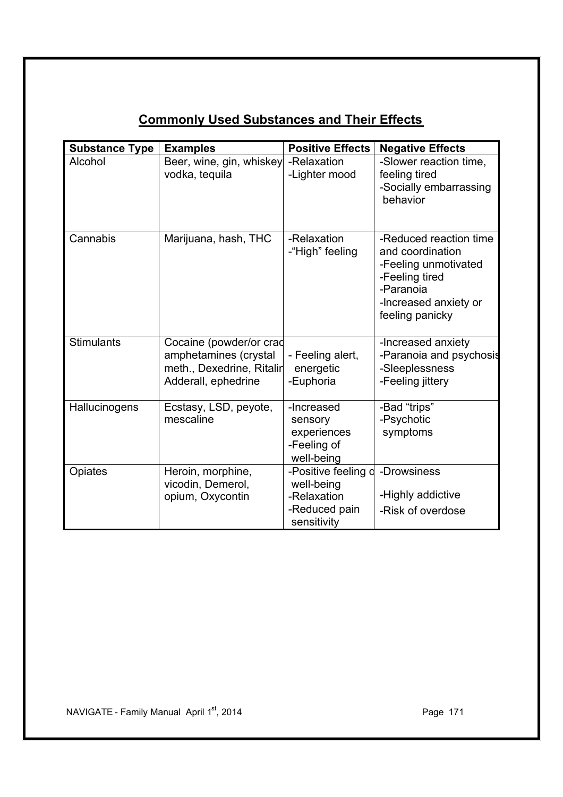|                       |                           | <b>Positive Effects</b>         |                         |
|-----------------------|---------------------------|---------------------------------|-------------------------|
| <b>Substance Type</b> | <b>Examples</b>           |                                 | <b>Negative Effects</b> |
| Alcohol               | Beer, wine, gin, whiskey  | -Relaxation                     | -Slower reaction time,  |
|                       | vodka, tequila            | -Lighter mood                   | feeling tired           |
|                       |                           |                                 | -Socially embarrassing  |
|                       |                           |                                 | behavior                |
|                       |                           |                                 |                         |
| Cannabis              | Marijuana, hash, THC      | -Relaxation                     | -Reduced reaction time  |
|                       |                           | -"High" feeling                 | and coordination        |
|                       |                           |                                 | -Feeling unmotivated    |
|                       |                           |                                 | -Feeling tired          |
|                       |                           |                                 | -Paranoia               |
|                       |                           |                                 | -Increased anxiety or   |
|                       |                           |                                 | feeling panicky         |
|                       |                           |                                 |                         |
| <b>Stimulants</b>     | Cocaine (powder/or crad   |                                 | -Increased anxiety      |
|                       | amphetamines (crystal     | - Feeling alert,                | -Paranoia and psychosis |
|                       | meth., Dexedrine, Ritalir | energetic                       | -Sleeplessness          |
|                       | Adderall, ephedrine       | -Euphoria                       | -Feeling jittery        |
|                       |                           |                                 |                         |
| Hallucinogens         | Ecstasy, LSD, peyote,     | -Increased                      | -Bad "trips"            |
|                       | mescaline                 | sensory                         | -Psychotic              |
|                       |                           | experiences                     | symptoms                |
|                       |                           | -Feeling of                     |                         |
|                       |                           | well-being                      |                         |
| Opiates               | Heroin, morphine,         | -Positive feeling d -Drowsiness |                         |
|                       | vicodin, Demerol,         | well-being                      |                         |
|                       | opium, Oxycontin          | -Relaxation                     | -Highly addictive       |
|                       |                           | -Reduced pain                   | -Risk of overdose       |
|                       |                           | sensitivity                     |                         |

# **Commonly Used Substances and Their Effects**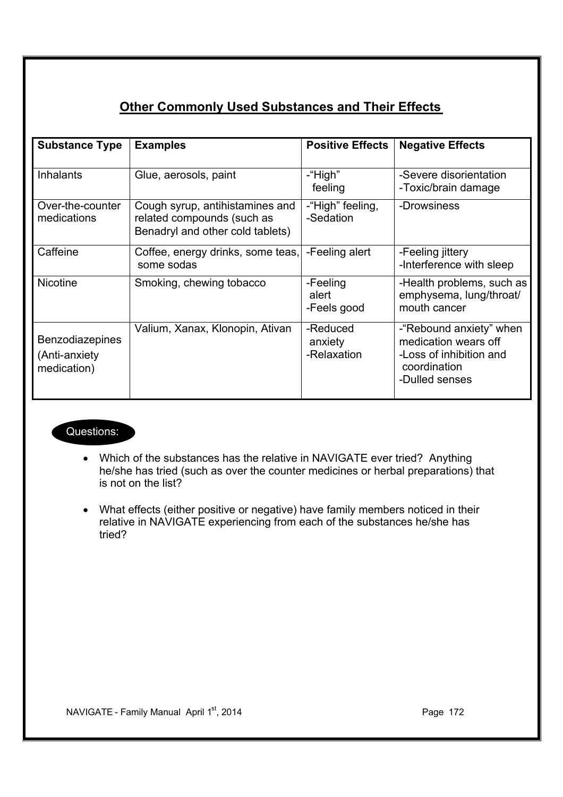# **Other Commonly Used Substances and Their Effects**

| <b>Substance Type</b>                                  | <b>Examples</b>                                                                                   | <b>Positive Effects</b>            | <b>Negative Effects</b>                                                                                      |
|--------------------------------------------------------|---------------------------------------------------------------------------------------------------|------------------------------------|--------------------------------------------------------------------------------------------------------------|
| <b>Inhalants</b>                                       | Glue, aerosols, paint                                                                             | -"High"<br>feeling                 | -Severe disorientation<br>-Toxic/brain damage                                                                |
| Over-the-counter<br>medications                        | Cough syrup, antihistamines and<br>related compounds (such as<br>Benadryl and other cold tablets) | -"High" feeling,<br>-Sedation      | -Drowsiness                                                                                                  |
| Caffeine                                               | Coffee, energy drinks, some teas,<br>some sodas                                                   | -Feeling alert                     | -Feeling jittery<br>-Interference with sleep                                                                 |
| <b>Nicotine</b>                                        | Smoking, chewing tobacco                                                                          | -Feeling<br>alert<br>-Feels good   | -Health problems, such as<br>emphysema, lung/throat/<br>mouth cancer                                         |
| <b>Benzodiazepines</b><br>(Anti-anxiety<br>medication) | Valium, Xanax, Klonopin, Ativan                                                                   | -Reduced<br>anxiety<br>-Relaxation | -"Rebound anxiety" when<br>medication wears off<br>-Loss of inhibition and<br>coordination<br>-Dulled senses |

## Questions:

- · Which of the substances has the relative in NAVIGATE ever tried? Anything he/she has tried (such as over the counter medicines or herbal preparations) that is not on the list?
- · What effects (either positive or negative) have family members noticed in their relative in NAVIGATE experiencing from each of the substances he/she has tried?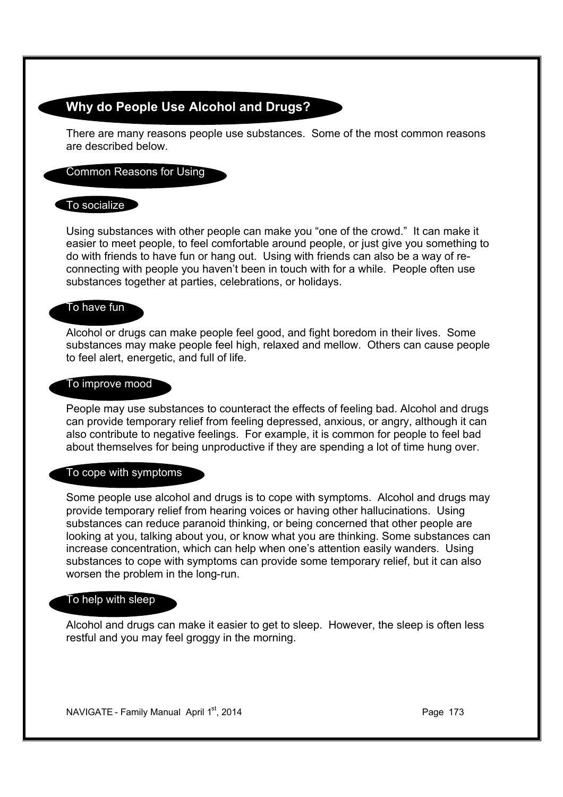# **Why do People Use Alcohol and Drugs?**

There are many reasons people use substances. Some of the most common reasons are described below.

#### Common Reasons for Using

#### $\Box$  To socialize  $\Box$

Using substances with other people can make you "one of the crowd." It can make it easier to meet people, to feel comfortable around people, or just give you something to do with friends to have fun or hang out. Using with friends can also be a way of reconnecting with people you haven't been in touch with for a while. People often use substances together at parties, celebrations, or holidays.

### To have fun

Alcohol or drugs can make people feel good, and fight boredom in their lives. Some substances may make people feel high, relaxed and mellow. Others can cause people to feel alert, energetic, and full of life.

#### To improve mood

People may use substances to counteract the effects of feeling bad. Alcohol and drugs can provide temporary relief from feeling depressed, anxious, or angry, although it can also contribute to negative feelings. For example, it is common for people to feel bad about themselves for being unproductive if they are spending a lot of time hung over.

#### To cope with symptoms

Some people use alcohol and drugs is to cope with symptoms. Alcohol and drugs may provide temporary relief from hearing voices or having other hallucinations. Using substances can reduce paranoid thinking, or being concerned that other people are looking at you, talking about you, or know what you are thinking. Some substances can increase concentration, which can help when one's attention easily wanders. Using substances to cope with symptoms can provide some temporary relief, but it can also worsen the problem in the long-run.

#### To help with sleep

Alcohol and drugs can make it easier to get to sleep. However, the sleep is often less restful and you may feel groggy in the morning.

NAVIGATE - Family Manual April  $1<sup>st</sup>$ , 2014 **Page 173** Page 173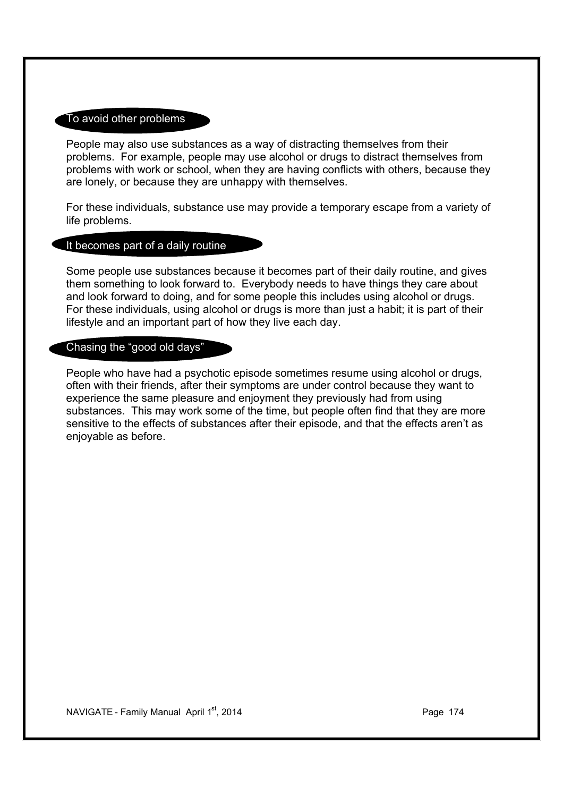#### To avoid other problems

People may also use substances as a way of distracting themselves from their problems. For example, people may use alcohol or drugs to distract themselves from problems with work or school, when they are having conflicts with others, because they are lonely, or because they are unhappy with themselves.

For these individuals, substance use may provide a temporary escape from a variety of life problems.

#### It becomes part of a daily routine

Some people use substances because it becomes part of their daily routine, and gives them something to look forward to. Everybody needs to have things they care about and look forward to doing, and for some people this includes using alcohol or drugs. For these individuals, using alcohol or drugs is more than just a habit; it is part of their lifestyle and an important part of how they live each day.

## Chasing the "good old days"

People who have had a psychotic episode sometimes resume using alcohol or drugs, often with their friends, after their symptoms are under control because they want to experience the same pleasure and enjoyment they previously had from using substances. This may work some of the time, but people often find that they are more sensitive to the effects of substances after their episode, and that the effects aren't as enjoyable as before.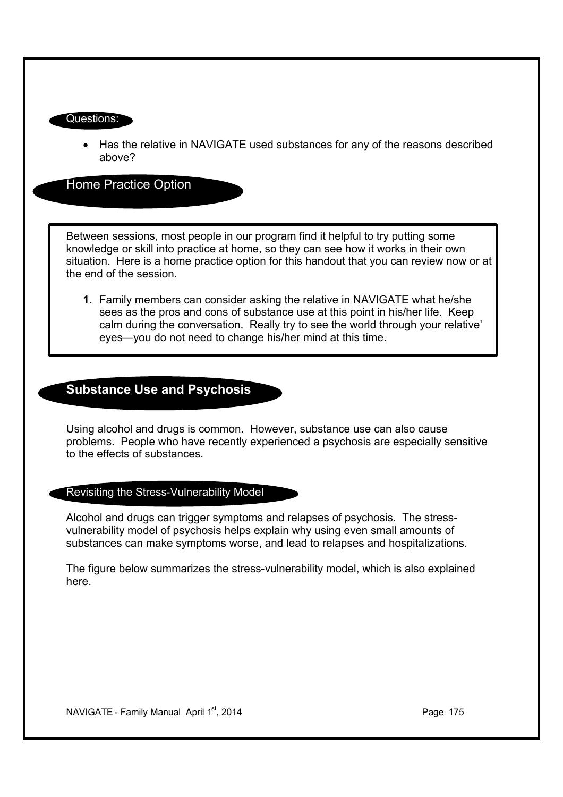#### Questions:

· Has the relative in NAVIGATE used substances for any of the reasons described above?

Home Practice Option

Between sessions, most people in our program find it helpful to try putting some knowledge or skill into practice at home, so they can see how it works in their own situation. Here is a home practice option for this handout that you can review now or at the end of the session.

**1.** Family members can consider asking the relative in NAVIGATE what he/she sees as the pros and cons of substance use at this point in his/her life. Keep calm during the conversation. Really try to see the world through your relative' eyes—you do not need to change his/her mind at this time.

# **Substance Use and Psychosis**

Using alcohol and drugs is common. However, substance use can also cause problems. People who have recently experienced a psychosis are especially sensitive to the effects of substances.

### Revisiting the Stress-Vulnerability Model

Alcohol and drugs can trigger symptoms and relapses of psychosis. The stressvulnerability model of psychosis helps explain why using even small amounts of substances can make symptoms worse, and lead to relapses and hospitalizations.

The figure below summarizes the stress-vulnerability model, which is also explained here.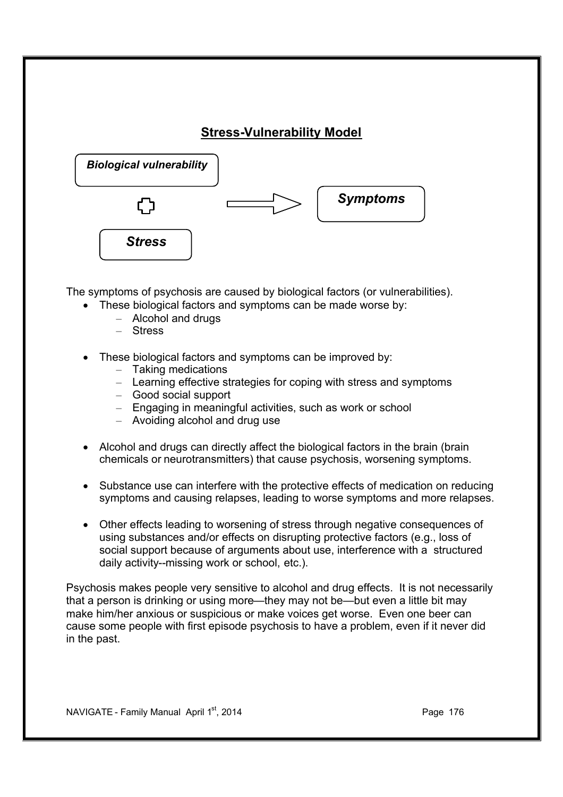# **Stress-Vulnerability Model**



The symptoms of psychosis are caused by biological factors (or vulnerabilities).

- · These biological factors and symptoms can be made worse by:
	- Alcohol and drugs
	- Stress
- These biological factors and symptoms can be improved by:
	- Taking medications
	- Learning effective strategies for coping with stress and symptoms
	- Good social support
	- Engaging in meaningful activities, such as work or school
	- Avoiding alcohol and drug use
- · Alcohol and drugs can directly affect the biological factors in the brain (brain chemicals or neurotransmitters) that cause psychosis, worsening symptoms.
- · Substance use can interfere with the protective effects of medication on reducing symptoms and causing relapses, leading to worse symptoms and more relapses.
- · Other effects leading to worsening of stress through negative consequences of using substances and/or effects on disrupting protective factors (e.g., loss of social support because of arguments about use, interference with a structured daily activity--missing work or school, etc.).

Psychosis makes people very sensitive to alcohol and drug effects. It is not necessarily that a person is drinking or using more—they may not be—but even a little bit may make him/her anxious or suspicious or make voices get worse. Even one beer can cause some people with first episode psychosis to have a problem, even if it never did in the past.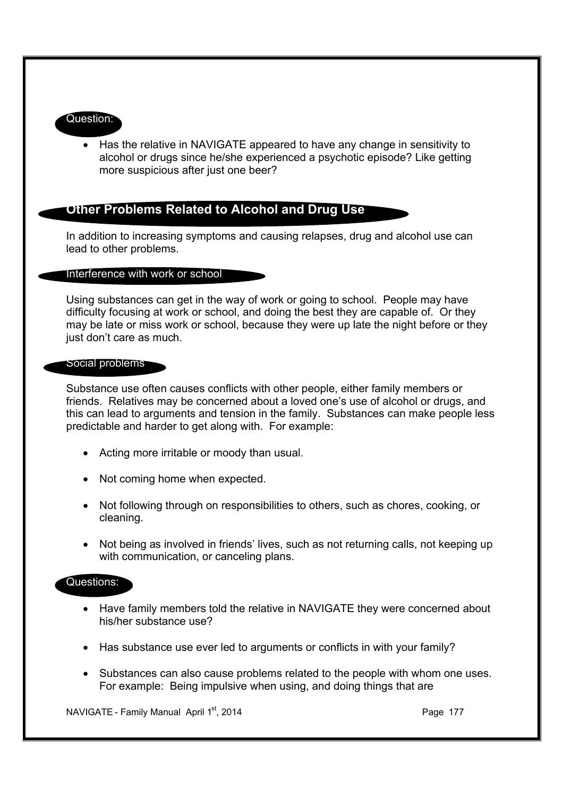#### Question:

· Has the relative in NAVIGATE appeared to have any change in sensitivity to alcohol or drugs since he/she experienced a psychotic episode? Like getting more suspicious after just one beer?

## **Other Problems Related to Alcohol and Drug Use**

In addition to increasing symptoms and causing relapses, drug and alcohol use can lead to other problems.

#### Interference with work or school

Using substances can get in the way of work or going to school. People may have difficulty focusing at work or school, and doing the best they are capable of. Or they may be late or miss work or school, because they were up late the night before or they just don't care as much.

#### Social problems

Substance use often causes conflicts with other people, either family members or friends. Relatives may be concerned about a loved one's use of alcohol or drugs, and this can lead to arguments and tension in the family. Substances can make people less predictable and harder to get along with. For example:

- · Acting more irritable or moody than usual.
- Not coming home when expected.
- · Not following through on responsibilities to others, such as chores, cooking, or cleaning.
- Not being as involved in friends' lives, such as not returning calls, not keeping up with communication, or canceling plans.

#### Questions:

- · Have family members told the relative in NAVIGATE they were concerned about his/her substance use?
- · Has substance use ever led to arguments or conflicts in with your family?
- · Substances can also cause problems related to the people with whom one uses. For example: Being impulsive when using, and doing things that are

NAVIGATE - Family Manual April  $1<sup>st</sup>$ , 2014 **Page 177** Page 177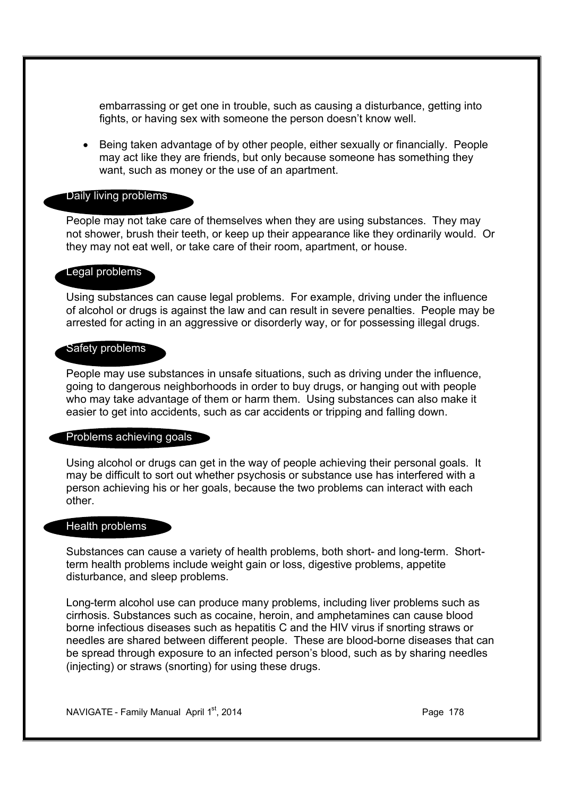embarrassing or get one in trouble, such as causing a disturbance, getting into fights, or having sex with someone the person doesn't know well.

· Being taken advantage of by other people, either sexually or financially. People may act like they are friends, but only because someone has something they want, such as money or the use of an apartment.

#### Daily living problems

People may not take care of themselves when they are using substances. They may not shower, brush their teeth, or keep up their appearance like they ordinarily would. Or they may not eat well, or take care of their room, apartment, or house.

#### Legal problems

Using substances can cause legal problems. For example, driving under the influence of alcohol or drugs is against the law and can result in severe penalties. People may be arrested for acting in an aggressive or disorderly way, or for possessing illegal drugs.

#### Safety problems

People may use substances in unsafe situations, such as driving under the influence, going to dangerous neighborhoods in order to buy drugs, or hanging out with people who may take advantage of them or harm them. Using substances can also make it easier to get into accidents, such as car accidents or tripping and falling down.

#### Problems achieving goals

Using alcohol or drugs can get in the way of people achieving their personal goals. It may be difficult to sort out whether psychosis or substance use has interfered with a person achieving his or her goals, because the two problems can interact with each other.

#### Health problems

Substances can cause a variety of health problems, both short- and long-term. Shortterm health problems include weight gain or loss, digestive problems, appetite disturbance, and sleep problems.

Long-term alcohol use can produce many problems, including liver problems such as cirrhosis. Substances such as cocaine, heroin, and amphetamines can cause blood borne infectious diseases such as hepatitis C and the HIV virus if snorting straws or needles are shared between different people. These are blood-borne diseases that can be spread through exposure to an infected person's blood, such as by sharing needles (injecting) or straws (snorting) for using these drugs.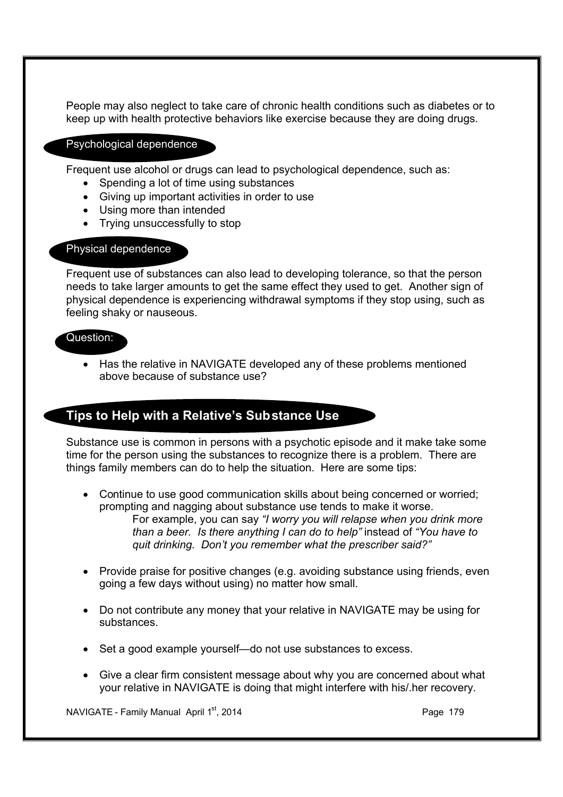People may also neglect to take care of chronic health conditions such as diabetes or to keep up with health protective behaviors like exercise because they are doing drugs.

#### Psychological dependence

Frequent use alcohol or drugs can lead to psychological dependence, such as:

- Spending a lot of time using substances
- · Giving up important activities in order to use
- · Using more than intended
- Trying unsuccessfully to stop

### Physical dependence

Frequent use of substances can also lead to developing tolerance, so that the person needs to take larger amounts to get the same effect they used to get. Another sign of physical dependence is experiencing withdrawal symptoms if they stop using, such as feeling shaky or nauseous.

#### Question:

· Has the relative in NAVIGATE developed any of these problems mentioned above because of substance use?

## **Tips to Help with a Relative's Substance Use**

Substance use is common in persons with a psychotic episode and it make take some time for the person using the substances to recognize there is a problem. There are things family members can do to help the situation. Here are some tips:

• Continue to use good communication skills about being concerned or worried; prompting and nagging about substance use tends to make it worse. For example, you can say *"I worry you will relapse when you drink more than a beer. Is there anything I can do to help"* instead of *"You have to quit drinking. Don't you remember what the prescriber said?"*

- · Provide praise for positive changes (e.g. avoiding substance using friends, even going a few days without using) no matter how small.
- · Do not contribute any money that your relative in NAVIGATE may be using for substances.
- · Set a good example yourself—do not use substances to excess.
- · Give a clear firm consistent message about why you are concerned about what your relative in NAVIGATE is doing that might interfere with his/.her recovery.

NAVIGATE - Family Manual April  $1<sup>st</sup>$ , 2014 **Page 179** Page 179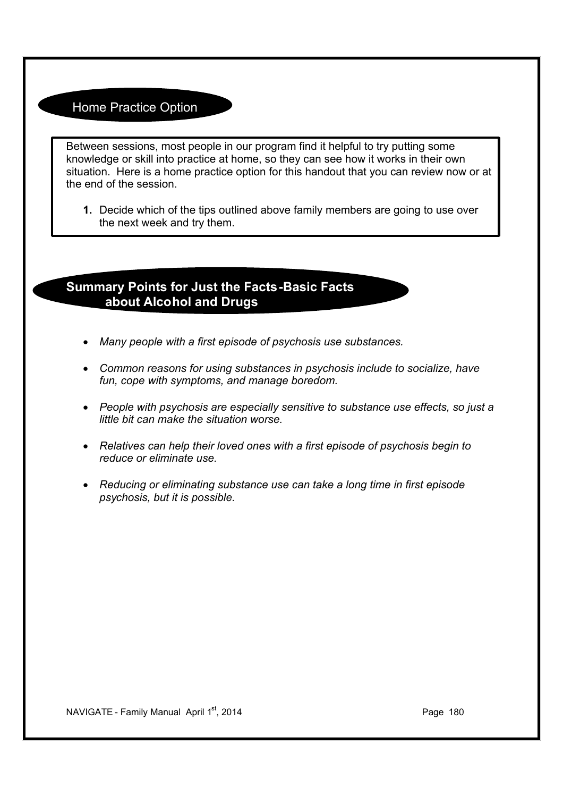## Home Practice Option

Between sessions, most people in our program find it helpful to try putting some knowledge or skill into practice at home, so they can see how it works in their own situation. Here is a home practice option for this handout that you can review now or at the end of the session.

**1.** Decide which of the tips outlined above family members are going to use over the next week and try them.

# **Summary Points for Just the Facts-Basic Facts about Alcohol and Drugs**

- · *Many people with a first episode of psychosis use substances.*
- · *Common reasons for using substances in psychosis include to socialize, have fun, cope with symptoms, and manage boredom.*
- · *People with psychosis are especially sensitive to substance use effects, so just a little bit can make the situation worse.*
- · *Relatives can help their loved ones with a first episode of psychosis begin to reduce or eliminate use.*
- · *Reducing or eliminating substance use can take a long time in first episode psychosis, but it is possible.*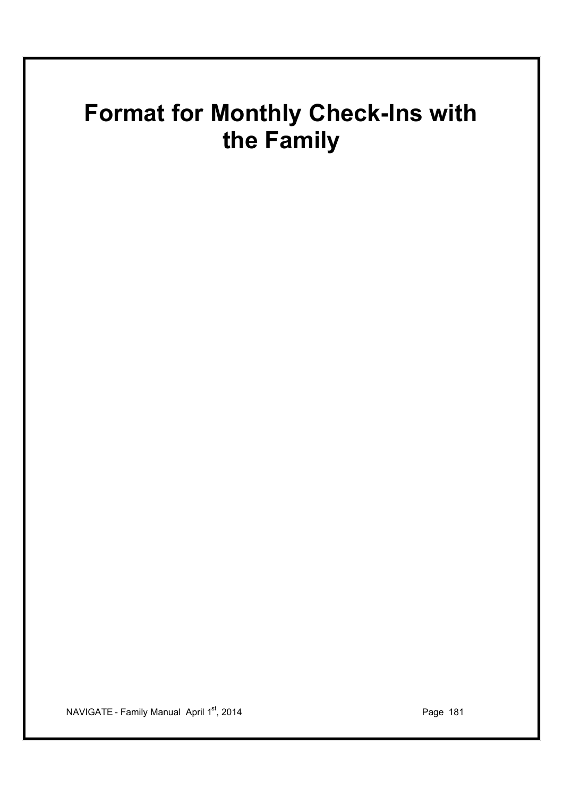# **Format for Monthly Check-Ins with the Family**

NAVIGATE - Family Manual April 1<sup>st</sup>, 2014 **Page 181** Page 181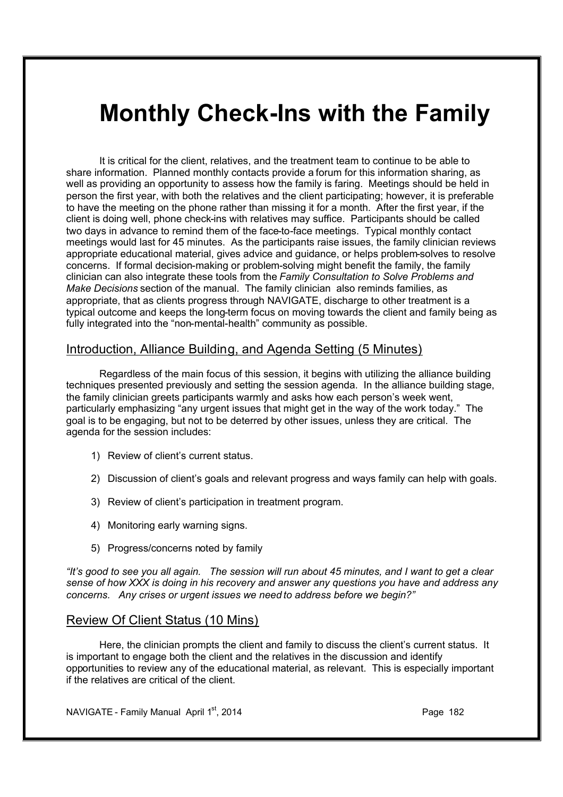# **Monthly Check-Ins with the Family**

It is critical for the client, relatives, and the treatment team to continue to be able to share information. Planned monthly contacts provide a forum for this information sharing, as well as providing an opportunity to assess how the family is faring. Meetings should be held in person the first year, with both the relatives and the client participating; however, it is preferable to have the meeting on the phone rather than missing it for a month. After the first year, if the client is doing well, phone check-ins with relatives may suffice. Participants should be called two days in advance to remind them of the face-to-face meetings. Typical monthly contact meetings would last for 45 minutes. As the participants raise issues, the family clinician reviews appropriate educational material, gives advice and guidance, or helps problem-solves to resolve concerns. If formal decision-making or problem-solving might benefit the family, the family clinician can also integrate these tools from the *Family Consultation to Solve Problems and Make Decisions* section of the manual. The family clinician also reminds families, as appropriate, that as clients progress through NAVIGATE, discharge to other treatment is a typical outcome and keeps the long-term focus on moving towards the client and family being as fully integrated into the "non-mental-health" community as possible.

### Introduction, Alliance Building, and Agenda Setting (5 Minutes)

Regardless of the main focus of this session, it begins with utilizing the alliance building techniques presented previously and setting the session agenda. In the alliance building stage, the family clinician greets participants warmly and asks how each person's week went, particularly emphasizing "any urgent issues that might get in the way of the work today." The goal is to be engaging, but not to be deterred by other issues, unless they are critical. The agenda for the session includes:

- 1) Review of client's current status.
- 2) Discussion of client's goals and relevant progress and ways family can help with goals.
- 3) Review of client's participation in treatment program.
- 4) Monitoring early warning signs.
- 5) Progress/concerns noted by family

*"It's good to see you all again. The session will run about 45 minutes, and I want to get a clear sense of how XXX is doing in his recovery and answer any questions you have and address any concerns. Any crises or urgent issues we need to address before we begin?"* 

### Review Of Client Status (10 Mins)

Here, the clinician prompts the client and family to discuss the client's current status. It is important to engage both the client and the relatives in the discussion and identify opportunities to review any of the educational material, as relevant. This is especially important if the relatives are critical of the client.

NAVIGATE - Family Manual April  $1<sup>st</sup>$ , 2014 **Page 182** Page 182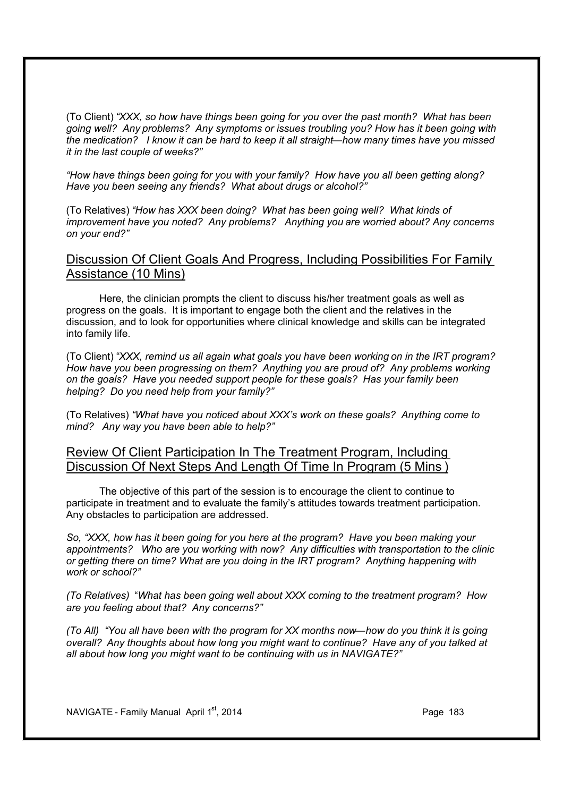(To Client) *"XXX, so how have things been going for you over the past month? What has been going well? Any problems? Any symptoms or issues troubling you? How has it been going with the medication? I know it can be hard to keep it all straight—how many times have you missed it in the last couple of weeks?"* 

*"How have things been going for you with your family? How have you all been getting along? Have you been seeing any friends? What about drugs or alcohol?"* 

(To Relatives) *"How has XXX been doing? What has been going well? What kinds of improvement have you noted? Any problems? Anything you are worried about? Any concerns on your end?"* 

### Discussion Of Client Goals And Progress, Including Possibilities For Family Assistance (10 Mins)

Here, the clinician prompts the client to discuss his/her treatment goals as well as progress on the goals. It is important to engage both the client and the relatives in the discussion, and to look for opportunities where clinical knowledge and skills can be integrated into family life.

(To Client) "*XXX, remind us all again what goals you have been working on in the IRT program? How have you been progressing on them? Anything you are proud of? Any problems working on the goals? Have you needed support people for these goals? Has your family been helping? Do you need help from your family?"* 

(To Relatives) *"What have you noticed about XXX's work on these goals? Anything come to mind? Any way you have been able to help?"*

### Review Of Client Participation In The Treatment Program, Including Discussion Of Next Steps And Length Of Time In Program (5 Mins )

The objective of this part of the session is to encourage the client to continue to participate in treatment and to evaluate the family's attitudes towards treatment participation. Any obstacles to participation are addressed.

*So, "XXX, how has it been going for you here at the program? Have you been making your appointments? Who are you working with now? Any difficulties with transportation to the clinic or getting there on time? What are you doing in the IRT program? Anything happening with work or school?"* 

*(To Relatives)* "*What has been going well about XXX coming to the treatment program? How are you feeling about that? Any concerns?"*

*(To All) "You all have been with the program for XX months now—how do you think it is going overall? Any thoughts about how long you might want to continue? Have any of you talked at all about how long you might want to be continuing with us in NAVIGATE?"*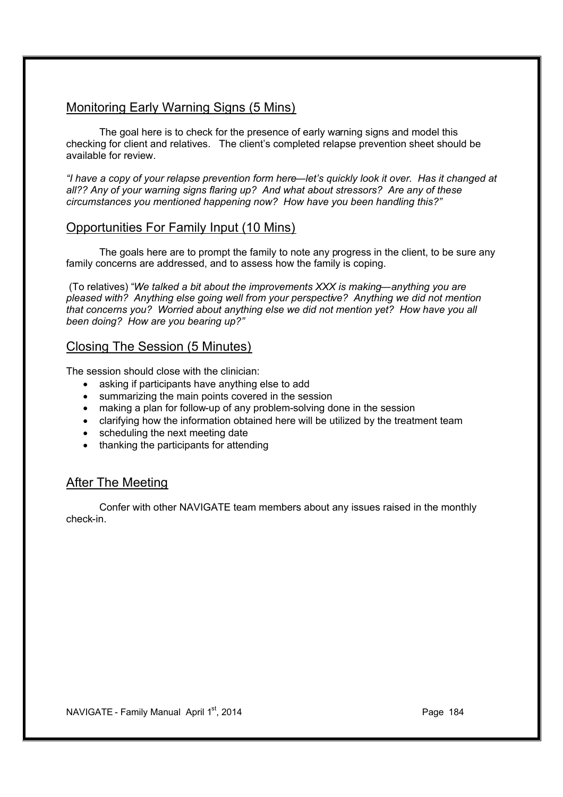### Monitoring Early Warning Signs (5 Mins)

The goal here is to check for the presence of early warning signs and model this checking for client and relatives. The client's completed relapse prevention sheet should be available for review.

*"I have a copy of your relapse prevention form here—let's quickly look it over. Has it changed at all?? Any of your warning signs flaring up? And what about stressors? Are any of these circumstances you mentioned happening now? How have you been handling this?"* 

### Opportunities For Family Input (10 Mins)

The goals here are to prompt the family to note any progress in the client, to be sure any family concerns are addressed, and to assess how the family is coping.

 (To relatives) "*We talked a bit about the improvements XXX is making—anything you are pleased with? Anything else going well from your perspective? Anything we did not mention that concerns you? Worried about anything else we did not mention yet? How have you all been doing? How are you bearing up?"*

### Closing The Session (5 Minutes)

The session should close with the clinician:

- asking if participants have anything else to add
- · summarizing the main points covered in the session
- making a plan for follow-up of any problem-solving done in the session
- · clarifying how the information obtained here will be utilized by the treatment team
- scheduling the next meeting date
- thanking the participants for attending

### After The Meeting

Confer with other NAVIGATE team members about any issues raised in the monthly check-in.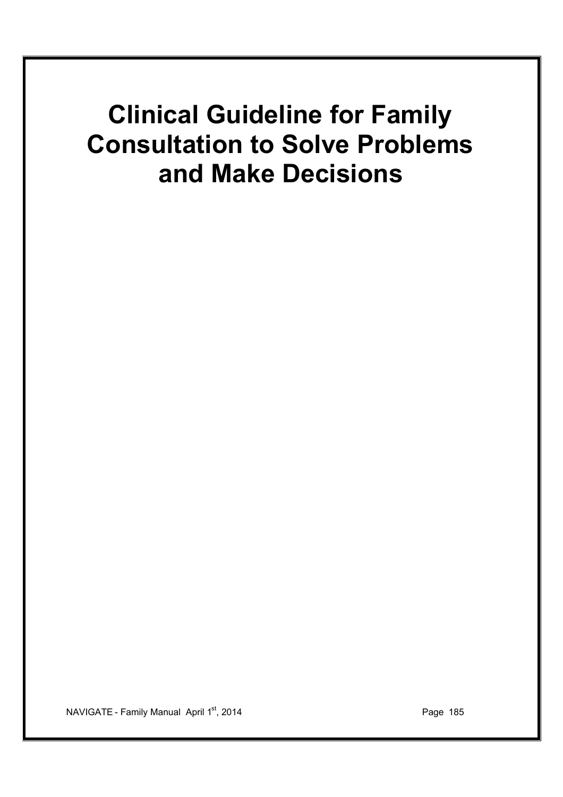# **Clinical Guideline for Family Consultation to Solve Problems and Make Decisions**

NAVIGATE - Family Manual April 1<sup>st</sup>, 2014 **Page 185**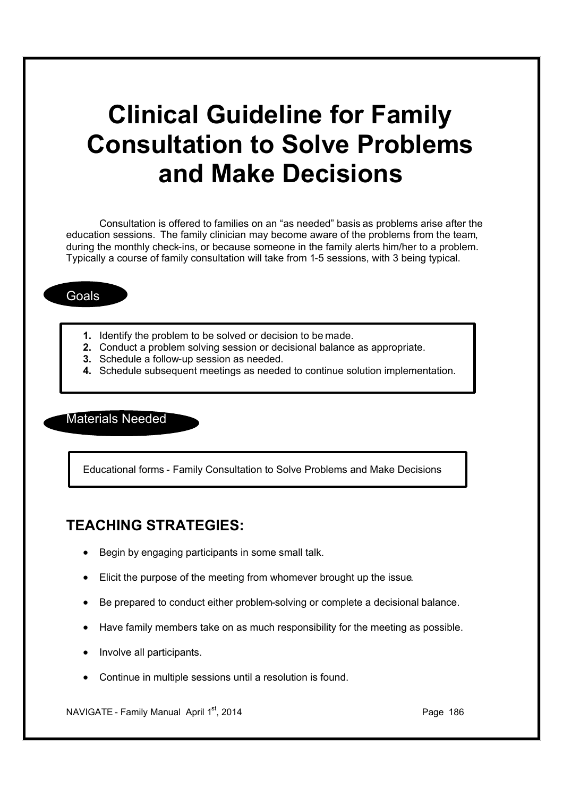# **Clinical Guideline for Family Consultation to Solve Problems and Make Decisions**

Consultation is offered to families on an "as needed" basis as problems arise after the education sessions. The family clinician may become aware of the problems from the team, during the monthly check-ins, or because someone in the family alerts him/her to a problem. Typically a course of family consultation will take from 1-5 sessions, with 3 being typical.

### Goals

- **1.** Identify the problem to be solved or decision to be made.
- **2.** Conduct a problem solving session or decisional balance as appropriate.
- **3.** Schedule a follow-up session as needed.
- **4.** Schedule subsequent meetings as needed to continue solution implementation.

### Materials Needed

Educational forms - Family Consultation to Solve Problems and Make Decisions

### **TEACHING STRATEGIES:**

- Begin by engaging participants in some small talk.
- · Elicit the purpose of the meeting from whomever brought up the issue.
- · Be prepared to conduct either problem-solving or complete a decisional balance.
- · Have family members take on as much responsibility for the meeting as possible.
- · Involve all participants.
- · Continue in multiple sessions until a resolution is found.

NAVIGATE - Family Manual April 1<sup>st</sup>, 2014 **Page 186** Page 186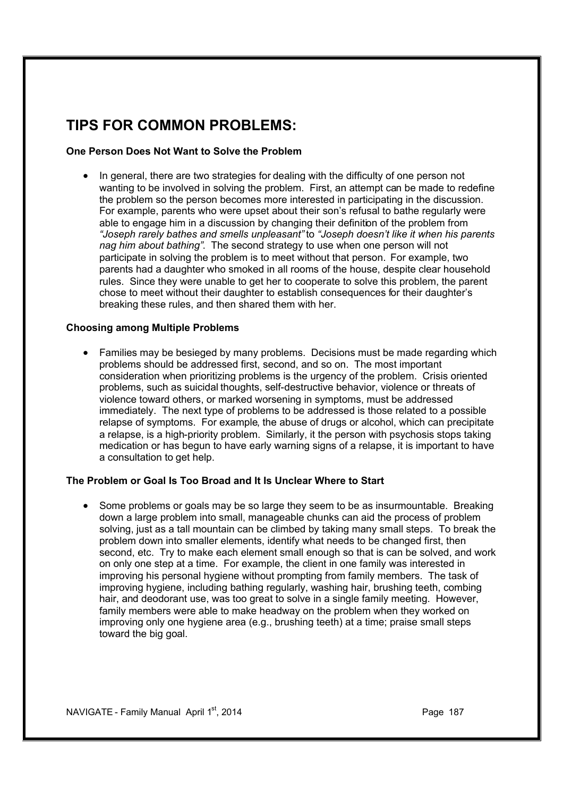## **TIPS FOR COMMON PROBLEMS:**

### **One Person Does Not Want to Solve the Problem**

• In general, there are two strategies for dealing with the difficulty of one person not wanting to be involved in solving the problem. First, an attempt can be made to redefine the problem so the person becomes more interested in participating in the discussion. For example, parents who were upset about their son's refusal to bathe regularly were able to engage him in a discussion by changing their definition of the problem from *"Joseph rarely bathes and smells unpleasant"* to *"Joseph doesn't like it when his parents nag him about bathing"*. The second strategy to use when one person will not participate in solving the problem is to meet without that person. For example, two parents had a daughter who smoked in all rooms of the house, despite clear household rules. Since they were unable to get her to cooperate to solve this problem, the parent chose to meet without their daughter to establish consequences for their daughter's breaking these rules, and then shared them with her.

#### **Choosing among Multiple Problems**

• Families may be besieged by many problems. Decisions must be made regarding which problems should be addressed first, second, and so on. The most important consideration when prioritizing problems is the urgency of the problem. Crisis oriented problems, such as suicidal thoughts, self-destructive behavior, violence or threats of violence toward others, or marked worsening in symptoms, must be addressed immediately. The next type of problems to be addressed is those related to a possible relapse of symptoms. For example, the abuse of drugs or alcohol, which can precipitate a relapse, is a high-priority problem. Similarly, it the person with psychosis stops taking medication or has begun to have early warning signs of a relapse, it is important to have a consultation to get help.

### **The Problem or Goal Is Too Broad and It Is Unclear Where to Start**

· Some problems or goals may be so large they seem to be as insurmountable. Breaking down a large problem into small, manageable chunks can aid the process of problem solving, just as a tall mountain can be climbed by taking many small steps. To break the problem down into smaller elements, identify what needs to be changed first, then second, etc. Try to make each element small enough so that is can be solved, and work on only one step at a time. For example, the client in one family was interested in improving his personal hygiene without prompting from family members. The task of improving hygiene, including bathing regularly, washing hair, brushing teeth, combing hair, and deodorant use, was too great to solve in a single family meeting. However, family members were able to make headway on the problem when they worked on improving only one hygiene area (e.g., brushing teeth) at a time; praise small steps toward the big goal.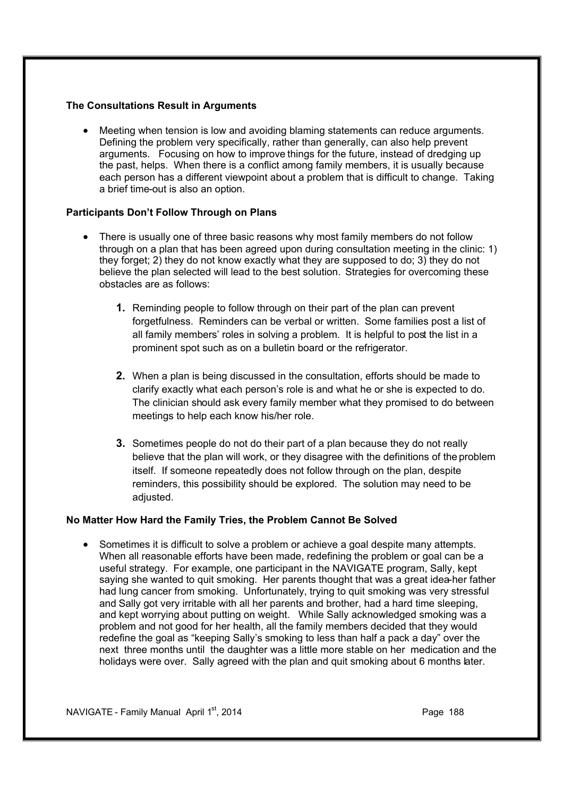### **The Consultations Result in Arguments**

· Meeting when tension is low and avoiding blaming statements can reduce arguments. Defining the problem very specifically, rather than generally, can also help prevent arguments. Focusing on how to improve things for the future, instead of dredging up the past, helps. When there is a conflict among family members, it is usually because each person has a different viewpoint about a problem that is difficult to change. Taking a brief time-out is also an option.

### **Participants Don't Follow Through on Plans**

- · There is usually one of three basic reasons why most family members do not follow through on a plan that has been agreed upon during consultation meeting in the clinic: 1) they forget; 2) they do not know exactly what they are supposed to do; 3) they do not believe the plan selected will lead to the best solution. Strategies for overcoming these obstacles are as follows:
	- **1.** Reminding people to follow through on their part of the plan can prevent forgetfulness. Reminders can be verbal or written. Some families post a list of all family members' roles in solving a problem. It is helpful to post the list in a prominent spot such as on a bulletin board or the refrigerator.
	- **2.** When a plan is being discussed in the consultation, efforts should be made to clarify exactly what each person's role is and what he or she is expected to do. The clinician should ask every family member what they promised to do between meetings to help each know his/her role.
	- **3.** Sometimes people do not do their part of a plan because they do not really believe that the plan will work, or they disagree with the definitions of the problem itself. If someone repeatedly does not follow through on the plan, despite reminders, this possibility should be explored. The solution may need to be adiusted.

### **No Matter How Hard the Family Tries, the Problem Cannot Be Solved**

· Sometimes it is difficult to solve a problem or achieve a goal despite many attempts. When all reasonable efforts have been made, redefining the problem or goal can be a useful strategy. For example, one participant in the NAVIGATE program, Sally, kept saying she wanted to quit smoking. Her parents thought that was a great idea-her father had lung cancer from smoking. Unfortunately, trying to quit smoking was very stressful and Sally got very irritable with all her parents and brother, had a hard time sleeping, and kept worrying about putting on weight. While Sally acknowledged smoking was a problem and not good for her health, all the family members decided that they would redefine the goal as "keeping Sally's smoking to less than half a pack a day" over the next three months until the daughter was a little more stable on her medication and the holidays were over. Sally agreed with the plan and quit smoking about 6 months later.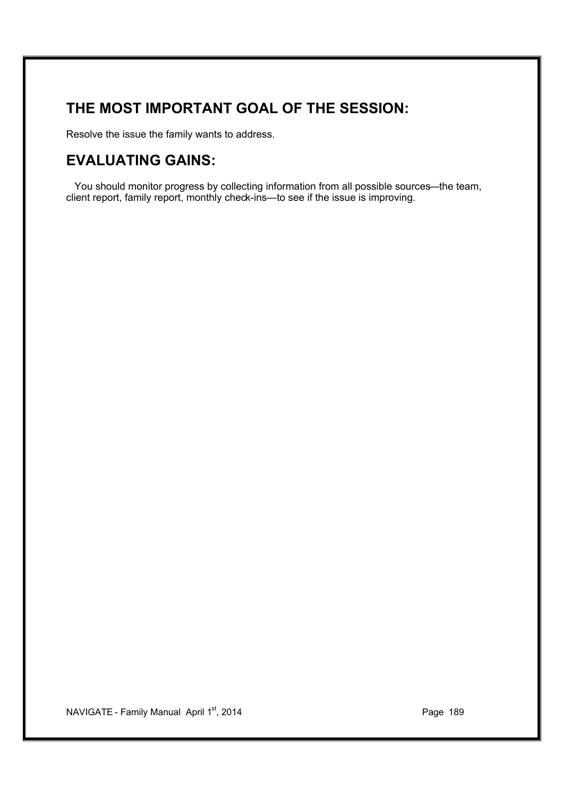## **THE MOST IMPORTANT GOAL OF THE SESSION:**

Resolve the issue the family wants to address.

## **EVALUATING GAINS:**

You should monitor progress by collecting information from all possible sources—the team, client report, family report, monthly check-ins—to see if the issue is improving.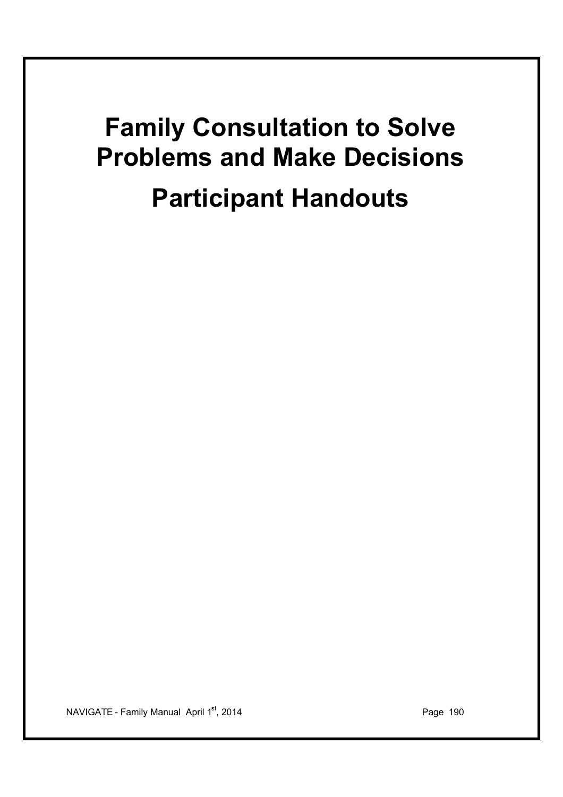# **Family Consultation to Solve Problems and Make Decisions Participant Handouts**

NAVIGATE - Family Manual April 1<sup>st</sup>, 2014 **Page 190** Page 190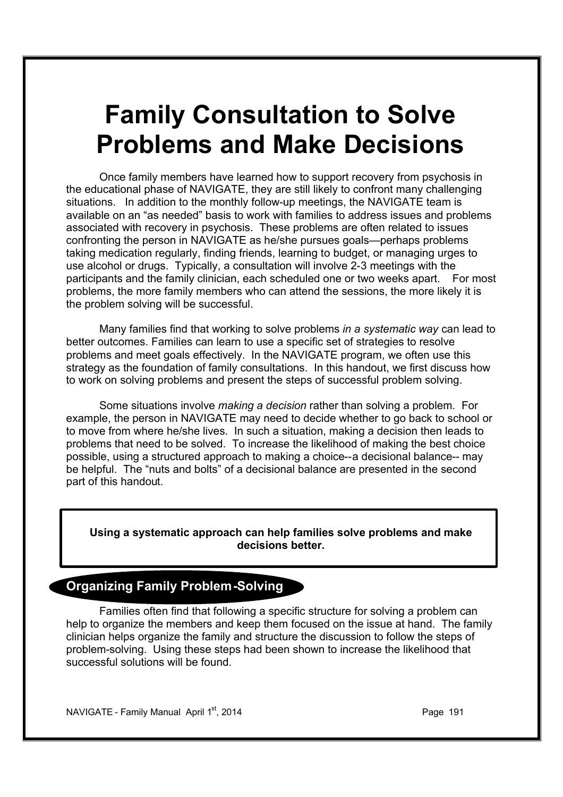# **Family Consultation to Solve Problems and Make Decisions**

Once family members have learned how to support recovery from psychosis in the educational phase of NAVIGATE, they are still likely to confront many challenging situations. In addition to the monthly follow-up meetings, the NAVIGATE team is available on an "as needed" basis to work with families to address issues and problems associated with recovery in psychosis. These problems are often related to issues confronting the person in NAVIGATE as he/she pursues goals—perhaps problems taking medication regularly, finding friends, learning to budget, or managing urges to use alcohol or drugs. Typically, a consultation will involve 2-3 meetings with the participants and the family clinician, each scheduled one or two weeks apart. For most problems, the more family members who can attend the sessions, the more likely it is the problem solving will be successful.

Many families find that working to solve problems *in a systematic way* can lead to better outcomes. Families can learn to use a specific set of strategies to resolve problems and meet goals effectively. In the NAVIGATE program, we often use this strategy as the foundation of family consultations. In this handout, we first discuss how to work on solving problems and present the steps of successful problem solving.

Some situations involve *making a decision* rather than solving a problem. For example, the person in NAVIGATE may need to decide whether to go back to school or to move from where he/she lives. In such a situation, making a decision then leads to problems that need to be solved. To increase the likelihood of making the best choice possible, using a structured approach to making a choice--a decisional balance-- may be helpful. The "nuts and bolts" of a decisional balance are presented in the second part of this handout.

### **Using a systematic approach can help families solve problems and make decisions better.**

### **Organizing Family Problem-Solving**

Families often find that following a specific structure for solving a problem can help to organize the members and keep them focused on the issue at hand. The family clinician helps organize the family and structure the discussion to follow the steps of problem-solving. Using these steps had been shown to increase the likelihood that successful solutions will be found.

NAVIGATE - Family Manual April 1st, 2014 **Page 191** Page 191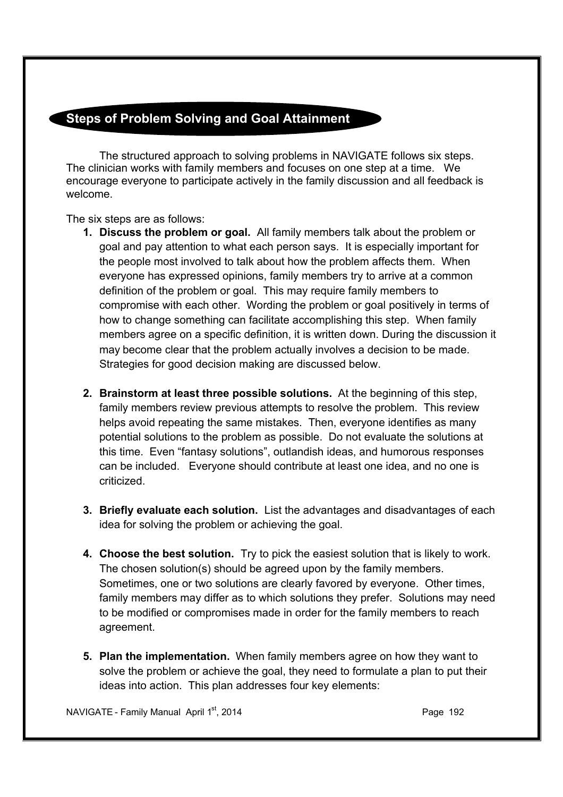### **Steps of Problem Solving and Goal Attainment**

The structured approach to solving problems in NAVIGATE follows six steps. The clinician works with family members and focuses on one step at a time. We encourage everyone to participate actively in the family discussion and all feedback is welcome.

The six steps are as follows:

- **1. Discuss the problem or goal.** All family members talk about the problem or goal and pay attention to what each person says. It is especially important for the people most involved to talk about how the problem affects them. When everyone has expressed opinions, family members try to arrive at a common definition of the problem or goal. This may require family members to compromise with each other. Wording the problem or goal positively in terms of how to change something can facilitate accomplishing this step. When family members agree on a specific definition, it is written down. During the discussion it may become clear that the problem actually involves a decision to be made. Strategies for good decision making are discussed below.
- **2. Brainstorm at least three possible solutions.** At the beginning of this step, family members review previous attempts to resolve the problem. This review helps avoid repeating the same mistakes. Then, everyone identifies as many potential solutions to the problem as possible. Do not evaluate the solutions at this time. Even "fantasy solutions", outlandish ideas, and humorous responses can be included. Everyone should contribute at least one idea, and no one is criticized.
- **3. Briefly evaluate each solution.** List the advantages and disadvantages of each idea for solving the problem or achieving the goal.
- **4. Choose the best solution.** Try to pick the easiest solution that is likely to work. The chosen solution(s) should be agreed upon by the family members. Sometimes, one or two solutions are clearly favored by everyone. Other times, family members may differ as to which solutions they prefer. Solutions may need to be modified or compromises made in order for the family members to reach agreement.
- **5. Plan the implementation.** When family members agree on how they want to solve the problem or achieve the goal, they need to formulate a plan to put their ideas into action. This plan addresses four key elements:

NAVIGATE - Family Manual April 1<sup>st</sup>, 2014 **Page 192** Page 192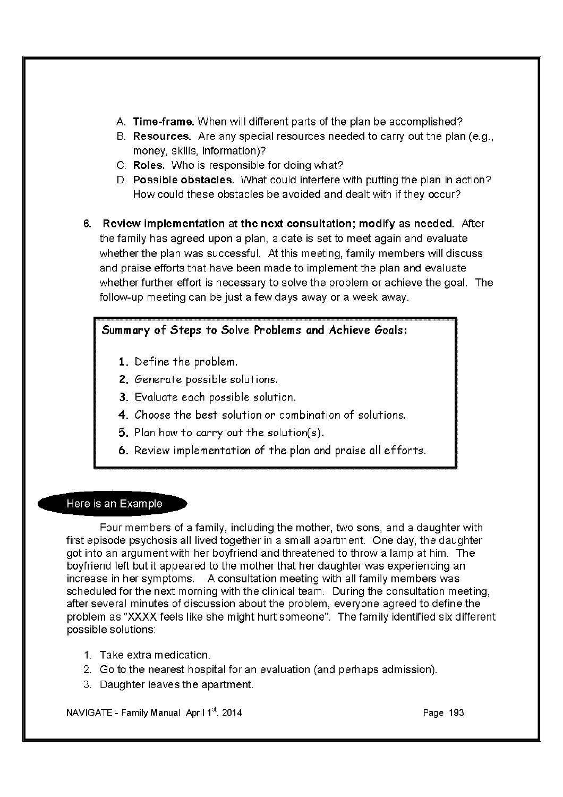- A. Time-frame. When will different parts of the plan be accomplished?
- B. Resources. Are any special resources needed to carry out the plan (e.g., money, skills, information)?
- C. Roles. Who is responsible for doing what?
- D. Possible obstacles. What could interfere with putting the plan in action? How could these obstacles be avoided and dealt with if they occur?
- 6. Review implementation at the next consultation; modify as needed. After the family has agreed upon a plan, a date is set to meet again and evaluate whether the plan was successful. At this meeting, family members will discuss and praise efforts that have been made to implement the plan and evaluate whether further effort is necessary to solve the problem or achieve the goal. The follow-up meeting can be just a few days away or a week away.

### Summary of Steps to Solve Problems and Achieve Goals:

- 1. Define the problem.
- 2. Generate possible solutions.
- 3. Evaluate each possible solution.
- 4. Choose the best solution or combination of solutions.
- 5. Plan how to carry out the solution(s).
- 6. Review implementation of the plan and praise all efforts.

### Here is an Example

Four members of a family, including the mother, two sons, and a daughter with first episode psychosis all lived together in a small apartment. One day, the daughter got into an argument with her boyfriend and threatened to throw a lamp at him. The boyfriend left but it appeared to the mother that her daughter was experiencing an increase in her symptoms. A consultation meeting with all family members was scheduled for the next morning with the clinical team. During the consultation meeting, after several minutes of discussion about the problem, everyone agreed to define the problem as "XXXX feels like she might hurt someone". The family identified six different possible solutions:

- 1. Take extra medication.
- 2. Go to the nearest hospital for an evaluation (and perhaps admission).
- 3. Daughter leaves the apartment.

NAVIGATE - Family Manual April 1st, 2014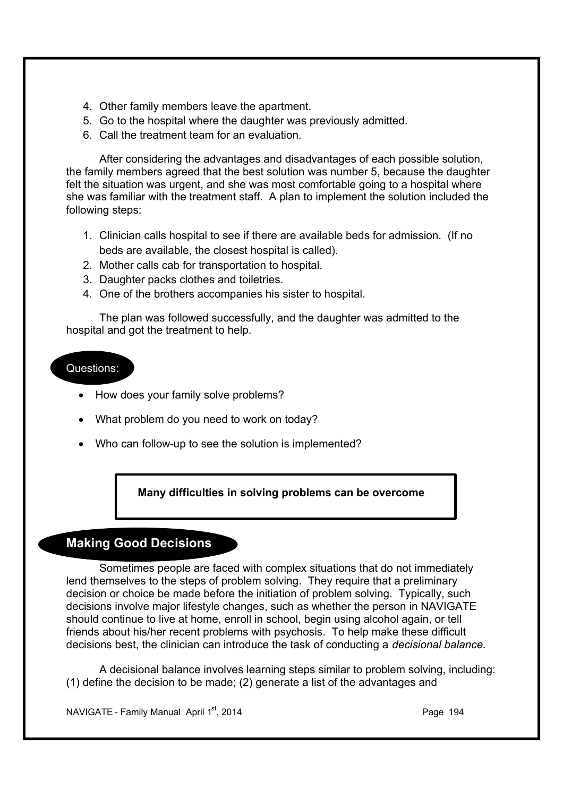- 4. Other family members leave the apartment.
- 5. Go to the hospital where the daughter was previously admitted.
- 6. Call the treatment team for an evaluation.

After considering the advantages and disadvantages of each possible solution, the family members agreed that the best solution was number 5, because the daughter felt the situation was urgent, and she was most comfortable going to a hospital where she was familiar with the treatment staff. A plan to implement the solution included the following steps:

- 1. Clinician calls hospital to see if there are available beds for admission. (If no beds are available, the closest hospital is called).
- 2. Mother calls cab for transportation to hospital.
- 3. Daughter packs clothes and toiletries.
- 4. One of the brothers accompanies his sister to hospital.

The plan was followed successfully, and the daughter was admitted to the hospital and got the treatment to help.

### Questions:

- · How does your family solve problems?
- What problem do you need to work on today?
- · Who can follow-up to see the solution is implemented?

### **Many difficulties in solving problems can be overcome**

### **Making Good Decisions**

Sometimes people are faced with complex situations that do not immediately lend themselves to the steps of problem solving. They require that a preliminary decision or choice be made before the initiation of problem solving. Typically, such decisions involve major lifestyle changes, such as whether the person in NAVIGATE should continue to live at home, enroll in school, begin using alcohol again, or tell friends about his/her recent problems with psychosis. To help make these difficult decisions best, the clinician can introduce the task of conducting a *decisional balance.*

A decisional balance involves learning steps similar to problem solving, including: (1) define the decision to be made; (2) generate a list of the advantages and

NAVIGATE - Family Manual April  $1<sup>st</sup>$ , 2014 **Page 194** Page 194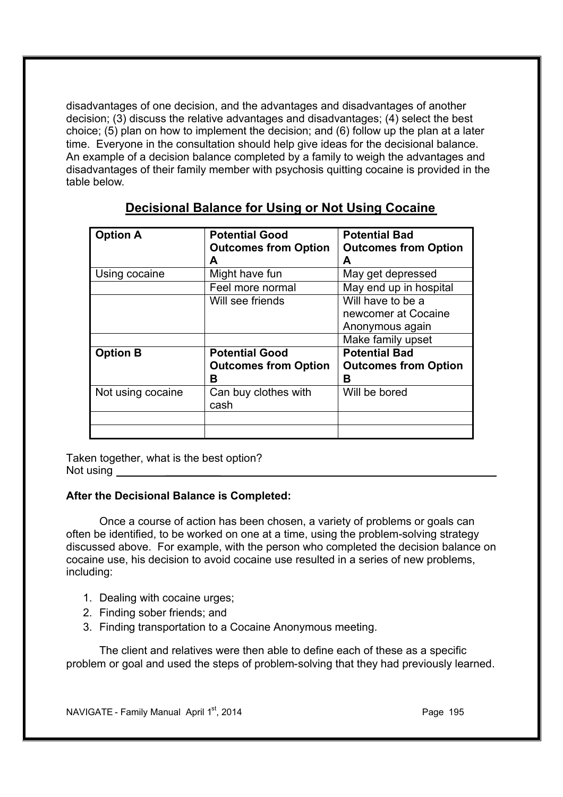disadvantages of one decision, and the advantages and disadvantages of another decision; (3) discuss the relative advantages and disadvantages; (4) select the best choice; (5) plan on how to implement the decision; and (6) follow up the plan at a later time. Everyone in the consultation should help give ideas for the decisional balance. An example of a decision balance completed by a family to weigh the advantages and disadvantages of their family member with psychosis quitting cocaine is provided in the table below.

| <b>Option A</b>   | <b>Potential Good</b>       | <b>Potential Bad</b>        |
|-------------------|-----------------------------|-----------------------------|
|                   | <b>Outcomes from Option</b> | <b>Outcomes from Option</b> |
|                   | A                           | A                           |
| Using cocaine     | Might have fun              | May get depressed           |
|                   | Feel more normal            | May end up in hospital      |
|                   | Will see friends            | Will have to be a           |
|                   |                             | newcomer at Cocaine         |
|                   |                             | Anonymous again             |
|                   |                             | Make family upset           |
| <b>Option B</b>   | <b>Potential Good</b>       | <b>Potential Bad</b>        |
|                   | <b>Outcomes from Option</b> | <b>Outcomes from Option</b> |
|                   | в                           | в                           |
| Not using cocaine | Can buy clothes with        | Will be bored               |
|                   | cash                        |                             |
|                   |                             |                             |
|                   |                             |                             |

### **Decisional Balance for Using or Not Using Cocaine**

Taken together, what is the best option? Not using

### **After the Decisional Balance is Completed:**

Once a course of action has been chosen, a variety of problems or goals can often be identified, to be worked on one at a time, using the problem-solving strategy discussed above. For example, with the person who completed the decision balance on cocaine use, his decision to avoid cocaine use resulted in a series of new problems, including:

- 1. Dealing with cocaine urges;
- 2. Finding sober friends; and
- 3. Finding transportation to a Cocaine Anonymous meeting.

The client and relatives were then able to define each of these as a specific problem or goal and used the steps of problem-solving that they had previously learned.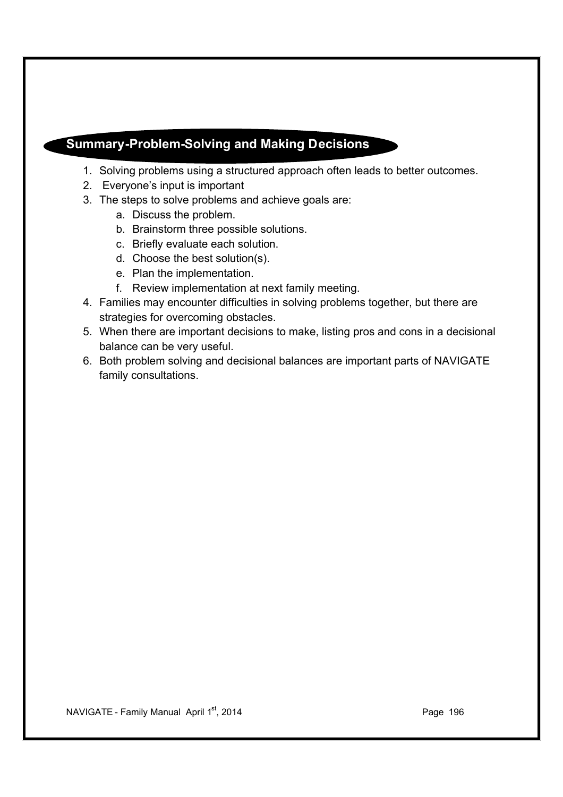### **Summary-Problem-Solving and Making Decisions**

- 1. Solving problems using a structured approach often leads to better outcomes.
- 2. Everyone's input is important
- 3. The steps to solve problems and achieve goals are:
	- a. Discuss the problem.
	- b. Brainstorm three possible solutions.
	- c. Briefly evaluate each solution.
	- d. Choose the best solution(s).
	- e. Plan the implementation.
	- f. Review implementation at next family meeting.
- 4. Families may encounter difficulties in solving problems together, but there are strategies for overcoming obstacles.
- 5. When there are important decisions to make, listing pros and cons in a decisional balance can be very useful.
- 6. Both problem solving and decisional balances are important parts of NAVIGATE family consultations.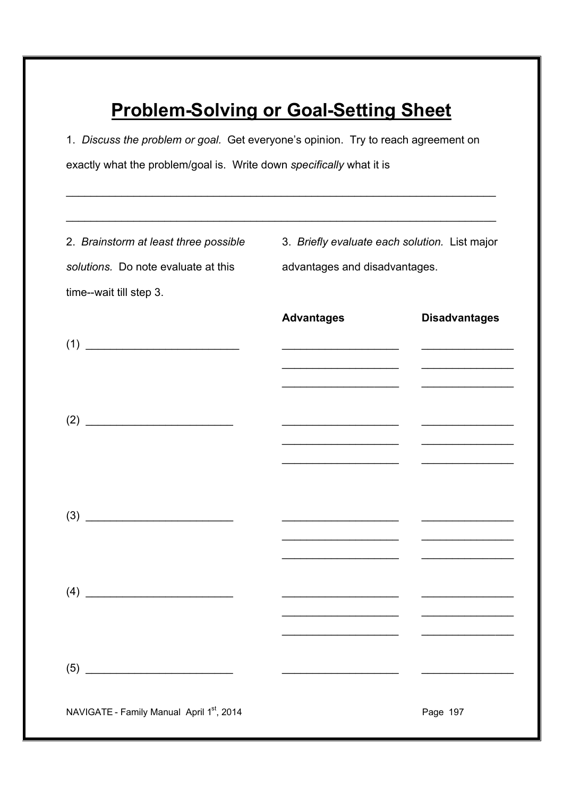# **Problem-Solving or Goal-Setting Sheet**

1. *Discuss the problem or goal.* Get everyone's opinion. Try to reach agreement on exactly what the problem/goal is. Write down *specifically* what it is

\_\_\_\_\_\_\_\_\_\_\_\_\_\_\_\_\_\_\_\_\_\_\_\_\_\_\_\_\_\_\_\_\_\_\_\_\_\_\_\_\_\_\_\_\_\_\_\_\_\_\_\_\_\_\_\_\_\_\_\_\_\_\_\_\_\_\_\_\_\_

| 2. Brainstorm at least three possible<br>solutions. Do note evaluate at this<br>time--wait till step 3. | 3. Briefly evaluate each solution. List major<br>advantages and disadvantages. |                                                                                                                       |
|---------------------------------------------------------------------------------------------------------|--------------------------------------------------------------------------------|-----------------------------------------------------------------------------------------------------------------------|
|                                                                                                         | <b>Advantages</b>                                                              | <b>Disadvantages</b>                                                                                                  |
|                                                                                                         |                                                                                |                                                                                                                       |
|                                                                                                         |                                                                                |                                                                                                                       |
|                                                                                                         |                                                                                | and the state of the state of the state of the                                                                        |
|                                                                                                         |                                                                                |                                                                                                                       |
|                                                                                                         | <u> 1950 - Johann John Stone, market francuski filozof (</u>                   | <u> La Carlo de la Carlo de la Carlo de la Carlo de la Carlo de la Carlo de la Carlo de la Carlo de la Carlo de l</u> |
|                                                                                                         |                                                                                |                                                                                                                       |
| (4)                                                                                                     |                                                                                |                                                                                                                       |
|                                                                                                         |                                                                                |                                                                                                                       |
| (5)                                                                                                     |                                                                                |                                                                                                                       |
| NAVIGATE - Family Manual April 1st, 2014                                                                |                                                                                | Page 197                                                                                                              |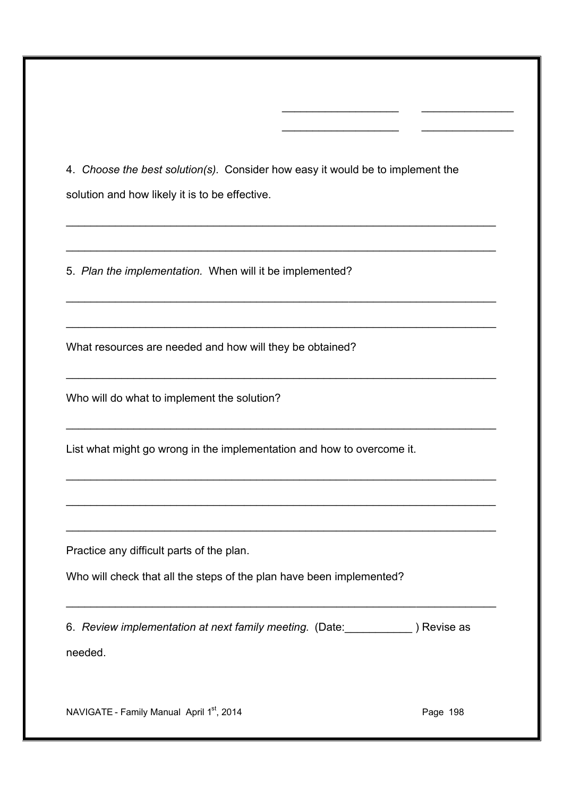4. *Choose the best solution(s).* Consider how easy it would be to implement the solution and how likely it is to be effective.

\_\_\_\_\_\_\_\_\_\_\_\_\_\_\_\_\_\_\_\_\_\_\_\_\_\_\_\_\_\_\_\_\_\_\_\_\_\_\_\_\_\_\_\_\_\_\_\_\_\_\_\_\_\_\_\_\_\_\_\_\_\_\_\_\_\_\_\_\_\_

\_\_\_\_\_\_\_\_\_\_\_\_\_\_\_\_\_\_\_\_\_\_\_\_\_\_\_\_\_\_\_\_\_\_\_\_\_\_\_\_\_\_\_\_\_\_\_\_\_\_\_\_\_\_\_\_\_\_\_\_\_\_\_\_\_\_\_\_\_\_

\_\_\_\_\_\_\_\_\_\_\_\_\_\_\_\_\_\_\_\_\_\_\_\_\_\_\_\_\_\_\_\_\_\_\_\_\_\_\_\_\_\_\_\_\_\_\_\_\_\_\_\_\_\_\_\_\_\_\_\_\_\_\_\_\_\_\_\_\_\_

\_\_\_\_\_\_\_\_\_\_\_\_\_\_\_\_\_\_\_\_\_\_\_\_\_\_\_\_\_\_\_\_\_\_\_\_\_\_\_\_\_\_\_\_\_\_\_\_\_\_\_\_\_\_\_\_\_\_\_\_\_\_\_\_\_\_\_\_\_\_

\_\_\_\_\_\_\_\_\_\_\_\_\_\_\_\_\_\_\_\_\_\_\_\_\_\_\_\_\_\_\_\_\_\_\_\_\_\_\_\_\_\_\_\_\_\_\_\_\_\_\_\_\_\_\_\_\_\_\_\_\_\_\_\_\_\_\_\_\_\_

\_\_\_\_\_\_\_\_\_\_\_\_\_\_\_\_\_\_\_\_\_\_\_\_\_\_\_\_\_\_\_\_\_\_\_\_\_\_\_\_\_\_\_\_\_\_\_\_\_\_\_\_\_\_\_\_\_\_\_\_\_\_\_\_\_\_\_\_\_\_

\_\_\_\_\_\_\_\_\_\_\_\_\_\_\_\_\_\_\_\_\_\_\_\_\_\_\_\_\_\_\_\_\_\_\_\_\_\_\_\_\_\_\_\_\_\_\_\_\_\_\_\_\_\_\_\_\_\_\_\_\_\_\_\_\_\_\_\_\_\_

\_\_\_\_\_\_\_\_\_\_\_\_\_\_\_\_\_\_\_\_\_\_\_\_\_\_\_\_\_\_\_\_\_\_\_\_\_\_\_\_\_\_\_\_\_\_\_\_\_\_\_\_\_\_\_\_\_\_\_\_\_\_\_\_\_\_\_\_\_\_

\_\_\_\_\_\_\_\_\_\_\_\_\_\_\_\_\_\_\_\_\_\_\_\_\_\_\_\_\_\_\_\_\_\_\_\_\_\_\_\_\_\_\_\_\_\_\_\_\_\_\_\_\_\_\_\_\_\_\_\_\_\_\_\_\_\_\_\_\_\_

\_\_\_\_\_\_\_\_\_\_\_\_\_\_\_\_\_\_\_\_\_\_\_\_\_\_\_\_\_\_\_\_\_\_\_\_\_\_\_\_\_\_\_\_\_\_\_\_\_\_\_\_\_\_\_\_\_\_\_\_\_\_\_\_\_\_\_\_\_\_

\_\_\_\_\_\_\_\_\_\_\_\_\_\_\_\_\_\_\_

\_\_\_\_\_\_\_\_\_\_\_\_\_\_\_

 $\overline{\phantom{a}}$ 

 $\overline{\phantom{a}}$  , and the set of the set of the set of the set of the set of the set of the set of the set of the set of the set of the set of the set of the set of the set of the set of the set of the set of the set of the s

5. *Plan the implementation.* When will it be implemented?

What resources are needed and how will they be obtained?

Who will do what to implement the solution?

List what might go wrong in the implementation and how to overcome it.

Practice any difficult parts of the plan.

Who will check that all the steps of the plan have been implemented?

6. *Review implementation at next family meeting.* (Date:\_\_\_\_\_\_\_\_\_\_\_ ) Revise as

needed.

NAVIGATE - Family Manual April 1<sup>st</sup>, 2014 **Page 198** Page 198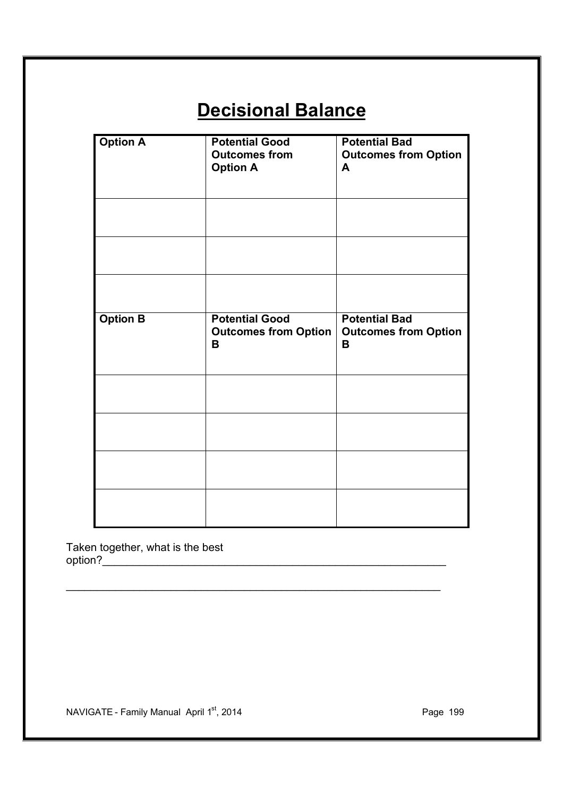# **Decisional Balance**

| <b>Option A</b> | <b>Potential Good</b><br><b>Outcomes from</b><br><b>Option A</b> | <b>Potential Bad</b><br><b>Outcomes from Option</b><br>A |
|-----------------|------------------------------------------------------------------|----------------------------------------------------------|
|                 |                                                                  |                                                          |
| <b>Option B</b> | <b>Potential Good</b><br><b>Outcomes from Option</b><br>B        | <b>Potential Bad</b><br><b>Outcomes from Option</b><br>B |
|                 |                                                                  |                                                          |
|                 |                                                                  |                                                          |
|                 |                                                                  |                                                          |
|                 |                                                                  |                                                          |

\_\_\_\_\_\_\_\_\_\_\_\_\_\_\_\_\_\_\_\_\_\_\_\_\_\_\_\_\_\_\_\_\_\_\_\_\_\_\_\_\_\_\_\_\_\_\_\_\_\_\_\_\_\_\_\_\_\_\_\_\_

Taken together, what is the best  $option?\_$ 

NAVIGATE - Family Manual April 1<sup>st</sup>, 2014 **Page 199** Page 199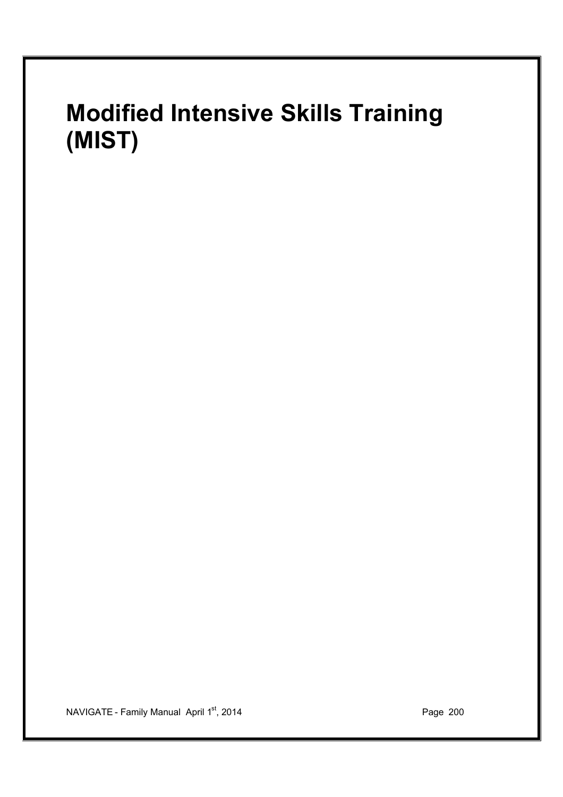# **Modified Intensive Skills Training (MIST)**

NAVIGATE - Family Manual April 1<sup>st</sup>, 2014 **Page 200** Page 200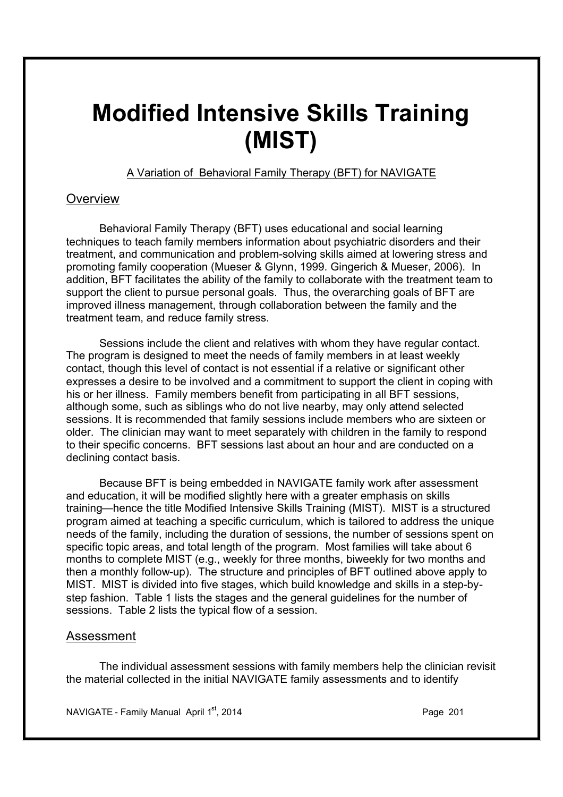# **Modified Intensive Skills Training (MIST)**

A Variation of Behavioral Family Therapy (BFT) for NAVIGATE

### **Overview**

Behavioral Family Therapy (BFT) uses educational and social learning techniques to teach family members information about psychiatric disorders and their treatment, and communication and problem-solving skills aimed at lowering stress and promoting family cooperation (Mueser & Glynn, 1999. Gingerich & Mueser, 2006). In addition, BFT facilitates the ability of the family to collaborate with the treatment team to support the client to pursue personal goals. Thus, the overarching goals of BFT are improved illness management, through collaboration between the family and the treatment team, and reduce family stress.

Sessions include the client and relatives with whom they have regular contact. The program is designed to meet the needs of family members in at least weekly contact, though this level of contact is not essential if a relative or significant other expresses a desire to be involved and a commitment to support the client in coping with his or her illness. Family members benefit from participating in all BFT sessions, although some, such as siblings who do not live nearby, may only attend selected sessions. It is recommended that family sessions include members who are sixteen or older. The clinician may want to meet separately with children in the family to respond to their specific concerns. BFT sessions last about an hour and are conducted on a declining contact basis.

Because BFT is being embedded in NAVIGATE family work after assessment and education, it will be modified slightly here with a greater emphasis on skills training—hence the title Modified Intensive Skills Training (MIST). MIST is a structured program aimed at teaching a specific curriculum, which is tailored to address the unique needs of the family, including the duration of sessions, the number of sessions spent on specific topic areas, and total length of the program. Most families will take about 6 months to complete MIST (e.g., weekly for three months, biweekly for two months and then a monthly follow-up). The structure and principles of BFT outlined above apply to MIST. MIST is divided into five stages, which build knowledge and skills in a step-bystep fashion. Table 1 lists the stages and the general guidelines for the number of sessions. Table 2 lists the typical flow of a session.

### Assessment

The individual assessment sessions with family members help the clinician revisit the material collected in the initial NAVIGATE family assessments and to identify

NAVIGATE - Family Manual April 1st, 2014 **Page 2014** Page 201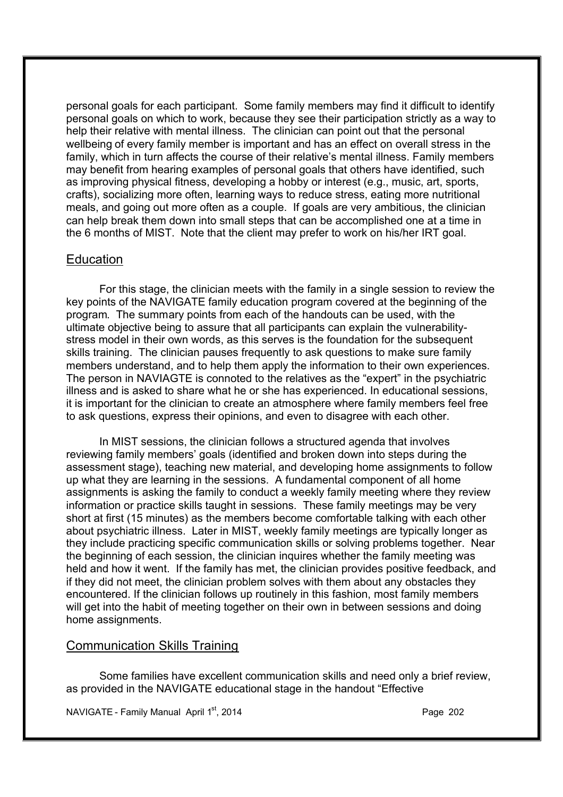personal goals for each participant. Some family members may find it difficult to identify personal goals on which to work, because they see their participation strictly as a way to help their relative with mental illness. The clinician can point out that the personal wellbeing of every family member is important and has an effect on overall stress in the family, which in turn affects the course of their relative's mental illness. Family members may benefit from hearing examples of personal goals that others have identified, such as improving physical fitness, developing a hobby or interest (e.g., music, art, sports, crafts), socializing more often, learning ways to reduce stress, eating more nutritional meals, and going out more often as a couple. If goals are very ambitious, the clinician can help break them down into small steps that can be accomplished one at a time in the 6 months of MIST. Note that the client may prefer to work on his/her IRT goal.

### **Education**

For this stage, the clinician meets with the family in a single session to review the key points of the NAVIGATE family education program covered at the beginning of the program. The summary points from each of the handouts can be used, with the ultimate objective being to assure that all participants can explain the vulnerabilitystress model in their own words, as this serves is the foundation for the subsequent skills training. The clinician pauses frequently to ask questions to make sure family members understand, and to help them apply the information to their own experiences. The person in NAVIAGTE is connoted to the relatives as the "expert" in the psychiatric illness and is asked to share what he or she has experienced. In educational sessions, it is important for the clinician to create an atmosphere where family members feel free to ask questions, express their opinions, and even to disagree with each other.

In MIST sessions, the clinician follows a structured agenda that involves reviewing family members' goals (identified and broken down into steps during the assessment stage), teaching new material, and developing home assignments to follow up what they are learning in the sessions. A fundamental component of all home assignments is asking the family to conduct a weekly family meeting where they review information or practice skills taught in sessions. These family meetings may be very short at first (15 minutes) as the members become comfortable talking with each other about psychiatric illness. Later in MIST, weekly family meetings are typically longer as they include practicing specific communication skills or solving problems together. Near the beginning of each session, the clinician inquires whether the family meeting was held and how it went. If the family has met, the clinician provides positive feedback, and if they did not meet, the clinician problem solves with them about any obstacles they encountered. If the clinician follows up routinely in this fashion, most family members will get into the habit of meeting together on their own in between sessions and doing home assignments.

### Communication Skills Training

Some families have excellent communication skills and need only a brief review, as provided in the NAVIGATE educational stage in the handout "Effective

NAVIGATE - Family Manual April  $1<sup>st</sup>$ , 2014 **Page 2021** Page 202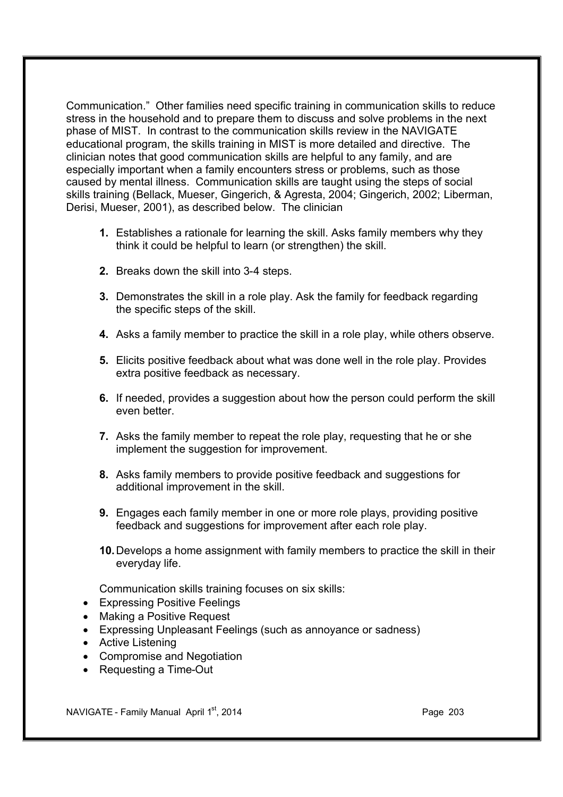Communication." Other families need specific training in communication skills to reduce stress in the household and to prepare them to discuss and solve problems in the next phase of MIST. In contrast to the communication skills review in the NAVIGATE educational program, the skills training in MIST is more detailed and directive. The clinician notes that good communication skills are helpful to any family, and are especially important when a family encounters stress or problems, such as those caused by mental illness. Communication skills are taught using the steps of social skills training (Bellack, Mueser, Gingerich, & Agresta, 2004; Gingerich, 2002; Liberman, Derisi, Mueser, 2001), as described below. The clinician

- **1.** Establishes a rationale for learning the skill. Asks family members why they think it could be helpful to learn (or strengthen) the skill.
- **2.** Breaks down the skill into 3-4 steps.
- **3.** Demonstrates the skill in a role play. Ask the family for feedback regarding the specific steps of the skill.
- **4.** Asks a family member to practice the skill in a role play, while others observe.
- **5.** Elicits positive feedback about what was done well in the role play. Provides extra positive feedback as necessary.
- **6.** If needed, provides a suggestion about how the person could perform the skill even better.
- **7.** Asks the family member to repeat the role play, requesting that he or she implement the suggestion for improvement.
- **8.** Asks family members to provide positive feedback and suggestions for additional improvement in the skill.
- **9.** Engages each family member in one or more role plays, providing positive feedback and suggestions for improvement after each role play.
- **10.**Develops a home assignment with family members to practice the skill in their everyday life.

Communication skills training focuses on six skills:

- · Expressing Positive Feelings
- · Making a Positive Request
- Expressing Unpleasant Feelings (such as annovance or sadness)
- · Active Listening
- · Compromise and Negotiation
- · Requesting a Time-Out

NAVIGATE - Family Manual April  $1<sup>st</sup>$ , 2014 **Page 203** Page 203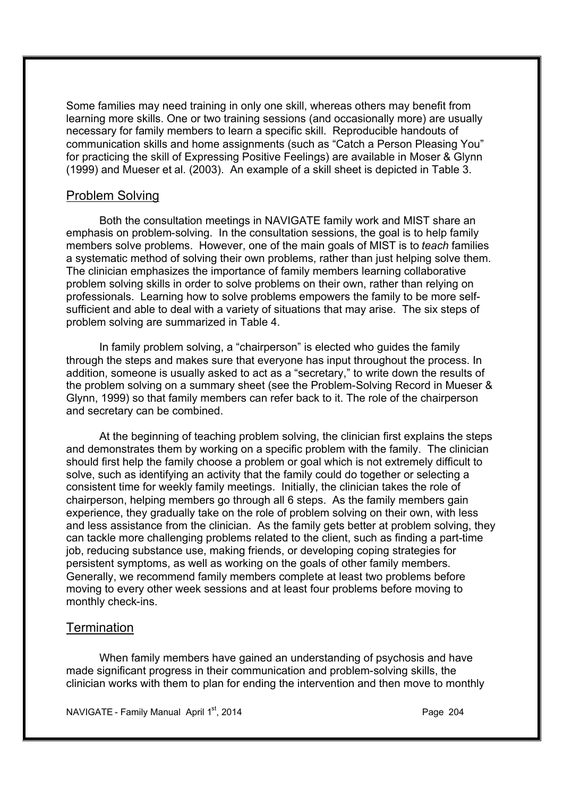Some families may need training in only one skill, whereas others may benefit from learning more skills. One or two training sessions (and occasionally more) are usually necessary for family members to learn a specific skill. Reproducible handouts of communication skills and home assignments (such as "Catch a Person Pleasing You" for practicing the skill of Expressing Positive Feelings) are available in Moser & Glynn (1999) and Mueser et al. (2003). An example of a skill sheet is depicted in Table 3.

### Problem Solving

Both the consultation meetings in NAVIGATE family work and MIST share an emphasis on problem-solving. In the consultation sessions, the goal is to help family members solve problems. However, one of the main goals of MIST is to *teach* families a systematic method of solving their own problems, rather than just helping solve them. The clinician emphasizes the importance of family members learning collaborative problem solving skills in order to solve problems on their own, rather than relying on professionals. Learning how to solve problems empowers the family to be more selfsufficient and able to deal with a variety of situations that may arise. The six steps of problem solving are summarized in Table 4.

In family problem solving, a "chairperson" is elected who guides the family through the steps and makes sure that everyone has input throughout the process. In addition, someone is usually asked to act as a "secretary," to write down the results of the problem solving on a summary sheet (see the Problem-Solving Record in Mueser & Glynn, 1999) so that family members can refer back to it. The role of the chairperson and secretary can be combined.

At the beginning of teaching problem solving, the clinician first explains the steps and demonstrates them by working on a specific problem with the family. The clinician should first help the family choose a problem or goal which is not extremely difficult to solve, such as identifying an activity that the family could do together or selecting a consistent time for weekly family meetings. Initially, the clinician takes the role of chairperson, helping members go through all 6 steps. As the family members gain experience, they gradually take on the role of problem solving on their own, with less and less assistance from the clinician. As the family gets better at problem solving, they can tackle more challenging problems related to the client, such as finding a part-time job, reducing substance use, making friends, or developing coping strategies for persistent symptoms, as well as working on the goals of other family members. Generally, we recommend family members complete at least two problems before moving to every other week sessions and at least four problems before moving to monthly check-ins.

### **Termination**

When family members have gained an understanding of psychosis and have made significant progress in their communication and problem-solving skills, the clinician works with them to plan for ending the intervention and then move to monthly

NAVIGATE - Family Manual April  $1<sup>st</sup>$ , 2014 **Page 204** Page 204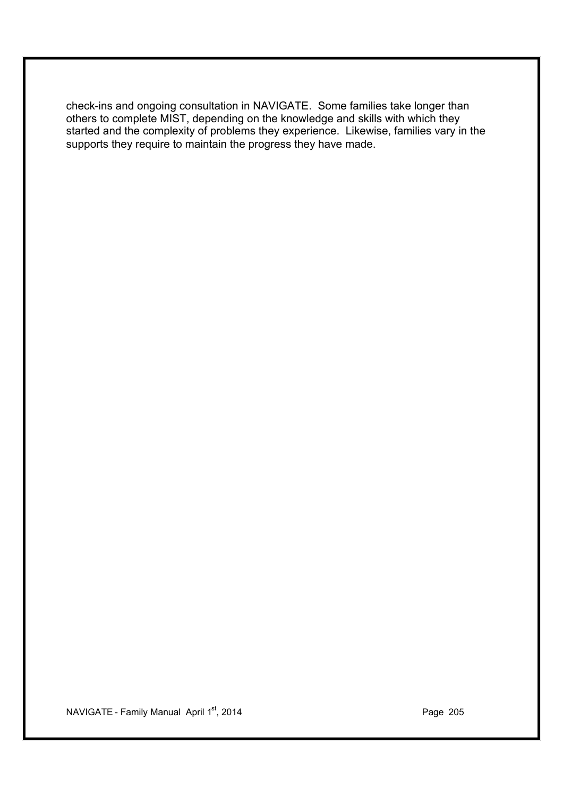check-ins and ongoing consultation in NAVIGATE. Some families take longer than others to complete MIST, depending on the knowledge and skills with which they started and the complexity of problems they experience. Likewise, families vary in the supports they require to maintain the progress they have made.

NAVIGATE - Family Manual April 1<sup>st</sup>, 2014 **Page 205**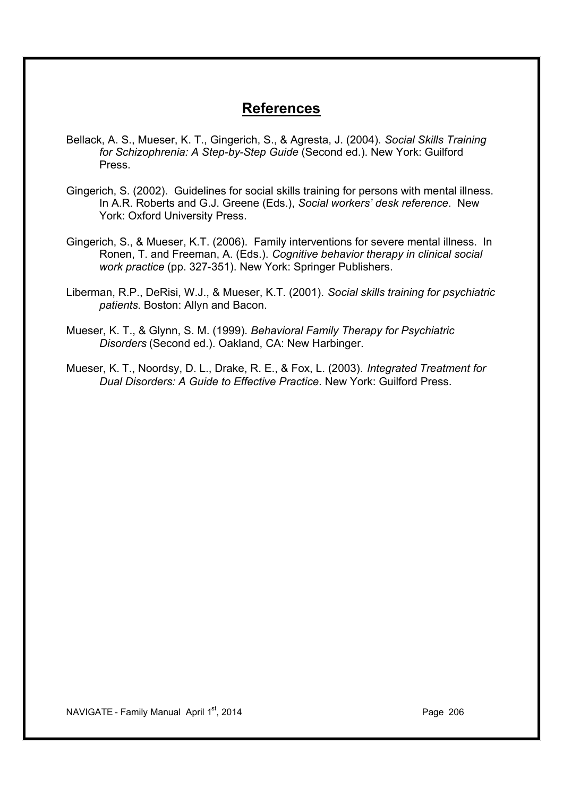### **References**

- Bellack, A. S., Mueser, K. T., Gingerich, S., & Agresta, J. (2004). *Social Skills Training for Schizophrenia: A Step-by-Step Guide* (Second ed.). New York: Guilford Press.
- Gingerich, S. (2002). Guidelines for social skills training for persons with mental illness. In A.R. Roberts and G.J. Greene (Eds.), *Social workers' desk reference*. New York: Oxford University Press.
- Gingerich, S., & Mueser, K.T. (2006). Family interventions for severe mental illness. In Ronen, T. and Freeman, A. (Eds.). *Cognitive behavior therapy in clinical social work practice* (pp. 327-351). New York: Springer Publishers.
- Liberman, R.P., DeRisi, W.J., & Mueser, K.T. (2001). *Social skills training for psychiatric patients*. Boston: Allyn and Bacon.
- Mueser, K. T., & Glynn, S. M. (1999). *Behavioral Family Therapy for Psychiatric Disorders* (Second ed.). Oakland, CA: New Harbinger.
- Mueser, K. T., Noordsy, D. L., Drake, R. E., & Fox, L. (2003). *Integrated Treatment for Dual Disorders: A Guide to Effective Practice*. New York: Guilford Press.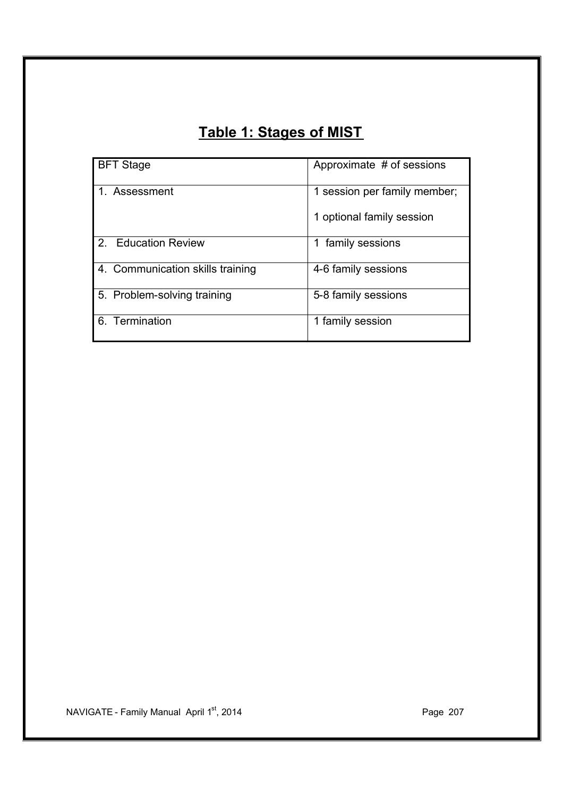## **Table 1: Stages of MIST**

| <b>BFT Stage</b>                         | Approximate # of sessions    |
|------------------------------------------|------------------------------|
| 1. Assessment                            | 1 session per family member; |
|                                          | 1 optional family session    |
| <b>Education Review</b><br>$\mathcal{P}$ | 1 family sessions            |
| 4. Communication skills training         | 4-6 family sessions          |
| 5. Problem-solving training              | 5-8 family sessions          |
| 6. Termination                           | 1 family session             |

NAVIGATE - Family Manual April 1<sup>st</sup>, 2014 **Page 207** Page 207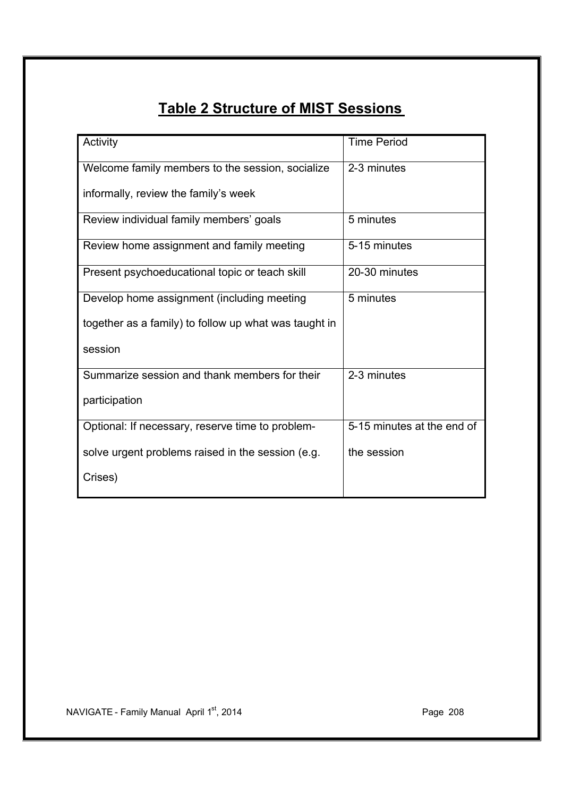## **Table 2 Structure of MIST Sessions**

| Activity                                              | <b>Time Period</b>         |
|-------------------------------------------------------|----------------------------|
|                                                       |                            |
| Welcome family members to the session, socialize      | 2-3 minutes                |
|                                                       |                            |
| informally, review the family's week                  |                            |
|                                                       |                            |
| Review individual family members' goals               | 5 minutes                  |
|                                                       |                            |
|                                                       |                            |
| Review home assignment and family meeting             | 5-15 minutes               |
|                                                       |                            |
| Present psychoeducational topic or teach skill        | 20-30 minutes              |
|                                                       |                            |
| Develop home assignment (including meeting            | 5 minutes                  |
|                                                       |                            |
| together as a family) to follow up what was taught in |                            |
|                                                       |                            |
|                                                       |                            |
| session                                               |                            |
|                                                       |                            |
| Summarize session and thank members for their         | 2-3 minutes                |
|                                                       |                            |
| participation                                         |                            |
|                                                       |                            |
| Optional: If necessary, reserve time to problem-      | 5-15 minutes at the end of |
|                                                       |                            |
|                                                       | the session                |
| solve urgent problems raised in the session (e.g.     |                            |
|                                                       |                            |
| Crises)                                               |                            |
|                                                       |                            |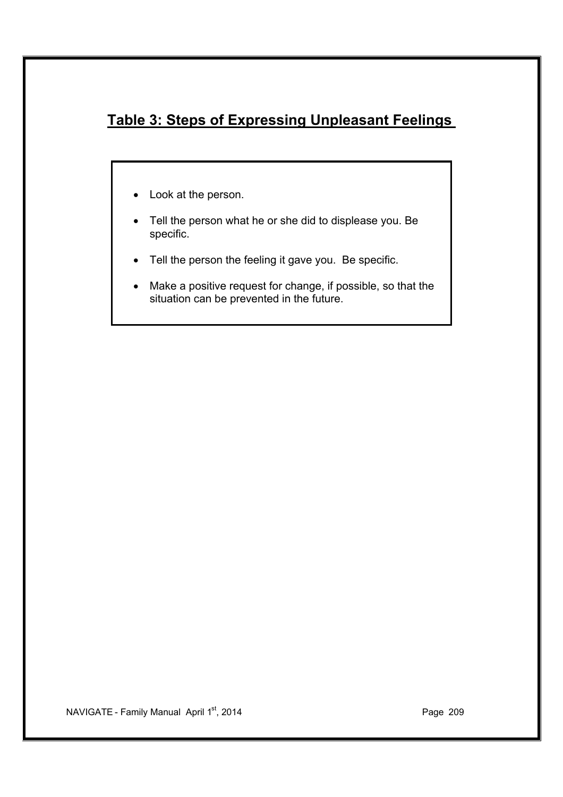## **Table 3: Steps of Expressing Unpleasant Feelings**

- · Look at the person.
- · Tell the person what he or she did to displease you. Be specific.
- · Tell the person the feeling it gave you. Be specific.
- · Make a positive request for change, if possible, so that the situation can be prevented in the future.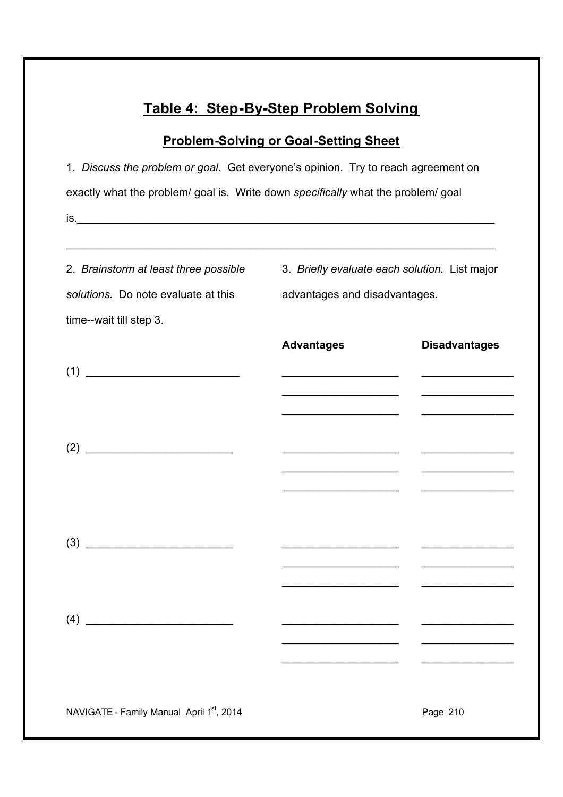## **Table 4: Step-By-Step Problem Solving**

## **Problem-Solving or Goal-Setting Sheet**

| 1. Discuss the problem or goal. Get everyone's opinion. Try to reach agreement on |                                                      |                                                                                                                                                                                                                                      |  |  |  |  |
|-----------------------------------------------------------------------------------|------------------------------------------------------|--------------------------------------------------------------------------------------------------------------------------------------------------------------------------------------------------------------------------------------|--|--|--|--|
| exactly what the problem/ goal is. Write down specifically what the problem/ goal |                                                      |                                                                                                                                                                                                                                      |  |  |  |  |
|                                                                                   |                                                      |                                                                                                                                                                                                                                      |  |  |  |  |
|                                                                                   |                                                      |                                                                                                                                                                                                                                      |  |  |  |  |
| 2. Brainstorm at least three possible                                             | 3. Briefly evaluate each solution. List major        |                                                                                                                                                                                                                                      |  |  |  |  |
| solutions. Do note evaluate at this<br>advantages and disadvantages.              |                                                      |                                                                                                                                                                                                                                      |  |  |  |  |
| time--wait till step 3.                                                           |                                                      |                                                                                                                                                                                                                                      |  |  |  |  |
|                                                                                   | <b>Advantages</b>                                    | <b>Disadvantages</b>                                                                                                                                                                                                                 |  |  |  |  |
| (1)                                                                               |                                                      |                                                                                                                                                                                                                                      |  |  |  |  |
|                                                                                   |                                                      | <u> Liston de la contrada de la contrada de la con</u>                                                                                                                                                                               |  |  |  |  |
|                                                                                   |                                                      |                                                                                                                                                                                                                                      |  |  |  |  |
|                                                                                   |                                                      | <u> The Communication of the Communication of the Communication of the Communication of the Communication of the Communication of the Communication of the Communication of the Communication of the Communication of the Commun</u> |  |  |  |  |
|                                                                                   | <u> 1980 - Jan Barnett, fransk politik (f. 1980)</u> | <u> Listen de la componentación de la componentación de la componentación de la componentación de la componentación de la componentación de la componentación de la componentación de la componentación de la componentación de </u> |  |  |  |  |
|                                                                                   |                                                      |                                                                                                                                                                                                                                      |  |  |  |  |
|                                                                                   |                                                      |                                                                                                                                                                                                                                      |  |  |  |  |
|                                                                                   |                                                      |                                                                                                                                                                                                                                      |  |  |  |  |
|                                                                                   |                                                      |                                                                                                                                                                                                                                      |  |  |  |  |
|                                                                                   |                                                      |                                                                                                                                                                                                                                      |  |  |  |  |
| (4)                                                                               |                                                      |                                                                                                                                                                                                                                      |  |  |  |  |
|                                                                                   |                                                      |                                                                                                                                                                                                                                      |  |  |  |  |
|                                                                                   |                                                      |                                                                                                                                                                                                                                      |  |  |  |  |
| NAVIGATE - Family Manual April 1st, 2014                                          |                                                      | Page 210                                                                                                                                                                                                                             |  |  |  |  |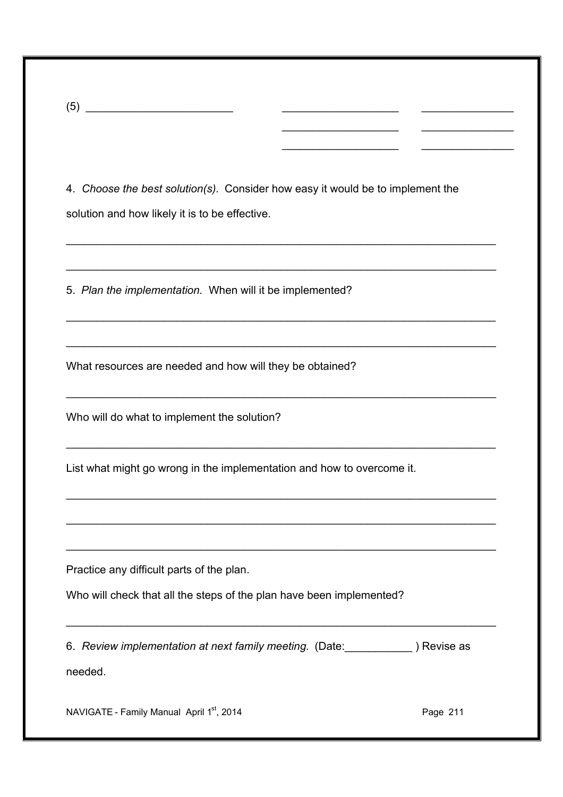4. *Choose the best solution(s).* Consider how easy it would be to implement the solution and how likely it is to be effective.

\_\_\_\_\_\_\_\_\_\_\_\_\_\_\_\_\_\_\_\_\_\_\_\_\_\_\_\_\_\_\_\_\_\_\_\_\_\_\_\_\_\_\_\_\_\_\_\_\_\_\_\_\_\_\_\_\_\_\_\_\_\_\_\_\_\_\_\_\_\_

\_\_\_\_\_\_\_\_\_\_\_\_\_\_\_\_\_\_\_\_\_\_\_\_\_\_\_\_\_\_\_\_\_\_\_\_\_\_\_\_\_\_\_\_\_\_\_\_\_\_\_\_\_\_\_\_\_\_\_\_\_\_\_\_\_\_\_\_\_\_

\_\_\_\_\_\_\_\_\_\_\_\_\_\_\_\_\_\_\_\_\_\_\_\_\_\_\_\_\_\_\_\_\_\_\_\_\_\_\_\_\_\_\_\_\_\_\_\_\_\_\_\_\_\_\_\_\_\_\_\_\_\_\_\_\_\_\_\_\_\_

\_\_\_\_\_\_\_\_\_\_\_\_\_\_\_\_\_\_\_\_\_\_\_\_\_\_\_\_\_\_\_\_\_\_\_\_\_\_\_\_\_\_\_\_\_\_\_\_\_\_\_\_\_\_\_\_\_\_\_\_\_\_\_\_\_\_\_\_\_\_

\_\_\_\_\_\_\_\_\_\_\_\_\_\_\_\_\_\_\_\_\_\_\_\_\_\_\_\_\_\_\_\_\_\_\_\_\_\_\_\_\_\_\_\_\_\_\_\_\_\_\_\_\_\_\_\_\_\_\_\_\_\_\_\_\_\_\_\_\_\_

\_\_\_\_\_\_\_\_\_\_\_\_\_\_\_\_\_\_\_\_\_\_\_\_\_\_\_\_\_\_\_\_\_\_\_\_\_\_\_\_\_\_\_\_\_\_\_\_\_\_\_\_\_\_\_\_\_\_\_\_\_\_\_\_\_\_\_\_\_\_

\_\_\_\_\_\_\_\_\_\_\_\_\_\_\_\_\_\_\_\_\_\_\_\_\_\_\_\_\_\_\_\_\_\_\_\_\_\_\_\_\_\_\_\_\_\_\_\_\_\_\_\_\_\_\_\_\_\_\_\_\_\_\_\_\_\_\_\_\_\_

\_\_\_\_\_\_\_\_\_\_\_\_\_\_\_\_\_\_\_\_\_\_\_\_\_\_\_\_\_\_\_\_\_\_\_\_\_\_\_\_\_\_\_\_\_\_\_\_\_\_\_\_\_\_\_\_\_\_\_\_\_\_\_\_\_\_\_\_\_\_

\_\_\_\_\_\_\_\_\_\_\_\_\_\_\_\_\_\_\_\_\_\_\_\_\_\_\_\_\_\_\_\_\_\_\_\_\_\_\_\_\_\_\_\_\_\_\_\_\_\_\_\_\_\_\_\_\_\_\_\_\_\_\_\_\_\_\_\_\_\_

\_\_\_\_\_\_\_\_\_\_\_\_\_\_\_\_\_\_\_\_\_\_\_\_\_\_\_\_\_\_\_\_\_\_\_\_\_\_\_\_\_\_\_\_\_\_\_\_\_\_\_\_\_\_\_\_\_\_\_\_\_\_\_\_\_\_\_\_\_\_

 $\overline{\phantom{a}}$  , which is a set of the set of the set of the set of the set of the set of the set of the set of the set of the set of the set of the set of the set of the set of the set of the set of the set of the set of th

\_\_\_\_\_\_\_\_\_\_\_\_\_\_\_

\_\_\_\_\_\_\_\_\_\_\_\_\_\_\_

 $\overline{\phantom{a}}$ 

 $\overline{\phantom{a}}$  , which is a set of the set of the set of the set of the set of the set of the set of the set of the set of the set of the set of the set of the set of the set of the set of the set of the set of the set of th

5. *Plan the implementation.* When will it be implemented?

What resources are needed and how will they be obtained?

Who will do what to implement the solution?

 $(5)$   $\overline{\phantom{a}}$ 

List what might go wrong in the implementation and how to overcome it.

Practice any difficult parts of the plan.

Who will check that all the steps of the plan have been implemented?

6. *Review implementation at next family meeting.* (Date:\_\_\_\_\_\_\_\_\_\_\_ ) Revise as

needed.

NAVIGATE - Family Manual April 1<sup>st</sup>, 2014 **Page 211** Page 211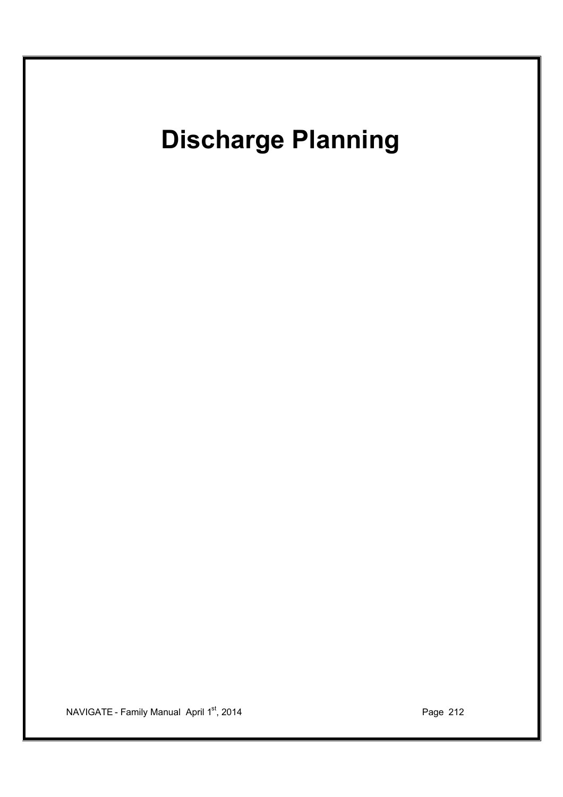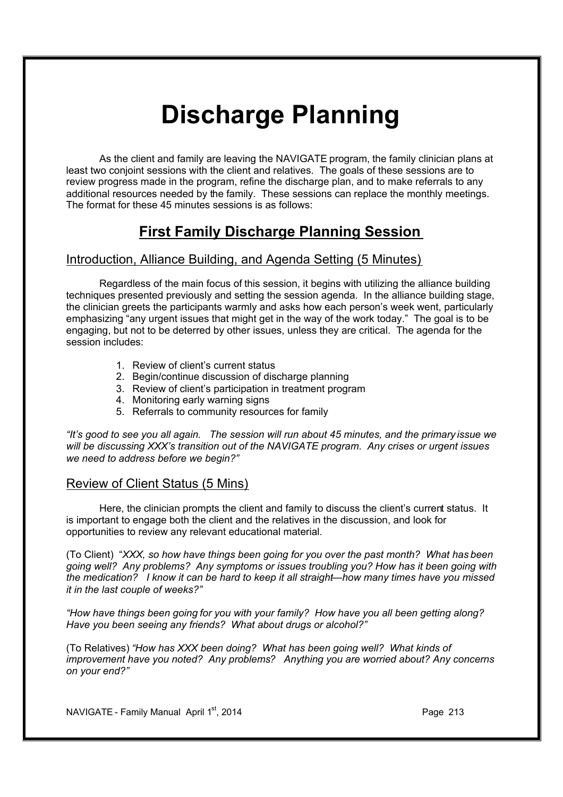# **Discharge Planning**

As the client and family are leaving the NAVIGATE program, the family clinician plans at least two conjoint sessions with the client and relatives. The goals of these sessions are to review progress made in the program, refine the discharge plan, and to make referrals to any additional resources needed by the family. These sessions can replace the monthly meetings. The format for these 45 minutes sessions is as follows:

## **First Family Discharge Planning Session**

### Introduction, Alliance Building, and Agenda Setting (5 Minutes)

Regardless of the main focus of this session, it begins with utilizing the alliance building techniques presented previously and setting the session agenda. In the alliance building stage, the clinician greets the participants warmly and asks how each person's week went, particularly emphasizing "any urgent issues that might get in the way of the work today." The goal is to be engaging, but not to be deterred by other issues, unless they are critical. The agenda for the session includes:

- 1. Review of client's current status
- 2. Begin/continue discussion of discharge planning
- 3. Review of client's participation in treatment program
- 4. Monitoring early warning signs
- 5. Referrals to community resources for family

*"It's good to see you all again. The session will run about 45 minutes, and the primary issue we will be discussing XXX's transition out of the NAVIGATE program. Any crises or urgent issues we need to address before we begin?"*

### Review of Client Status (5 Mins)

Here, the clinician prompts the client and family to discuss the client's current status. It is important to engage both the client and the relatives in the discussion, and look for opportunities to review any relevant educational material.

(To Client) "*XXX, so how have things been going for you over the past month? What has been going well? Any problems? Any symptoms or issues troubling you? How has it been going with the medication? I know it can be hard to keep it all straight—how many times have you missed it in the last couple of weeks?"* 

*"How have things been going for you with your family? How have you all been getting along? Have you been seeing any friends? What about drugs or alcohol?"* 

(To Relatives) *"How has XXX been doing? What has been going well? What kinds of improvement have you noted? Any problems? Anything you are worried about? Any concerns on your end?"* 

NAVIGATE - Family Manual April  $1<sup>st</sup>$ , 2014 **Page 213** Page 213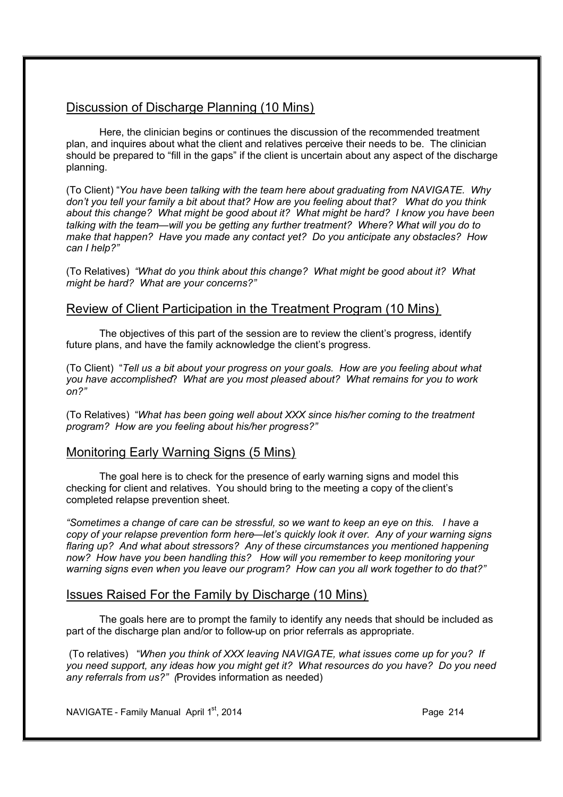### Discussion of Discharge Planning (10 Mins)

Here, the clinician begins or continues the discussion of the recommended treatment plan, and inquires about what the client and relatives perceive their needs to be. The clinician should be prepared to "fill in the gaps" if the client is uncertain about any aspect of the discharge planning.

(To Client) "*You have been talking with the team here about graduating from NAVIGATE. Why don't you tell your family a bit about that? How are you feeling about that? What do you think about this change? What might be good about it? What might be hard? I know you have been talking with the team—will you be getting any further treatment? Where? What will you do to make that happen? Have you made any contact yet? Do you anticipate any obstacles? How can I help?"* 

(To Relatives) *"What do you think about this change? What might be good about it? What might be hard? What are your concerns?"*

### Review of Client Participation in the Treatment Program (10 Mins)

The objectives of this part of the session are to review the client's progress, identify future plans, and have the family acknowledge the client's progress.

(To Client) "*Tell us a bit about your progress on your goals. How are you feeling about what you have accomplished*? *What are you most pleased about? What remains for you to work on?"*

(To Relatives) "*What has been going well about XXX since his/her coming to the treatment program? How are you feeling about his/her progress?"*

### Monitoring Early Warning Signs (5 Mins)

The goal here is to check for the presence of early warning signs and model this checking for client and relatives. You should bring to the meeting a copy of the client's completed relapse prevention sheet.

*"Sometimes a change of care can be stressful, so we want to keep an eye on this. I have a copy of your relapse prevention form here—let's quickly look it over. Any of your warning signs flaring up? And what about stressors? Any of these circumstances you mentioned happening now? How have you been handling this? How will you remember to keep monitoring your warning signs even when you leave our program? How can you all work together to do that?"* 

### Issues Raised For the Family by Discharge (10 Mins)

The goals here are to prompt the family to identify any needs that should be included as part of the discharge plan and/or to follow-up on prior referrals as appropriate.

 (To relatives) "*When you think of XXX leaving NAVIGATE, what issues come up for you? If you need support, any ideas how you might get it? What resources do you have? Do you need any referrals from us?" (*Provides information as needed)

NAVIGATE - Family Manual April  $1<sup>st</sup>$ , 2014 **Page 214** Page 214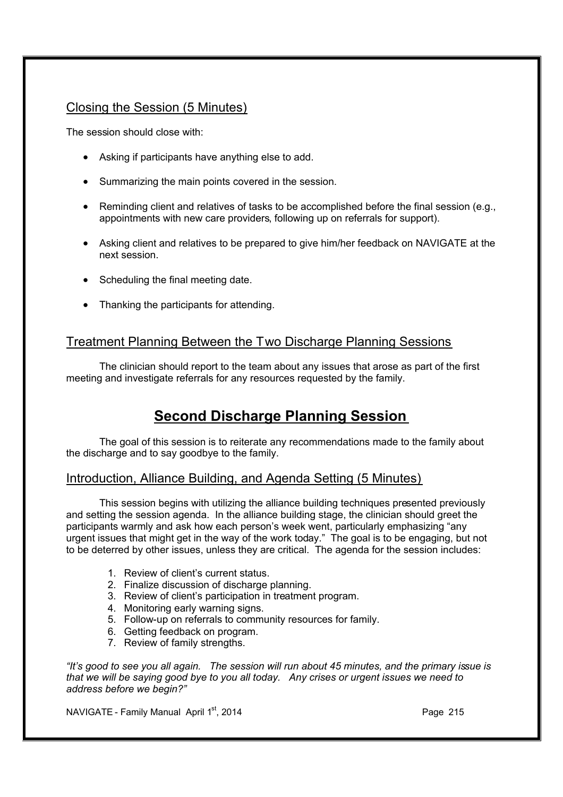### Closing the Session (5 Minutes)

The session should close with:

- · Asking if participants have anything else to add.
- · Summarizing the main points covered in the session.
- · Reminding client and relatives of tasks to be accomplished before the final session (e.g., appointments with new care providers, following up on referrals for support).
- · Asking client and relatives to be prepared to give him/her feedback on NAVIGATE at the next session.
- · Scheduling the final meeting date.
- · Thanking the participants for attending.

### Treatment Planning Between the Two Discharge Planning Sessions

The clinician should report to the team about any issues that arose as part of the first meeting and investigate referrals for any resources requested by the family.

## **Second Discharge Planning Session**

The goal of this session is to reiterate any recommendations made to the family about the discharge and to say goodbye to the family.

### Introduction, Alliance Building, and Agenda Setting (5 Minutes)

This session begins with utilizing the alliance building techniques presented previously and setting the session agenda. In the alliance building stage, the clinician should greet the participants warmly and ask how each person's week went, particularly emphasizing "any urgent issues that might get in the way of the work today." The goal is to be engaging, but not to be deterred by other issues, unless they are critical. The agenda for the session includes:

- 1. Review of client's current status.
- 2. Finalize discussion of discharge planning.
- 3. Review of client's participation in treatment program.
- 4. Monitoring early warning signs.
- 5. Follow-up on referrals to community resources for family.
- 6. Getting feedback on program.
- 7. Review of family strengths.

*"It's good to see you all again. The session will run about 45 minutes, and the primary issue is that we will be saying good bye to you all today. Any crises or urgent issues we need to address before we begin?"* 

NAVIGATE - Family Manual April 1<sup>st</sup>, 2014 **Page 215** Page 215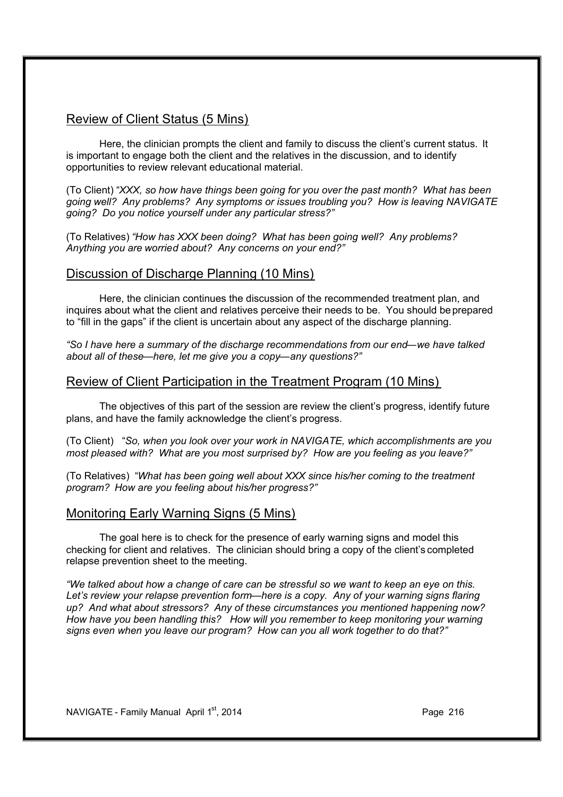### Review of Client Status (5 Mins)

Here, the clinician prompts the client and family to discuss the client's current status. It is important to engage both the client and the relatives in the discussion, and to identify opportunities to review relevant educational material.

(To Client) "*XXX, so how have things been going for you over the past month? What has been going well? Any problems? Any symptoms or issues troubling you? How is leaving NAVIGATE going? Do you notice yourself under any particular stress?"* 

(To Relatives) *"How has XXX been doing? What has been going well? Any problems? Anything you are worried about? Any concerns on your end?"* 

### Discussion of Discharge Planning (10 Mins)

Here, the clinician continues the discussion of the recommended treatment plan, and inquires about what the client and relatives perceive their needs to be. You should be prepared to "fill in the gaps" if the client is uncertain about any aspect of the discharge planning.

*"So I have here a summary of the discharge recommendations from our end—we have talked about all of these—here, let me give you a copy—any questions?"*

### Review of Client Participation in the Treatment Program (10 Mins)

The objectives of this part of the session are review the client's progress, identify future plans, and have the family acknowledge the client's progress.

(To Client) "*So, when you look over your work in NAVIGATE, which accomplishments are you most pleased with? What are you most surprised by? How are you feeling as you leave?"* 

(To Relatives) "*What has been going well about XXX since his/her coming to the treatment program? How are you feeling about his/her progress?"*

### Monitoring Early Warning Signs (5 Mins)

The goal here is to check for the presence of early warning signs and model this checking for client and relatives. The clinician should bring a copy of the client's completed relapse prevention sheet to the meeting.

*"We talked about how a change of care can be stressful so we want to keep an eye on this.*  Let's review your relapse prevention form—here is a copy. Any of your warning signs flaring *up? And what about stressors? Any of these circumstances you mentioned happening now? How have you been handling this? How will you remember to keep monitoring your warning signs even when you leave our program? How can you all work together to do that?"*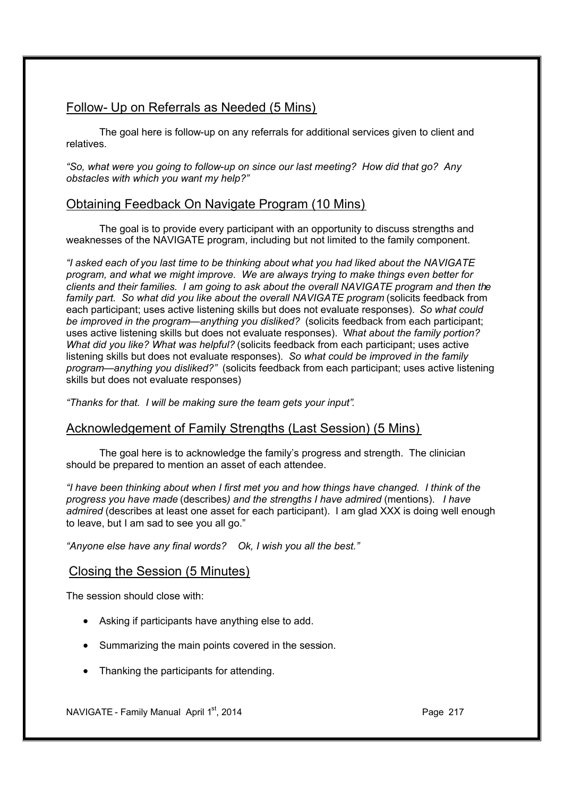# Follow- Up on Referrals as Needed (5 Mins)

The goal here is follow-up on any referrals for additional services given to client and relatives.

*"So, what were you going to follow-up on since our last meeting? How did that go? Any obstacles with which you want my help?"* 

# Obtaining Feedback On Navigate Program (10 Mins)

The goal is to provide every participant with an opportunity to discuss strengths and weaknesses of the NAVIGATE program, including but not limited to the family component.

*"I asked each of you last time to be thinking about what you had liked about the NAVIGATE program, and what we might improve. We are always trying to make things even better for clients and their families. I am going to ask about the overall NAVIGATE program and then the family part. So what did you like about the overall NAVIGATE program* (solicits feedback from each participant; uses active listening skills but does not evaluate responses). *So what could be improved in the program—anything you disliked?* (solicits feedback from each participant; uses active listening skills but does not evaluate responses). W*hat about the family portion? What did you like? What was helpful?* (solicits feedback from each participant; uses active listening skills but does not evaluate responses). *So what could be improved in the family program—anything you disliked?"* (solicits feedback from each participant; uses active listening skills but does not evaluate responses)

*"Thanks for that. I will be making sure the team gets your input".* 

## Acknowledgement of Family Strengths (Last Session) (5 Mins)

The goal here is to acknowledge the family's progress and strength. The clinician should be prepared to mention an asset of each attendee.

*"I have been thinking about when I first met you and how things have changed. I think of the progress you have made* (describes*) and the strengths I have admired* (mentions). *I have admired* (describes at least one asset for each participant). I am glad XXX is doing well enough to leave, but I am sad to see you all go."

*"Anyone else have any final words? Ok, I wish you all the best."*

## Closing the Session (5 Minutes)

The session should close with:

- · Asking if participants have anything else to add.
- · Summarizing the main points covered in the session.
- · Thanking the participants for attending.

NAVIGATE - Family Manual April  $1<sup>st</sup>$ , 2014 **Page 217** Page 217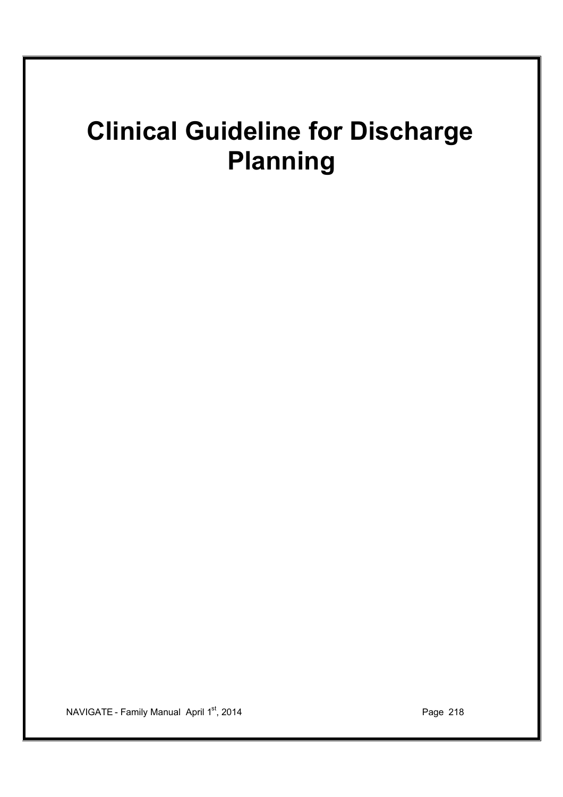# **Clinical Guideline for Discharge Planning**

NAVIGATE - Family Manual April 1<sup>st</sup>, 2014 **Page 218**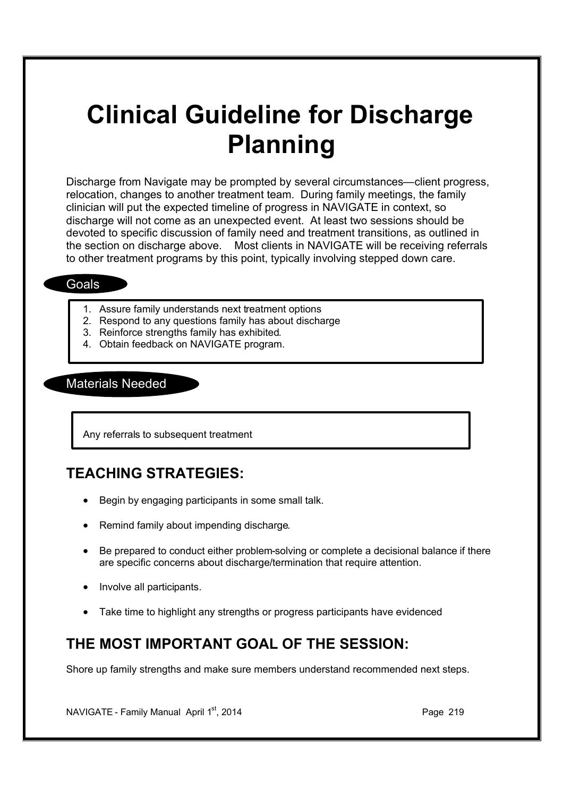# **Clinical Guideline for Discharge Planning**

Discharge from Navigate may be prompted by several circumstances—client progress, relocation, changes to another treatment team. During family meetings, the family clinician will put the expected timeline of progress in NAVIGATE in context, so discharge will not come as an unexpected event. At least two sessions should be devoted to specific discussion of family need and treatment transitions, as outlined in the section on discharge above. Most clients in NAVIGATE will be receiving referrals to other treatment programs by this point, typically involving stepped down care.

### **Goals**

- 1. Assure family understands next treatment options
- 2. Respond to any questions family has about discharge
- 3. Reinforce strengths family has exhibited.
- 4. Obtain feedback on NAVIGATE program.

### Materials Needed

Any referrals to subsequent treatment

# **TEACHING STRATEGIES:**

- · Begin by engaging participants in some small talk.
- Remind family about impending discharge.
- · Be prepared to conduct either problem-solving or complete a decisional balance if there are specific concerns about discharge/termination that require attention.
- · Involve all participants.
- Take time to highlight any strengths or progress participants have evidenced

# **THE MOST IMPORTANT GOAL OF THE SESSION:**

Shore up family strengths and make sure members understand recommended next steps.

NAVIGATE - Family Manual April  $1<sup>st</sup>$ , 2014 **Page 219** Page 219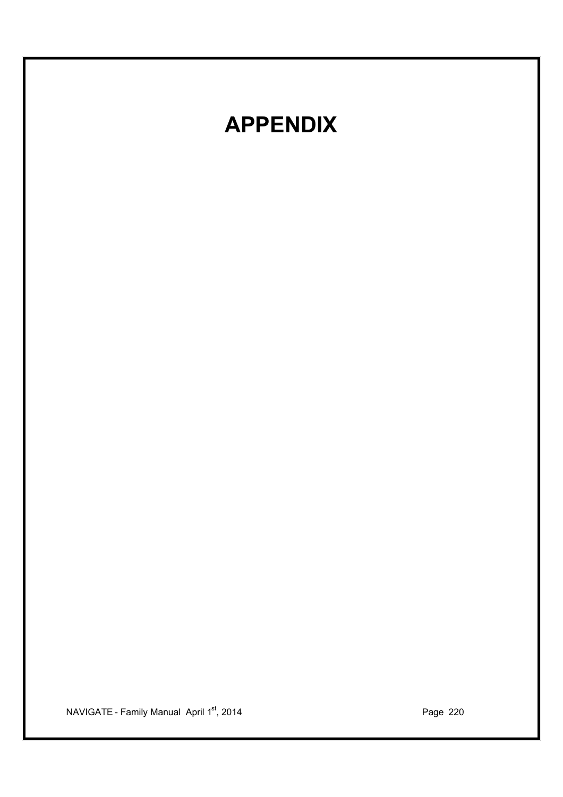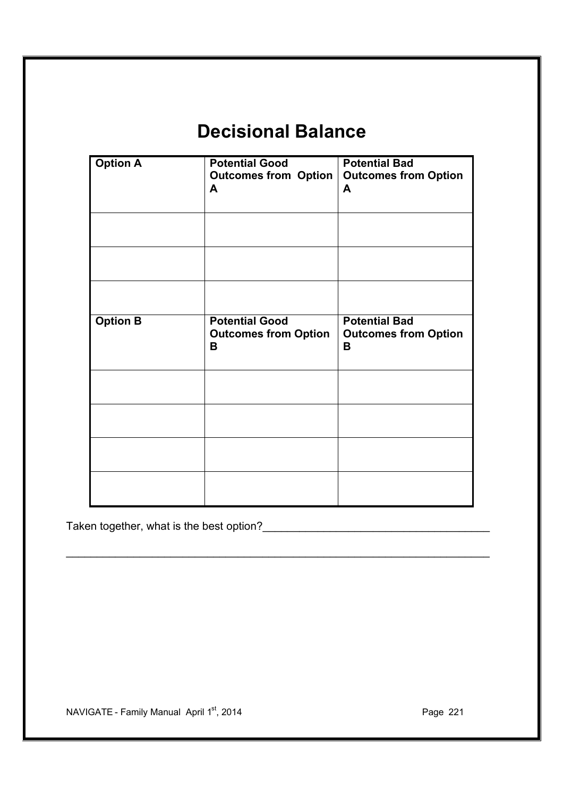# **Decisional Balance**

| <b>Option A</b> | <b>Potential Good</b><br><b>Outcomes from Option</b><br>A | <b>Potential Bad</b><br><b>Outcomes from Option</b><br>A |
|-----------------|-----------------------------------------------------------|----------------------------------------------------------|
|                 |                                                           |                                                          |
|                 |                                                           |                                                          |
| <b>Option B</b> | <b>Potential Good</b><br><b>Outcomes from Option</b><br>в | <b>Potential Bad</b><br><b>Outcomes from Option</b><br>B |
|                 |                                                           |                                                          |
|                 |                                                           |                                                          |
|                 |                                                           |                                                          |
|                 |                                                           |                                                          |

\_\_\_\_\_\_\_\_\_\_\_\_\_\_\_\_\_\_\_\_\_\_\_\_\_\_\_\_\_\_\_\_\_\_\_\_\_\_\_\_\_\_\_\_\_\_\_\_\_\_\_\_\_\_\_\_\_\_\_\_\_\_\_\_\_\_\_\_\_

Taken together, what is the best option?\_\_\_\_\_\_\_\_\_\_\_\_\_\_\_\_\_\_\_\_\_\_\_\_\_\_\_\_\_\_\_\_\_\_\_\_\_

NAVIGATE - Family Manual April 1<sup>st</sup>, 2014 **Page 221** Page 221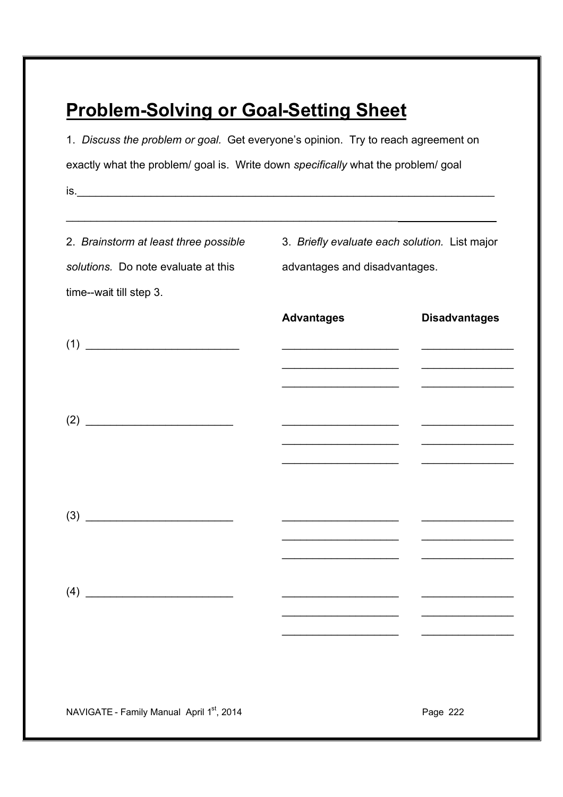# **Problem-Solving or Goal-Setting Sheet**

1. *Discuss the problem or goal.* Get everyone's opinion. Try to reach agreement on exactly what the problem/ goal is. Write down *specifically* what the problem/ goal  $is.$ 

| 2. Brainstorm at least three possible<br>solutions. Do note evaluate at this<br>time--wait till step 3. | 3. Briefly evaluate each solution. List major<br>advantages and disadvantages.                                                                                                                                                       |                                                                                                                       |
|---------------------------------------------------------------------------------------------------------|--------------------------------------------------------------------------------------------------------------------------------------------------------------------------------------------------------------------------------------|-----------------------------------------------------------------------------------------------------------------------|
|                                                                                                         | <b>Advantages</b>                                                                                                                                                                                                                    | <b>Disadvantages</b>                                                                                                  |
| (1)                                                                                                     | <u> 1950 - Johann Barbara, martin din bashkar a shekara ta 1960 - An tsara tsara tsara tsara tsara tsara tsara tsa</u>                                                                                                               |                                                                                                                       |
|                                                                                                         |                                                                                                                                                                                                                                      | <u> 1950 - Johann Barn, margaret eta industrial eta industrial eta industrial eta industrial eta industrial eta i</u> |
|                                                                                                         | <u> 1950 - Johann John Stone, market francuski filozof (</u><br><u> 1989 - Johann John Harry Harry Harry Harry Harry Harry Harry Harry Harry Harry Harry Harry Harry Harry Harry</u>                                                 | and the state of the state of the state of                                                                            |
|                                                                                                         | <u> 1989 - Johann Harry Harry Harry Harry Harry Harry Harry Harry Harry Harry Harry Harry Harry Harry Harry Harry Harry Harry Harry Harry Harry Harry Harry Harry Harry Harry Harry Harry Harry Harry Harry Harry Harry Harry Ha</u> |                                                                                                                       |
|                                                                                                         |                                                                                                                                                                                                                                      |                                                                                                                       |
|                                                                                                         |                                                                                                                                                                                                                                      | $\overline{\phantom{0}}$                                                                                              |
|                                                                                                         |                                                                                                                                                                                                                                      |                                                                                                                       |
| NAVIGATE - Family Manual April 1st, 2014                                                                | Page 222                                                                                                                                                                                                                             |                                                                                                                       |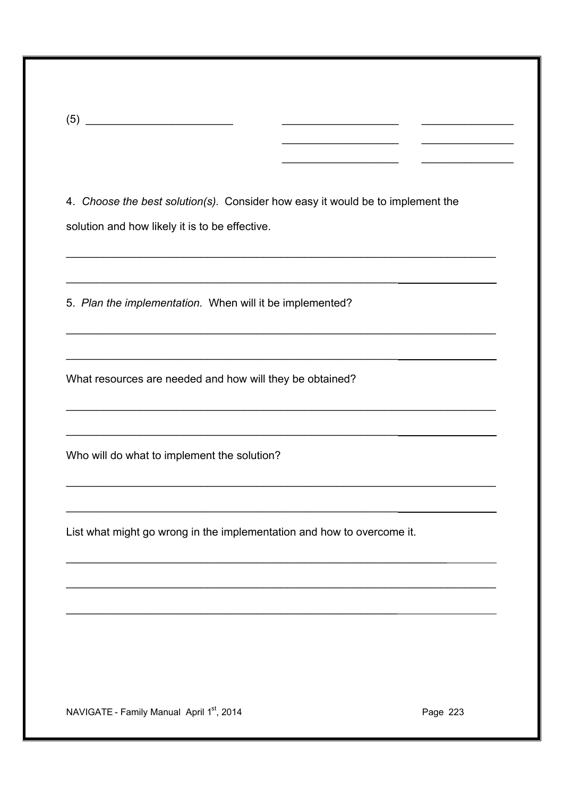| - 1<br>ורו<br>$\tilde{\phantom{a}}$<br>٠ |  |  |
|------------------------------------------|--|--|
|                                          |  |  |

4. Choose the best solution(s). Consider how easy it would be to implement the solution and how likely it is to be effective.

5. Plan the implementation. When will it be implemented?

What resources are needed and how will they be obtained?

Who will do what to implement the solution?

List what might go wrong in the implementation and how to overcome it.

NAVIGATE - Family Manual April 1st, 2014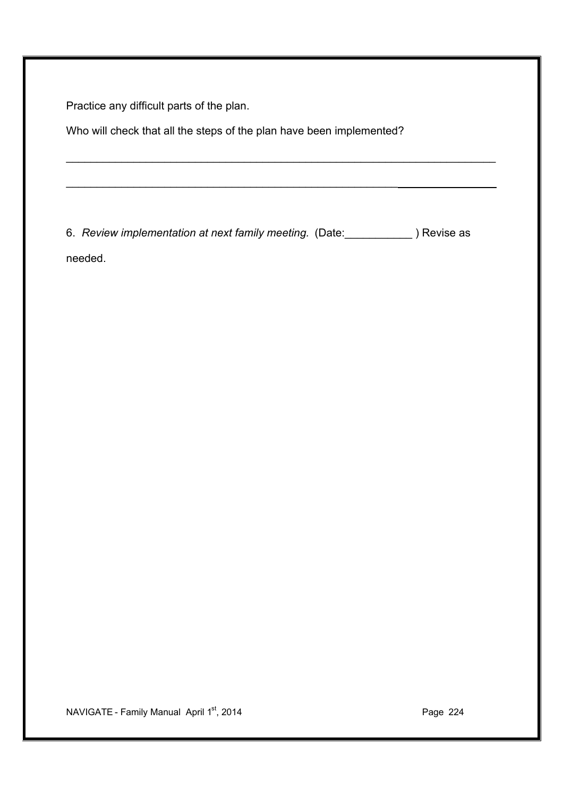Practice any difficult parts of the plan.

Who will check that all the steps of the plan have been implemented?

\_\_\_\_\_\_\_\_\_\_\_\_\_\_\_\_\_\_\_\_\_\_\_\_\_\_\_\_\_\_\_\_\_\_\_\_\_\_\_\_\_\_\_\_\_\_\_\_\_\_\_\_\_\_

6. *Review implementation at next family meeting.* (Date:\_\_\_\_\_\_\_\_\_\_\_ ) Revise as

\_\_\_\_\_\_\_\_\_\_\_\_\_\_\_\_\_\_\_\_\_\_\_\_\_\_\_\_\_\_\_\_\_\_\_\_\_\_\_\_\_\_\_\_\_\_\_\_\_\_\_\_\_\_\_\_\_\_\_\_\_\_\_\_\_\_\_\_\_\_

needed.

NAVIGATE - Family Manual April 1<sup>st</sup>, 2014 **Page 224** Page 224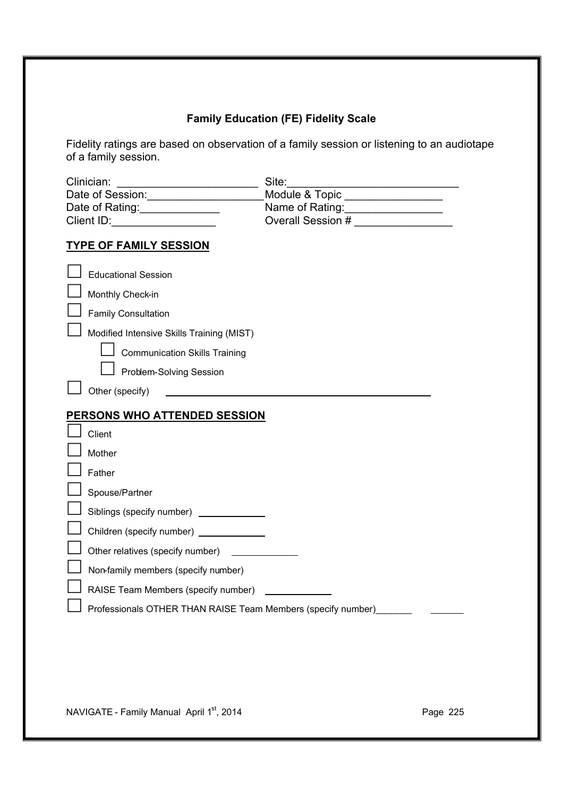# **Family Education (FE) Fidelity Scale**

Fidelity ratings are based on observation of a family session or listening to an audiotape of a family session.

| Clinician:<br><u>a sa mga salawang pagkalang ng mga sang</u><br>Date of Session: 1997<br>Date of Rating:<br><u> </u><br>Client ID: | Site:<br>Module & Topic<br>Name of Rating:<br><u> </u><br>Overall Session $#$ |
|------------------------------------------------------------------------------------------------------------------------------------|-------------------------------------------------------------------------------|
| <b>TYPE OF FAMILY SESSION</b>                                                                                                      |                                                                               |
| <b>Educational Session</b>                                                                                                         |                                                                               |
| Monthly Check-in                                                                                                                   |                                                                               |
| <b>Family Consultation</b>                                                                                                         |                                                                               |
| Modified Intensive Skills Training (MIST)                                                                                          |                                                                               |
| <b>Communication Skills Training</b>                                                                                               |                                                                               |
| Problem-Solving Session                                                                                                            |                                                                               |
| Other (specify)                                                                                                                    |                                                                               |
| <b>PERSONS WHO ATTENDED SESSION</b>                                                                                                |                                                                               |
| Client                                                                                                                             |                                                                               |
| Mother                                                                                                                             |                                                                               |
| Father                                                                                                                             |                                                                               |
|                                                                                                                                    |                                                                               |
| Spouse/Partner                                                                                                                     |                                                                               |
| Siblings (specify number) _____________                                                                                            |                                                                               |
| Children (specify number) _____________                                                                                            |                                                                               |
| Other relatives (specify number)                                                                                                   |                                                                               |
| Non-family members (specify number)                                                                                                |                                                                               |
| RAISE Team Members (specify number)                                                                                                |                                                                               |
| Professionals OTHER THAN RAISE Team Members (specify number)                                                                       |                                                                               |

NAVIGATE - Family Manual April 1<sup>st</sup>, 2014 **Page 225**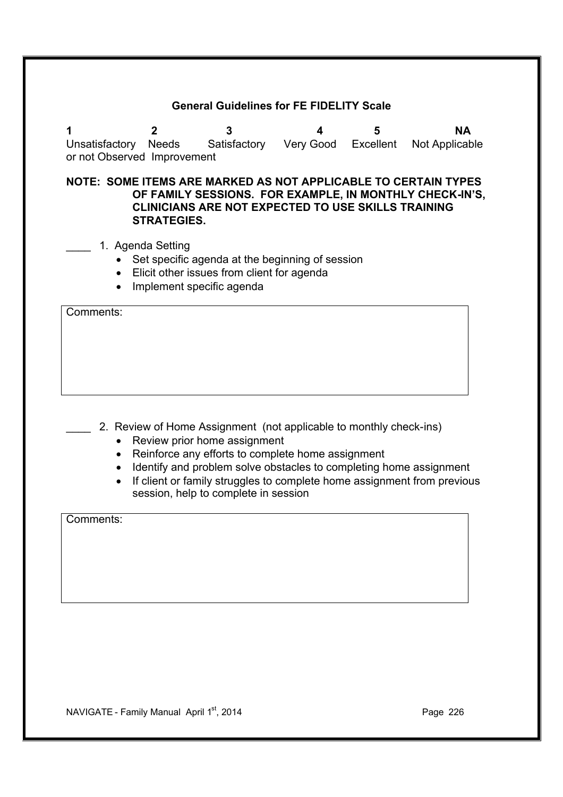#### **General Guidelines for FE FIDELITY Scale**

**1 2 3 4 5 NA** Unsatisfactory Needs Satisfactory Very Good Excellent Not Applicable or not Observed Improvement

**NOTE: SOME ITEMS ARE MARKED AS NOT APPLICABLE TO CERTAIN TYPES OF FAMILY SESSIONS. FOR EXAMPLE, IN MONTHLY CHECK-IN'S, CLINICIANS ARE NOT EXPECTED TO USE SKILLS TRAINING STRATEGIES.** 

- 1. Agenda Setting
	- Set specific agenda at the beginning of session
	- · Elicit other issues from client for agenda
	- · Implement specific agenda

Comments:

- 2. Review of Home Assignment (not applicable to monthly check-ins)
	- Review prior home assignment
	- · Reinforce any efforts to complete home assignment
	- · Identify and problem solve obstacles to completing home assignment
	- · If client or family struggles to complete home assignment from previous session, help to complete in session

Comments: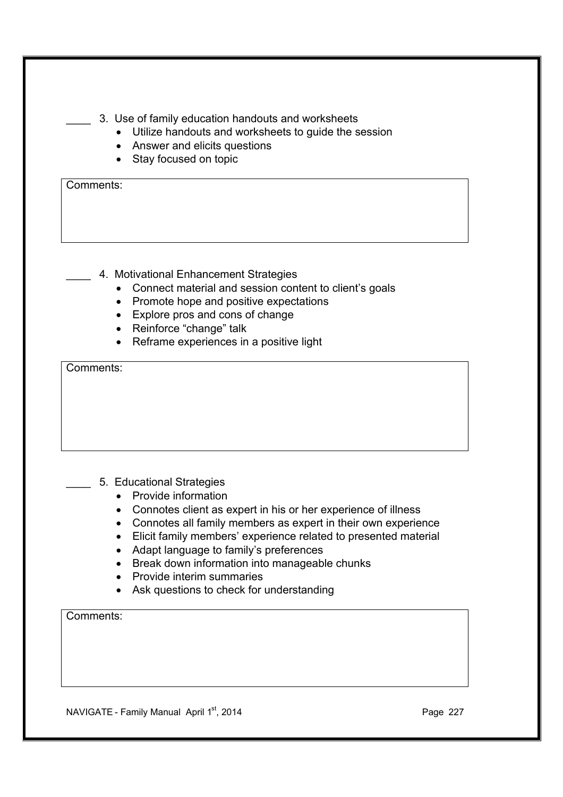- \_\_\_\_ 3. Use of family education handouts and worksheets
	- · Utilize handouts and worksheets to guide the session
	- · Answer and elicits questions
	- · Stay focused on topic

- 4. Motivational Enhancement Strategies
	- · Connect material and session content to client's goals
	- · Promote hope and positive expectations
	- · Explore pros and cons of change
	- · Reinforce "change" talk
	- · Reframe experiences in a positive light

Comments:

- \_\_\_\_ 5. Educational Strategies
	- · Provide information
	- · Connotes client as expert in his or her experience of illness
	- · Connotes all family members as expert in their own experience
	- · Elicit family members' experience related to presented material
	- · Adapt language to family's preferences
	- · Break down information into manageable chunks
	- Provide interim summaries
	- Ask questions to check for understanding

Comments:

NAVIGATE - Family Manual April 1<sup>st</sup>, 2014 **Page 227** Page 227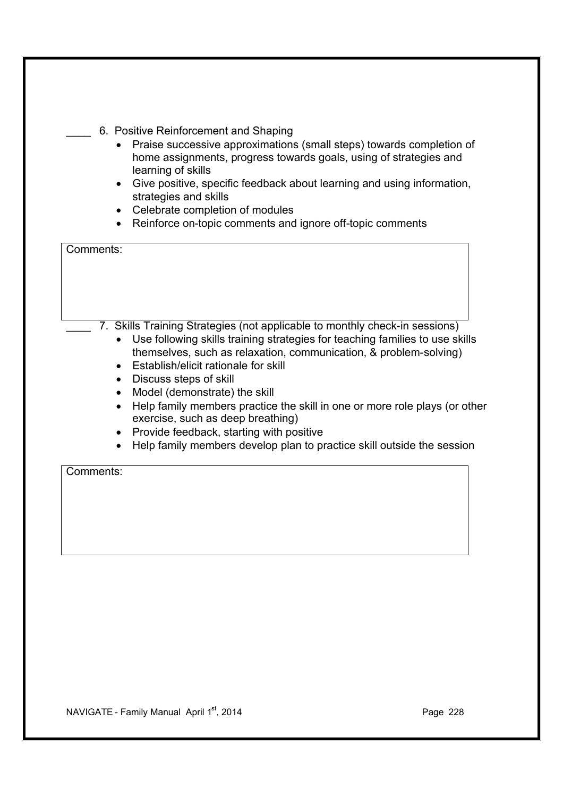- · Praise successive approximations (small steps) towards completion of home assignments, progress towards goals, using of strategies and learning of skills
- · Give positive, specific feedback about learning and using information, strategies and skills
- · Celebrate completion of modules
- · Reinforce on-topic comments and ignore off-topic comments

| Comments:                                                                                                       |
|-----------------------------------------------------------------------------------------------------------------|
|                                                                                                                 |
|                                                                                                                 |
|                                                                                                                 |
|                                                                                                                 |
| 7. Skills Training Strategies (not applicable to monthly check-in sessions)                                     |
| Use following skills training strategies for teaching families to use skills                                    |
| themselves, such as relaxation, communication, & problem-solving)                                               |
| Establish/elicit rationale for skill                                                                            |
| Discuss steps of skill                                                                                          |
| Model (demonstrate) the skill                                                                                   |
| Help family members practice the skill in one or more role plays (or other<br>exercise, such as deep breathing) |
| Provide feedback, starting with positive                                                                        |
| Help family members develop plan to practice skill outside the session                                          |
| Comments:                                                                                                       |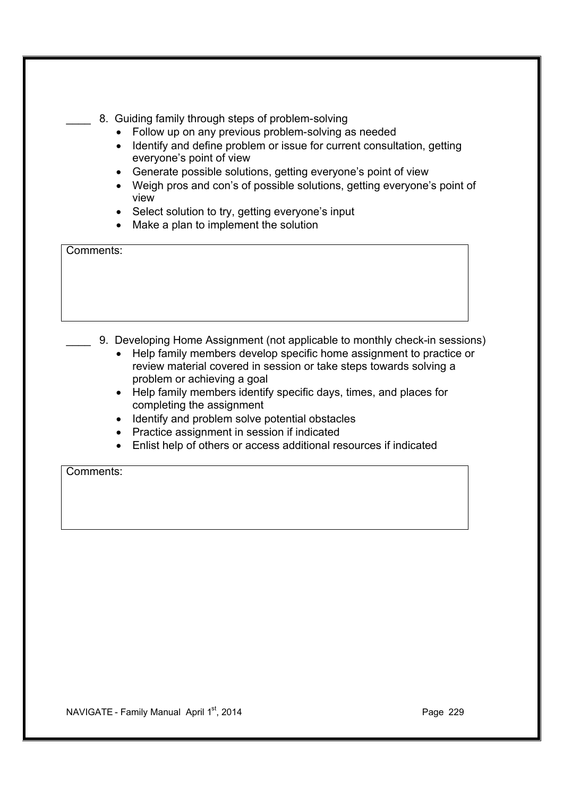- 8. Guiding family through steps of problem-solving
	- · Follow up on any previous problem-solving as needed
	- Identify and define problem or issue for current consultation, getting everyone's point of view
	- · Generate possible solutions, getting everyone's point of view
	- · Weigh pros and con's of possible solutions, getting everyone's point of view
	- Select solution to try, getting everyone's input
	- · Make a plan to implement the solution

- 9. Developing Home Assignment (not applicable to monthly check-in sessions)
	- · Help family members develop specific home assignment to practice or review material covered in session or take steps towards solving a problem or achieving a goal
	- · Help family members identify specific days, times, and places for completing the assignment
	- · Identify and problem solve potential obstacles
	- · Practice assignment in session if indicated
	- · Enlist help of others or access additional resources if indicated

Comments: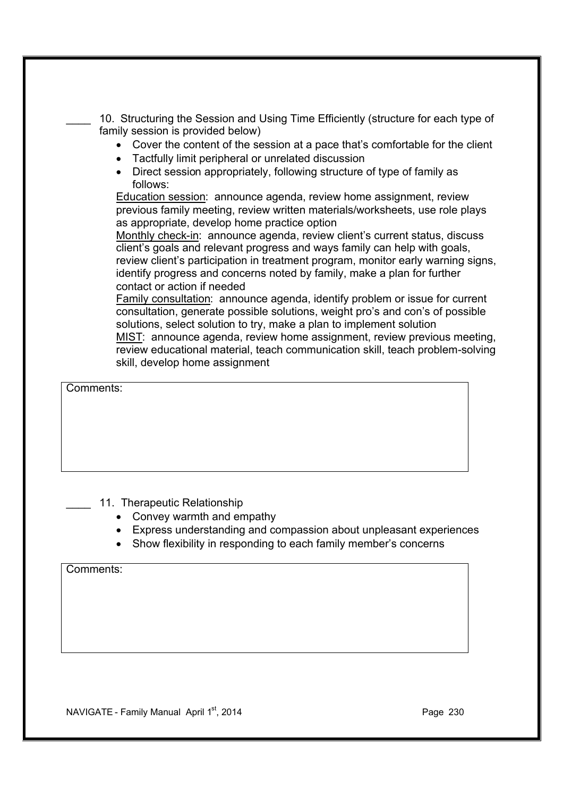10. Structuring the Session and Using Time Efficiently (structure for each type of family session is provided below)

- · Cover the content of the session at a pace that's comfortable for the client
- · Tactfully limit peripheral or unrelated discussion
- · Direct session appropriately, following structure of type of family as follows:

Education session: announce agenda, review home assignment, review previous family meeting, review written materials/worksheets, use role plays as appropriate, develop home practice option

Monthly check-in: announce agenda, review client's current status, discuss client's goals and relevant progress and ways family can help with goals, review client's participation in treatment program, monitor early warning signs, identify progress and concerns noted by family, make a plan for further contact or action if needed

Family consultation: announce agenda, identify problem or issue for current consultation, generate possible solutions, weight pro's and con's of possible solutions, select solution to try, make a plan to implement solution MIST: announce agenda, review home assignment, review previous meeting, review educational material, teach communication skill, teach problem-solving skill, develop home assignment

Comments:

- 11. Therapeutic Relationship
	- Convey warmth and empathy
	- · Express understanding and compassion about unpleasant experiences
	- Show flexibility in responding to each family member's concerns

Comments:

 $NAVIGATE - Family Manual$  April  $1^{st}$ , 2014 **Page 230** Page 230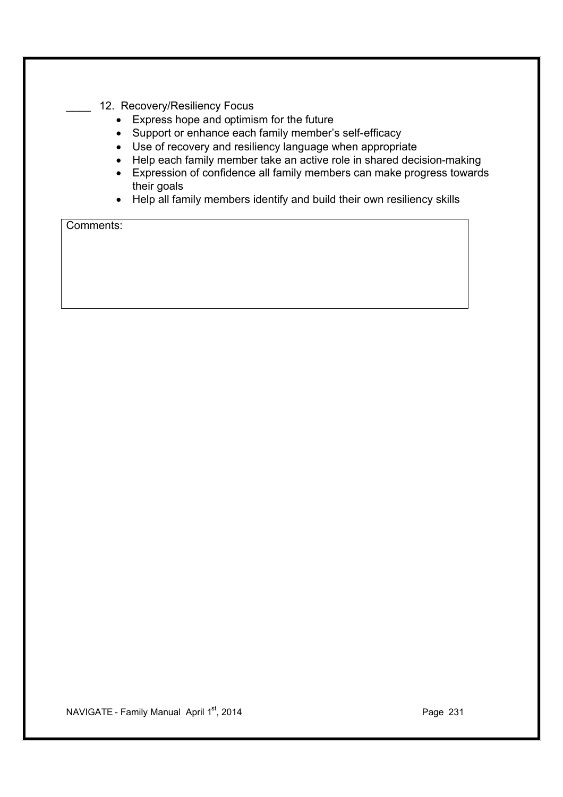- 12. Recovery/Resiliency Focus
	- · Express hope and optimism for the future
	- · Support or enhance each family member's self-efficacy
	- · Use of recovery and resiliency language when appropriate
	- · Help each family member take an active role in shared decision-making
	- · Expression of confidence all family members can make progress towards their goals
	- · Help all family members identify and build their own resiliency skills

NAVIGATE - Family Manual April 1<sup>st</sup>, 2014 **Page 231** Page 231